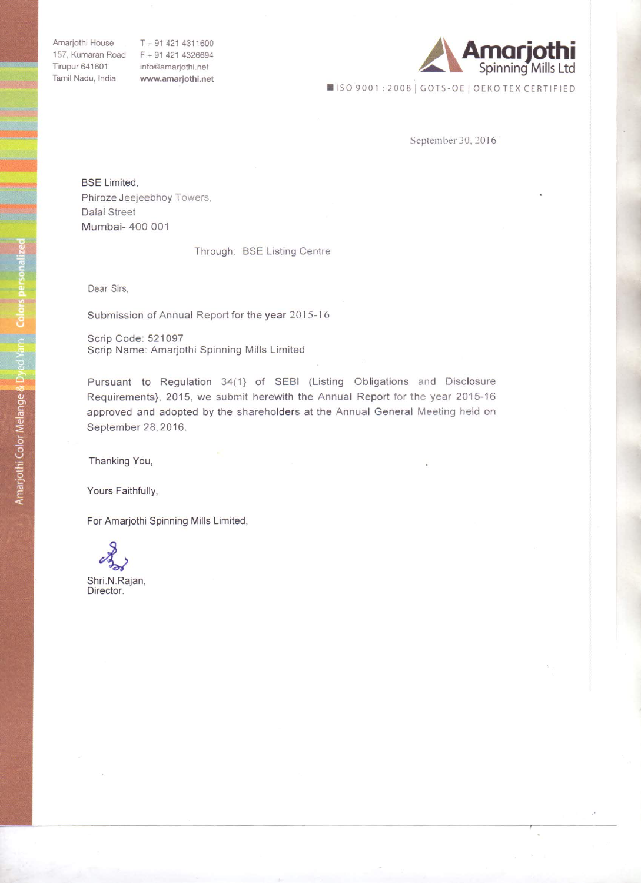Amarjothi House 157, Kumaran Road F + 91 421 4326694 Tirupur 641601 Tamil Nadu, India

T + 91 421 4311600 info@amarjothi.net www.amarjothi.net



ISO 9001:2008 | GOTS-OE | OEKO TEX CERTIFIED

September 30, 2016

**BSE Limited,** Phiroze Jeejeebhoy Towers, **Dalal Street** Mumbai- 400 001

Through: BSE Listing Centre

Dear Sirs,

Submission of Annual Report for the year 2015-16

Scrip Code: 521097 Scrip Name: Amarjothi Spinning Mills Limited

Pursuant to Regulation 34(1) of SEBI (Listing Obligations and Disclosure Requirements}, 2015, we submit herewith the Annual Report for the year 2015-16 approved and adopted by the shareholders at the Annual General Meeting held on September 28, 2016.

Thanking You,

Yours Faithfully,

For Amarjothi Spinning Mills Limited,

Shri.N.Rajan, Director.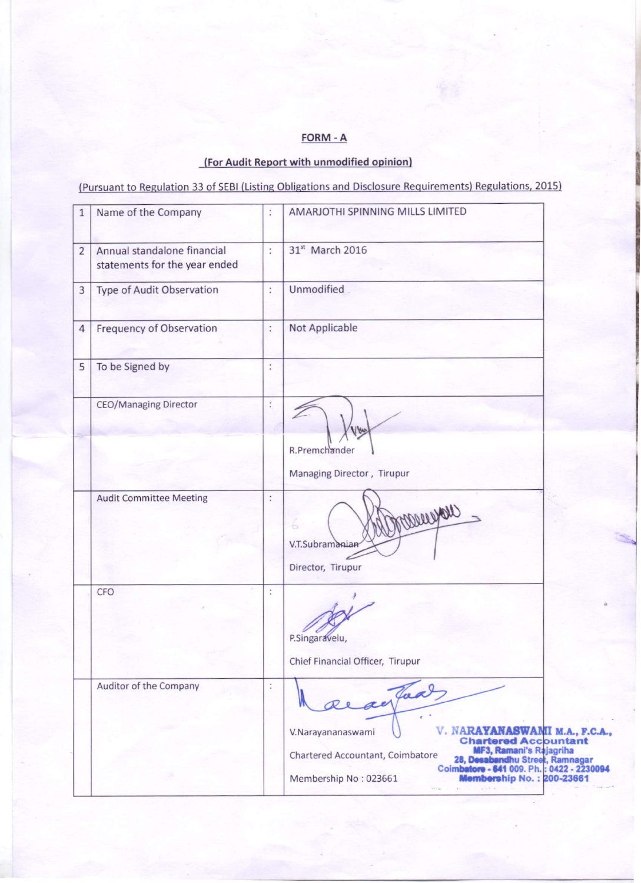# FORM - A

# (For Audit Report with unmodified opinion)

(Pursuant to Regulation 33 of SEBI (Listing Obligations and Disclosure Requirements) Regulations, 2015)

| $1\,$          | Name of the Company                                          | ÷                    | AMARJOTHI SPINNING MILLS LIMITED                                                                                                                                                                                                                                                                           |
|----------------|--------------------------------------------------------------|----------------------|------------------------------------------------------------------------------------------------------------------------------------------------------------------------------------------------------------------------------------------------------------------------------------------------------------|
| $\overline{2}$ | Annual standalone financial<br>statements for the year ended | $\ddot{\cdot}$       | 31st March 2016                                                                                                                                                                                                                                                                                            |
| $\overline{3}$ | Type of Audit Observation                                    | $\ddot{\phantom{a}}$ | Unmodified                                                                                                                                                                                                                                                                                                 |
| $\overline{4}$ | Frequency of Observation                                     | t                    | Not Applicable                                                                                                                                                                                                                                                                                             |
| 5              | To be Signed by                                              | $\ddot{\phantom{0}}$ |                                                                                                                                                                                                                                                                                                            |
|                | <b>CEO/Managing Director</b>                                 | $\ddot{\cdot}$       |                                                                                                                                                                                                                                                                                                            |
|                |                                                              |                      | R.Premchander<br>Managing Director, Tirupur                                                                                                                                                                                                                                                                |
|                | <b>Audit Committee Meeting</b>                               | t                    | monount<br>5<br>V.T.Subramanian<br>Director, Tirupur                                                                                                                                                                                                                                                       |
|                | CFO                                                          | $\ddot{\phantom{a}}$ | P.Singaravelu,<br>Chief Financial Officer, Tirupur                                                                                                                                                                                                                                                         |
|                | Auditor of the Company                                       | ÷                    | Readfaat<br>V. NARAYANASWAMI M.A., F.C.A.,<br>V.Narayananaswami<br><b>Chartered Accountant</b><br>MF3, Ramani's Rajagriha<br>Chartered Accountant, Coimbatore<br>28, Desabandhu Street, Ramnagar<br>Coimbatore - 641 009. Ph.: 0422 - 2230094<br>Membership No: 023661<br><b>Membership No.: 200-23661</b> |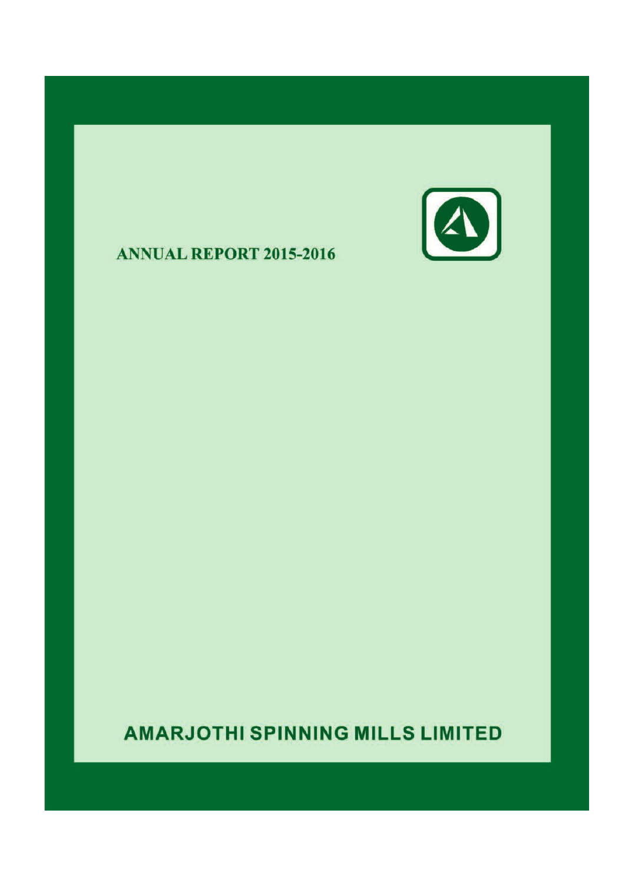

# **ANNUAL REPORT 2015-2016**

**AMARJOTHI SPINNING MILLS LIMITED**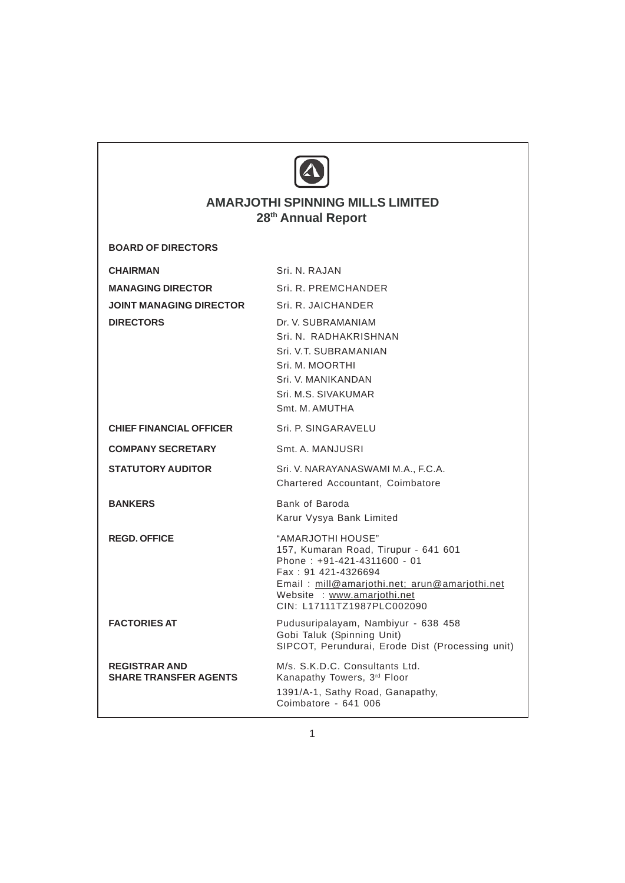

# **AMARJOTHI SPINNING MILLS LIMITED 28th Annual Report**

**BOARD OF DIRECTORS**

| CHAIRMAN                                             | Sri, N. RAJAN                                                                                                                                                                                                                 |
|------------------------------------------------------|-------------------------------------------------------------------------------------------------------------------------------------------------------------------------------------------------------------------------------|
| <b>MANAGING DIRECTOR</b>                             | Sri. R. PREMCHANDER                                                                                                                                                                                                           |
| <b>JOINT MANAGING DIRECTOR</b>                       | Sri. R. JAICHANDER                                                                                                                                                                                                            |
| <b>DIRECTORS</b>                                     | Dr. V. SUBRAMANIAM<br>Sri. N. RADHAKRISHNAN<br>Sri, V.T. SUBRAMANIAN<br>Sri. M. MOORTHI<br>Sri. V. MANIKANDAN<br>Sri. M.S. SIVAKUMAR<br>Smt. M. AMUTHA                                                                        |
| <b>CHIEF FINANCIAL OFFICER</b>                       | Sri. P. SINGARAVELU                                                                                                                                                                                                           |
| <b>COMPANY SECRETARY</b>                             | Smt. A. MANJUSRI                                                                                                                                                                                                              |
| <b>STATUTORY AUDITOR</b>                             | Sri. V. NARAYANASWAMI M.A., F.C.A.<br>Chartered Accountant, Coimbatore                                                                                                                                                        |
| <b>BANKERS</b>                                       | Bank of Baroda<br>Karur Vysya Bank Limited                                                                                                                                                                                    |
| <b>REGD. OFFICE</b>                                  | "AMARJOTHI HOUSE"<br>157, Kumaran Road, Tirupur - 641 601<br>Phone: +91-421-4311600 - 01<br>Fax: 91 421-4326694<br>Email: mill@amarjothi.net; arun@amarjothi.net<br>Website : www.amarjothi.net<br>CIN: L17111TZ1987PLC002090 |
| <b>FACTORIES AT</b>                                  | Pudusuripalayam, Nambiyur - 638 458<br>Gobi Taluk (Spinning Unit)<br>SIPCOT, Perundurai, Erode Dist (Processing unit)                                                                                                         |
| <b>REGISTRAR AND</b><br><b>SHARE TRANSFER AGENTS</b> | M/s. S.K.D.C. Consultants Ltd.<br>Kanapathy Towers, 3rd Floor<br>1391/A-1, Sathy Road, Ganapathy,<br>Coimbatore - 641 006                                                                                                     |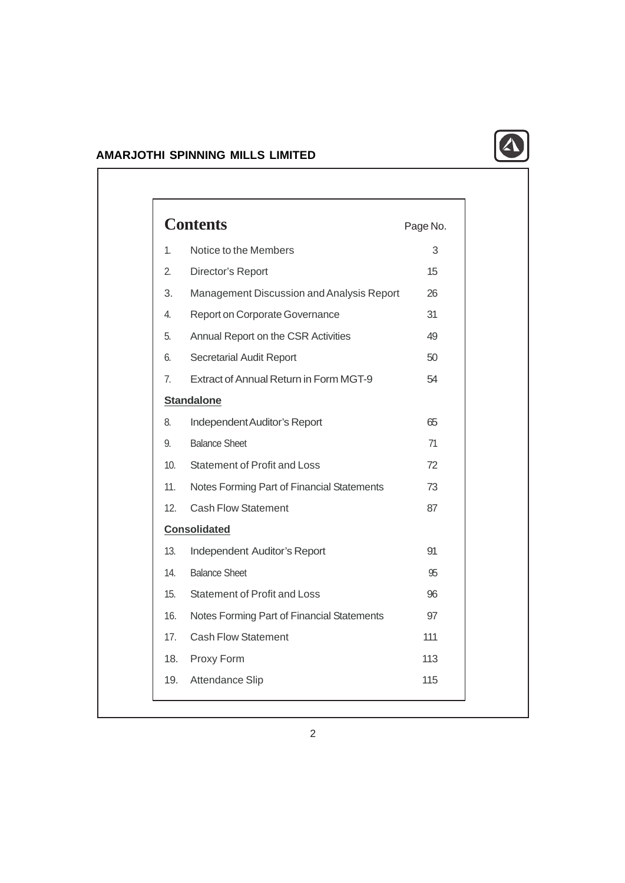

|     | <b>Contents</b>                            | Page No. |
|-----|--------------------------------------------|----------|
| 1.  | Notice to the Members                      | 3        |
| 2.  | Director's Report                          | 15       |
| 3.  | Management Discussion and Analysis Report  | 26       |
| 4.  | Report on Corporate Governance             | 31       |
| 5.  | Annual Report on the CSR Activities        | 49       |
| 6.  | Secretarial Audit Report                   | 50       |
| 7.  | Extract of Annual Return in Form MGT-9     | 54       |
|     | <b>Standalone</b>                          |          |
| 8.  | Independent Auditor's Report               | 65       |
| 9.  | <b>Balance Sheet</b>                       | 71       |
| 10. | <b>Statement of Profit and Loss</b>        | 72       |
| 11. | Notes Forming Part of Financial Statements | 73       |
| 12. | <b>Cash Flow Statement</b>                 | 87       |
|     | <b>Consolidated</b>                        |          |
| 13. | Independent Auditor's Report               | 91       |
| 14. | <b>Balance Sheet</b>                       | 95       |
| 15. | <b>Statement of Profit and Loss</b>        | 96       |
| 16. | Notes Forming Part of Financial Statements | 97       |
| 17. | <b>Cash Flow Statement</b>                 | 111      |
| 18. | Proxy Form                                 | 113      |
| 19. | Attendance Slip                            | 115      |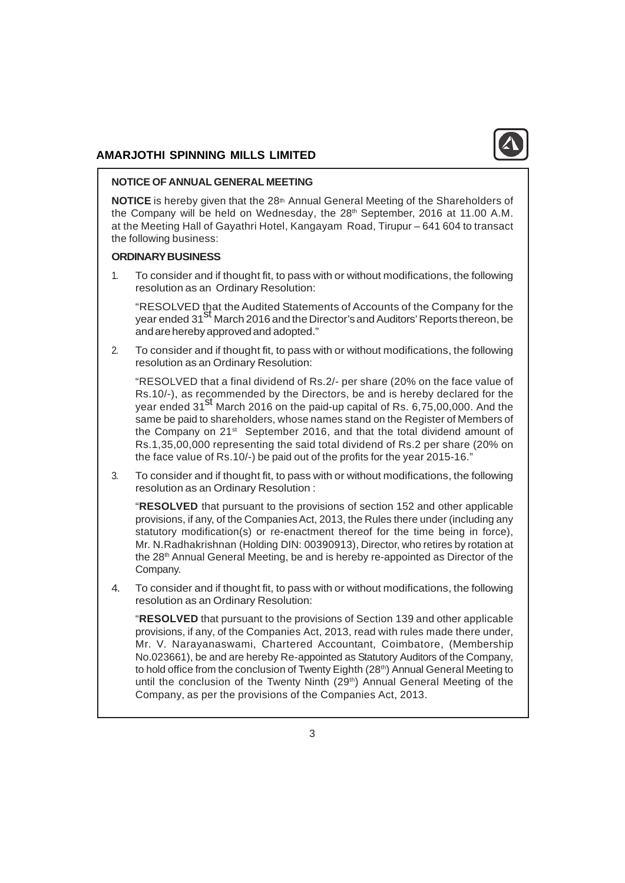

#### **NOTICE OF ANNUAL GENERAL MEETING**

**NOTICE** is hereby given that the 28<sup>th</sup> Annual General Meeting of the Shareholders of the Company will be held on Wednesday, the 28<sup>th</sup> September, 2016 at 11.00 A.M. at the Meeting Hall of Gayathri Hotel, Kangayam Road, Tirupur – 641 604 to transact the following business:

#### **ORDINARYBUSINESS**

1. To consider and if thought fit, to pass with or without modifications, the following resolution as an Ordinary Resolution:

"RESOLVED that theAudited Statements of Accounts of the Company for the year ended 31<sup>St</sup> March 2016 and the Director's and Auditors' Reports thereon, be and are hereby approved and adopted."

2. To consider and if thought fit, to pass with or without modifications, the following resolution as an Ordinary Resolution:

"RESOLVED that a final dividend of Rs.2/- per share (20% on the face value of Rs.10/-), as recommended by the Directors, be and is hereby declared for the year ended 31<sup>st</sup> March 2016 on the paid-up capital of Rs. 6,75,00,000. And the same be paid to shareholders, whose names stand on the Register of Members of the Company on 21<sup>st</sup> September 2016, and that the total dividend amount of Rs.1,35,00,000 representing the said total dividend of Rs.2 per share (20% on the face value of Rs.10/-) be paid out of the profits for the year 2015-16."

3. To consider and if thought fit, to pass with or without modifications, the following resolution as an Ordinary Resolution :

"**RESOLVED** that pursuant to the provisions of section 152 and other applicable provisions, if any, of the Companies Act, 2013, the Rules there under (including any statutory modification(s) or re-enactment thereof for the time being in force), Mr. N.Radhakrishnan (Holding DIN: 00390913), Director, who retires by rotation at the 28th Annual General Meeting, be and is hereby re-appointed as Director of the Company.

4. To consider and if thought fit, to pass with or without modifications, the following resolution as an Ordinary Resolution:

"**RESOLVED** that pursuant to the provisions of Section 139 and other applicable provisions, if any, of the Companies Act, 2013, read with rules made there under, Mr. V. Narayanaswami, Chartered Accountant, Coimbatore, (Membership No.023661), be and are hereby Re-appointed as Statutory Auditors of the Company, to hold office from the conclusion of Twenty Eighth (28<sup>th</sup>) Annual General Meeting to until the conclusion of the Twenty Ninth (29<sup>th</sup>) Annual General Meeting of the Company, as per the provisions of the Companies Act, 2013.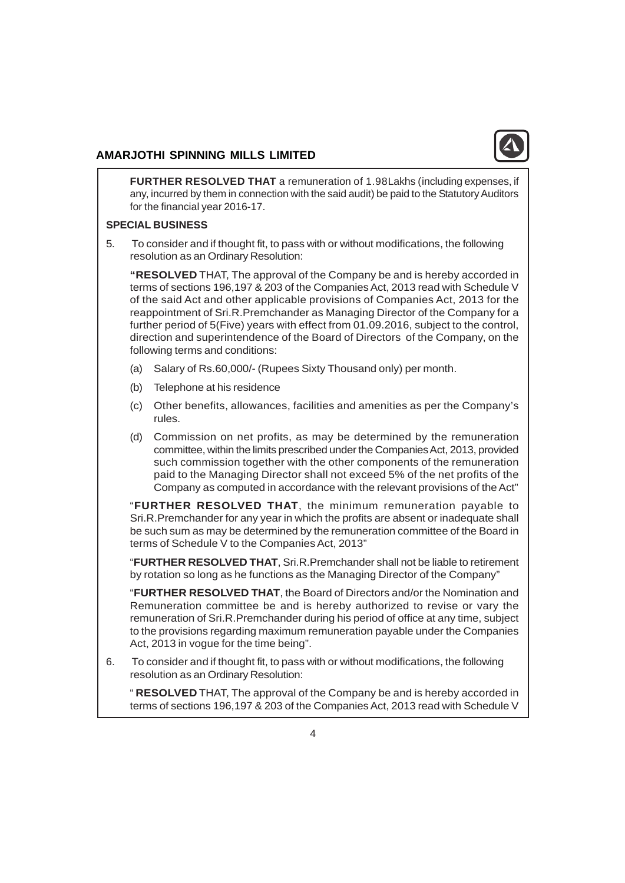

**FURTHER RESOLVED THAT** a remuneration of 1.98Lakhs (including expenses, if any, incurred by them in connection with the said audit) be paid to the Statutory Auditors for the financial year 2016-17.

#### **SPECIAL BUSINESS**

5. To consider and if thought fit, to pass with or without modifications, the following resolution as an Ordinary Resolution:

**"RESOLVED** THAT, The approval of the Company be and is hereby accorded in terms of sections 196,197 & 203 of the Companies Act, 2013 read with Schedule V of the said Act and other applicable provisions of Companies Act, 2013 for the reappointment of Sri.R.Premchander as Managing Director of the Company for a further period of 5(Five) years with effect from 01.09.2016, subject to the control, direction and superintendence of the Board of Directors of the Company, on the following terms and conditions:

- (a) Salary of Rs.60,000/- (Rupees Sixty Thousand only) per month.
- (b) Telephone at his residence
- (c) Other benefits, allowances, facilities and amenities as per the Company's rules.
- (d) Commission on net profits, as may be determined by the remuneration committee, within the limits prescribed under the Companies Act, 2013, provided such commission together with the other components of the remuneration paid to the Managing Director shall not exceed 5% of the net profits of the Company as computed in accordance with the relevant provisions of the Act"

"**FURTHER RESOLVED THAT**, the minimum remuneration payable to Sri.R.Premchander for any year in which the profits are absent or inadequate shall be such sum as may be determined by the remuneration committee of the Board in terms of Schedule V to the Companies Act, 2013"

"**FURTHER RESOLVED THAT**, Sri.R.Premchander shall not be liable to retirement by rotation so long as he functions as the Managing Director of the Company"

"**FURTHER RESOLVED THAT**, the Board of Directors and/or the Nomination and Remuneration committee be and is hereby authorized to revise or vary the remuneration of Sri.R.Premchander during his period of office at any time, subject to the provisions regarding maximum remuneration payable under the Companies Act, 2013 in vogue for the time being".

6. To consider and if thought fit, to pass with or without modifications, the following resolution as an Ordinary Resolution:

" **RESOLVED** THAT, The approval of the Company be and is hereby accorded in terms of sections 196,197 & 203 of the Companies Act, 2013 read with Schedule V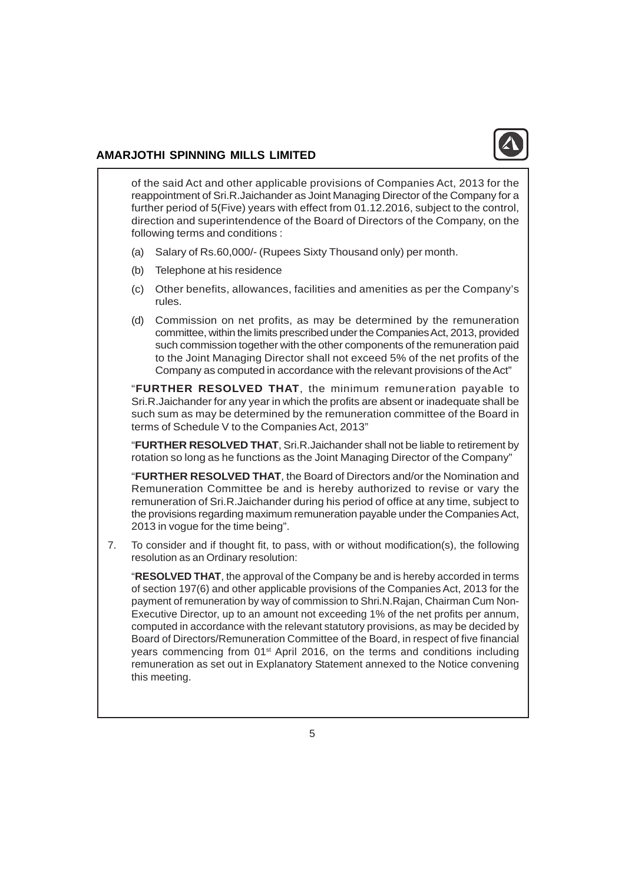

of the said Act and other applicable provisions of Companies Act, 2013 for the reappointment of Sri.R.Jaichander as Joint Managing Director of the Company for a further period of 5(Five) years with effect from 01.12.2016, subject to the control, direction and superintendence of the Board of Directors of the Company, on the following terms and conditions :

- (a) Salary of Rs.60,000/- (Rupees Sixty Thousand only) per month.
- (b) Telephone at his residence
- (c) Other benefits, allowances, facilities and amenities as per the Company's rules.
- (d) Commission on net profits, as may be determined by the remuneration committee, within the limits prescribed under the Companies Act, 2013, provided such commission together with the other components of the remuneration paid to the Joint Managing Director shall not exceed 5% of the net profits of the Company as computed in accordance with the relevant provisions of the Act"

"**FURTHER RESOLVED THAT**, the minimum remuneration payable to Sri.R.Jaichander for any year in which the profits are absent or inadequate shall be such sum as may be determined by the remuneration committee of the Board in terms of Schedule V to the Companies Act, 2013"

"**FURTHER RESOLVED THAT**, Sri.R.Jaichander shall not be liable to retirement by rotation so long as he functions as the Joint Managing Director of the Company"

"**FURTHER RESOLVED THAT**, the Board of Directors and/or the Nomination and Remuneration Committee be and is hereby authorized to revise or vary the remuneration of Sri.R.Jaichander during his period of office at any time, subject to the provisions regarding maximum remuneration payable under the Companies Act, 2013 in vogue for the time being".

7. To consider and if thought fit, to pass, with or without modification(s), the following resolution as an Ordinary resolution:

"**RESOLVED THAT**, the approval of the Company be and is hereby accorded in terms of section 197(6) and other applicable provisions of the Companies Act, 2013 for the payment of remuneration by way of commission to Shri.N.Rajan, Chairman Cum Non-Executive Director, up to an amount not exceeding 1% of the net profits per annum, computed in accordance with the relevant statutory provisions, as may be decided by Board of Directors/Remuneration Committee of the Board, in respect of five financial years commencing from 01<sup>st</sup> April 2016, on the terms and conditions including remuneration as set out in Explanatory Statement annexed to the Notice convening this meeting.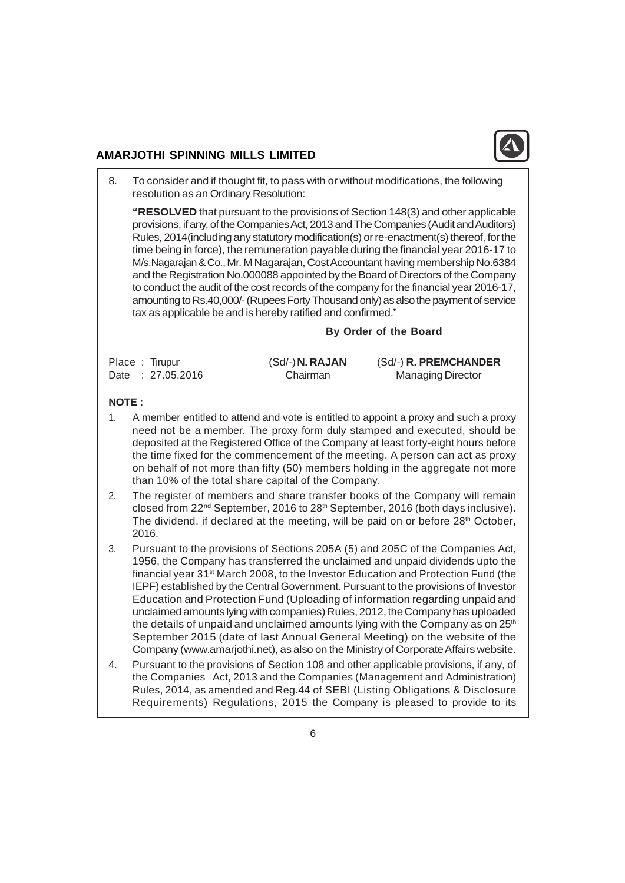

8. To consider and if thought fit, to pass with or without modifications, the following resolution as an Ordinary Resolution:

**"RESOLVED** that pursuant to the provisions of Section 148(3) and other applicable provisions, if any, of the Companies Act, 2013 and The Companies (Audit and Auditors) Rules, 2014(including any statutory modification(s) or re-enactment(s) thereof, for the time being in force), the remuneration payable during the financial year 2016-17 to M/s.Nagarajan & Co.,Mr. M Nagarajan, Cost Accountant having membership No.6384 and the Registration No.000088 appointed by the Board of Directors of the Company to conduct the audit of the cost records of the company for the financial year 2016-17, amounting to Rs.40,000/- (Rupees Forty Thousand only) as also the payment of service tax as applicable be and is hereby ratified and confirmed."

#### **By Order of the Board**

Date : 27.05.2016 Chairman Managing Director

Place : Tirupur (Sd/-)**N.RAJAN** (Sd/-) **R. PREMCHANDER**

### **NOTE :**

- 1. A member entitled to attend and vote is entitled to appoint a proxy and such a proxy need not be a member. The proxy form duly stamped and executed, should be deposited at the Registered Office of the Company at least forty-eight hours before the time fixed for the commencement of the meeting. A person can act as proxy on behalf of not more than fifty (50) members holding in the aggregate not more than 10% of the total share capital of the Company.
- 2. The register of members and share transfer books of the Company will remain closed from 22<sup>nd</sup> September, 2016 to 28<sup>th</sup> September, 2016 (both days inclusive). The dividend, if declared at the meeting, will be paid on or before 28<sup>th</sup> October, 2016.
- 3. Pursuant to the provisions of Sections 205A (5) and 205C of the Companies Act, 1956, the Company has transferred the unclaimed and unpaid dividends upto the financial year 31st March 2008, to the Investor Education and Protection Fund (the IEPF) established by the Central Government. Pursuant to the provisions of Investor Education and Protection Fund (Uploading of information regarding unpaidand unclaimed amounts lying with companies) Rules, 2012, the Company has uploaded the details of unpaid and unclaimed amounts lying with the Company as on 25<sup>th</sup> September 2015 (date of last Annual General Meeting) on the website of the Company (www.amarjothi.net), as also on the Ministry of CorporateAffairs website.
- 4. Pursuant to the provisions of Section 108 and other applicable provisions, if any, of the Companies Act, 2013 and the Companies (Management and Administration) Rules, 2014, as amended and Reg.44 of SEBI (Listing Obligations & Disclosure Requirements) Regulations, 2015 the Company is pleased to provide to its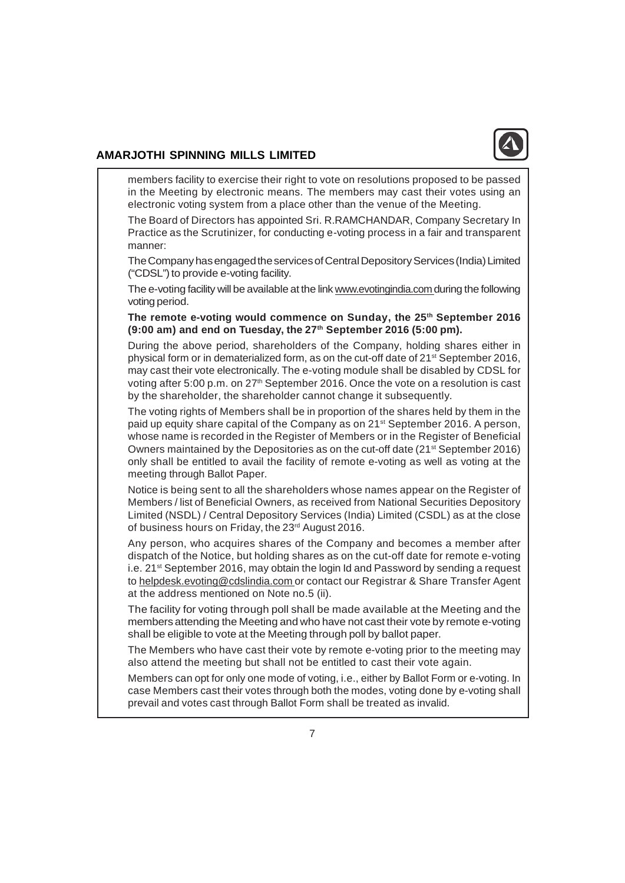

members facility to exercise their right to vote on resolutions proposed to be passed in the Meeting by electronic means. The members may cast their votes using an electronic voting system from a place other than the venue of the Meeting.

The Board of Directors has appointed Sri. R.RAMCHANDAR, Company Secretary In Practice as the Scrutinizer, for conducting e-voting process in a fair and transparent manner:

The Company has engaged the services of Central Depository Services (India) Limited ("CDSL") to provide e-voting facility.

The e-voting facility will be available at the link www.evotingindia.com during the following voting period.

**The remote e-voting would commence on Sunday, the 25th September 2016 (9:00 am) and end on Tuesday, the 27th September 2016 (5:00 pm).**

During the above period, shareholders of the Company, holding shares either in physical form or in dematerialized form, as on the cut-off date of 21st September 2016, may cast their vote electronically. The e-voting module shall be disabled by CDSL for voting after 5:00 p.m. on 27<sup>th</sup> September 2016. Once the vote on a resolution is cast by the shareholder, the shareholder cannot change it subsequently.

The voting rights of Members shall be in proportion of the shares held by them in the paid up equity share capital of the Company as on 21st September 2016. A person, whose name is recorded in the Register of Members or in the Register of Beneficial Owners maintained by the Depositories as on the cut-off date (21st September 2016) only shall be entitled to avail the facility of remote e-voting as well as voting at the meeting through Ballot Paper.

Notice is being sent to all the shareholders whose names appear on the Register of Members / list of Beneficial Owners, as received from National Securities Depository Limited (NSDL) / Central Depository Services (India) Limited (CSDL) as at the close of business hours on Friday, the 23rd August 2016.

Any person, who acquires shares of the Company and becomes a member after dispatch of the Notice, but holding shares as on the cut-off date for remote e-voting i.e.  $21^{st}$  September 2016, may obtain the login Id and Password by sending a request to helpdesk.evoting@cdslindia.com or contact our Registrar & Share Transfer Agent at the address mentioned on Note no.5 (ii).

The facility for voting through poll shall be made available at the Meeting and the members attending the Meeting and who have not cast their vote by remote e-voting shall be eligible to vote at the Meeting through poll by ballot paper.

The Members who have cast their vote by remote e-voting prior to the meeting may also attend the meeting but shall not be entitled to cast their vote again.

Members can opt for only one mode of voting, i.e., either by Ballot Form or e-voting. In case Members cast their votes through both the modes, voting done by e-voting shall prevail and votes cast through Ballot Form shall be treated as invalid.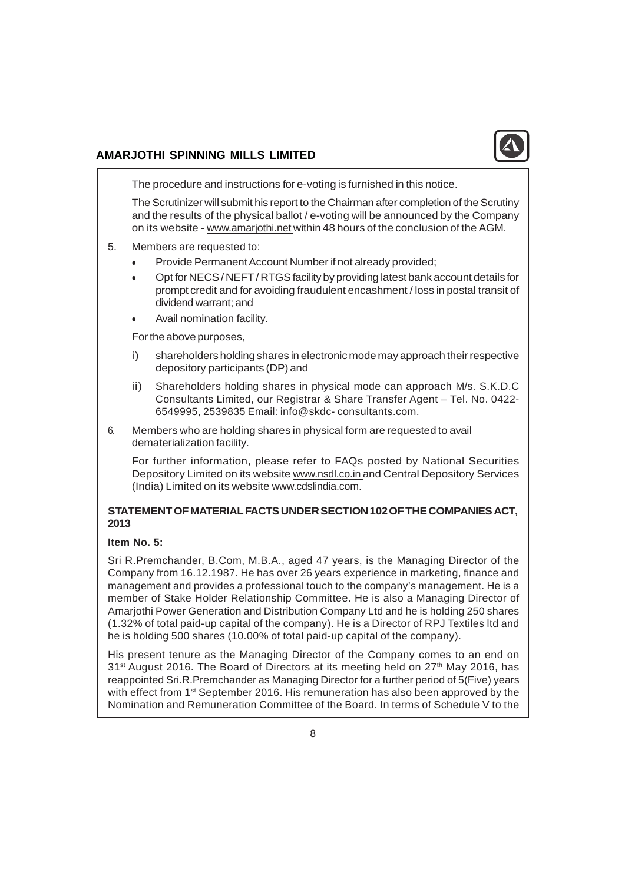

The procedure and instructions for e-voting is furnished in this notice.

The Scrutinizer will submit his report to the Chairman after completion of the Scrutiny and the results of the physical ballot / e-voting will be announced by the Company on its website - www.amarjothi.net within 48 hours of the conclusion of the AGM.

- 5. Members are requested to:
	- Provide Permanent Account Number if not already provided;
	- **•** Opt for NECS/NEFT/RTGS facility by providing latest bank account details for prompt credit and for avoiding fraudulent encashment / loss in postal transit of dividend warrant; and
	- Avail nomination facility.

For the above purposes,

- i) shareholders holding shares in electronic mode may approach their respective depository participants (DP) and
- ii) Shareholders holding shares in physical mode can approach M/s. S.K.D.C Consultants Limited, our Registrar & Share Transfer Agent – Tel. No. 0422- 6549995, 2539835 Email: info@skdc- consultants.com.
- 6. Members who are holding shares in physical form are requested to avail dematerialization facility.

For further information, please refer to FAQs posted by National Securities Depository Limited on its website www.nsdl.co.in and Central Depository Services (India) Limited on its website www.cdslindia.com.

### **STATEMENT OF MATERIAL FACTSUNDERSECTION102OFTHECOMPANIESACT, 2013**

#### **Item No. 5:**

Sri R.Premchander, B.Com, M.B.A., aged 47 years, is the Managing Director of the Company from 16.12.1987. He has over 26 years experience in marketing, finance and management and provides a professional touch to the company's management. He is a member of Stake Holder Relationship Committee. He is also a Managing Director of Amarjothi Power Generation and Distribution Company Ltd and he is holding 250 shares (1.32% of total paid-up capital of the company). He is a Director of RPJ Textiles ltd and he is holding 500 shares (10.00% of total paid-up capital of the company).

His present tenure as the Managing Director of the Company comes to an end on 31<sup>st</sup> August 2016. The Board of Directors at its meeting held on 27<sup>th</sup> May 2016, has reappointed Sri.R.Premchander as Managing Director for a further period of 5(Five) years with effect from 1<sup>st</sup> September 2016. His remuneration has also been approved by the Nomination and Remuneration Committee of the Board. In terms of Schedule V to the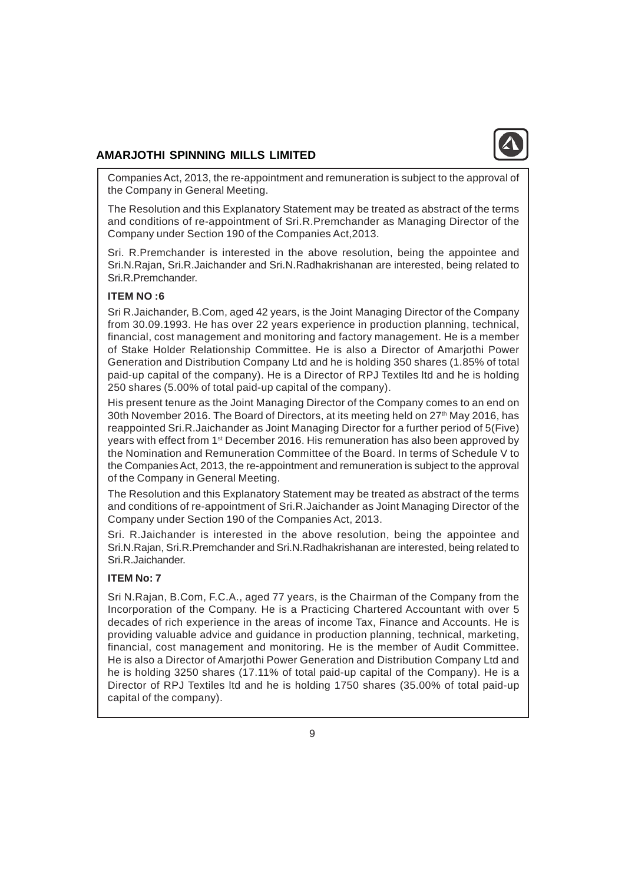

Companies Act, 2013, the re-appointment and remuneration is subject to the approval of the Company in General Meeting.

The Resolution and this Explanatory Statement may be treated as abstract of the terms and conditions of re-appointment of Sri.R.Premchander as Managing Director of the Company under Section 190 of the Companies Act,2013.

Sri. R.Premchander is interested in the above resolution, being the appointee and Sri.N.Rajan, Sri.R.Jaichander and Sri.N.Radhakrishanan are interested, being related to Sri.R.Premchander.

### **ITEM NO :6**

Sri R.Jaichander, B.Com, aged 42 years, is the Joint Managing Director of the Company from 30.09.1993. He has over 22 years experience in production planning, technical, financial, cost management and monitoring and factory management. He is a member of Stake Holder Relationship Committee. He is also a Director of Amarjothi Power Generation and Distribution Company Ltd and he is holding 350 shares (1.85% of total paid-up capital of the company). He is a Director of RPJ Textiles ltd and he is holding 250 shares (5.00% of total paid-up capital of the company).

His present tenure as the Joint Managing Director of the Company comes to an end on 30th November 2016. The Board of Directors, at its meeting held on 27<sup>th</sup> May 2016, has reappointed Sri.R.Jaichander as Joint Managing Director for a further period of 5(Five) years with effect from 1st December 2016. His remuneration has also been approved by the Nomination and Remuneration Committee of the Board. In terms of Schedule V to the Companies Act, 2013, the re-appointment and remuneration is subject to the approval of the Company in General Meeting.

The Resolution and this Explanatory Statement may be treated as abstract of the terms and conditions of re-appointment of Sri.R.Jaichander as Joint Managing Director of the Company under Section 190 of the Companies Act, 2013.

Sri. R.Jaichander is interested in the above resolution, being the appointee and Sri.N.Rajan, Sri.R.Premchander and Sri.N.Radhakrishanan are interested, being related to Sri.R.Jaichander.

#### **ITEM No: 7**

Sri N.Rajan, B.Com, F.C.A., aged 77 years, is the Chairman of the Company from the Incorporation of the Company. He is a Practicing Chartered Accountant with over 5 decades of rich experience in the areas of income Tax, Finance and Accounts. He is providing valuable advice and guidance in production planning, technical, marketing, financial, cost management and monitoring. He is the member of Audit Committee. He is also a Director of Amarjothi Power Generation and Distribution Company Ltd and he is holding 3250 shares (17.11% of total paid-up capital of the Company). He is a Director of RPJ Textiles ltd and he is holding 1750 shares (35.00% of total paid-up capital of the company).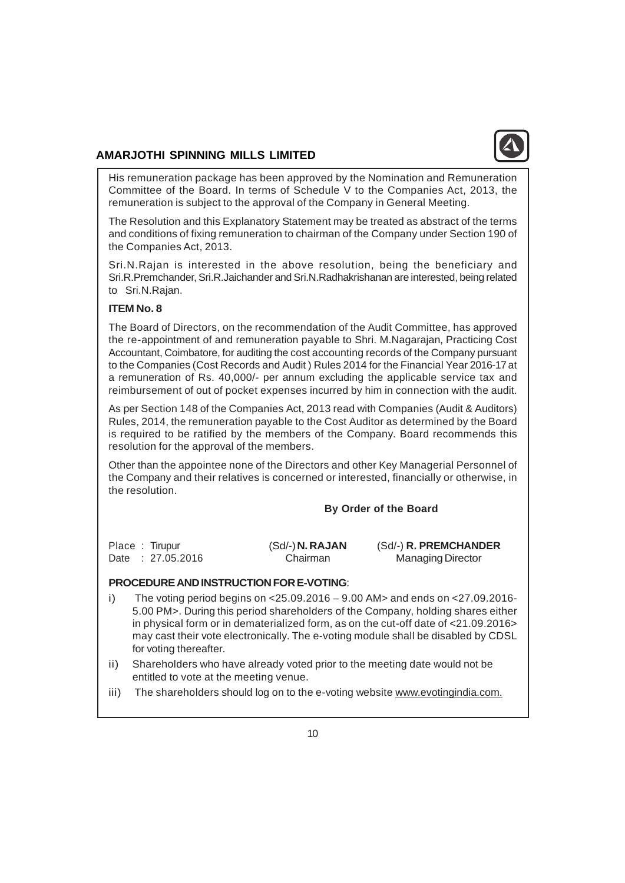

His remuneration package has been approved by the Nomination and Remuneration Committee of the Board. In terms of Schedule V to the Companies Act, 2013, the remuneration is subject to the approval of the Company in General Meeting.

The Resolution and this Explanatory Statement may be treated as abstract of the terms and conditions of fixing remuneration to chairman of the Company under Section 190 of the Companies Act, 2013.

Sri.N.Rajan is interested in the above resolution, being the beneficiary and Sri.R.Premchander, Sri.R.Jaichander and Sri.N.Radhakrishanan are interested, being related to Sri.N.Rajan.

### **ITEM No. 8**

The Board of Directors, on the recommendation of the Audit Committee, has approved the re-appointment of and remuneration payable to Shri. M.Nagarajan, Practicing Cost Accountant, Coimbatore, for auditing the cost accounting records of the Company pursuant to the Companies (Cost Records and Audit ) Rules 2014 for the Financial Year 2016-17 at a remuneration of Rs. 40,000/- per annum excluding the applicable service tax and reimbursement of out of pocket expenses incurred by him in connection with the audit.

As per Section 148 of the Companies Act, 2013 read with Companies (Audit & Auditors) Rules, 2014, the remuneration payable to the Cost Auditor as determined by the Board is required to be ratified by the members of the Company. Board recommends this resolution for the approval of the members.

Other than the appointee none of the Directors and other Key Managerial Personnel of the Company and their relatives is concerned or interested, financially or otherwise, in the resolution.

#### **By Order of the Board**

Place : Tirupur (Sd/-)**N.RAJAN** (Sd/-) **R. PREMCHANDER** Date : 27.05.2016 Chairman Managing Director

### **PROCEDURE AND INSTRUCTION FOR E-VOTING**:

- i) The voting period begins on <25.09.2016 9.00 AM> and ends on <27.09.2016- 5.00 PM>. During this period shareholders of the Company, holding shares either in physical form or in dematerialized form, as on the cut-off date of <21.09.2016> may cast their vote electronically. The e-voting module shall be disabled by CDSL for voting thereafter.
- ii) Shareholders who have already voted prior to the meeting date would not be entitled to vote at the meeting venue.
- iii) The shareholders should log on to the e-voting website www.evotingindia.com.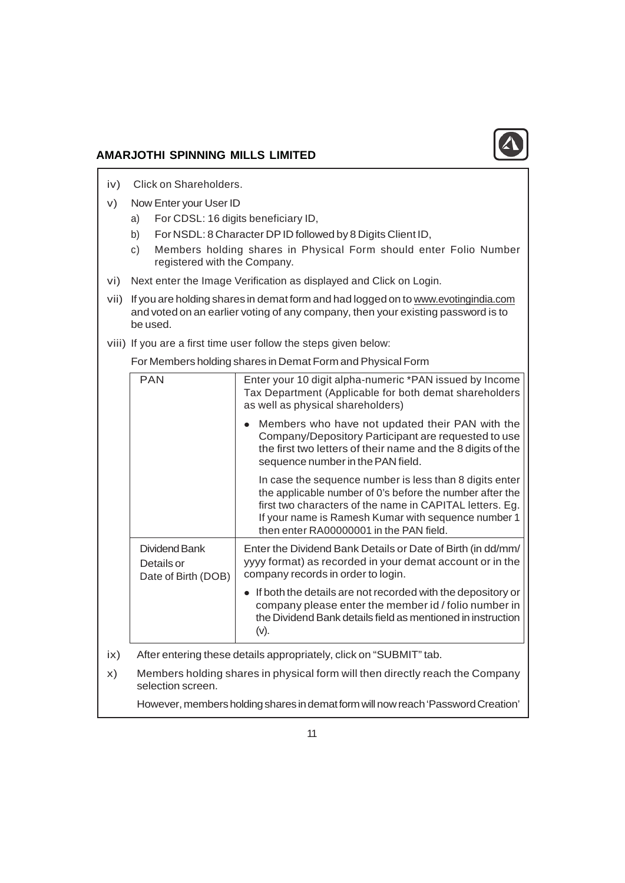

- iv) Click on Shareholders.
- v) Now Enter your User ID
	- a) For CDSL: 16 digits beneficiary ID,
	- b) For NSDL: 8 Character DPID followed by 8 Digits Client ID,
	- c) Members holding shares in Physical Form should enter Folio Number registered with the Company.
- vi) Next enter the Image Verification as displayed and Click on Login.
- vii) If you are holding shares in demat form and had logged on to www.evotingindia.com and voted on an earlier voting of any company, then your existing password is to be used.
- viii) If you are a first time user follow the steps given below:

For Members holding shares in Demat Form and Physical Form

|  | <b>PAN</b>                                         | Enter your 10 digit alpha-numeric *PAN issued by Income<br>Tax Department (Applicable for both demat shareholders<br>as well as physical shareholders)                                                                                                                            |
|--|----------------------------------------------------|-----------------------------------------------------------------------------------------------------------------------------------------------------------------------------------------------------------------------------------------------------------------------------------|
|  |                                                    | Members who have not updated their PAN with the<br>Company/Depository Participant are requested to use<br>the first two letters of their name and the 8 digits of the<br>sequence number in the PAN field.                                                                        |
|  |                                                    | In case the sequence number is less than 8 digits enter<br>the applicable number of 0's before the number after the<br>first two characters of the name in CAPITAL letters. Eg.<br>If your name is Ramesh Kumar with sequence number 1<br>then enter RA00000001 in the PAN field. |
|  | Dividend Bank<br>Details or<br>Date of Birth (DOB) | Enter the Dividend Bank Details or Date of Birth (in dd/mm/<br>yyyy format) as recorded in your demat account or in the<br>company records in order to login.                                                                                                                     |
|  |                                                    | • If both the details are not recorded with the depository or<br>company please enter the member id / folio number in<br>the Dividend Bank details field as mentioned in instruction<br>(v).                                                                                      |

- ix) After entering these details appropriately, click on "SUBMIT" tab.
- x) Members holding shares in physical form will then directly reach the Company selection screen.

However, members holding shares in demat form will now reach 'Password Creation'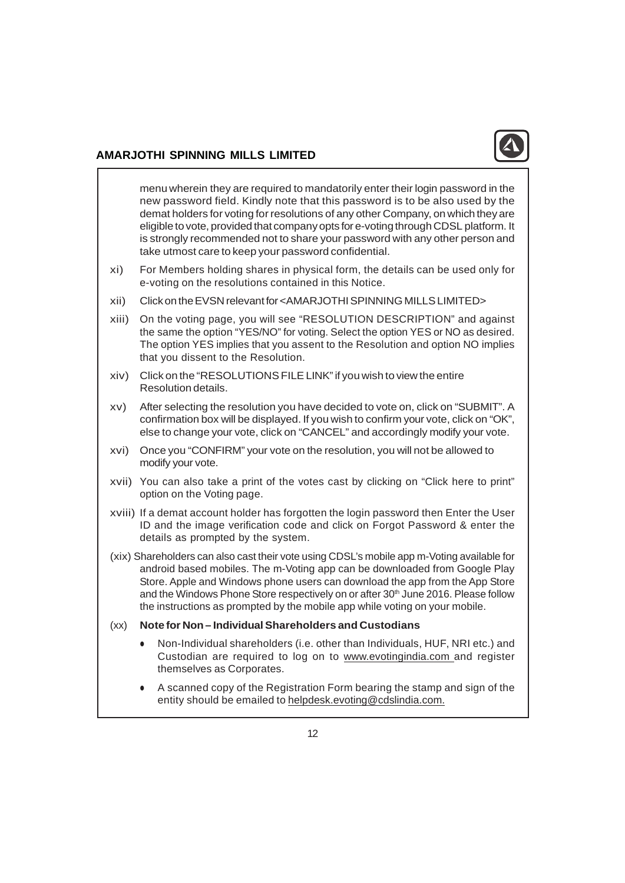

menu wherein they are required to mandatorily enter their login passwordin the new password field. Kindly note that this password is to be also used by the demat holders for voting for resolutions of any other Company, on which they are eligible to vote, provided that company opts for e-voting through CDSL platform. It is strongly recommended not to share your password with any other person and take utmost care to keep your password confidential.

- xi) For Members holding shares in physical form, the details can be used only for e-voting on the resolutions contained in this Notice.
- xii) ClickontheEVSNrelevantfor<AMARJOTHISPINNINGMILLSLIMITED>
- xiii) On the voting page, you will see "RESOLUTION DESCRIPTION" and against the same the option "YES/NO" for voting. Select the option YES or NO as desired. The option YES implies that you assent to the Resolution and option NO implies that you dissent to the Resolution.
- xiv) Click on the "RESOLUTIONS FILE LINK" if you wish to view the entire Resolution details.
- xv) After selecting the resolution you have decided to vote on, click on"SUBMIT". A confirmation box will be displayed.If you wish to confirm your vote, click on"OK", else to change your vote, click on "CANCEL" and accordingly modify your vote.
- xvi) Once you"CONFIRM" your vote on the resolution, you will not be allowed to modify your vote.
- xvii) You can also take a print of the votes cast by clicking on "Click here to print" option on the Voting page.
- xviii) If a demat account holder has forgotten the login password then Enter the User ID and the image verification code and click on Forgot Password & enter the details as prompted by the system.
- (xix) Shareholders can also cast their vote using CDSL's mobile app m-Voting available for android based mobiles. The m-Voting app can be downloaded from Google Play Store. Apple and Windows phone users can download the app from the App Store and the Windows Phone Store respectively on or after 30<sup>th</sup> June 2016. Please follow the instructions as prompted by the mobile app while voting on your mobile.
- (xx) **Notefor Non–IndividualShareholdersand Custodians**
	- <sup>l</sup> Non-Individual shareholders (i.e. other than Individuals, HUF, NRI etc.) and Custodian are required to log on to www.evotingindia.com and register themselves as Corporates.
	- A scanned copy of the Registration Form bearing the stamp and sign of the entity should be emailed to helpdesk.evoting@cdslindia.com.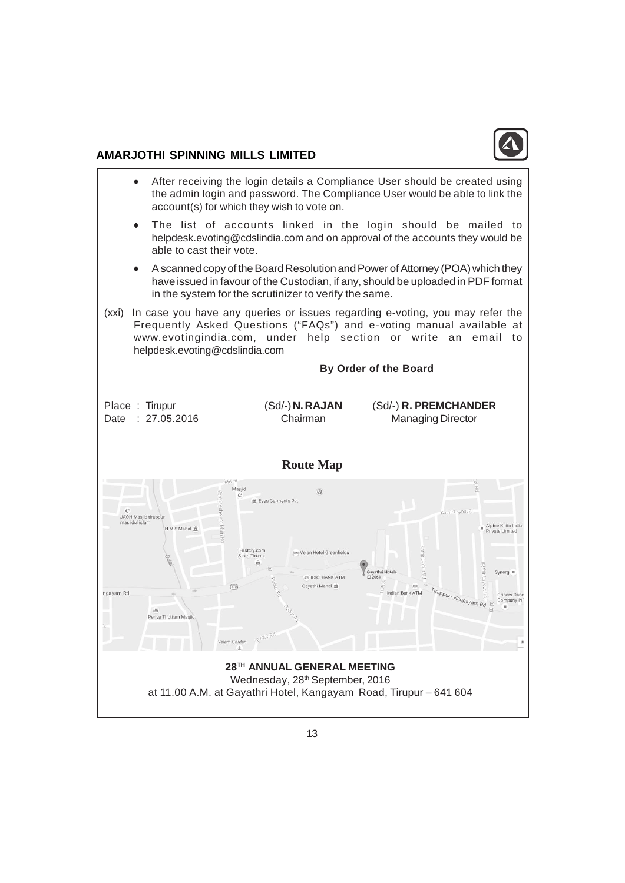

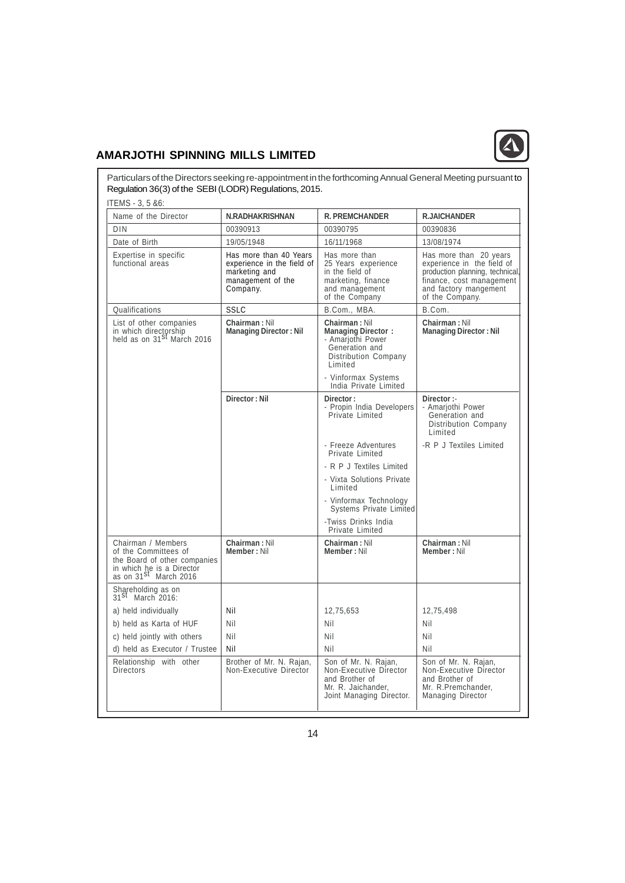

|                                                                                                                                              | ITEMS - 3, 5 &6:                                                                                       |                                                                                                                                             |                                                                                                                                                                 |  |  |  |
|----------------------------------------------------------------------------------------------------------------------------------------------|--------------------------------------------------------------------------------------------------------|---------------------------------------------------------------------------------------------------------------------------------------------|-----------------------------------------------------------------------------------------------------------------------------------------------------------------|--|--|--|
| Name of the Director                                                                                                                         | <b>N.RADHAKRISHNAN</b>                                                                                 | <b>R. PREMCHANDER</b>                                                                                                                       | <b>R.JAICHANDER</b>                                                                                                                                             |  |  |  |
| <b>DIN</b>                                                                                                                                   | 00390913                                                                                               | 00390795                                                                                                                                    | 00390836                                                                                                                                                        |  |  |  |
| Date of Birth                                                                                                                                | 19/05/1948                                                                                             | 16/11/1968                                                                                                                                  | 13/08/1974                                                                                                                                                      |  |  |  |
| Expertise in specific<br>functional areas                                                                                                    | Has more than 40 Years<br>experience in the field of<br>marketing and<br>management of the<br>Company. | Has more than<br>25 Years experience<br>in the field of<br>marketing, finance<br>and management<br>of the Company                           | Has more than 20 years<br>experience in the field of<br>production planning, technical,<br>finance, cost management<br>and factory mangement<br>of the Company. |  |  |  |
| Qualifications                                                                                                                               | <b>SSLC</b>                                                                                            | B.Com., MBA.                                                                                                                                | B.Com.                                                                                                                                                          |  |  |  |
| List of other companies<br>in which directorship<br>held as on 31 <sup>St</sup> March 2016                                                   | Chairman: Nil<br><b>Managing Director: Nil</b>                                                         | Chairman: Nil<br><b>Managing Director:</b><br>- Amariothi Power<br>Generation and<br>Distribution Company<br>Limited<br>- Vinformax Systems | Chairman: Nil<br><b>Managing Director: Nil</b>                                                                                                                  |  |  |  |
|                                                                                                                                              |                                                                                                        | India Private Limited                                                                                                                       |                                                                                                                                                                 |  |  |  |
|                                                                                                                                              | Director: Nil                                                                                          | Director:<br>- Propin India Developers<br>Private Limited                                                                                   | Director :-<br>- Amarjothi Power<br>Generation and<br>Distribution Company<br>Limited                                                                           |  |  |  |
|                                                                                                                                              |                                                                                                        | - Freeze Adventures<br>Private Limited                                                                                                      | -R P J Textiles Limited                                                                                                                                         |  |  |  |
|                                                                                                                                              |                                                                                                        | - R P J Textiles Limited                                                                                                                    |                                                                                                                                                                 |  |  |  |
|                                                                                                                                              |                                                                                                        | - Vixta Solutions Private<br>Limited                                                                                                        |                                                                                                                                                                 |  |  |  |
|                                                                                                                                              |                                                                                                        | - Vinformax Technology<br>Systems Private Limited                                                                                           |                                                                                                                                                                 |  |  |  |
|                                                                                                                                              |                                                                                                        | -Twiss Drinks India<br>Private Limited                                                                                                      |                                                                                                                                                                 |  |  |  |
| Chairman / Members<br>of the Committees of<br>the Board of other companies<br>in which he is a Director<br>as on 31 <sup>St</sup> March 2016 | Chairman: Nil<br>Member: Nil                                                                           | Chairman: Nil<br>Member: Nil                                                                                                                | Chairman: Nil<br>Member: Nil                                                                                                                                    |  |  |  |
| Shareholding as on<br>31 <sup>St</sup> March 2016:                                                                                           |                                                                                                        |                                                                                                                                             |                                                                                                                                                                 |  |  |  |
| a) held individually                                                                                                                         | Nil                                                                                                    | 12,75,653                                                                                                                                   | 12,75,498                                                                                                                                                       |  |  |  |
| b) held as Karta of HUF                                                                                                                      | Nil                                                                                                    | Nil                                                                                                                                         | Nil                                                                                                                                                             |  |  |  |
| c) held jointly with others                                                                                                                  | Nil                                                                                                    | Nil                                                                                                                                         | Nil                                                                                                                                                             |  |  |  |
| d) held as Executor / Trustee                                                                                                                | Nil                                                                                                    | Nil                                                                                                                                         | Nil                                                                                                                                                             |  |  |  |
| Relationship with other<br><b>Directors</b>                                                                                                  | Brother of Mr. N. Rajan,<br>Non-Executive Director                                                     | Son of Mr. N. Rajan,<br>Non-Executive Director<br>and Brother of<br>Mr. R. Jaichander,<br>Joint Managing Director.                          | Son of Mr. N. Rajan,<br>Non-Executive Director<br>and Brother of<br>Mr. R.Premchander,<br>Managing Director                                                     |  |  |  |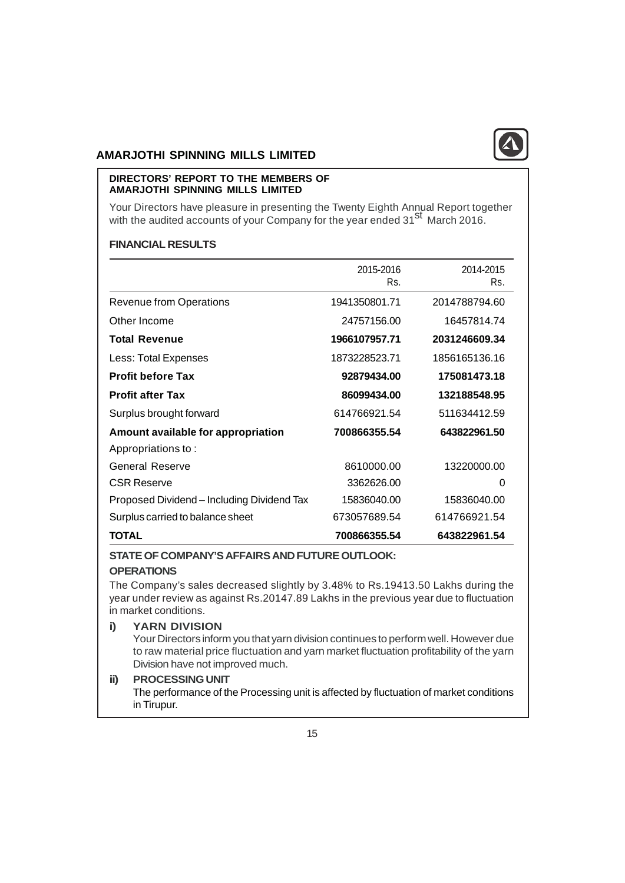

#### **DIRECTORS' REPORT TO THE MEMBERS OF AMARJOTHI SPINNING MILLS LIMITED**

Your Directors have pleasure in presenting the Twenty Eighth Annual Report together with the audited accounts of your Company for the year ended 31<sup>St</sup> March 2016.

#### **FINANCIAL RESULTS**

|                                            | 2015-2016<br>Rs. | 2014-2015<br>Rs. |
|--------------------------------------------|------------------|------------------|
| <b>Revenue from Operations</b>             | 1941350801.71    | 2014788794.60    |
| Other Income                               | 24757156.00      | 16457814.74      |
| <b>Total Revenue</b>                       | 1966107957.71    | 2031246609.34    |
| Less: Total Expenses                       | 1873228523.71    | 1856165136.16    |
| <b>Profit before Tax</b>                   | 92879434.00      | 175081473.18     |
| <b>Profit after Tax</b>                    | 86099434.00      | 132188548.95     |
| Surplus brought forward                    | 614766921.54     | 511634412.59     |
| Amount available for appropriation         | 700866355.54     | 643822961.50     |
| Appropriations to:                         |                  |                  |
| General Reserve                            | 8610000.00       | 13220000.00      |
| <b>CSR Reserve</b>                         | 3362626.00       | 0                |
| Proposed Dividend - Including Dividend Tax | 15836040.00      | 15836040.00      |
| Surplus carried to balance sheet           | 673057689.54     | 614766921.54     |
| TOTAL                                      | 700866355.54     | 643822961.54     |

#### **STATE OF COMPANY'SAFFAIRSAND FUTUREOUTLOOK: OPERATIONS**

The Company's sales decreased slightly by 3.48% to Rs.19413.50 Lakhs during the year under review as against Rs.20147.89 Lakhs in the previous year due to fluctuation in market conditions.

### **i) YARN DIVISION**

Your Directors inform you that yarn division continues to perform well. However due to raw material price fluctuation and yarn market fluctuation profitability of the yarn Division have not improved much.

### **ii) PROCESSINGUNIT**

The performance of the Processing unit is affected by fluctuation of market conditions in Tirupur.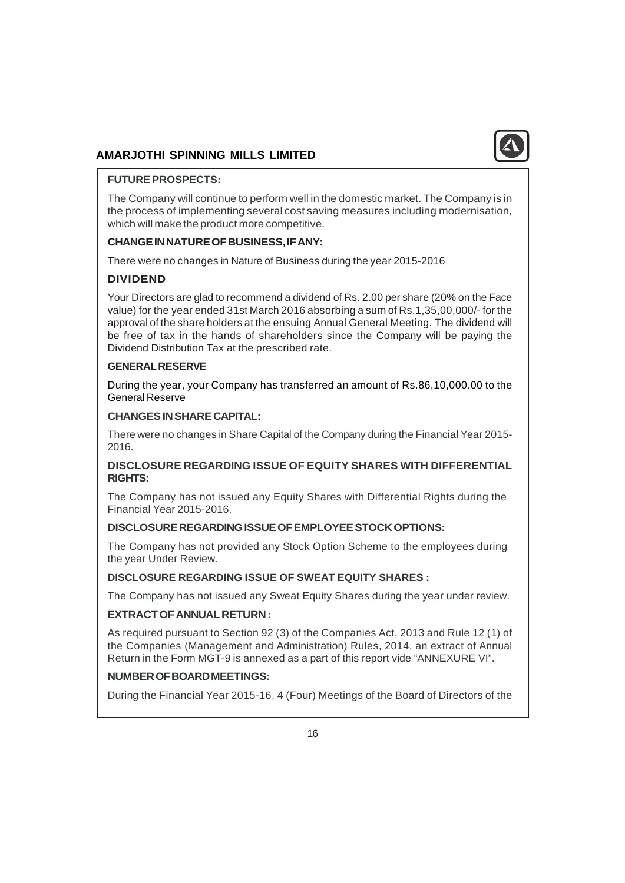

#### **FUTURE PROSPECTS:**

The Company will continue to perform well in the domestic market. The Company is in the process of implementing several cost saving measures including modernisation, which will make the product more competitive.

#### **CHANGEINNATUREOFBUSINESS,IFANY:**

There were no changes in Nature of Business during the year 2015-2016

#### **DIVIDEND**

Your Directors are gladto recommend adividend of Rs. 2.00 per share (20% on the Face value) for the year ended 31st March 2016 absorbing a sum of Rs.1,35,00,000/- for the approval of the share holders at the ensuing Annual General Meeting. The dividend will be free of tax in the hands of shareholders since the Company will be paying the Dividend Distribution Tax at the prescribed rate.

#### **GENERALRESERVE**

During the year, your Company has transferred an amount of Rs.86,10,000.00 to the General Reserve

#### **CHANGESIN SHARECAPITAL:**

There were no changes in Share Capitalof the Company during the Financial Year 2015- 2016.

#### **DISCLOSURE REGARDING ISSUE OF EQUITY SHARES WITH DIFFERENTIAL RIGHTS:**

The Company has not issued any Equity Shares with Differential Rights during the Financial Year 2015-2016.

#### **DISCLOSUREREGARDINGISSUEOFEMPLOYEESTOCKOPTIONS:**

The Company has not provided any Stock Option Scheme to the employees during the year Under Review.

### **DISCLOSURE REGARDING ISSUE OF SWEAT EQUITY SHARES :**

The Company has not issued any Sweat Equity Shares during the year under review.

#### **EXTRACT OFANNUAL RETURN:**

As required pursuant to Section 92 (3) of the Companies Act, 2013 and Rule 12 (1) of the Companies (Management and Administration) Rules, 2014, an extract of Annual Return in the Form MGT-9 is annexed as a part of this report vide "ANNEXURE VI".

#### **NUMBEROFBOARDMEETINGS:**

During the Financial Year 2015-16, 4 (Four) Meetings of the Board of Directors of the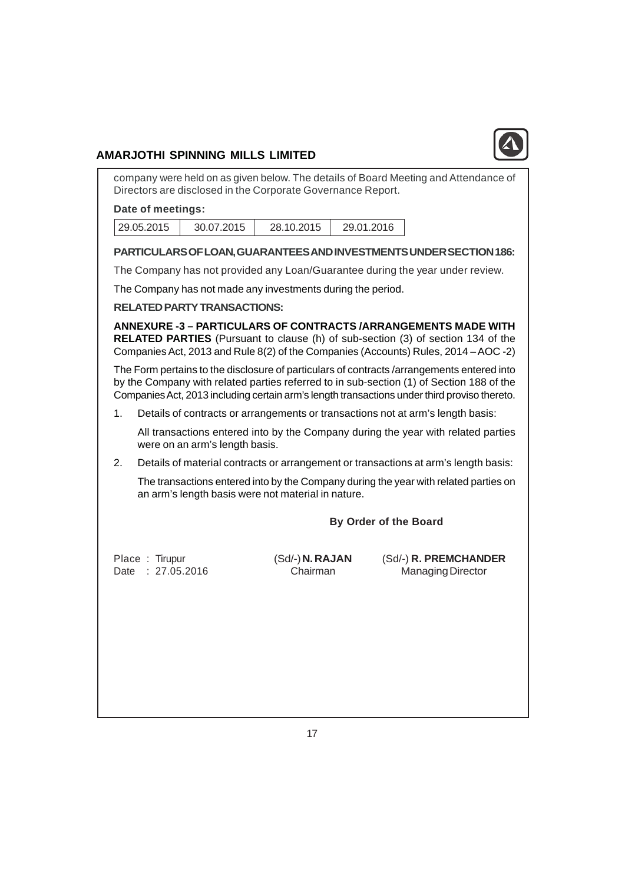

company were held on as given below. The details of Board Meeting and Attendance of Directors are disclosed in the Corporate Governance Report.

**Date of meetings:**

| 29.05.2015 | 30.07.2015 | 28.10.2015 | 29.01.2016 |
|------------|------------|------------|------------|
|            |            |            |            |

#### **PARTICULARSOFLOAN,GUARANTEES AND INVESTMENTSUNDERSECTION186:**

The Company has not provided any Loan/Guarantee during the year under review.

The Company has not made any investments during the period.

#### **RELATEDPARTYTRANSACTIONS:**

**ANNEXURE -3 – PARTICULARS OF CONTRACTS /ARRANGEMENTS MADE WITH RELATED PARTIES** (Pursuant to clause (h) of sub-section (3) of section 134 of the Companies Act, 2013 and Rule 8(2) of the Companies (Accounts) Rules, 2014 – AOC -2)

The Form pertains to the disclosure of particulars of contracts /arrangements entered into by the Company with related parties referred to in sub-section (1) of Section 188 of the Companies Act, 2013 including certain arm's length transactions under third proviso thereto.

1. Details of contracts or arrangements or transactions not at arm's length basis:

All transactions entered into by the Company during the year with related parties were on an arm's length basis.

2. Details of material contracts or arrangement or transactions at arm's length basis:

The transactions entered into by the Company during the year with related parties on an arm's length basis were not material in nature.

#### **By Order of the Board**

Date : 27.05.2016 Chairman Managing Director

Place : Tirupur (Sd/-)**N.RAJAN** (Sd/-) **R. PREMCHANDER**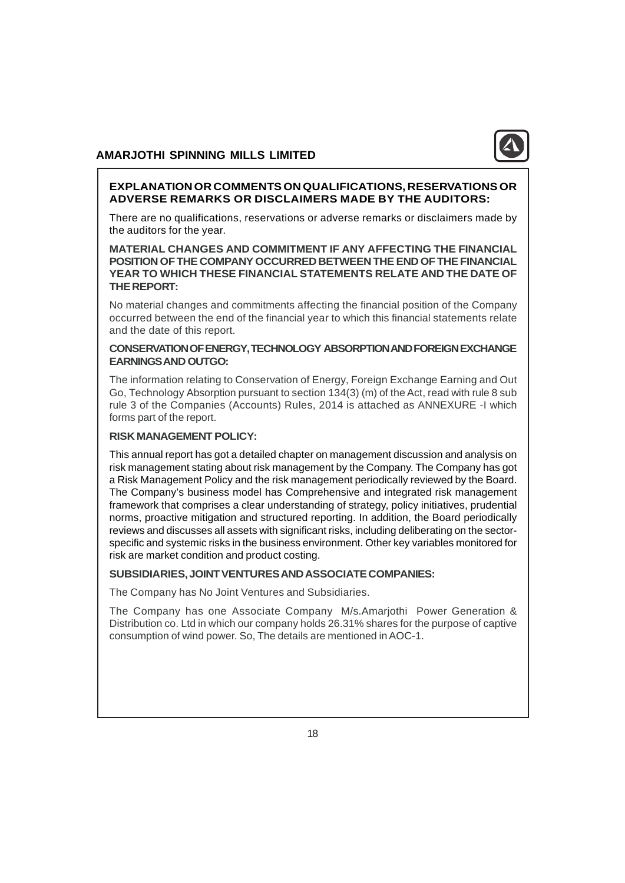

#### **EXPLANATIONOR COMMENTS ON QUALIFICATIONS, RESERVATIONS OR ADVERSE REMARKS OR DISCLAIMERS MADE BY THE AUDITORS:**

There are no qualifications, reservations or adverse remarks or disclaimers made by the auditors for the year.

**MATERIAL CHANGES AND COMMITMENT IF ANY AFFECTING THE FINANCIAL POSITION OFTHE COMPANY OCCURRED BETWEEN THEEND OF THEFINANCIAL YEAR TO WHICH THESE FINANCIAL STATEMENTS RELATE AND THE DATE OF THE REPORT:**

No material changes and commitments affecting the financial position of the Company occurred between the end of the financial year to which this financial statements relate and the date of this report.

#### **CONSERVATION OF ENERGY, TECHNOLOGY ABSORPTIONAND FOREIGN EXCHANGE EARNINGSAND OUTGO:**

The information relating to Conservation of Energy, Foreign Exchange Earning and Out Go, Technology Absorption pursuant to section  $134(3)$  (m) of the Act, read with rule 8 sub rule 3 of the Companies (Accounts) Rules, 2014 is attached as ANNEXURE -I which forms part of the report.

#### **RISK MANAGEMENT POLICY:**

This annual report has got a detailed chapter on management discussion and analysis on risk management stating about risk management by the Company. The Company has got a Risk Management Policy and the risk management periodically reviewed by the Board. The Company's business model has Comprehensive and integrated risk management framework that comprises a clear understanding of strategy, policy initiatives, prudential norms, proactive mitigation and structured reporting. In addition, the Board periodically reviews and discusses all assets with significant risks, including deliberating on the sectorspecific and systemic risks in the business environment. Other key variables monitored for risk are market condition and product costing.

#### **SUBSIDIARIES, JOINT VENTURES AND ASSOCIATE COMPANIES:**

The Company has No Joint Ventures and Subsidiaries.

The Company has one Associate Company M/s.Amarjothi Power Generation & Distribution co. Ltd in which our company holds 26.31% shares for the purpose of captive consumption of wind power. So, The details are mentioned in AOC-1.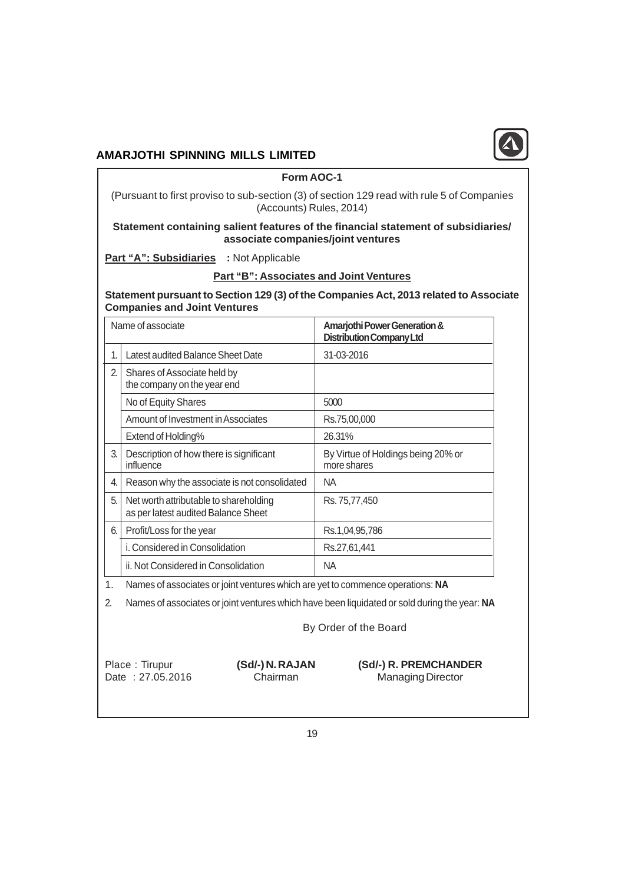

| Form AOC-1 |                                                                                                                       |                                                                                       |  |  |  |  |
|------------|-----------------------------------------------------------------------------------------------------------------------|---------------------------------------------------------------------------------------|--|--|--|--|
|            | (Pursuant to first proviso to sub-section (3) of section 129 read with rule 5 of Companies<br>(Accounts) Rules, 2014) |                                                                                       |  |  |  |  |
|            | associate companies/joint ventures                                                                                    | Statement containing salient features of the financial statement of subsidiaries/     |  |  |  |  |
|            | <b>Part "A": Subsidiaries</b><br>: Not Applicable                                                                     |                                                                                       |  |  |  |  |
|            | Part "B": Associates and Joint Ventures                                                                               |                                                                                       |  |  |  |  |
|            | <b>Companies and Joint Ventures</b>                                                                                   | Statement pursuant to Section 129 (3) of the Companies Act, 2013 related to Associate |  |  |  |  |
|            | Name of associate                                                                                                     | <b>Amarjothi Power Generation &amp;</b><br><b>Distribution Company Ltd</b>            |  |  |  |  |
| 1.         | Latest audited Balance Sheet Date                                                                                     | 31-03-2016                                                                            |  |  |  |  |
| 2.         | Shares of Associate held by<br>the company on the year end                                                            |                                                                                       |  |  |  |  |
|            | No of Equity Shares                                                                                                   | 5000                                                                                  |  |  |  |  |
|            | Amount of Investment in Associates                                                                                    | Rs.75,00,000                                                                          |  |  |  |  |
|            | Extend of Holding%                                                                                                    | 26.31%                                                                                |  |  |  |  |
| 3.         | Description of how there is significant<br>influence                                                                  | By Virtue of Holdings being 20% or<br>more shares                                     |  |  |  |  |
| 4.         | Reason why the associate is not consolidated                                                                          | <b>NA</b>                                                                             |  |  |  |  |
| 5.         | Net worth attributable to shareholding<br>as per latest audited Balance Sheet                                         | Rs. 75,77,450                                                                         |  |  |  |  |
| 6.         | Profit/Loss for the year                                                                                              | Rs.1,04,95,786                                                                        |  |  |  |  |
|            | i. Considered in Consolidation                                                                                        | Rs.27,61,441                                                                          |  |  |  |  |
|            | ii. Not Considered in Consolidation                                                                                   | <b>NA</b>                                                                             |  |  |  |  |
| 1.         | Names of associates or joint ventures which are yet to commence operations: NA                                        |                                                                                       |  |  |  |  |
| 2.         | Names of associates or joint ventures which have been liquidated or sold during the year: NA                          |                                                                                       |  |  |  |  |
|            | By Order of the Board                                                                                                 |                                                                                       |  |  |  |  |

Place : Tirupur **(Sd/-)N.RAJAN (Sd/-) R. PREMCHANDER** Date : 27.05.2016 Chairman Chairman Managing Director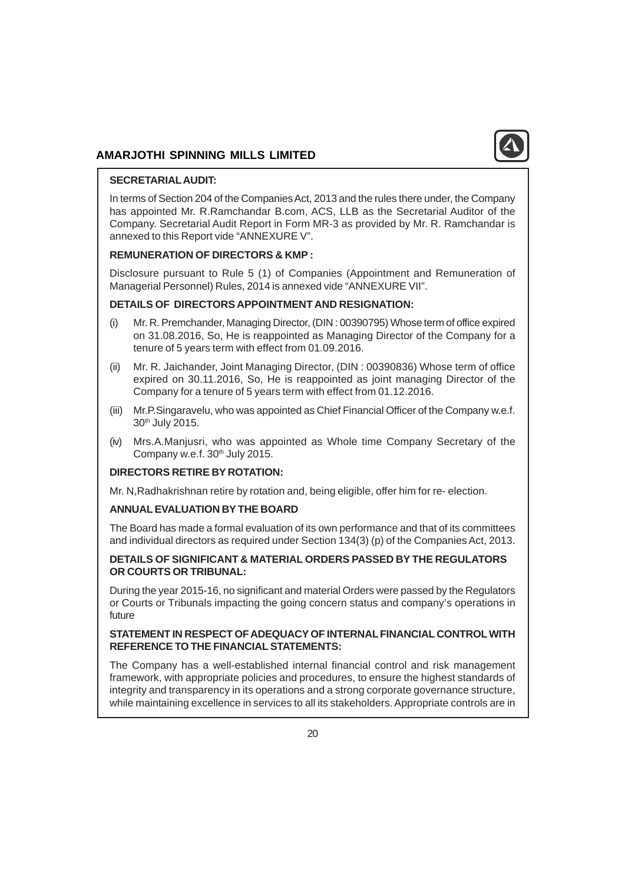

#### **SECRETARIALAUDIT:**

In terms of Section 204 of the Companies Act, 2013 and the rules there under, the Company has appointed Mr. R.Ramchandar B.com, ACS, LLB as the Secretarial Auditor of the Company. Secretarial Audit Report in Form MR-3 as provided by Mr. R. Ramchandar is annexed to this Report vide "ANNEXURE V".

#### **REMUNERATION OF DIRECTORS & KMP :**

Disclosure pursuant to Rule 5 (1) of Companies (Appointment and Remuneration of Managerial Personnel) Rules, 2014 is annexed vide "ANNEXURE VII".

#### **DETAILS OF DIRECTORS APPOINTMENT AND RESIGNATION:**

- (i) Mr. R. Premchander, Managing Director, (DIN : 00390795) Whose term of office expired on 31.08.2016, So, He is reappointed as Managing Director of the Company for a tenure of 5 years term with effect from 01.09.2016.
- (ii) Mr. R. Jaichander, Joint Managing Director, (DIN : 00390836) Whose term of office expired on 30.11.2016, So, He is reappointed as joint managing Director of the Company for a tenure of 5 years term with effect from 01.12.2016.
- (iii) Mr.P.Singaravelu, who was appointed as Chief Financial Officer of the Company w.e.f. 30th July 2015.
- (iv) Mrs.A.Manjusri, who was appointed as Whole time Company Secretary of the Company w.e.f. 30<sup>th</sup> July 2015.

#### **DIRECTORS RETIRE BY ROTATION:**

Mr. N,Radhakrishnan retire by rotation and, being eligible, offer him for re- election.

#### **ANNUAL EVALUATION BY THE BOARD**

The Board has made a formal evaluation of its own performance and that of its committees and individual directors as required under Section 134(3) (p) of the Companies Act, 2013.

#### **DETAILS OF SIGNIFICANT & MATERIAL ORDERS PASSED BY THE REGULATORS OR COURTS OR TRIBUNAL:**

During the year 2015-16, no significant and material Orders were passed by the Regulators or Courts or Tribunals impacting the going concern status and company's operations in future

#### **STATEMENT IN RESPECT OF ADEQUACY OF INTERNAL FINANCIAL CONTROL WITH REFERENCE TO THE FINANCIAL STATEMENTS:**

The Company has a well-established internal financial control and risk management framework, with appropriate policies and procedures, to ensure the highest standards of integrity and transparency in its operations and a strong corporate governance structure, while maintaining excellence in services to all its stakeholders. Appropriate controls are in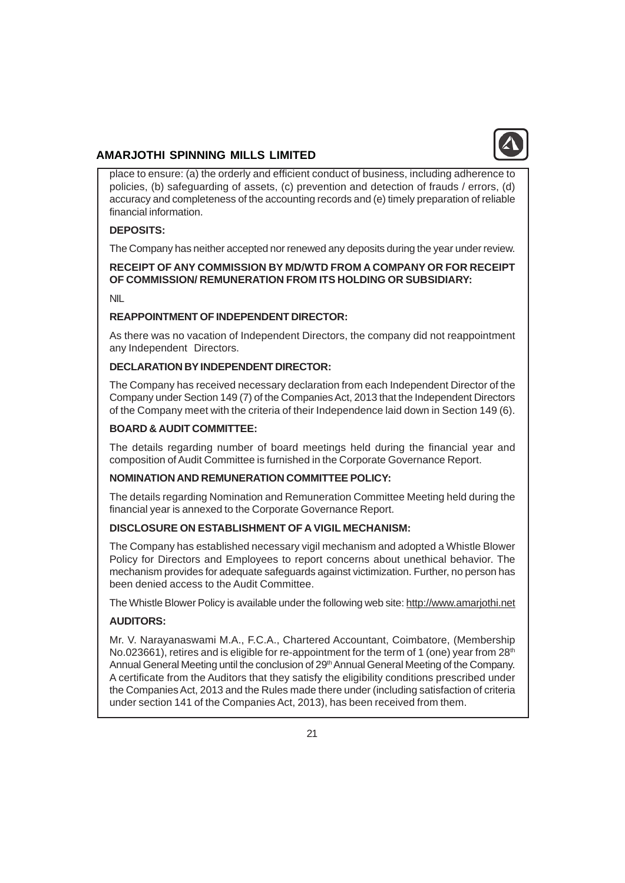

place to ensure: (a) the orderly and efficient conduct of business, including adherence to policies, (b) safeguarding of assets, (c) prevention and detection of frauds / errors, (d) accuracy and completeness of the accounting records and (e) timely preparation of reliable financial information.

### **DEPOSITS:**

The Company has neither accepted nor renewed any deposits during the year under review.

# **RECEIPT OF ANY COMMISSION BY MD/WTD FROM A COMPANY OR FOR RECEIPT OF COMMISSION/ REMUNERATION FROM ITS HOLDING OR SUBSIDIARY:**

NIL

### **REAPPOINTMENT OF INDEPENDENT DIRECTOR:**

As there was no vacation of Independent Directors, the company did not reappointment any Independent Directors.

### **DECLARATION BY INDEPENDENT DIRECTOR:**

The Company has received necessary declaration from each Independent Director of the Company under Section 149 (7) of the Companies Act, 2013 that the Independent Directors of the Company meet with the criteria of their Independence laid down in Section 149 (6).

### **BOARD & AUDIT COMMITTEE:**

The details regarding number of board meetings held during the financial year and composition of Audit Committee is furnished in the Corporate Governance Report.

#### **NOMINATION AND REMUNERATION COMMITTEE POLICY:**

The details regarding Nomination and Remuneration Committee Meeting held during the financial year is annexed to the Corporate Governance Report.

#### **DISCLOSURE ON ESTABLISHMENT OF A VIGIL MECHANISM:**

The Company has established necessary vigil mechanism and adopted a Whistle Blower Policy for Directors and Employees to report concerns about unethical behavior. The mechanism provides for adequate safeguards against victimization. Further, no person has been denied access to the Audit Committee.

The Whistle Blower Policy is available under the following web site: http://www.amarjothi.net

### **AUDITORS:**

Mr. V. Narayanaswami M.A., F.C.A., Chartered Accountant, Coimbatore, (Membership No.023661), retires and is eligible for re-appointment for the term of 1 (one) year from  $28<sup>th</sup>$ Annual General Meeting until the conclusion of 29<sup>th</sup> Annual General Meeting of the Company. A certificate from the Auditors that they satisfy the eligibility conditions prescribed under the Companies Act, 2013 and the Rules made there under (including satisfaction of criteria under section 141 of the Companies Act, 2013), has been received from them.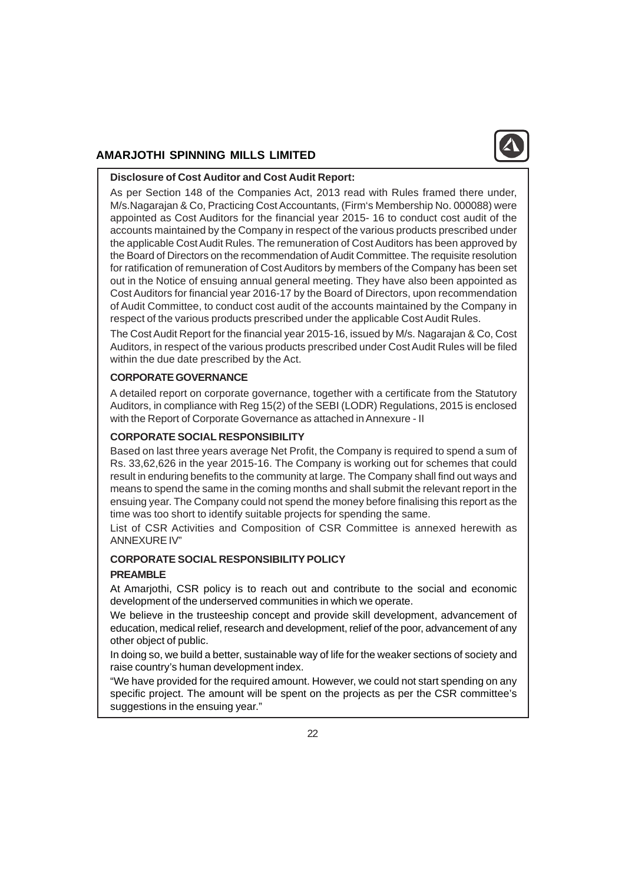

#### **Disclosure of Cost Auditor and Cost Audit Report:**

As per Section 148 of the Companies Act, 2013 read with Rules framed there under, M/s.Nagarajan & Co, Practicing Cost Accountants, (Firm's Membership No. 000088) were appointed as Cost Auditors for the financial year 2015- 16 to conduct cost audit of the accounts maintained by the Company in respect of the various products prescribed under the applicable Cost Audit Rules. The remuneration of Cost Auditors has been approved by the Board of Directors on the recommendation of Audit Committee. The requisite resolution for ratification of remuneration of Cost Auditors by members of the Company has been set out in the Notice of ensuing annual general meeting. They have also been appointed as Cost Auditors for financial year 2016-17 by the Board of Directors, upon recommendation of Audit Committee, to conduct cost audit of the accounts maintained by the Company in respect of the various products prescribed under the applicable Cost Audit Rules.

The Cost Audit Report for the financial year 2015-16, issued by M/s. Nagarajan & Co, Cost Auditors, in respect of the various products prescribed under Cost Audit Rules will be filed within the due date prescribed by the Act.

#### **CORPORATE GOVERNANCE**

A detailed report on corporate governance, together with a certificate from the Statutory Auditors, in compliance with Reg 15(2) of the SEBI (LODR) Regulations, 2015 is enclosed with the Report of Corporate Governance as attached in Annexure - II

#### **CORPORATE SOCIAL RESPONSIBILITY**

Based on last three years average Net Profit, the Company is required to spend a sum of Rs. 33,62,626 in the year 2015-16. The Company is working out for schemes that could result in enduring benefits to the community at large. The Company shall find out ways and means to spend the same in the coming months and shall submit the relevant report in the ensuing year. The Company could not spend the money before finalising this report as the time was too short to identify suitable projects for spending the same.

List of CSR Activities and Composition of CSR Committee is annexed herewith as ANNEXURE IV"

#### **CORPORATE SOCIAL RESPONSIBILITY POLICY**

#### **PREAMBLE**

At Amarjothi, CSR policy is to reach out and contribute to the social and economic development of the underserved communities in which we operate.

We believe in the trusteeship concept and provide skill development, advancement of education, medical relief, research and development, relief of the poor, advancement of any other object of public.

In doing so, we build a better, sustainable way of life for the weaker sections of society and raise country's human development index.

"We have provided for the required amount. However, we could not start spending on any specific project. The amount will be spent on the projects as per the CSR committee's suggestions in the ensuing year."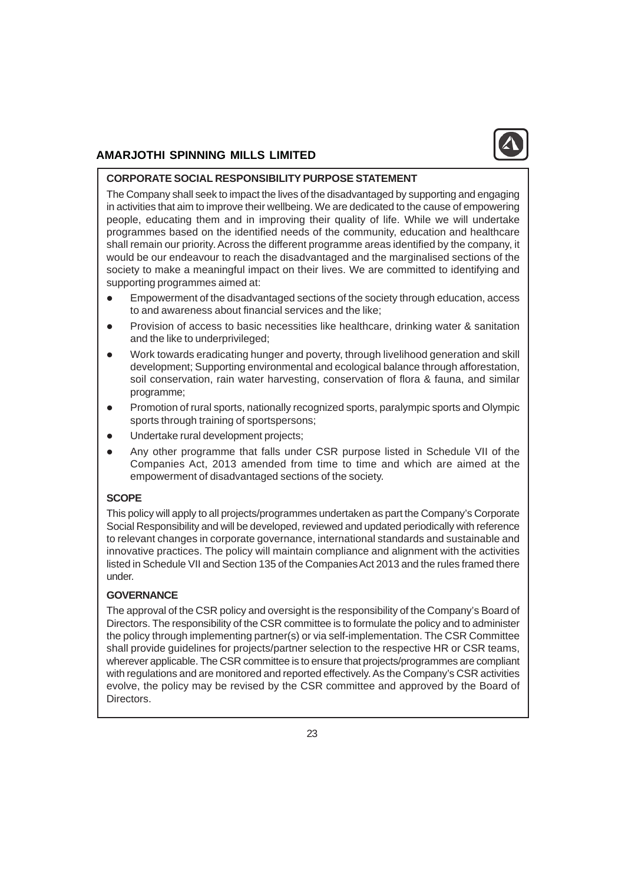

#### **CORPORATE SOCIAL RESPONSIBILITY PURPOSE STATEMENT**

The Company shall seek to impact the lives of the disadvantaged by supporting and engaging in activities that aim to improve their wellbeing. We are dedicated to the cause of empowering people, educating them and in improving their quality of life. While we will undertake programmes based on the identified needs of the community, education and healthcare shall remain our priority. Across the different programme areas identified by the company, it would be our endeavour to reach the disadvantaged and the marginalised sections of the society to make a meaningful impact on their lives. We are committed to identifying and supporting programmes aimed at:

- **Empowerment of the disadvantaged sections of the society through education, access** to and awareness about financial services and the like;
- Provision of access to basic necessities like healthcare, drinking water & sanitation and the like to underprivileged;
- l Work towards eradicating hunger and poverty, through livelihood generation and skill development; Supporting environmental and ecological balance through afforestation, soil conservation, rain water harvesting, conservation of flora & fauna, and similar programme;
- Promotion of rural sports, nationally recognized sports, paralympic sports and Olympic sports through training of sportspersons;
- Undertake rural development projects;
- Any other programme that falls under CSR purpose listed in Schedule VII of the Companies Act, 2013 amended from time to time and which are aimed at the empowerment of disadvantaged sections of the society.

#### **SCOPE**

This policy will apply to all projects/programmes undertaken as part the Company's Corporate Social Responsibility and will be developed, reviewed and updated periodically with reference to relevant changes in corporate governance, international standards and sustainable and innovative practices. The policy will maintain compliance and alignment with the activities listed in Schedule VII and Section 135 of the Companies Act 2013 and the rules framed there under.

#### **GOVERNANCE**

The approval of the CSR policy and oversight is the responsibility of the Company's Board of Directors. The responsibility of the CSR committee is to formulate the policy and to administer the policy through implementing partner(s) or via self-implementation. The CSR Committee shall provide guidelines for projects/partner selection to the respective HR or CSR teams, wherever applicable. The CSR committee is to ensure that projects/programmes are compliant with regulations and are monitored and reported effectively. As the Company's CSR activities evolve, the policy may be revised by the CSR committee and approved by the Board of **Directors**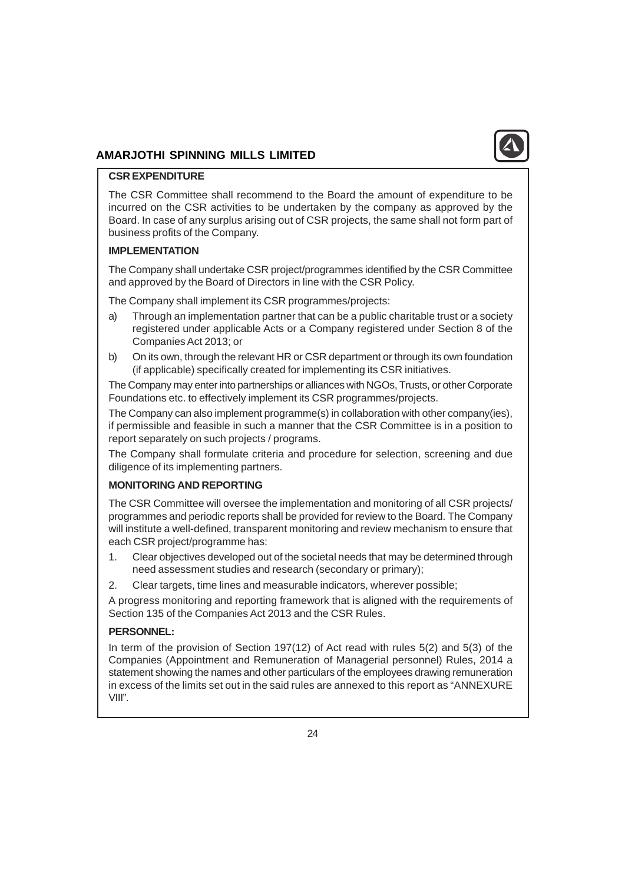

#### **CSR EXPENDITURE**

The CSR Committee shall recommend to the Board the amount of expenditure to be incurred on the CSR activities to be undertaken by the company as approved by the Board. In case of any surplus arising out of CSR projects, the same shall not form part of business profits of the Company.

#### **IMPLEMENTATION**

The Company shall undertake CSR project/programmes identified by the CSR Committee and approved by the Board of Directors in line with the CSR Policy.

The Company shall implement its CSR programmes/projects:

- a) Through an implementation partner that can be a public charitable trust or a society registered under applicable Acts or a Company registered under Section 8 of the Companies Act 2013; or
- b) On its own, through the relevant HR or CSR department or through its own foundation (if applicable) specifically created for implementing its CSR initiatives.

The Company may enter into partnerships or alliances with NGOs, Trusts, or other Corporate Foundations etc. to effectively implement its CSR programmes/projects.

The Company can also implement programme(s) in collaboration with other company(ies), if permissible and feasible in such a manner that the CSR Committee is in a position to report separately on such projects / programs.

The Company shall formulate criteria and procedure for selection, screening and due diligence of its implementing partners.

#### **MONITORING AND REPORTING**

The CSR Committee will oversee the implementation and monitoring of all CSR projects/ programmes and periodic reports shall be provided for review to the Board. The Company will institute a well-defined, transparent monitoring and review mechanism to ensure that each CSR project/programme has:

- 1. Clear objectives developed out of the societal needs that may be determined through need assessment studies and research (secondary or primary);
- 2. Clear targets, time lines and measurable indicators, wherever possible;

A progress monitoring and reporting framework that is aligned with the requirements of Section 135 of the Companies Act 2013 and the CSR Rules.

#### **PERSONNEL:**

In term of the provision of Section 197(12) of Act read with rules 5(2) and 5(3) of the Companies (Appointment and Remuneration of Managerial personnel) Rules, 2014 a statement showing the names and other particulars of the employees drawing remuneration in excess of the limits set out in the said rules are annexed to this report as "ANNEXURE VIII".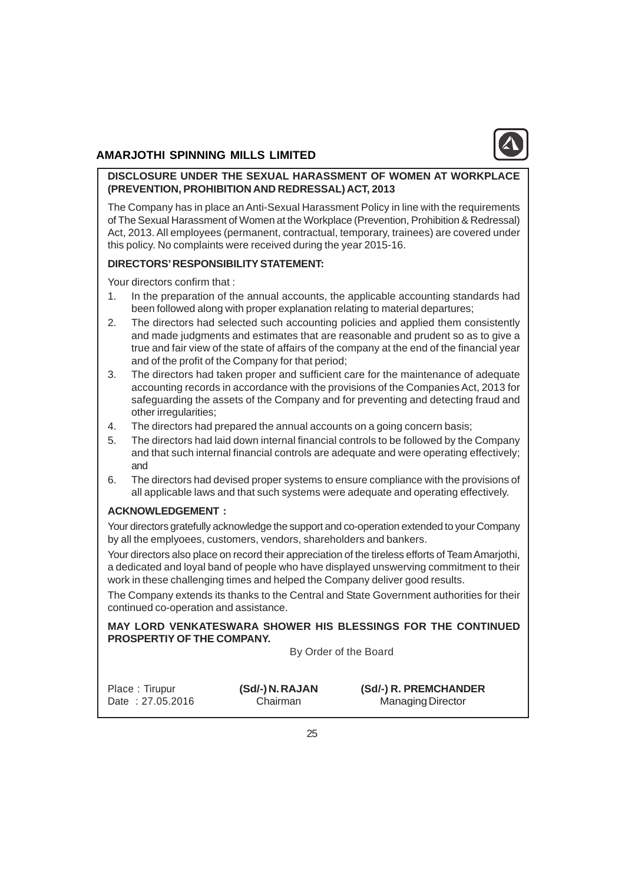

#### **DISCLOSURE UNDER THE SEXUAL HARASSMENT OF WOMEN AT WORKPLACE (PREVENTION, PROHIBITION AND REDRESSAL) ACT, 2013**

The Company has in place an Anti-Sexual Harassment Policy in line with the requirements of The Sexual Harassment of Women at the Workplace (Prevention, Prohibition & Redressal) Act, 2013. All employees (permanent, contractual, temporary, trainees) are covered under this policy. No complaints were received during the year 2015-16.

### **DIRECTORS' RESPONSIBILITY STATEMENT:**

Your directors confirm that :

- 1. In the preparation of the annual accounts, the applicable accounting standards had been followed along with proper explanation relating to material departures;
- 2. The directors had selected such accounting policies and applied them consistently and made judgments and estimates that are reasonable and prudent so as to give a true and fair view of the state of affairs of the company at the end of the financial year and of the profit of the Company for that period;
- 3. The directors had taken proper and sufficient care for the maintenance of adequate accounting records in accordance with the provisions of the Companies Act, 2013 for safeguarding the assets of the Company and for preventing and detecting fraud and other irregularities;
- 4. The directors had prepared the annual accounts on a going concern basis;
- 5. The directors had laid down internal financial controls to be followed by the Company and that such internal financial controls are adequate and were operating effectively; and
- 6. The directors had devised proper systems to ensure compliance with the provisions of all applicable laws and that such systems were adequate and operating effectively.

#### **ACKNOWLEDGEMENT :**

Your directors gratefully acknowledge the support and co-operation extended to your Company by all the emplyoees, customers, vendors, shareholders and bankers.

Your directors also place on record their appreciation of the tireless efforts of Team Amarjothi, a dedicated and loyal band of people who have displayed unswerving commitment to their work in these challenging times and helped the Company deliver good results.

The Company extends its thanks to the Central and State Government authorities for their continued co-operation and assistance.

**MAY LORD VENKATESWARA SHOWER HIS BLESSINGS FOR THE CONTINUED PROSPERTIY OF THE COMPANY.**

By Order of the Board

| Place: Tirupur   | (Sd/-) N. RAJAN | (Sd/-) R. PREMCHANDER    |
|------------------|-----------------|--------------------------|
| Date: 27.05.2016 | Chairman        | <b>Managing Director</b> |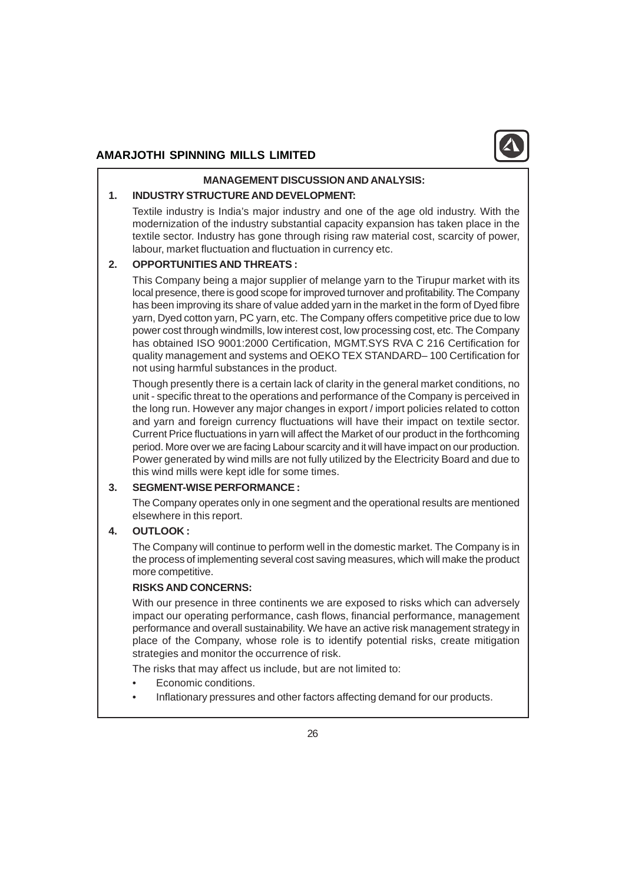

#### **MANAGEMENT DISCUSSION AND ANALYSIS:**

#### **1. INDUSTRY STRUCTURE AND DEVELOPMENT:**

Textile industry is India's major industry and one of the age old industry. With the modernization of the industry substantial capacity expansion has taken place in the textile sector. Industry has gone through rising raw material cost, scarcity of power, labour, market fluctuation and fluctuation in currency etc.

#### **2. OPPORTUNITIES AND THREATS :**

This Company being a major supplier of melange yarn to the Tirupur market with its local presence, there is good scope for improved turnover and profitability. The Company has been improving its share of value added yarn in the market in the form of Dyed fibre yarn, Dyed cotton yarn, PC yarn, etc. The Company offers competitive price due to low power cost through windmills, low interest cost, low processing cost, etc. The Company has obtained ISO 9001:2000 Certification, MGMT.SYS RVA C 216 Certification for quality management and systems and OEKO TEX STANDARD– 100 Certification for not using harmful substances in the product.

Though presently there is a certain lack of clarity in the general market conditions, no unit - specific threat to the operations and performance of the Company is perceived in the long run. However any major changes in export / import policies related to cotton and yarn and foreign currency fluctuations will have their impact on textile sector. Current Price fluctuations in yarn will affect the Market of our product in the forthcoming period. More over we are facing Labour scarcity and it will have impact on our production. Power generated by wind mills are not fully utilized by the Electricity Board and due to this wind mills were kept idle for some times.

#### **3. SEGMENT-WISE PERFORMANCE :**

The Company operates only in one segment and the operational results are mentioned elsewhere in this report.

#### **4. OUTLOOK :**

The Company will continue to perform well in the domestic market. The Company is in the process of implementing several cost saving measures, which will make the product more competitive.

#### **RISKS AND CONCERNS:**

With our presence in three continents we are exposed to risks which can adversely impact our operating performance, cash flows, financial performance, management performance and overall sustainability. We have an active risk management strategy in place of the Company, whose role is to identify potential risks, create mitigation strategies and monitor the occurrence of risk.

The risks that may affect us include, but are not limited to:

- Economic conditions.
- Inflationary pressures and other factors affecting demand for our products.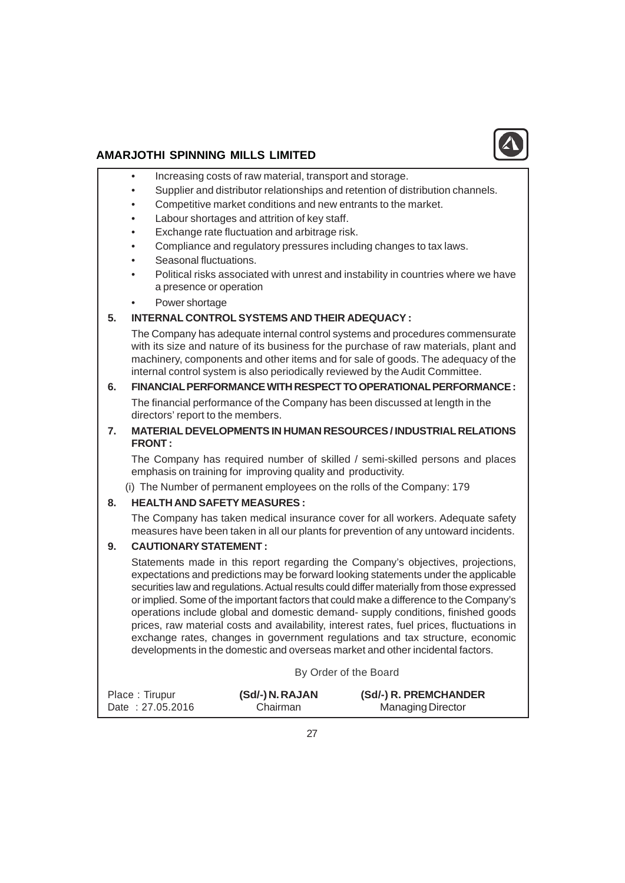

- Increasing costs of raw material, transport and storage.
- Supplier and distributor relationships and retention of distribution channels.
- Competitive market conditions and new entrants to the market.
- Labour shortages and attrition of key staff.
- Exchange rate fluctuation and arbitrage risk.
- Compliance and regulatory pressures including changes to tax laws.
- Seasonal fluctuations.
- Political risks associated with unrest and instability in countries where we have a presence or operation
- Power shortage

#### **5. INTERNAL CONTROL SYSTEMS AND THEIR ADEQUACY :**

The Company has adequate internal control systems and procedures commensurate with its size and nature of its business for the purchase of raw materials, plant and machinery, components and other items and for sale of goods. The adequacy of the internal control system is also periodically reviewed by the Audit Committee.

#### **6. FINANCIAL PERFORMANCE WITH RESPECT TO OPERATIONAL PERFORMANCE :**

The financial performance of the Company has been discussed at length in the directors' report to the members.

#### **7. MATERIAL DEVELOPMENTS IN HUMAN RESOURCES / INDUSTRIAL RELATIONS FRONT :**

The Company has required number of skilled / semi-skilled persons and places emphasis on training for improving quality and productivity.

(i) The Number of permanent employees on the rolls of the Company: 179

### **8. HEALTH AND SAFETY MEASURES :**

The Company has taken medical insurance cover for all workers. Adequate safety measures have been taken in all our plants for prevention of any untoward incidents.

#### **9. CAUTIONARY STATEMENT :**

Statements made in this report regarding the Company's objectives, projections, expectations and predictions may be forward looking statements under the applicable securities law and regulations. Actual results could differ materially from those expressed or implied. Some of the important factors that could make a difference to the Company's operations include global and domestic demand- supply conditions, finished goods prices, raw material costs and availability, interest rates, fuel prices, fluctuations in exchange rates, changes in government regulations and tax structure, economic developments in the domestic and overseas market and other incidental factors.

#### By Order of the Board

| Place: Tirupur   | (Sd/-) N. RAJAN | (Sd/-) R. PREMCHANDER    |
|------------------|-----------------|--------------------------|
| Date: 27.05.2016 | Chairman        | <b>Managing Director</b> |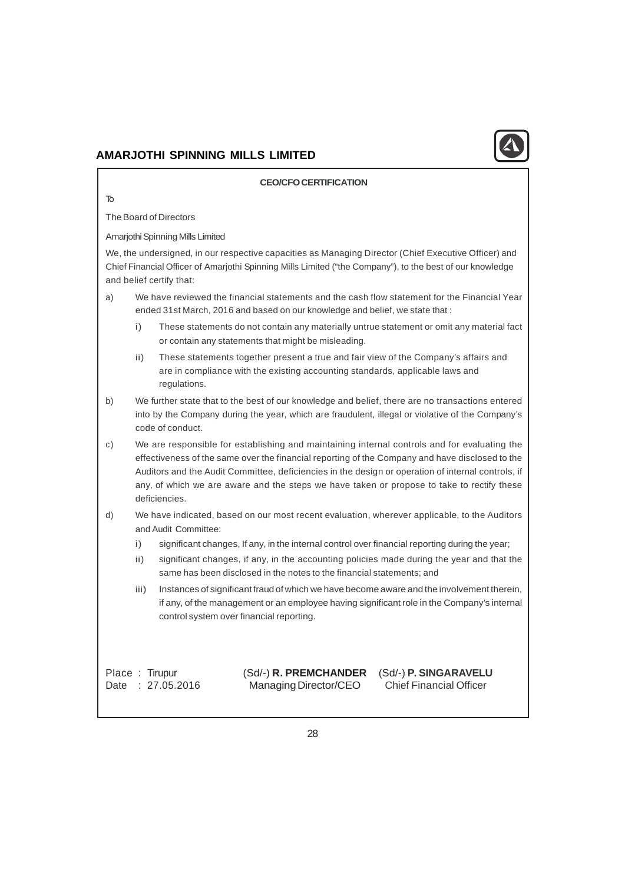

#### **CEO/CFOCERTIFICATION**

#### To

The Board of Directors

Amarjothi Spinning Mills Limited

We, the undersigned, in our respective capacities as Managing Director (Chief Executive Officer) and Chief Financial Officer of Amarjothi Spinning Mills Limited ("the Company"), to the best of our knowledge and belief certify that:

- a) We have reviewed the financial statements and the cash flow statement for the Financial Year ended 31st March, 2016 and based on our knowledge and belief, we state that :
	- i) These statements do not contain any materially untrue statement or omit any material fact or contain any statements that might be misleading.
	- ii) These statements together present a true and fair view of the Company's affairs and are in compliance with the existing accounting standards, applicable laws and regulations.
- b) We further state that to the best of our knowledge and belief, there are no transactions entered into by the Company during the year, which are fraudulent, illegal or violative of the Company's code of conduct.
- c) We are responsible for establishing and maintaining internal controls and for evaluating the effectiveness of the same over the financial reporting of the Company and have disclosed to the Auditors and the Audit Committee, deficiencies in the design or operation of internal controls, if any, of which we are aware and the steps we have taken or propose to take to rectify these deficiencies.
- d) We have indicated, based on our most recent evaluation, wherever applicable, to the Auditors and Audit Committee:
	- i) significant changes, If any, in the internal control over financial reporting during the year;
	- ii) significant changes, if any, in the accounting policies made during the year and that the same has been disclosed in the notes to the financial statements; and
	- iii) Instances of significant fraud of which we have become aware and the involvement therein, if any, of the management or an employee having significant role in the Company's internal control system over financial reporting.

Place : Tirupur (Sd/-) **R. PREMCHANDER** (Sd/-) **P. SINGARAVELU**<br>Date : 27.05.2016 Managing Director/CEO Chief Financial Officer Date : 27.05.2016 Managing Director/CEO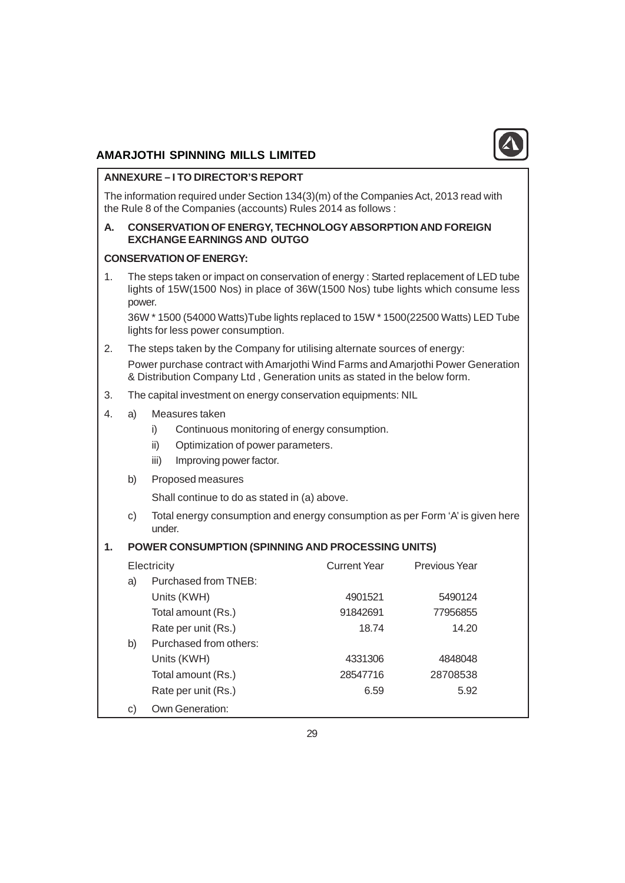

#### **ANNEXURE – I TO DIRECTOR'S REPORT**

The information required under Section 134(3)(m) of the Companies Act, 2013 read with the Rule 8 of the Companies (accounts) Rules 2014 as follows :

#### **A. CONSERVATION OF ENERGY, TECHNOLOGYABSORPTION AND FOREIGN EXCHANGE EARNINGS AND OUTGO**

#### **CONSERVATION OF ENERGY:**

1. The steps taken or impact on conservation of energy : Started replacement of LED tube lights of 15W(1500 Nos) in place of 36W(1500 Nos) tube lights which consume less power.

36W \* 1500 (54000 Watts)Tube lights replaced to 15W \* 1500(22500 Watts) LED Tube lights for less power consumption.

- 2. The steps taken by the Company for utilising alternate sources of energy: Power purchase contract with Amarjothi Wind Farms and Amarjothi Power Generation & Distribution Company Ltd , Generation units as stated in the below form.
- 3. The capital investment on energy conservation equipments: NIL
- 4. a) Measures taken
	- i) Continuous monitoring of energy consumption.
	- ii) Optimization of power parameters.
	- iii) Improving power factor.
	- b) Proposed measures

Shall continue to do as stated in (a) above.

c) Total energy consumption and energy consumption as per Form 'A' is given here under.

### **1. POWER CONSUMPTION (SPINNING AND PROCESSING UNITS)**

|    | Electricity            | <b>Current Year</b> | <b>Previous Year</b> |
|----|------------------------|---------------------|----------------------|
| a) | Purchased from TNEB:   |                     |                      |
|    | Units (KWH)            | 4901521             | 5490124              |
|    | Total amount (Rs.)     | 91842691            | 77956855             |
|    | Rate per unit (Rs.)    | 18.74               | 14.20                |
| b) | Purchased from others: |                     |                      |
|    | Units (KWH)            | 4331306             | 4848048              |
|    | Total amount (Rs.)     | 28547716            | 28708538             |
|    | Rate per unit (Rs.)    | 6.59                | 5.92                 |
| C) | <b>Own Generation:</b> |                     |                      |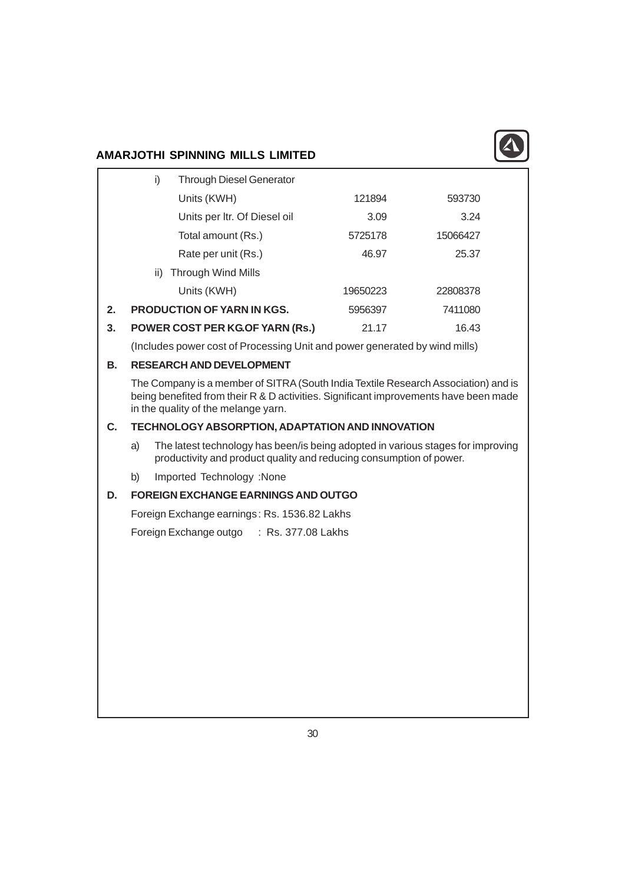

| <b>Through Diesel Generator</b><br>i) |          |          |
|---------------------------------------|----------|----------|
| Units (KWH)                           | 121894   | 593730   |
| Units per Itr. Of Diesel oil          | 3.09     | 3.24     |
| Total amount (Rs.)                    | 5725178  | 15066427 |
| Rate per unit (Rs.)                   | 46.97    | 25.37    |
| ii) Through Wind Mills                |          |          |
| Units (KWH)                           | 19650223 | 22808378 |
| <b>PRODUCTION OF YARN IN KGS.</b>     | 5956397  | 7411080  |
| <b>POWER COST PER KGOF YARN (Rs.)</b> | 21.17    | 16.43    |
|                                       |          |          |

(Includes power cost of Processing Unit and power generated by wind mills)

### **B. RESEARCH AND DEVELOPMENT**

The Company is a member of SITRA (South India Textile Research Association) and is being benefited from their R & D activities. Significant improvements have been made in the quality of the melange yarn.

#### **C. TECHNOLOGYABSORPTION, ADAPTATION AND INNOVATION**

- a) The latest technology has been/is being adopted in various stages for improving productivity and product quality and reducing consumption of power.
- b) Imported Technology :None

### **D. FOREIGN EXCHANGE EARNINGS AND OUTGO**

Foreign Exchange earnings: Rs. 1536.82 Lakhs

Foreign Exchange outgo : Rs. 377.08 Lakhs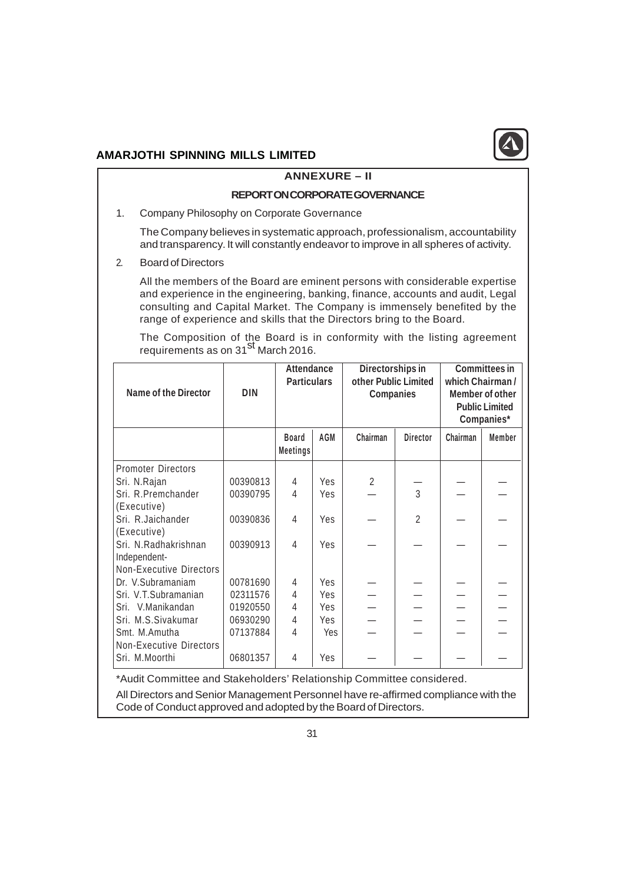

### **ANNEXURE – II**

#### **REPORTONCORPORATEGOVERNANCE**

1. Company Philosophy on Corporate Governance

The Company believes in systematic approach, professionalism, accountability and transparency. It will constantly endeavor to improve in all spheres of activity.

2. Boardof Directors

All the members of the Board are eminent persons with considerable expertise and experience in the engineering, banking, finance, accounts and audit, Legal consulting and Capital Market. The Company is immensely benefited by the range of experience and skills that the Directors bring to the Board.

The Composition of the Board is in conformity with the listing agreement requirements as on 31<sup>st</sup> March 2016.

| <b>Name of the Director</b>          | <b>DIN</b> | <b>Attendance</b><br><b>Particulars</b> |            | Directorships in<br>other Public Limited<br><b>Companies</b> |                 | <b>Committees in</b><br>which Chairman/<br>Member of other<br><b>Public Limited</b><br>Companies* |        |
|--------------------------------------|------------|-----------------------------------------|------------|--------------------------------------------------------------|-----------------|---------------------------------------------------------------------------------------------------|--------|
|                                      |            | <b>Board</b><br><b>Meetings</b>         | <b>AGM</b> | Chairman                                                     | <b>Director</b> | Chairman                                                                                          | Member |
| <b>Promoter Directors</b>            |            |                                         |            |                                                              |                 |                                                                                                   |        |
| Sri. N.Rajan                         | 00390813   | 4                                       | <b>Yes</b> | $\overline{2}$                                               |                 |                                                                                                   |        |
| Sri. R.Premchander                   | 00390795   | 4                                       | Yes        |                                                              | 3               |                                                                                                   |        |
| (Executive)                          |            |                                         |            |                                                              |                 |                                                                                                   |        |
| Sri. R. Jaichander                   | 00390836   | 4                                       | Yes        |                                                              | $\overline{2}$  |                                                                                                   |        |
| (Executive)                          |            |                                         |            |                                                              |                 |                                                                                                   |        |
| Sri. N.Radhakrishnan<br>Independent- | 00390913   | 4                                       | Yes        |                                                              |                 |                                                                                                   |        |
| <b>Non-Executive Directors</b>       |            |                                         |            |                                                              |                 |                                                                                                   |        |
| Dr. V.Subramaniam                    | 00781690   | 4                                       | Yes        |                                                              |                 |                                                                                                   |        |
| Sri. V.T.Subramanian                 | 02311576   | 4                                       | Yes        |                                                              |                 |                                                                                                   |        |
| Sri. V.Manikandan                    | 01920550   | 4                                       | Yes        |                                                              |                 |                                                                                                   |        |
| Sri. M.S.Sivakumar                   | 06930290   | 4                                       | <b>Yes</b> |                                                              |                 |                                                                                                   |        |
| Smt. M.Amutha                        | 07137884   | 4                                       | Yes        |                                                              |                 |                                                                                                   |        |
| <b>Non-Executive Directors</b>       |            |                                         |            |                                                              |                 |                                                                                                   |        |
| Sri. M.Moorthi                       | 06801357   | 4                                       | Yes        |                                                              |                 |                                                                                                   |        |

\*Audit Committee and Stakeholders' Relationship Committee considered.

All Directors and Senior Management Personnel have re-affirmed compliance with the Code of Conduct approved and adopted by the Board of Directors.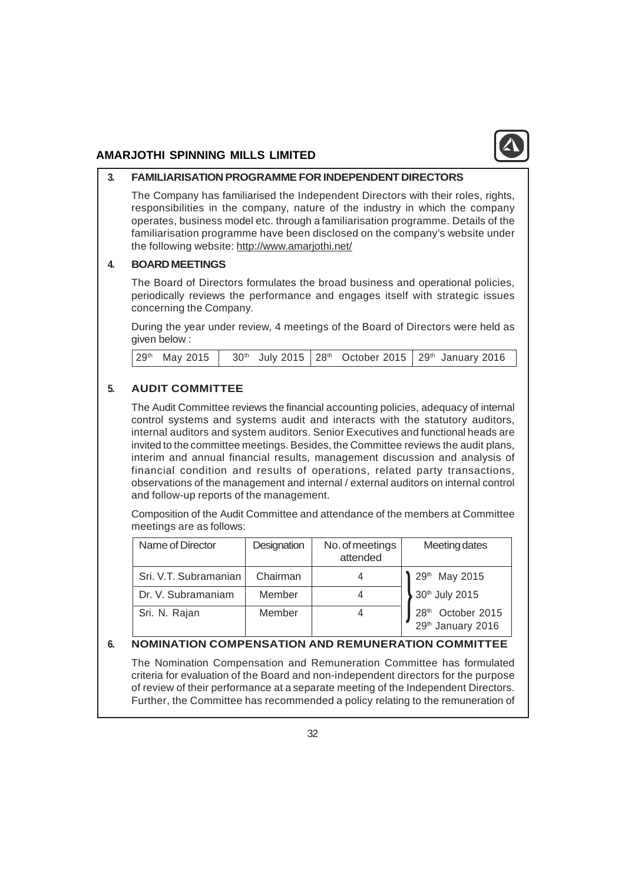

#### **3. FAMILIARISATION PROGRAMME FOR INDEPENDENT DIRECTORS**

The Company has familiarised the Independent Directors with their roles, rights, responsibilities in the company, nature of the industry in which the company operates, business model etc. through afamiliarisation programme. Details of the familiarisation programme have been disclosed on the company's website under the following website: http://www.amarjothi.net/

#### **4. BOARDMEETINGS**

The Board of Directors formulates the broad business and operational policies, periodically reviews the performance and engages itself with strategic issues concerning the Company.

During the year under review, 4 meetings of the Board of Directors were held as given below :

|  |  | $29th$ May 2015 $\begin{vmatrix} 30th & July 2015 & 28th & October 2015 & 29th & January 2016 \end{vmatrix}$ |  |
|--|--|--------------------------------------------------------------------------------------------------------------|--|

### **5. AUDIT COMMITTEE**

The Audit Committee reviews the financial accounting policies, adequacy of internal control systems and systems audit and interacts with the statutory auditors, internal auditors and system auditors. Senior Executives and functional heads are invited to the committee meetings. Besides, the Committee reviews the audit plans, interim and annual financial results, management discussion and analysis of financial condition and results of operations, related party transactions, observations of the management and internal / external auditors on internal control and follow-up reports of the management.

Composition of the Audit Committee and attendance of the members at Committee meetings are as follows:

| Name of Director      | Designation | No. of meetings<br>attended | Meeting dates                                                  |
|-----------------------|-------------|-----------------------------|----------------------------------------------------------------|
| Sri. V.T. Subramanian | Chairman    |                             | 29th May 2015                                                  |
| Dr. V. Subramaniam    | Member      |                             | 30th July 2015                                                 |
| Sri. N. Rajan         | Member      | 4                           | 28 <sup>th</sup> October 2015<br>29 <sup>th</sup> January 2016 |

#### **6. NOMINATION COMPENSATION AND REMUNERATION COMMITTEE**

The Nomination Compensation and Remuneration Committee has formulated criteria for evaluation of the Board and non-independent directors for the purpose of review of their performance at aseparate meeting of the Independent Directors. Further, the Committee has recommended a policy relating to the remuneration of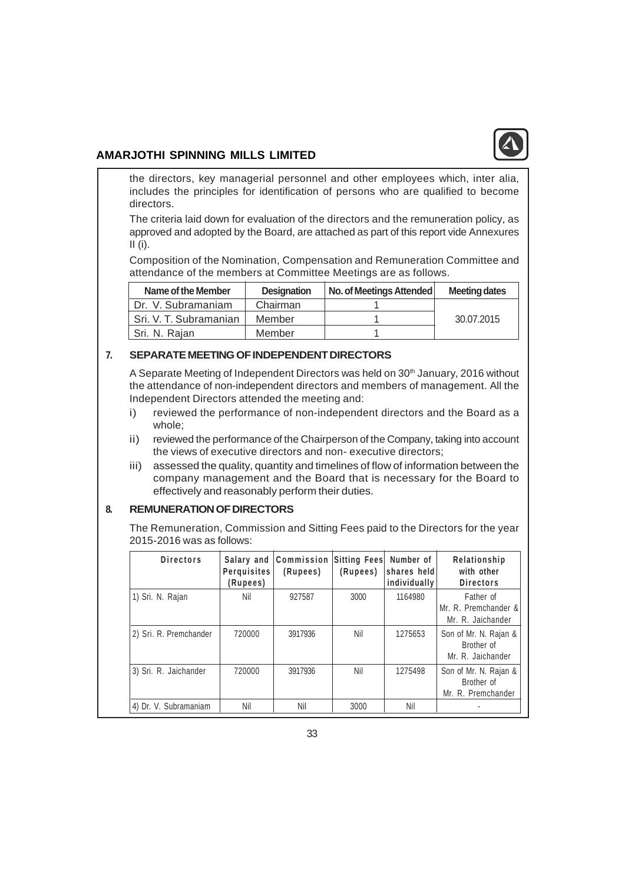

the directors, key managerial personnel and other employees which, inter alia, includes the principles for identification of persons who are qualified to become directors.

The criteria laid down for evaluation of the directors and the remuneration policy, as approved andadopted by the Board, are attached as partof this report vide Annexures II (i).

Composition of the Nomination, Compensation and Remuneration Committee and attendance of the members at Committee Meetings are as follows.

| Name of the Member     | <b>Designation</b> | No. of Meetings Attended | Meeting dates |
|------------------------|--------------------|--------------------------|---------------|
| Dr. V. Subramaniam     | Chairman           |                          |               |
| Sri. V. T. Subramanian | Member             |                          | 30.07.2015    |
| Sri, N. Raian          | Member             |                          |               |

#### **7. SEPARATEMEETING OF INDEPENDENT DIRECTORS**

A Separate Meeting of Independent Directors was held on 30<sup>th</sup> January, 2016 without the attendance of non-independent directors and members of management. All the Independent Directors attended the meeting and:

- i) reviewed the performance of non-independent directors and the Board as a whole;
- ii) reviewed the performance of the Chairperson of the Company, taking into account the views of executive directors and non- executive directors;
- iii) assessed the quality, quantity and timelines of flow of information between the company management and the Board that is necessary for the Board to effectively and reasonably perform their duties.

### **8. REMUNERATION OF DIRECTORS**

The Remuneration, Commission and Sitting Fees paid to the Directors for the year 2015-2016 was as follows:

| <b>Directors</b>       | Salary and<br>Perquisites<br>(Rupees) | Commission<br>(Rupees) | Sitting Fees<br>(Rupees) | Number of<br>shares held<br>individually | Relationship<br>with other<br><b>Directors</b>            |
|------------------------|---------------------------------------|------------------------|--------------------------|------------------------------------------|-----------------------------------------------------------|
| 1) Sri. N. Rajan       | Nil                                   | 927587                 | 3000                     | 1164980                                  | Father of<br>Mr. R. Premchander &<br>Mr. R. Jaichander    |
| 2) Sri. R. Premchander | 720000                                | 3917936                | Nil                      | 1275653                                  | Son of Mr. N. Rajan &<br>Brother of<br>Mr. R. Jaichander  |
| 3) Sri. R. Jaichander  | 720000                                | 3917936                | Nil                      | 1275498                                  | Son of Mr. N. Rajan &<br>Brother of<br>Mr. R. Premchander |
| 4) Dr. V. Subramaniam  | Nil                                   | Nil                    | 3000                     | Nil                                      |                                                           |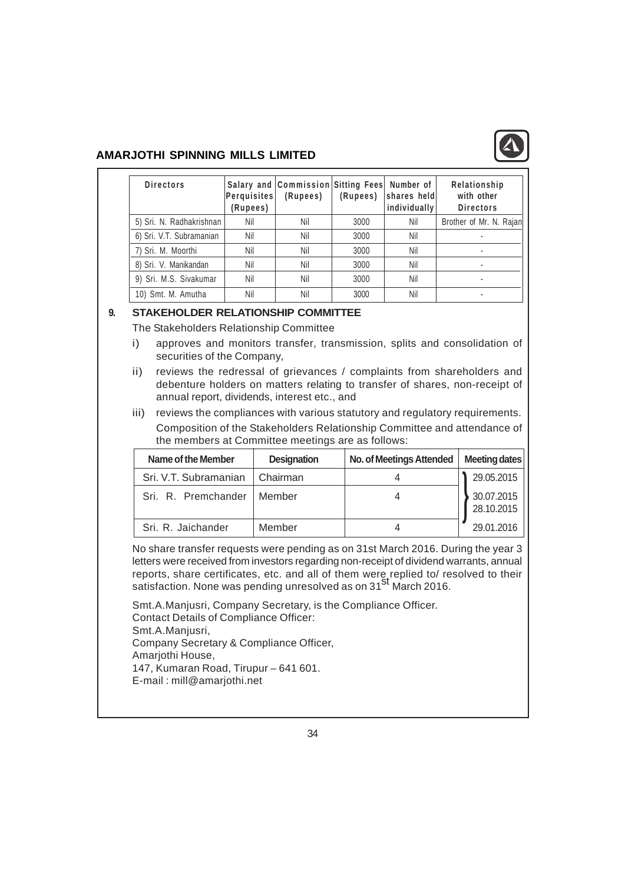

| <b>Directors</b>         | Perquisites<br>(Rupees) | Salary and Commission Sitting Fees<br>(Rupees) | (Rupees) | Number of<br>shares held<br>individually | Relationship<br>with other<br><b>Directors</b> |
|--------------------------|-------------------------|------------------------------------------------|----------|------------------------------------------|------------------------------------------------|
| 5) Sri. N. Radhakrishnan | Nil                     | Nil                                            | 3000     | Nil                                      | Brother of Mr. N. Rajan                        |
| 6) Sri. V.T. Subramanian | Nil                     | Nil                                            | 3000     | Nil                                      |                                                |
| 7) Sri. M. Moorthi       | Nil                     | Nil                                            | 3000     | Nil                                      |                                                |
| 8) Sri. V. Manikandan    | Nil                     | Nil                                            | 3000     | Nil                                      |                                                |
| 9) Sri. M.S. Sivakumar   | Nil                     | Nil                                            | 3000     | Nil                                      |                                                |
| 10) Smt. M. Amutha       | Nil                     | Nil                                            | 3000     | Nil                                      | ٠                                              |

## **9. STAKEHOLDER RELATIONSHIP COMMITTEE**

The Stakeholders Relationship Committee

- i) approves and monitors transfer, transmission, splits and consolidation of securities of the Company,
- ii) reviews the redressal of grievances / complaints from shareholders and debenture holders on matters relating to transfer of shares, non-receipt of annual report, dividends, interest etc., and
- iii) reviews the compliances with various statutory and regulatory requirements. Composition of the Stakeholders Relationship Committee and attendance of the members at Committee meetings are as follows:

| Name of the Member    | <b>Designation</b> | <b>No. of Meetings Attended</b> | Meeting dates                                                                                                                 |
|-----------------------|--------------------|---------------------------------|-------------------------------------------------------------------------------------------------------------------------------|
| Sri. V.T. Subramanian | Chairman           |                                 | 29.05.2015                                                                                                                    |
| Sri. R. Premchander   | Member             | 4                               | $\begin{array}{ c c c c }\n\hline\n30.07.2015 & \multicolumn{1}{ c }{28.10.2015} & \multicolumn{1}{ c }{\hline}\n\end{array}$ |
| Sri. R. Jaichander    | Member             | 4                               | 29.01.2016                                                                                                                    |

No share transfer requests were pending as on 31st March 2016. During the year 3 letters were received from investors regarding non-receipt of dividend warrants, annual reports, share certificates, etc. and all of them were replied to/ resolved to their satisfaction. None was pending unresolved as on 31 st March 2016.

Smt.A.Manjusri, Company Secretary, is the Compliance Officer. Contact Details of Compliance Officer: Smt.A.Manjusri, Company Secretary & Compliance Officer, Amariothi House, 147, Kumaran Road, Tirupur – 641 601. E-mail : mill@amarjothi.net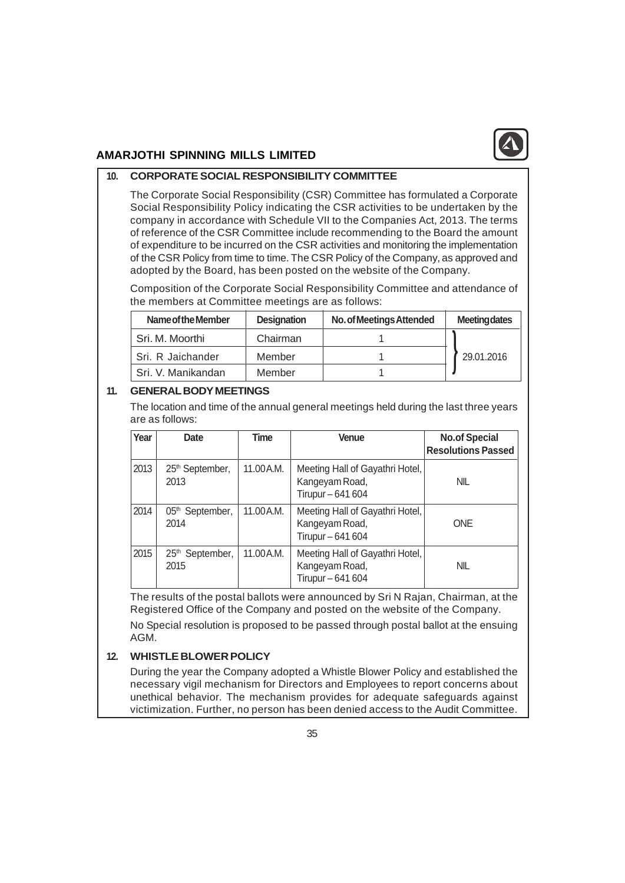

## **10. CORPORATE SOCIAL RESPONSIBILITY COMMITTEE**

The Corporate Social Responsibility (CSR) Committee has formulated a Corporate Social Responsibility Policy indicating the CSR activities to be undertaken by the company in accordance with Schedule VII to the Companies Act, 2013. The terms of reference of the CSR Committee include recommending to the Board the amount of expenditure to be incurred on the CSR activities and monitoring the implementation of the CSR Policy from time to time. The CSR Policy of the Company, as approved and adopted by the Board, has been posted on the website of the Company.

Composition of the Corporate Social Responsibility Committee and attendance of the members at Committee meetings are as follows:

| Name of the Member | <b>Designation</b> | No. of Meetings Attended | <b>Meeting dates</b> |
|--------------------|--------------------|--------------------------|----------------------|
| Sri. M. Moorthi    | Chairman           |                          |                      |
| Sri. R Jaichander  | Member             |                          | 29.01.2016           |
| Sri. V. Manikandan | Member             |                          |                      |

## **11. GENERAL BODY MEETINGS**

The location and time of the annual general meetings held during the last three years are as follows:

| Year | Date                                | Time       | <b>Venue</b>                                                           | <b>No.of Special</b><br><b>Resolutions Passed</b> |
|------|-------------------------------------|------------|------------------------------------------------------------------------|---------------------------------------------------|
| 2013 | 25 <sup>th</sup> September,<br>2013 | 11.00 A.M. | Meeting Hall of Gayathri Hotel,<br>Kangeyam Road,<br>Tirupur - 641 604 | <b>NIL</b>                                        |
| 2014 | 05 <sup>th</sup> September,<br>2014 | 11.00 A.M. | Meeting Hall of Gayathri Hotel,<br>Kangeyam Road,<br>Tirupur - 641 604 | <b>ONE</b>                                        |
| 2015 | 25 <sup>th</sup> September,<br>2015 | 11.00 A.M. | Meeting Hall of Gayathri Hotel,<br>Kangeyam Road,<br>Tirupur - 641 604 | <b>NIL</b>                                        |

The results of the postal ballots were announced by Sri N Rajan, Chairman, at the Registered Office of the Company and posted on the website of the Company.

No Special resolution is proposed to be passed through postal ballot at the ensuing AGM.

## **12. WHISTLE BLOWER POLICY**

During the year the Company adopted a Whistle Blower Policy and established the necessary vigil mechanism for Directors and Employees to report concerns about unethical behavior. The mechanism provides for adequate safeguards against victimization. Further, no person has been denied access to the Audit Committee.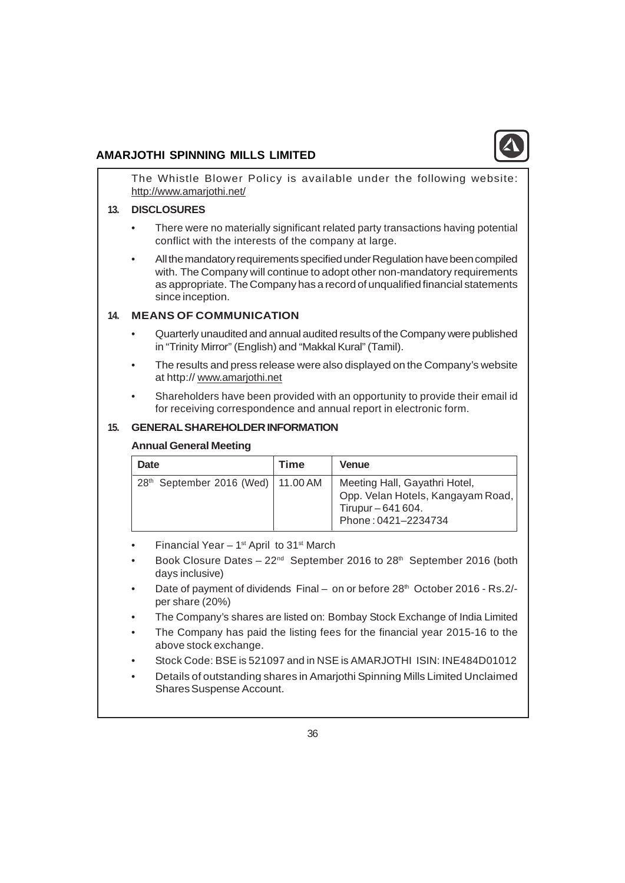

The Whistle Blower Policy is available under the following website: http://www.amarjothi.net/

## **13. DISCLOSURES**

- There were no materially significant related party transactions having potential conflict with the interests of the company at large.
- All the mandatory requirements specified under Regulation have been compiled with. The Company will continue to adopt other non-mandatory requirements as appropriate. TheCompany has arecordof unqualifiedfinancial statements since inception.

## **14. MEANS OF COMMUNICATION**

- Quarterly unaudited and annual audited results of the Company were published in "Trinity Mirror" (English) and "Makkal Kural" (Tamil).
- The results and press release were also displayed on the Company's website at http:// www.amarjothi.net
- Shareholders have been provided with an opportunity to provide their email id for receiving correspondence and annual report in electronic form.

## **15. GENERALSHAREHOLDERINFORMATION**

### **Annual General Meeting**

| Date                                   | <b>Time</b> | <b>Venue</b>                                                                                                    |
|----------------------------------------|-------------|-----------------------------------------------------------------------------------------------------------------|
| $28th$ September 2016 (Wed)   11.00 AM |             | Meeting Hall, Gayathri Hotel,<br>Opp. Velan Hotels, Kangayam Road,<br>Tirupur - 641 604.<br>Phone: 0421-2234734 |

- Financial Year 1<sup>st</sup> April to 31<sup>st</sup> March
- Book Closure Dates  $-22^{nd}$  September 2016 to  $28^{th}$  September 2016 (both days inclusive)
- Date of payment of dividends Final on or before 28<sup>th</sup> October 2016 Rs.2/per share (20%)
- The Company's shares are listed on: Bombay Stock Exchange of India Limited
- The Company has paid the listing fees for the financial year 2015-16 to the above stock exchange.
- Stock Code: BSE is 521097 and in NSE is AMARJOTHI ISIN: INE484D01012
- Details of outstanding shares in Amarjothi Spinning Mills Limited Unclaimed Shares Suspense Account.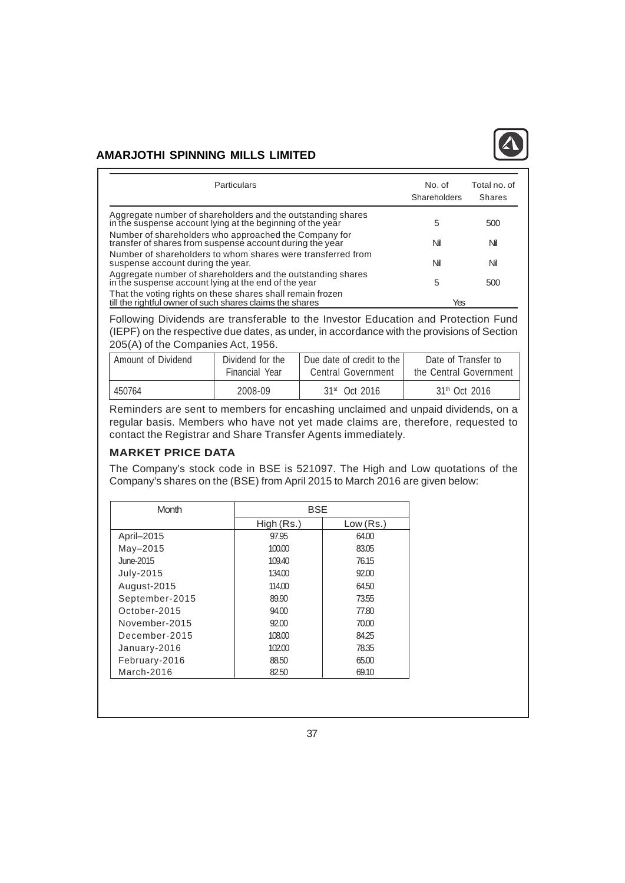

| <b>Particulars</b>                                                                                                        | No. of<br><b>Shareholders</b> | Total no, of<br><b>Shares</b> |
|---------------------------------------------------------------------------------------------------------------------------|-------------------------------|-------------------------------|
| Aggregate number of shareholders and the outstanding shares<br>in the suspense account lying at the beginning of the year | 5                             | 500                           |
| Number of shareholders who approached the Company for<br>transfer of shares from suspense account during the year         | Nil                           | Νi                            |
| Number of shareholders to whom shares were transferred from<br>suspense account during the year.                          | Nil                           | Nil                           |
| Aggregate number of shareholders and the outstanding shares<br>in the suspense account lying at the end of the year       | 5                             | 500                           |
| That the voting rights on these shares shall remain frozen<br>till the rightful owner of such shares claims the shares    | Yes                           |                               |

Following Dividends are transferable to the Investor Education and Protection Fund (IEPF) on the respective due dates, as under, in accordance with the provisions of Section 205(A) of the Companies Act, 1956.

| Amount of Dividend | Dividend for the | Due date of credit to the | Date of Transfer to       |
|--------------------|------------------|---------------------------|---------------------------|
|                    | Financial Year   | <b>Central Government</b> | the Central Government    |
| 450764             | 2008-09          | 31 <sup>st</sup> Oct 2016 | 31 <sup>th</sup> Oct 2016 |

Reminders are sent to members for encashing unclaimed and unpaid dividends, on a regular basis. Members who have not yet made claims are, therefore, requested to contact the Registrar and Share Transfer Agents immediately.

# **MARKET PRICE DATA**

The Company's stock code in BSE is 521097. The High and Low quotations of the Company's shares on the (BSE) from April 2015 to March 2016 are given below:

| Month          | <b>BSE</b> |           |  |
|----------------|------------|-----------|--|
|                | High(Rs.)  | Low (Rs.) |  |
| April-2015     | 97.95      | 64.00     |  |
| $May-2015$     | 100.00     | 83.05     |  |
| June-2015      | 109.40     | 76.15     |  |
| July-2015      | 134.00     | 92.00     |  |
| August-2015    | 114.00     | 64.50     |  |
| September-2015 | 89.90      | 73.55     |  |
| October-2015   | 94.00      | 77.80     |  |
| November-2015  | 92.00      | 70.00     |  |
| December-2015  | 108.00     | 84.25     |  |
| January-2016   | 102.00     | 78.35     |  |
| February-2016  | 88.50      | 65.00     |  |
| March-2016     | 82.50      | 69.10     |  |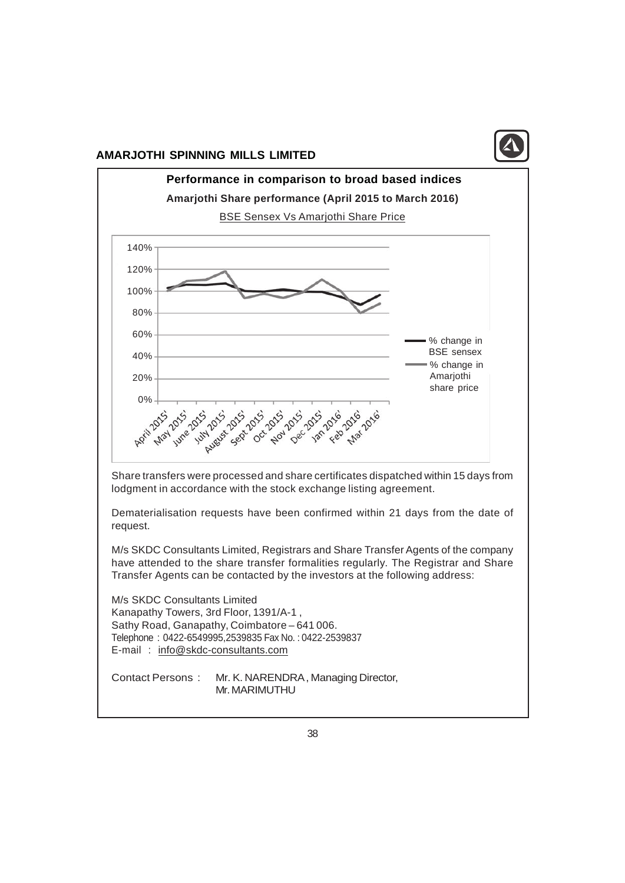

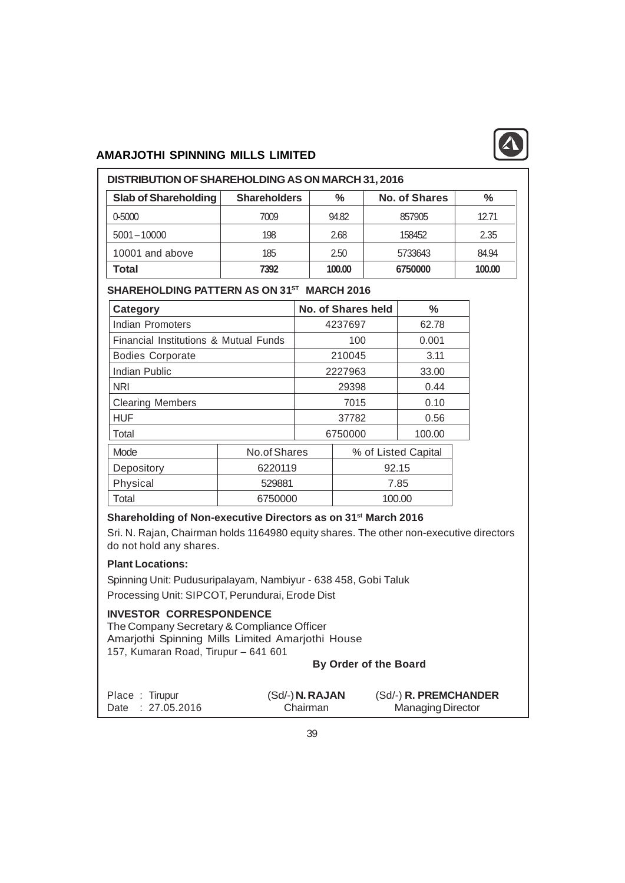

## **DISTRIBUTION OFSHAREHOLDING AS ON MARCH 31, 2016**

| <b>Slab of Shareholding</b> | <b>Shareholders</b> | $\%$   | <b>No. of Shares</b> | $\%$   |
|-----------------------------|---------------------|--------|----------------------|--------|
| 0-5000                      | 7009                | 94.82  | 857905               | 12.71  |
| $5001 - 10000$              | 198                 | 2.68   | 158452               | 2.35   |
| 10001 and above             | 185                 | 2.50   | 5733643              | 84.94  |
| Total                       | 7392                | 100.00 | 6750000              | 100.00 |

# **SHAREHOLDING PATTERN AS ON 31 ST MARCH <sup>2016</sup>**

| Category                              |              |         | No. of Shares held | ℅                   |
|---------------------------------------|--------------|---------|--------------------|---------------------|
| Indian Promoters                      |              |         | 4237697            | 62.78               |
| Financial Institutions & Mutual Funds |              |         | 100                | 0.001               |
| <b>Bodies Corporate</b>               |              |         | 210045             | 3.11                |
| Indian Public                         |              |         | 2227963            | 33.00               |
| <b>NRI</b>                            |              | 29398   |                    | 0.44                |
| <b>Clearing Members</b>               |              | 7015    |                    | 0.10                |
| <b>HUF</b>                            |              | 37782   |                    | 0.56                |
| Total                                 |              | 6750000 |                    | 100.00              |
| Mode                                  | No.of Shares |         |                    | % of Listed Capital |
| Depository                            | 6220119      |         | 92.15              |                     |
| Physical                              | 529881       |         |                    | 7.85                |
| Total                                 | 6750000      |         | 100.00             |                     |

## **Shareholding of Non-executive Directors as on 31 st March 2016**

Sri. N. Rajan, Chairman holds 1164980 equity shares. The other non-executive directors do not hold any shares.

#### **Plant Locations:**

Spinning Unit: Pudusuripalayam, Nambiyur - 638 458, Gobi Taluk Processing Unit: SIPCOT, Perundurai, Erode Dist

# **INVESTOR CORRESPONDENCE**

The Company Secretary & Compliance Officer Amarjothi Spinning Mills Limited Amarjothi House 157, Kumaran Road, Tirupur – 641 601

## **By Order of the Board**

| Place: Tirupur   | $(Sd/-)$ N. RAJAN | (Sd/-) R. PREMCHANDER    |
|------------------|-------------------|--------------------------|
| Date: 27,05,2016 | Chairman          | <b>Managing Director</b> |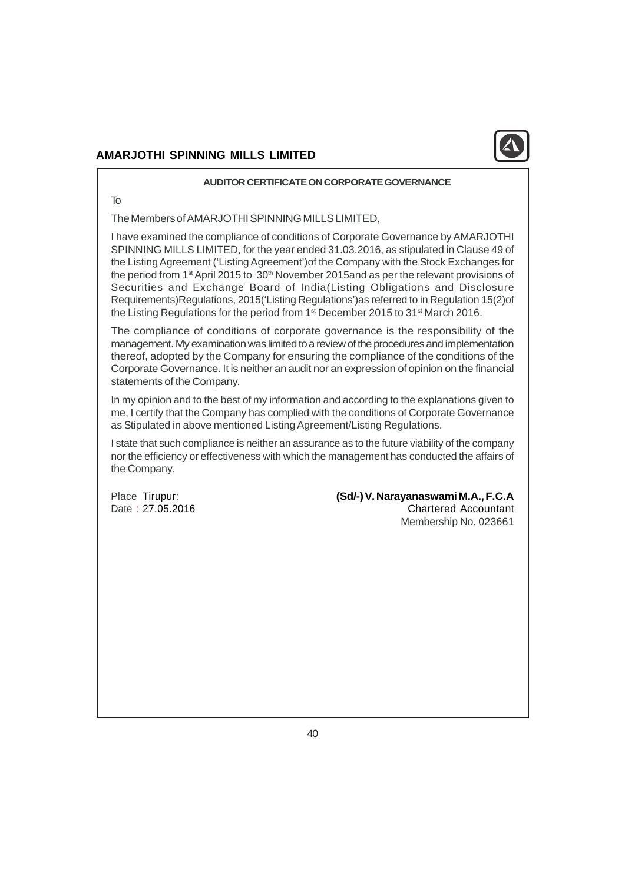

#### AUDITOR CERTIFICATE ON CORPORATE GOVERNANCE

To

The Members of AMARJOTHI SPINNING MILLS LIMITED,

I have examined the compliance of conditions of Corporate Governance by AMARJOTHI SPINNING MILLS LIMITED, for the year ended 31.03.2016, as stipulated in Clause 49 of the Listing Agreement ('Listing Agreement')of the Company with the Stock Exchanges for the period from 1<sup>st</sup> April 2015 to 30<sup>th</sup> November 2015and as per the relevant provisions of Securities and Exchange Board of India(Listing Obligations and Disclosure Requirements)Regulations, 2015('Listing Regulations')as referred to in Regulation 15(2)of the Listing Regulations for the period from 1st December 2015 to 31st March 2016.

The compliance of conditions of corporate governance is the responsibility of the management. My examination was limited to a review of the procedures and implementation thereof, adopted by the Company for ensuring the compliance of the conditions of the Corporate Governance. It is neither an audit nor an expression of opinion on the financial statements of the Company.

In my opinion and to the best of my information and according to the explanations given to me, I certify that the Company has complied with the conditions of Corporate Governance as Stipulated in above mentioned Listing Agreement/Listing Regulations.

I state that such compliance is neither an assurance as to the future viability of the company nor the efficiency or effectiveness with which the management has conducted the affairs of the Company.

Place Tirupur: **(Sd/-)V.NarayanaswamiM.A.,F.C.A** Date : 27.05.2016 Chartered Accountant Membership No. 023661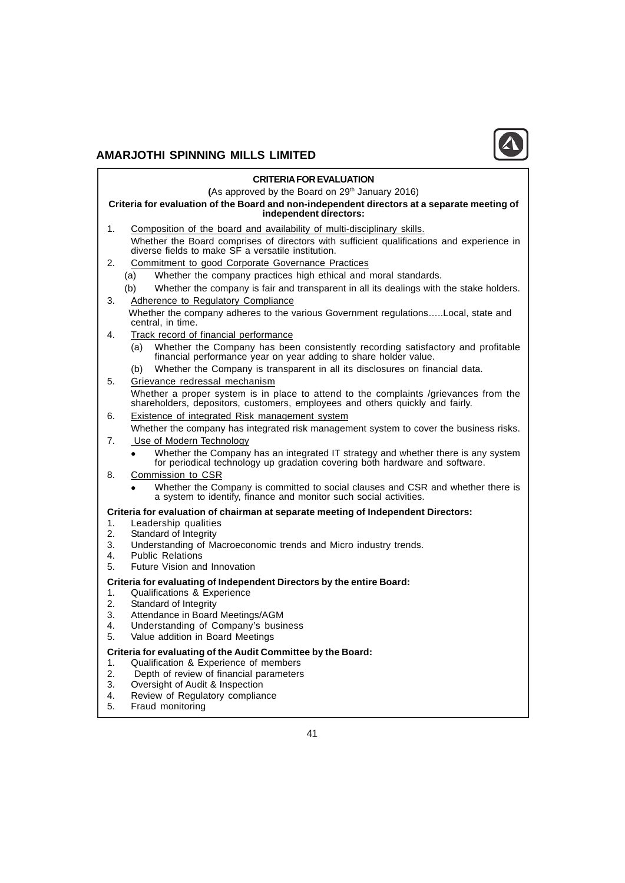

#### **CRITERIA FOR EVALUATION**

(As approved by the Board on 29<sup>th</sup> January 2016)

#### **Criteria for evaluation of the Board and non-independent directors at a separate meeting of independent directors:**

- 1. Composition of the board and availability of multi-disciplinary skills. Whether the Board comprises of directors with sufficient qualifications and experience in diverse fields to make SF a versatile institution.
- 2. Commitment to good Corporate Governance Practices
	- (a) Whether the company practices high ethical and moral standards.
- (b) Whether the company is fair and transparent in all its dealings with the stake holders. 3. Adherence to Regulatory Compliance
- Whether the company adheres to the various Government regulations…..Local, state and central, in time.
- 4. Track record of financial performance
	- (a) Whether the Company has been consistently recording satisfactory and profitable financial performance year on year adding to share holder value.
	- (b) Whether the Company is transparent in all its disclosures on financial data.
- 5. Grievance redressal mechanism Whether a proper system is in place to attend to the complaints /grievances from the shareholders, depositors, customers, employees and others quickly and fairly.
- 6. Existence of integrated Risk management system Whether the company has integrated risk management system to cover the business risks.
- 7. Use of Modern Technology
	- Whether the Company has an integrated IT strategy and whether there is any system for periodical technology up gradation covering both hardware and software.
- 8. Commission to CSR
	- Whether the Company is committed to social clauses and CSR and whether there is a system to identify, finance and monitor such social activities.

#### **Criteria for evaluation of chairman at separate meeting of Independent Directors:**

- 1. Leadership qualities<br>2. Standard of Integrity
- 2. Standard of Integrity<br>3. Understanding of Ma Understanding of Macroeconomic trends and Micro industry trends.
- 
- 4. Public Relations<br>5. Future Vision and 5. Future Vision and Innovation

#### **Criteria for evaluating of Independent Directors by the entire Board:**

- 1. Qualifications & Experience
- 2. Standard of Integrity
- 3. Attendance in Board Meetings/AGM
- 4. Understanding of Company's business<br>5. Value addition in Board Meetings
- Value addition in Board Meetings

## **Criteria for evaluating of the Audit Committee by the Board:**

- 1. Qualification & Experience of members
- 2. Depth of review of financial parameters
- 3. Oversight of Audit & Inspection<br>4. Review of Regulatory complian
- Review of Regulatory compliance
- 5. Fraud monitoring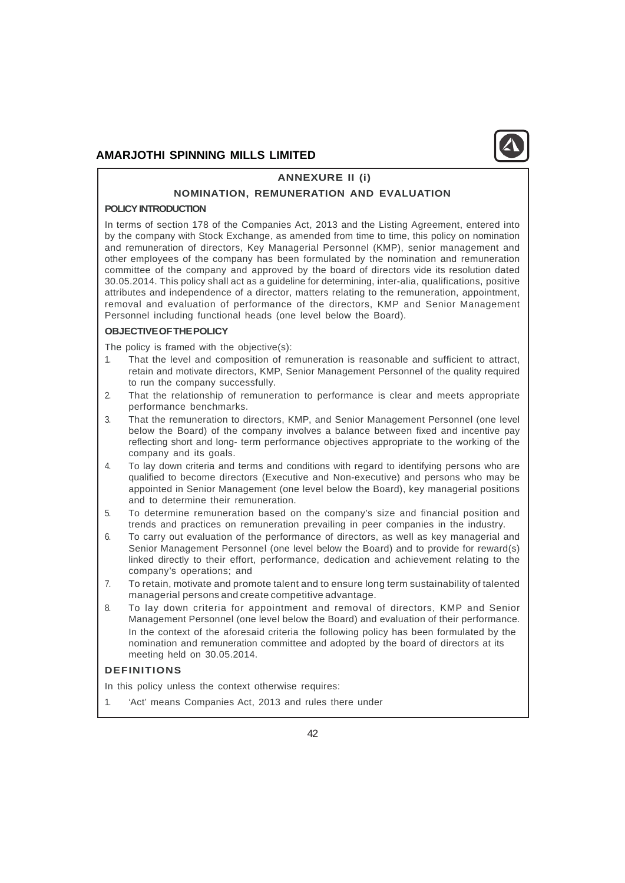

#### **ANNEXURE II (i)**

### **NOMINATION, REMUNERATION AND EVALUATION**

#### **POLICY INTRODUCTION**

In terms of section 178 of the Companies Act, 2013 and the Listing Agreement, entered into by the company with Stock Exchange, as amended from time to time, this policy on nomination and remuneration of directors, Key Managerial Personnel (KMP), senior management and other employees of the company has been formulated by the nomination and remuneration committee of the company and approved by the board of directors vide its resolution dated 30.05.2014. This policy shall act as a guideline for determining, inter-alia, qualifications, positive attributes and independence of a director, matters relating to the remuneration, appointment, removal and evaluation of performance of the directors, KMP and Senior Management Personnel including functional heads (one level below the Board).

#### **OBJECTIVEOFTHEPOLICY**

The policy is framed with the objective(s):

- 1. That the level and composition of remuneration is reasonable and sufficient to attract, retain and motivate directors, KMP, Senior Management Personnel of the quality required to run the company successfully.
- 2. That the relationship of remuneration to performance is clear and meets appropriate performance benchmarks.
- 3. That the remuneration to directors, KMP, and Senior Management Personnel (one level below the Board) of the company involves a balance between fixed and incentive pay reflecting short and long- term performance objectives appropriate to the working of the company and its goals.
- 4. To lay down criteria and terms and conditions with regard to identifying persons who are qualified to become directors (Executive and Non-executive) and persons who may be appointed in Senior Management (one level below the Board), key managerial positions and to determine their remuneration.
- 5. To determine remuneration based on the company's size and financial position and trends and practices on remuneration prevailing in peer companies in the industry.
- 6. To carry out evaluation of the performance of directors, as well as key managerial and Senior Management Personnel (one level below the Board) and to provide for reward(s) linked directly to their effort, performance, dedication and achievement relating to the company's operations; and
- 7. To retain, motivate and promote talent and to ensure long term sustainability of talented managerial persons and create competitive advantage.
- 8. To lay down criteria for appointment and removal of directors, KMP and Senior Management Personnel (one level below the Board) and evaluation of their performance. In the context of the aforesaid criteria the following policy has been formulated by the nomination and remuneration committee and adopted by the board of directors at its meeting held on 30.05.2014.

## **DEFINITIONS**

In this policy unless the context otherwise requires:

1. 'Act' means Companies Act, 2013 and rules there under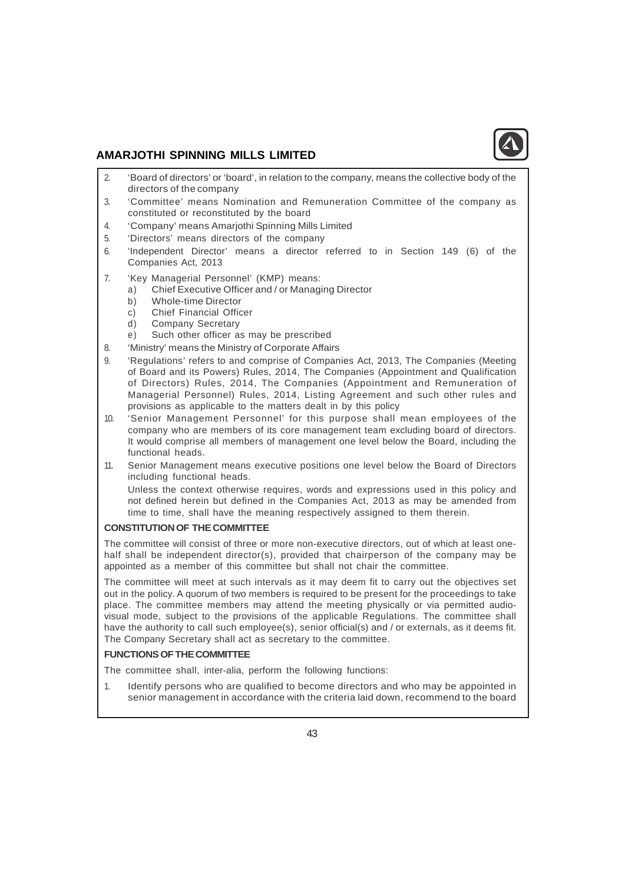

- 2. 'Board of directors' or 'board', in relation to the company, means the collective body of the directors of the company
- 3. 'Committee' means Nomination and Remuneration Committee of the company as constituted or reconstituted by the board
- 4. 'Company' means Amarjothi Spinning Mills Limited
- 5. 'Directors' means directors of the company
- 6. 'Independent Director' means a director referred to in Section 149 (6) of the Companies Act, 2013
- 7. 'Key Managerial Personnel' (KMP) means:
	- a) Chief Executive Officer and / or Managing Director
	- b) Whole-time Director
	- c) Chief Financial Officer
	- d) Company Secretary
	- e) Such other officer as may be prescribed
- 8. 'Ministry' means the Ministry of Corporate Affairs
- 9. 'Regulations' refers to and comprise of Companies Act, 2013, The Companies (Meeting of Board and its Powers) Rules, 2014, The Companies (Appointment and Qualification of Directors) Rules, 2014, The Companies (Appointment and Remuneration of Managerial Personnel) Rules, 2014, Listing Agreement and such other rules and provisions as applicable to the matters dealt in by this policy
- 10. 'Senior Management Personnel' for this purpose shall mean employees of the company who are members of its core management team excluding board of directors. It would comprise all members of management one level below the Board, including the functional heads.
- 11. Senior Management means executive positions one level below the Board of Directors including functional heads.

Unless the context otherwise requires, words and expressions used in this policy and not defined herein but defined in the Companies Act, 2013 as may be amended from time to time, shall have the meaning respectively assigned to them therein.

#### CONSTITUTION OF THE COMMITTEF

The committee will consist of three or more non-executive directors, out of which at least onehalf shall be independent director(s), provided that chairperson of the company may be appointed as a member of this committee but shall not chair the committee.

The committee will meet at such intervals as it may deem fit to carry out the objectives set out in the policy. A quorum of two members is required to be present for the proceedings to take place. The committee members may attend the meeting physically or via permitted audiovisual mode, subject to the provisions of the applicable Regulations. The committee shall have the authority to call such employee(s), senior official(s) and / or externals, as it deems fit. The Company Secretary shall act as secretary to the committee.

#### **FUNCTIONS OF THE COMMITTEE**

The committee shall, inter-alia, perform the following functions:

1. Identify persons who are qualified to become directors and who may be appointed in senior management in accordance with the criteria laid down, recommend to the board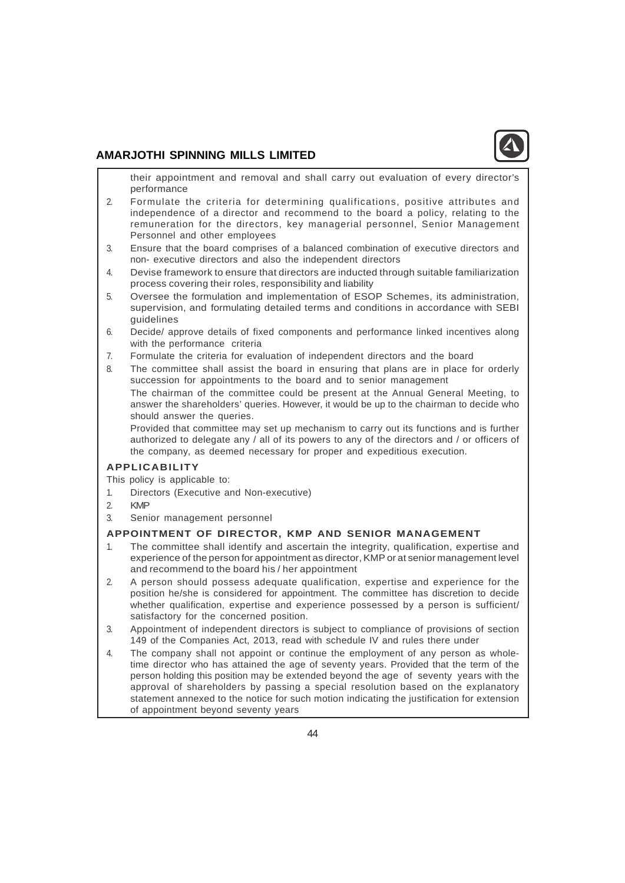

their appointment and removal and shall carry out evaluation of every director's performance

- 2. Formulate the criteria for determining qualifications, positive attributes and independence of a director and recommend to the board a policy, relating to the remuneration for the directors, key managerial personnel, Senior Management Personnel and other employees
- 3. Ensure that the board comprises of a balanced combination of executive directors and non- executive directors and also the independent directors
- 4. Devise framework to ensure that directors are inducted through suitable familiarization process covering their roles, responsibility and liability
- 5. Oversee the formulation and implementation of ESOP Schemes, its administration, supervision, and formulating detailed terms and conditions in accordance with SEBI guidelines
- 6. Decide/ approve details of fixed components and performance linked incentives along with the performance criteria
- 7. Formulate the criteria for evaluation of independent directors and the board
- 8. The committee shall assist the board in ensuring that plans are in place for orderly succession for appointments to the board and to senior management

The chairman of the committee could be present at the Annual General Meeting, to answer the shareholders' queries. However, it would be up to the chairman to decide who should answer the queries.

Provided that committee may set up mechanism to carry out its functions and is further authorized to delegate any / all of its powers to any of the directors and / or officers of the company, as deemed necessary for proper and expeditious execution.

#### **APPLICABILITY**

This policy is applicable to:

- 1. Directors (Executive and Non-executive)
- 2. KMP
- 3. Senior management personnel

## **APPOINTMENT OF DIRECTOR, KMP AND SENIOR MANAGEMENT**

- 1. The committee shall identify and ascertain the integrity, qualification, expertise and experience of the person for appointment as director, KMP or at senior management level and recommend to the board his / her appointment
- 2. A person should possess adequate qualification, expertise and experience for the position he/she is considered for appointment. The committee has discretion to decide whether qualification, expertise and experience possessed by a person is sufficient/ satisfactory for the concerned position.
- 3. Appointment of independent directors is subject to compliance of provisions of section 149 of the Companies Act, 2013, read with schedule IV and rules there under
- 4. The company shall not appoint or continue the employment of any person as wholetime director who has attained the age of seventy years. Provided that the term of the person holding this position may be extended beyond the age of seventy years with the approval of shareholders by passing a special resolution based on the explanatory statement annexed to the notice for such motion indicating the justification for extension of appointment beyond seventy years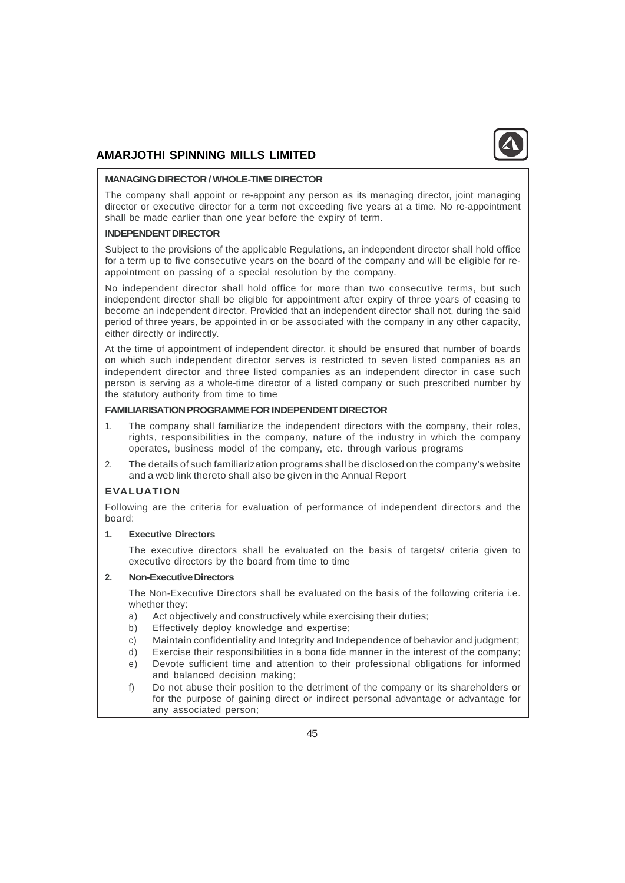

#### **MANAGING DIRECTOR / WHOLE-TIME DIRECTOR**

The company shall appoint or re-appoint any person as its managing director, joint managing director or executive director for a term not exceeding five years at a time. No re-appointment shall be made earlier than one year before the expiry of term.

#### **INDEPENDENT DIRECTOR**

Subject to the provisions of the applicable Regulations, an independent director shall hold office for a term up to five consecutive years on the board of the company and will be eligible for reappointment on passing of a special resolution by the company.

No independent director shall hold office for more than two consecutive terms, but such independent director shall be eligible for appointment after expiry of three years of ceasing to become an independent director. Provided that an independent director shall not, during the said period of three years, be appointed in or be associated with the company in any other capacity, either directly or indirectly.

At the time of appointment of independent director, it should be ensured that number of boards on which such independent director serves is restricted to seven listed companies as an independent director and three listed companies as an independent director in case such person is serving as a whole-time director of a listed company or such prescribed number by the statutory authority from time to time

#### **FAMILIARISATIONPROGRAMME FORINDEPENDENTDIRECTOR**

- 1. The company shall familiarize the independent directors with the company, their roles, rights, responsibilities in the company, nature of the industry in which the company operates, business model of the company, etc. through various programs
- 2. The details of such familiarization programs shall be disclosed on the company's website and a web link thereto shall also be given in the Annual Report

#### **EVALUATION**

Following are the criteria for evaluation of performance of independent directors and the board:

#### **1. Executive Directors**

The executive directors shall be evaluated on the basis of targets/ criteria given to executive directors by the board from time to time

#### 2. **Non-Executive Directors**

The Non-Executive Directors shall be evaluated on the basis of the following criteria i.e. whether they:

- a) Act objectively and constructively while exercising their duties;
- b) Effectively deploy knowledge and expertise;
- c) Maintain confidentiality and Integrity and Independence of behavior and judgment;
- d) Exercise their responsibilities in a bona fide manner in the interest of the company;
- e) Devote sufficient time and attention to their professional obligations for informed and balanced decision making;
- f) Do not abuse their position to the detriment of the company or its shareholders or for the purpose of gaining direct or indirect personal advantage or advantage for any associated person;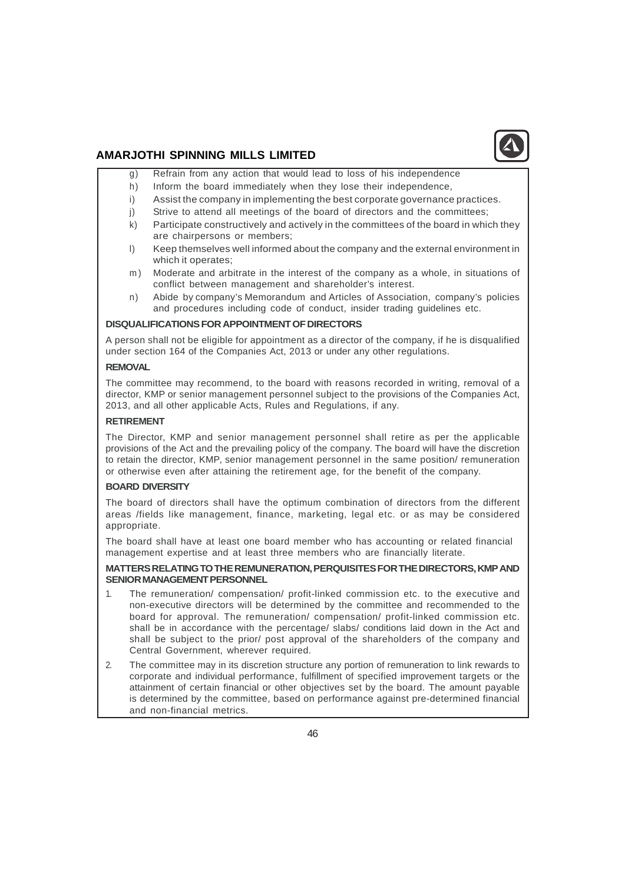

- g) Refrain from any action that would lead to loss of his independence
- h) Inform the board immediately when they lose their independence.
- i) Assist the company in implementing the best corporate governance practices.
- j) Strive to attend all meetings of the board of directors and the committees;
- k) Participate constructively and actively in the committees of the board in which they are chairpersons or members;
- l) Keep themselves well informed about the company and the external environment in which it operates;
- m) Moderate and arbitrate in the interest of the company as a whole, in situations of conflict between management and shareholder's interest.
- n) Abide by company's Memorandum and Articles of Association, company's policies and procedures including code of conduct, insider trading guidelines etc.

#### **DISQUALIFICATIONSFORAPPOINTMENTOFDIRECTORS**

A person shall not be eligible for appointment as a director of the company, if he is disqualified under section 164 of the Companies Act, 2013 or under any other regulations.

#### **REMOVAL**

The committee may recommend, to the board with reasons recorded in writing, removal of a director, KMP or senior management personnel subject to the provisions of the Companies Act, 2013, and all other applicable Acts, Rules and Regulations, if any.

#### **RETIREMENT**

The Director, KMP and senior management personnel shall retire as per the applicable provisions of the Act and the prevailing policy of the company. The board will have the discretion to retain the director, KMP, senior management personnel in the same position/ remuneration or otherwise even after attaining the retirement age, for the benefit of the company.

#### **BOARD DIVERSITY**

The board of directors shall have the optimum combination of directors from the different areas /fields like management, finance, marketing, legal etc. or as may be considered appropriate.

The board shall have at least one board member who has accounting or related financial management expertise and at least three members who are financially literate.

#### **MATTERS RELATINGTO THE REMUNERATION, PERQUISITES FOR THE DIRECTORS,KMPAND SENIOR MANAGEMENT PERSONNEL**

- 1. The remuneration/ compensation/ profit-linked commission etc. to the executive and non-executive directors will be determined by the committee and recommended to the board for approval. The remuneration/ compensation/ profit-linked commission etc. shall be in accordance with the percentage/ slabs/ conditions laid down in the Act and shall be subject to the prior/ post approval of the shareholders of the company and Central Government, wherever required.
- 2. The committee may in its discretion structure any portion of remuneration to link rewards to corporate and individual performance, fulfillment of specified improvement targets or the attainment of certain financial or other objectives set by the board. The amount payable is determined by the committee, based on performance against pre-determined financial and non-financial metrics.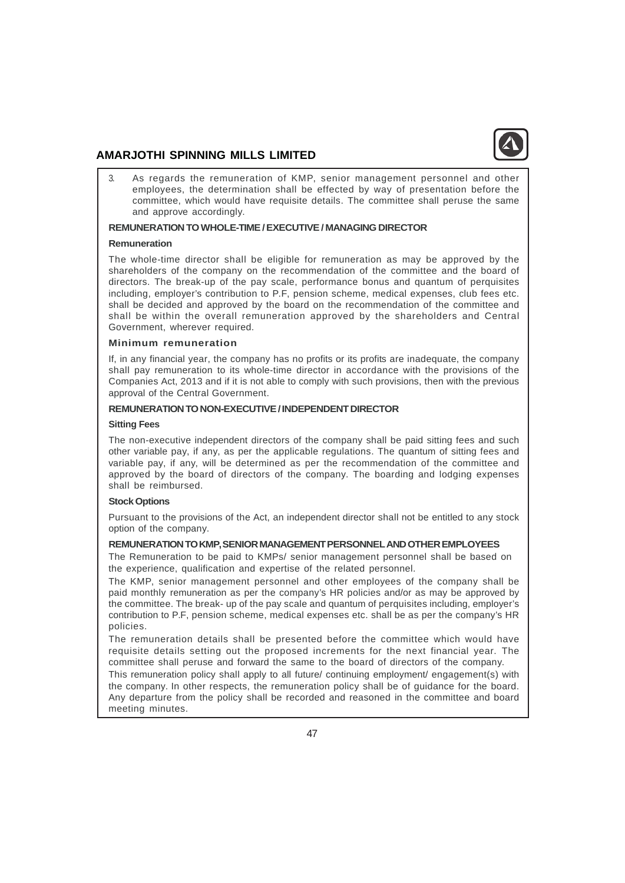

3. As regards the remuneration of KMP, senior management personnel and other employees, the determination shall be effected by way of presentation before the committee, which would have requisite details. The committee shall peruse the same and approve accordingly.

#### **REMUNERATION TOWHOLE-TIME/EXECUTIVE/ MANAGINGDIRECTOR**

#### **Remuneration**

The whole-time director shall be eligible for remuneration as may be approved by the shareholders of the company on the recommendation of the committee and the board of directors. The break-up of the pay scale, performance bonus and quantum of perquisites including, employer's contribution to P.F, pension scheme, medical expenses, club fees etc. shall be decided and approved by the board on the recommendation of the committee and shall be within the overall remuneration approved by the shareholders and Central Government, wherever required.

#### **Minimum remuneration**

If, in any financial year, the company has no profits or its profits are inadequate, the company shall pay remuneration to its whole-time director in accordance with the provisions of the Companies Act, 2013 and if it is not able to comply with such provisions, then with the previous approval of the Central Government.

#### **REMUNERATIONTONON-EXECUTIVE/INDEPENDENTDIRECTOR**

#### **Sitting Fees**

The non-executive independent directors of the company shall be paid sitting fees and such other variable pay, if any, as per the applicable regulations. The quantum of sitting fees and variable pay, if any, will be determined as per the recommendation of the committee and approved by the board of directors of the company. The boarding and lodging expenses shall be reimbursed.

#### **Stock Options**

Pursuant to the provisions of the Act, an independent director shall not be entitled to any stock option of the company.

#### **REMUNERATIONTOKMP, SENIORMANAGEMENT PERSONNELAND OTHER EMPLOYEES**

The Remuneration to be paid to KMPs/ senior management personnel shall be based on the experience, qualification and expertise of the related personnel.

The KMP, senior management personnel and other employees of the company shall be paid monthly remuneration as per the company's HR policies and/or as may be approved by the committee. The break- up of the pay scale and quantum of perquisites including, employer's contribution to P.F, pension scheme, medical expenses etc. shall be as per the company's HR policies.

The remuneration details shall be presented before the committee which would have requisite details setting out the proposed increments for the next financial year. The committee shall peruse and forward the same to the board of directors of the company.

This remuneration policy shall apply to all future/ continuing employment/ engagement(s) with the company. In other respects, the remuneration policy shall be of guidance for the board. Any departure from the policy shall be recorded and reasoned in the committee and board meeting minutes.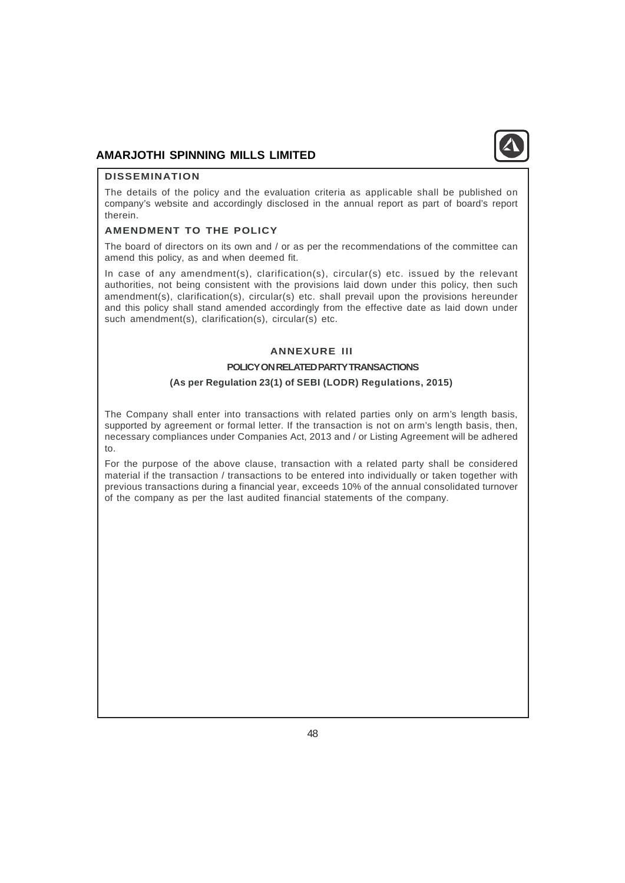

#### **DISSEMINATION**

The details of the policy and the evaluation criteria as applicable shall be published on company's website and accordingly disclosed in the annual report as part of board's report therein.

#### **AMENDMENT TO THE POLICY**

The board of directors on its own and / or as per the recommendations of the committee can amend this policy, as and when deemed fit.

In case of any amendment(s), clarification(s), circular(s) etc. issued by the relevant authorities, not being consistent with the provisions laid down under this policy, then such amendment(s), clarification(s), circular(s) etc. shall prevail upon the provisions hereunder and this policy shall stand amended accordingly from the effective date as laid down under such amendment(s), clarification(s), circular(s) etc.

## **ANNEXURE III**

#### **POLICY ON RELATED PARTY TRANSACTIONS**

#### **(As per Regulation 23(1) of SEBI (LODR) Regulations, 2015)**

The Company shall enter into transactions with related parties only on arm's length basis, supported by agreement or formal letter. If the transaction is not on arm's length basis, then, necessary compliances under Companies Act, 2013 and / or Listing Agreement will be adhered to.

For the purpose of the above clause, transaction with a related party shall be considered material if the transaction / transactions to be entered into individually or taken together with previous transactions during a financial year, exceeds 10% of the annual consolidated turnover of the company as per the last audited financial statements of the company.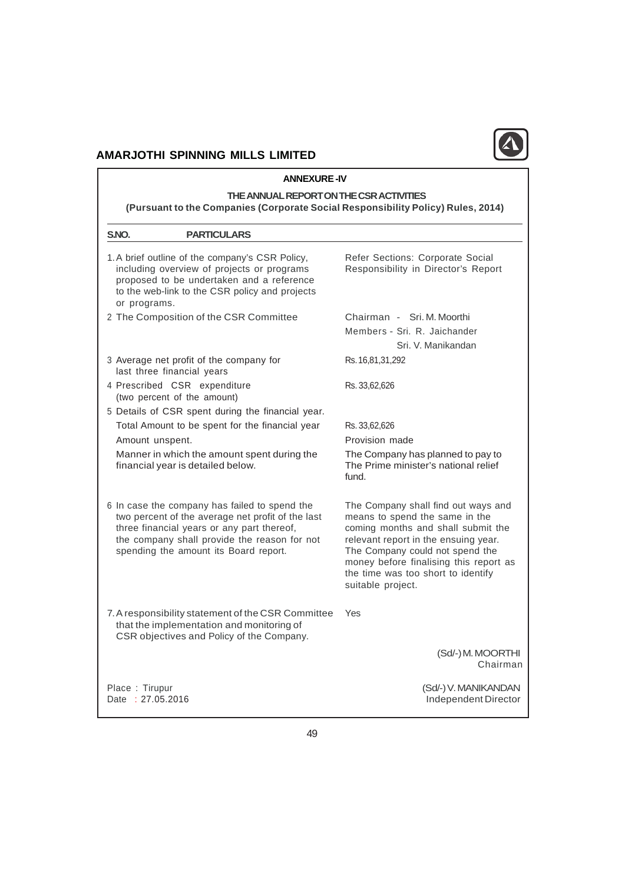

# **ANNEXURE -IV**

#### **THE ANNUAL REPORT ON THE CSR ACTIVITIES (Pursuant to the Companies (Corporate Social Responsibility Policy) Rules, 2014)**

| S.NO.<br><b>PARTICULARS</b>                                                                                                                                                                                                               |                                                                                                                                                                                                                                                                                             |
|-------------------------------------------------------------------------------------------------------------------------------------------------------------------------------------------------------------------------------------------|---------------------------------------------------------------------------------------------------------------------------------------------------------------------------------------------------------------------------------------------------------------------------------------------|
| 1. A brief outline of the company's CSR Policy,<br>including overview of projects or programs<br>proposed to be undertaken and a reference<br>to the web-link to the CSR policy and projects<br>or programs.                              | Refer Sections: Corporate Social<br>Responsibility in Director's Report                                                                                                                                                                                                                     |
| 2 The Composition of the CSR Committee                                                                                                                                                                                                    | Chairman - Sri, M. Moorthi                                                                                                                                                                                                                                                                  |
|                                                                                                                                                                                                                                           | Members - Sri. R. Jaichander<br>Sri. V. Manikandan                                                                                                                                                                                                                                          |
| 3 Average net profit of the company for<br>last three financial years                                                                                                                                                                     | Rs. 16,81,31,292                                                                                                                                                                                                                                                                            |
| 4 Prescribed CSR expenditure<br>(two percent of the amount)                                                                                                                                                                               | Rs. 33,62,626                                                                                                                                                                                                                                                                               |
| 5 Details of CSR spent during the financial year.                                                                                                                                                                                         |                                                                                                                                                                                                                                                                                             |
| Total Amount to be spent for the financial year                                                                                                                                                                                           | Rs. 33,62,626                                                                                                                                                                                                                                                                               |
| Amount unspent.                                                                                                                                                                                                                           | Provision made                                                                                                                                                                                                                                                                              |
| Manner in which the amount spent during the<br>financial year is detailed below.                                                                                                                                                          | The Company has planned to pay to<br>The Prime minister's national relief<br>fund.                                                                                                                                                                                                          |
| 6 In case the company has failed to spend the<br>two percent of the average net profit of the last<br>three financial years or any part thereof,<br>the company shall provide the reason for not<br>spending the amount its Board report. | The Company shall find out ways and<br>means to spend the same in the<br>coming months and shall submit the<br>relevant report in the ensuing year.<br>The Company could not spend the<br>money before finalising this report as<br>the time was too short to identify<br>suitable project. |
| 7. A responsibility statement of the CSR Committee<br>that the implementation and monitoring of<br>CSR objectives and Policy of the Company.                                                                                              | Yes                                                                                                                                                                                                                                                                                         |
|                                                                                                                                                                                                                                           | (Sd/-) M. MOORTHI<br>Chairman                                                                                                                                                                                                                                                               |
| Place: Tirupur<br>Date: 27.05.2016                                                                                                                                                                                                        | (Sd/-) V. MANIKANDAN<br>Independent Director                                                                                                                                                                                                                                                |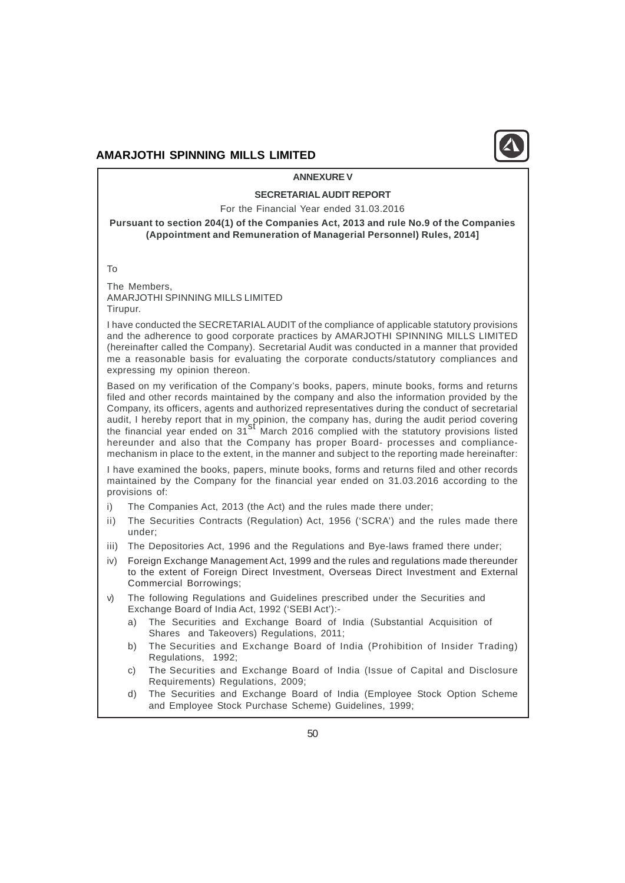#### **ANNEXURE V**

#### **SECRETARIALAUDIT REPORT**

For the Financial Year ended 31.03.2016

#### **Pursuant to section 204(1) of the Companies Act, 2013 and rule No.9 of the Companies (Appointment and Remuneration of Managerial Personnel) Rules, 2014]**

To

The Members, AMARJOTHI SPINNING MILLS LIMITED Tirupur.

I have conducted the SECRETARIALAUDIT of the compliance of applicable statutory provisions and the adherence to good corporate practices by AMARJOTHI SPINNING MILLS LIMITED (hereinafter called the Company). Secretarial Audit was conducted in a manner that provided me a reasonable basis for evaluating the corporate conducts/statutory compliances and expressing my opinion thereon.

Based on my verification of the Company's books, papers, minute books, forms and returns filed and other records maintained by the company and also the information provided by the Company, its officers, agents and authorized representatives during the conduct of secretarial audit, I hereby report that in my opinion, the company has, during the audit period covering<br>the financial year ended on 31<sup>St</sup> March 2016 complied with the statutory provisions listed hereunder and also that the Company has proper Board- processes and compliancemechanism in place to the extent, in the manner and subject to the reporting made hereinafter:

I have examined the books, papers, minute books, forms and returns filed and other records maintained by the Company for the financial year ended on 31.03.2016 according to the provisions of:

- i) The Companies Act, 2013 (the Act) and the rules made there under;
- ii) The Securities Contracts (Regulation) Act, 1956 ('SCRA') and the rules made there under;
- iii) The Depositories Act, 1996 and the Regulations and Bye-laws framed there under;
- iv) Foreign Exchange Management Act, 1999 and the rules and regulations made thereunder to the extent of Foreign Direct Investment, Overseas Direct Investment and External Commercial Borrowings;
- v) The following Regulations and Guidelines prescribed under the Securities and Exchange Board of India Act, 1992 ('SEBI Act'):
	- a) The Securities and Exchange Board of India (Substantial Acquisition of Shares and Takeovers) Regulations, 2011;
	- b) The Securities and Exchange Board of India (Prohibition of Insider Trading) Regulations, 1992;
	- c) The Securities and Exchange Board of India (Issue of Capital and Disclosure Requirements) Regulations, 2009;
	- d) The Securities and Exchange Board of India (Employee Stock Option Scheme and Employee Stock Purchase Scheme) Guidelines, 1999;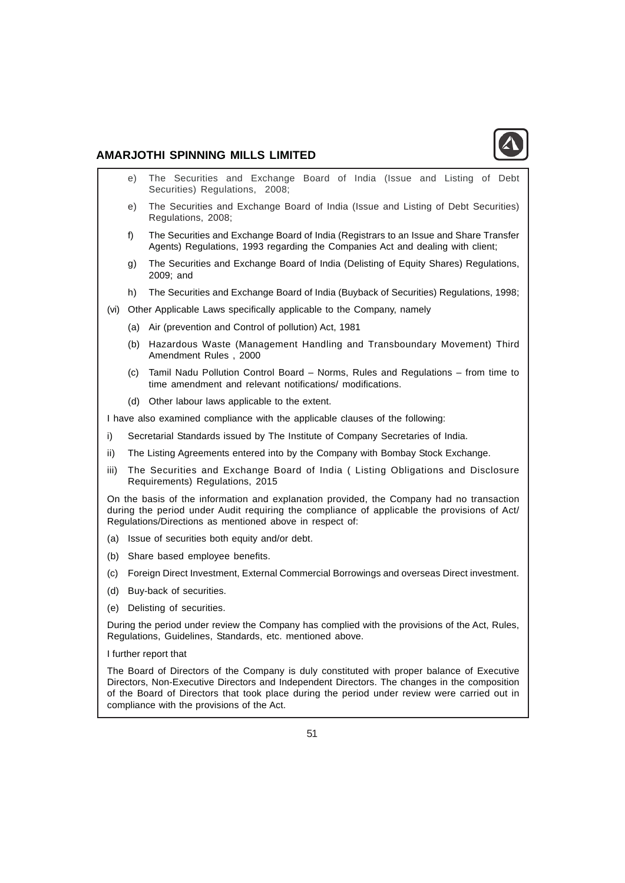

- e) The Securities and Exchange Board of India (Issue and Listing of Debt Securities) Regulations, 2008;
- e) The Securities and Exchange Board of India (Issue and Listing of Debt Securities) Regulations, 2008;
- f) The Securities and Exchange Board of India (Registrars to an Issue and Share Transfer Agents) Regulations, 1993 regarding the Companies Act and dealing with client;
- g) The Securities and Exchange Board of India (Delisting of Equity Shares) Regulations, 2009; and
- h) The Securities and Exchange Board of India (Buyback of Securities) Regulations, 1998;
- (vi) Other Applicable Laws specifically applicable to the Company, namely
	- (a) Air (prevention and Control of pollution) Act, 1981
	- (b) Hazardous Waste (Management Handling and Transboundary Movement) Third Amendment Rules , 2000
	- (c) Tamil Nadu Pollution Control Board Norms, Rules and Regulations from time to time amendment and relevant notifications/ modifications.
	- (d) Other labour laws applicable to the extent.

I have also examined compliance with the applicable clauses of the following:

- i) Secretarial Standards issued by The Institute of Company Secretaries of India.
- ii) The Listing Agreements entered into by the Company with Bombay Stock Exchange.
- iii) The Securities and Exchange Board of India ( Listing Obligations and Disclosure Requirements) Regulations, 2015

On the basis of the information and explanation provided, the Company had no transaction during the period under Audit requiring the compliance of applicable the provisions of Act/ Regulations/Directions as mentioned above in respect of:

- (a) Issue of securities both equity and/or debt.
- (b) Share based employee benefits.
- (c) Foreign Direct Investment, External Commercial Borrowings and overseas Direct investment.
- (d) Buy-back of securities.
- (e) Delisting of securities.

During the period under review the Company has complied with the provisions of the Act, Rules, Regulations, Guidelines, Standards, etc. mentioned above.

#### I further report that

The Board of Directors of the Company is duly constituted with proper balance of Executive Directors, Non-Executive Directors and Independent Directors. The changes in the composition of the Board of Directors that took place during the period under review were carried out in compliance with the provisions of the Act.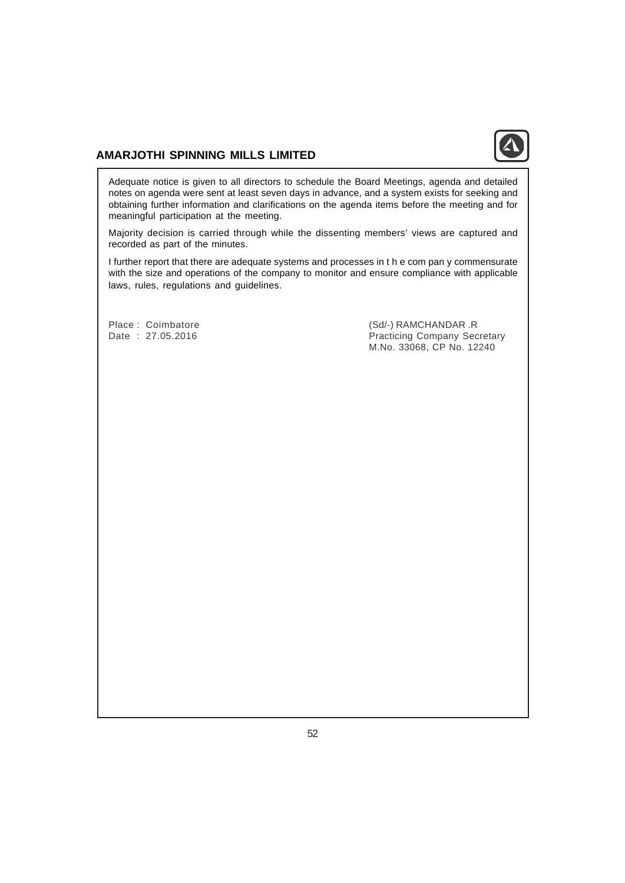

Adequate notice is given to all directors to schedule the Board Meetings, agenda and detailed notes on agenda were sent at least seven days in advance, and a system exists for seeking and obtaining further information and clarifications on the agenda items before the meeting and for meaningful participation at the meeting.

Majority decision is carried through while the dissenting members' views are captured and recorded as part of the minutes.

I further report that there are adequate systems and processes in t h e com pan y commensurate with the size and operations of the company to monitor and ensure compliance with applicable laws, rules, regulations and guidelines.

Place : Coimbatore (Sd/-) RAMCHANDAR .R<br>
Date : 27.05.2016 (Date in the Practicing Company Sec Practicing Company Secretary M.No. 33068, CP No. 12240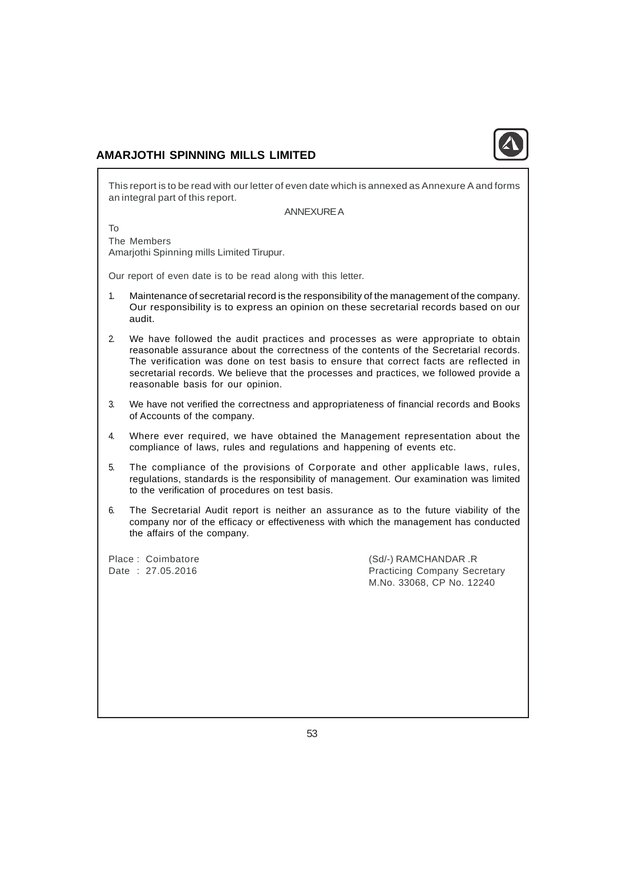

This report is to be read with our letter of even date which is annexed as Annexure A and forms an integral part of this report.

ANNEXUREA

To The Members Amarjothi Spinning mills Limited Tirupur.

Our report of even date is to be read along with this letter.

- 1. Maintenance of secretarial record is the responsibility of the management of the company. Our responsibility is to express an opinion on these secretarial records based on our audit.
- 2. We have followed the audit practices and processes as were appropriate to obtain reasonable assurance about the correctness of the contents of the Secretarial records. The verification was done on test basis to ensure that correct facts are reflected in secretarial records. We believe that the processes and practices, we followed provide a reasonable basis for our opinion.
- 3. We have not verified the correctness and appropriateness of financial records and Books of Accounts of the company.
- 4. Where ever required, we have obtained the Management representation about the compliance of laws, rules and regulations and happening of events etc.
- 5. The compliance of the provisions of Corporate and other applicable laws, rules, regulations, standards is the responsibility of management. Our examination was limited to the verification of procedures on test basis.
- 6. The Secretarial Audit report is neither an assurance as to the future viability of the company nor of the efficacy or effectiveness with which the management has conducted the affairs of the company.

Place : Coimbatore (Sd/-) RAMCHANDAR .R<br>
Date : 27.05.2016 (Sd/-) Practicing Company Sec Practicing Company Secretary M.No. 33068, CP No. 12240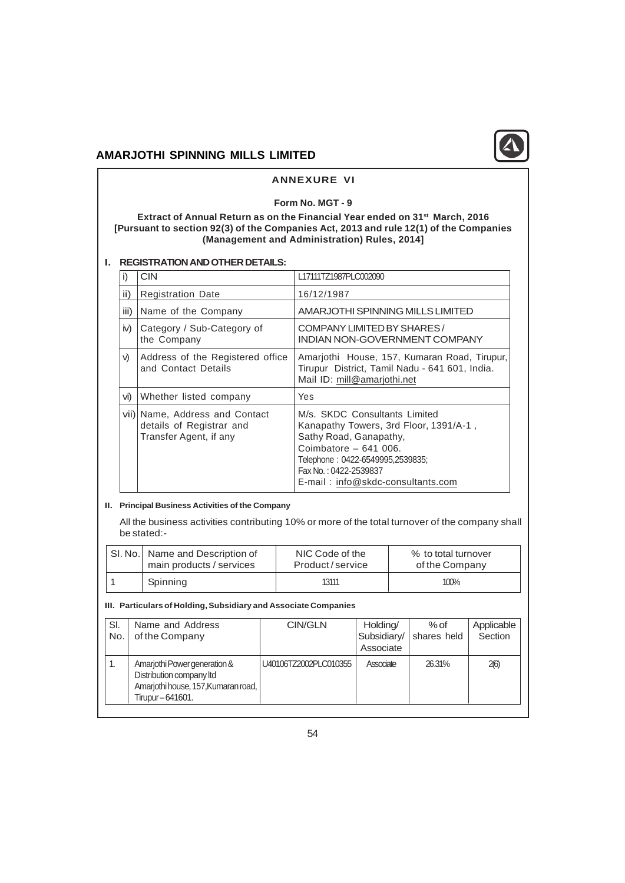

## **ANNEXURE VI**

#### **Form No. MGT - 9**

**Extract of Annual Return as on the Financial Year ended on 31st March, 2016 [Pursuant to section 92(3) of the Companies Act, 2013 and rule 12(1) of the Companies (Management and Administration) Rules, 2014]**

### **I.** REGISTRATION AND OTHER DETAILS:

| i)   | <b>CIN</b>                                                                           | L17111TZ1987PLC002090                                                                                                                                                                                                         |
|------|--------------------------------------------------------------------------------------|-------------------------------------------------------------------------------------------------------------------------------------------------------------------------------------------------------------------------------|
| ii)  | <b>Registration Date</b>                                                             | 16/12/1987                                                                                                                                                                                                                    |
| iii) | Name of the Company                                                                  | AMARJOTHI SPINNING MILLS LIMITED                                                                                                                                                                                              |
| iv)  | Category / Sub-Category of<br>the Company                                            | COMPANY LIMITED BY SHARES /<br>INDIAN NON-GOVERNMENT COMPANY                                                                                                                                                                  |
| V)   | Address of the Registered office<br>and Contact Details                              | Amarjothi House, 157, Kumaran Road, Tirupur,<br>Tirupur District, Tamil Nadu - 641 601, India.<br>Mail ID: mill@amarjothi.net                                                                                                 |
| vi)  | Whether listed company                                                               | Yes                                                                                                                                                                                                                           |
|      | vii) Name, Address and Contact<br>details of Registrar and<br>Transfer Agent, if any | M/s. SKDC Consultants Limited<br>Kanapathy Towers, 3rd Floor, 1391/A-1,<br>Sathy Road, Ganapathy,<br>Coimbatore $-641006$ .<br>Telephone: 0422-6549995,2539835;<br>Fax No.: 0422-2539837<br>E-mail: info@skdc-consultants.com |

#### **II. Principal Business Activities of the Company**

All the business activities contributing 10% or more of the total turnover of the company shall be stated:-

| SI. No. Name and Description of | NIC Code of the | % to total turnover |  |  |
|---------------------------------|-----------------|---------------------|--|--|
| main products / services        | Product/service | of the Company      |  |  |
| Spinning                        | 13111           |                     |  |  |

#### **III. Particulars of Holding, Subsidiary and Associate Companies**

| SI.<br>No. | Name and Address<br>of the Company                                                                                 | <b>CIN/GLN</b>        | Holding/<br>Subsidiary/<br>Associate | % of<br>shares held | Applicable<br>Section |
|------------|--------------------------------------------------------------------------------------------------------------------|-----------------------|--------------------------------------|---------------------|-----------------------|
| 1.         | Amarjothi Power generation &<br>Distribution company Itd<br>Amarjothi house, 157, Kumaran road,<br>Tirupur-641601. | U40106TZ2002PLC010355 | Associate                            | 26.31%              | 2(6)                  |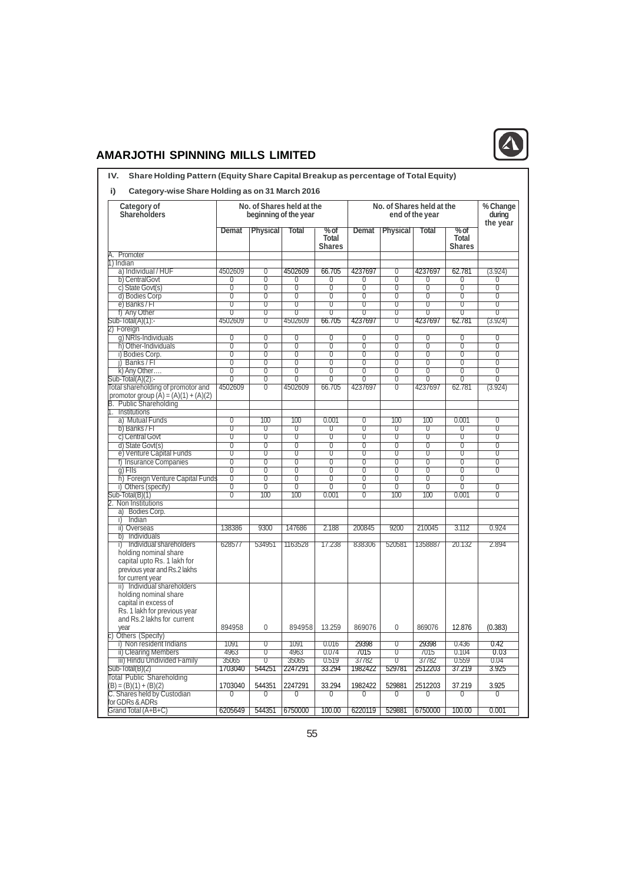

| i)<br>Category-wise Share Holding as on 31 March 2016                                                              |                     |                     |                                                    |                                |                     |                     |                                              |                               |                     |
|--------------------------------------------------------------------------------------------------------------------|---------------------|---------------------|----------------------------------------------------|--------------------------------|---------------------|---------------------|----------------------------------------------|-------------------------------|---------------------|
| Category of<br><b>Shareholders</b>                                                                                 |                     |                     | No. of Shares held at the<br>beginning of the year |                                |                     |                     | No. of Shares held at the<br>end of the year |                               | % Change<br>during  |
|                                                                                                                    | Demat               | <b>Physical</b>     | Total                                              | % of<br>Total<br><b>Shares</b> | Demat               | <b>Physical</b>     | Total                                        | %of<br>Total<br><b>Shares</b> | the year            |
| A. Promoter                                                                                                        |                     |                     |                                                    |                                |                     |                     |                                              |                               |                     |
| 1) Indian<br>a) Individual / HUF                                                                                   | 4502609             | 0                   | 4502609                                            | 66.705                         | 4237697             | 0                   | 4237697                                      | 62.781                        | (3.924)             |
| b) CentralGovt                                                                                                     | 0                   | 0                   | 0                                                  | 0                              | 0                   | 0                   | 0                                            | 0                             | 0                   |
| c) State Govt(s)                                                                                                   | 0                   | 0                   | 0                                                  | 0                              | 0                   | 0                   | 0                                            | 0                             | 0                   |
| d) Bodies Corp                                                                                                     | 0                   | 0                   | 0                                                  | 0                              | 0                   | 0                   | 0                                            | 0                             | 0                   |
| e) Banks / FI                                                                                                      | 0                   | 0                   | 0                                                  | 0                              | 0                   | $\overline{0}$      | 0                                            | 0                             | 0                   |
| f) Any Other                                                                                                       | 0                   | 0                   | 0                                                  | 0                              | 0                   | 0                   | 0                                            | σ                             | 0                   |
| Sub-Total(A)(1):-                                                                                                  | 4502609             | $\overline{0}$      | 4502609                                            | 66.705                         | 4237697             | 0                   | 4237697                                      | 62.781                        | (3.924)             |
| 2) Foreign                                                                                                         |                     |                     |                                                    |                                |                     |                     |                                              |                               |                     |
| g) NRIs-Individuals                                                                                                | ℧                   | σ                   | σ                                                  | $\overline{0}$                 | 0                   | 0                   | σ                                            | σ                             | σ                   |
| h) Other-Individuals                                                                                               | $\overline{0}$      | $\overline{0}$      | $\overline{0}$                                     | 0                              | $\overline{0}$      | 0                   | 0                                            | 0                             | $\overline{0}$      |
| i) Bodies Corp.                                                                                                    | $\overline{0}$      | σ                   | σ                                                  | $\overline{0}$                 | σ                   | $\overline{0}$      | σ                                            | σ                             | $\overline{0}$      |
| i) Banks/FI                                                                                                        | 0                   | 0                   | $\overline{0}$                                     | σ                              | 0                   | 0                   | $\overline{0}$                               | 0                             | $\overline{0}$      |
| $k)$ Any Other                                                                                                     | $\overline{0}$      | $\overline{0}$      | $\overline{0}$                                     | $\overline{0}$                 | $\overline{0}$      | $\overline{0}$      | 0                                            | $\overline{0}$                | $\overline{0}$      |
| Sub-Total(A)(2):-                                                                                                  | $\overline{0}$      | σ                   | σ                                                  | 0                              | $\overline{0}$      | 0                   | 0                                            | 0                             | $\overline{0}$      |
| Total shareholding of promotor and<br>promotor group $(A) = (A)(1) + (A)(2)$                                       | 4502609             | $\overline{0}$      | 4502609                                            | 66.705                         | 4237697             | $\overline{0}$      | 4237697                                      | 62.781                        | (3.924)             |
| <b>B.</b> Public Shareholding                                                                                      |                     |                     |                                                    |                                |                     |                     |                                              |                               |                     |
| 1. Institutions                                                                                                    |                     |                     |                                                    |                                |                     |                     |                                              |                               |                     |
| a) Mutual Funds                                                                                                    | 0                   | 100                 | 100                                                | 0.001                          | 0                   | 100                 | 100                                          | 0.001                         | 0                   |
| b) Banks / FI                                                                                                      | 0                   | 0                   | 0<br>0                                             | 0                              | 0                   | 0                   | 0                                            | 0                             | 0                   |
| c) Central Govt<br>d) State Govt(s)                                                                                | 0<br>$\overline{0}$ | 0<br>$\overline{0}$ | $\overline{0}$                                     | 0<br>$\overline{0}$            | 0<br>$\overline{0}$ | 0<br>$\overline{0}$ | 0<br>Ō                                       | 0<br>$\overline{0}$           | 0<br>$\overline{0}$ |
| e) Venture Capital Funds                                                                                           | 0                   | 0                   | $\overline{0}$                                     | 0                              | 0                   | σ                   | σ                                            | σ                             | 0                   |
| f) Insurance Companies                                                                                             | 0                   | 0                   | 0                                                  | $\overline{0}$                 | 0                   | 0                   | 0                                            | σ                             | σ                   |
| $g$ ) Flls                                                                                                         | $\overline{0}$      | $\overline{0}$      | $\overline{0}$                                     | $\overline{0}$                 | $\overline{0}$      | 0                   | 0                                            | 0                             | $\overline{0}$      |
| h) Foreign Venture Capital Funds                                                                                   | $\overline{0}$      | $\overline{0}$      | $\overline{0}$                                     | $\overline{0}$                 | σ                   | σ                   | $\overline{0}$                               | $\overline{0}$                |                     |
| i) Others (specify)                                                                                                | $\overline{0}$      | σ                   | $\overline{0}$                                     | $\overline{0}$                 | σ                   | $\overline{0}$      | 0                                            | 0                             | $\overline{0}$      |
| Sub-Total(B)(1)                                                                                                    | 0                   | 100                 | 100                                                | 0.001                          | 0                   | 100                 | 100                                          | 0.001                         | 0                   |
| 2. Non Institutions                                                                                                |                     |                     |                                                    |                                |                     |                     |                                              |                               |                     |
| a) Bodies Corp.                                                                                                    |                     |                     |                                                    |                                |                     |                     |                                              |                               |                     |
| Indian<br>i)                                                                                                       |                     |                     |                                                    |                                |                     |                     |                                              |                               |                     |
| ii) Overseas                                                                                                       | 138386              | 9300                | 147686                                             | 2.188                          | 200845              | 9200                | 210045                                       | 3.112                         | 0.924               |
| b) Individuals                                                                                                     |                     |                     |                                                    |                                |                     |                     |                                              |                               |                     |
| i) Individual shareholders<br>holding nominal share<br>capital upto Rs. 1 lakh for<br>previous year and Rs.2 lakhs | 628577              | 534951              | 1163528                                            | 17.238                         | 838306              | 520581              | 1358887                                      | 20.132                        | 2.894               |
| for current year<br>ii) Individual shareholders                                                                    |                     |                     |                                                    |                                |                     |                     |                                              |                               |                     |
| holding nominal share<br>capital in excess of<br>Rs. 1 lakh for previous year                                      |                     |                     |                                                    |                                |                     |                     |                                              |                               |                     |
| and Rs.2 lakhs for current<br>year                                                                                 | 894958              | 0                   | 894958                                             | 13.259                         | 869076              | 0                   | 869076                                       | 12.876                        | (0.383)             |
| Others (Specify)<br>$\vert c \rangle$                                                                              |                     |                     |                                                    |                                |                     |                     |                                              |                               |                     |
| i) Non resident Indians                                                                                            | 1091                | 0                   | 1091                                               | 0.016                          | 29398               | 0                   | 29398                                        | 0.436                         | 0.42                |
| ii) Clearing Members                                                                                               | 4963                | 0                   | 4963                                               | 0.074                          | 7015                | 0                   | 7015                                         | 0.104                         | 0.03                |
| iii) Hindu Undivided Family                                                                                        | 35065               | 0                   | 35065                                              | 0.519                          | 37782               | 0                   | 37782                                        | 0.559                         | 0.04                |
| Sub-Total(B)(2)                                                                                                    | 1703040             | 544251              | 2247291                                            | 33.294                         | 1982422             | 529781              | 2512203                                      | 37.219                        | 3.925               |
| <b>Total Public Shareholding</b><br>$(B) = (B)(1) + (B)(2)$                                                        | 1703040             | 544351              | 2247291                                            | 33.294                         | 1982422             | 529881              | 2512203                                      | 37.219                        | 3.925               |
| C. Shares held by Custodian<br>for GDRs & ADRs                                                                     | $\overline{0}$      | 0                   | 0                                                  | $\overline{0}$                 | σ                   | $\overline{0}$      | $\overline{0}$                               | 0                             | $\overline{0}$      |
| Grand Total (A+B+C)                                                                                                | 6205649             | 544351              | 6750000                                            | 100.00                         | 6220119             | 529881              | 6750000                                      | 100.00                        | 0.001               |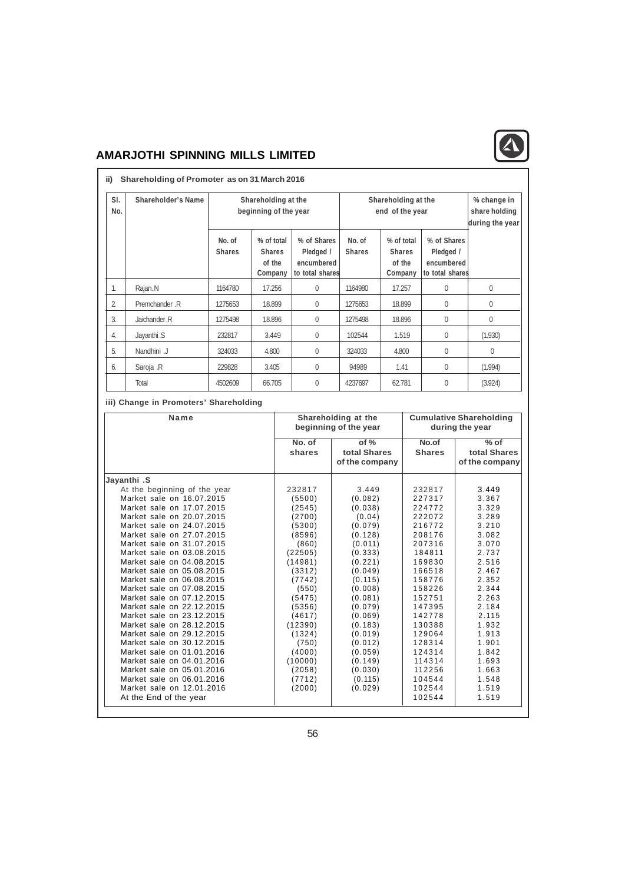

#### **ii) Shareholding of Promoter as on 31 March 2016**

| SI.<br>No.     | Shareholder's Name | Shareholding at the<br>beginning of the year |                                                  |                                                           | Shareholding at the<br>end of the year | % change in<br>share holding<br>during the year  |                                                           |          |
|----------------|--------------------|----------------------------------------------|--------------------------------------------------|-----------------------------------------------------------|----------------------------------------|--------------------------------------------------|-----------------------------------------------------------|----------|
|                |                    | No. of<br><b>Shares</b>                      | % of total<br><b>Shares</b><br>of the<br>Company | % of Shares<br>Pledged /<br>encumbered<br>to total shares | No. of<br><b>Shares</b>                | % of total<br><b>Shares</b><br>of the<br>Company | % of Shares<br>Pledged /<br>encumbered<br>to total shares |          |
| 1.             | Rajan. N           | 1164780                                      | 17.256                                           | 0                                                         | 1164980                                | 17.257                                           | 0                                                         | 0        |
| $\overline{2}$ | Premchander .R     | 1275653                                      | 18.899                                           | 0                                                         | 1275653                                | 18.899                                           | $\Omega$                                                  | $\Omega$ |
| 3.             | Jaichander R       | 1275498                                      | 18.896                                           | 0                                                         | 1275498                                | 18.896                                           | $\Omega$                                                  | $\Omega$ |
| $\overline{4}$ | Jayanthi.S         | 232817                                       | 3.449                                            | 0                                                         | 102544                                 | 1.519                                            | $\Omega$                                                  | (1.930)  |
| 5.             | Nandhini .J        | 324033                                       | 4.800                                            | 0                                                         | 324033                                 | 4.800                                            | $\Omega$                                                  | 0        |
| 6.             | Saroja .R          | 229828                                       | 3.405                                            | 0                                                         | 94989                                  | 1.41                                             | $\mathbf{0}$                                              | (1.994)  |
|                | Total              | 4502609                                      | 66.705                                           | 0                                                         | 4237697                                | 62.781                                           | $\Omega$                                                  | (3.924)  |

#### **iii) Change in Promoters' Shareholding**

| Name                         | Shareholding at the<br>beginning of the year |                                           | <b>Cumulative Shareholding</b><br>during the year |                                          |
|------------------------------|----------------------------------------------|-------------------------------------------|---------------------------------------------------|------------------------------------------|
|                              | No. of<br>shares                             | $of \%$<br>total Shares<br>of the company | No.of<br><b>Shares</b>                            | $%$ of<br>total Shares<br>of the company |
| Jayanthi .S                  |                                              |                                           |                                                   |                                          |
|                              |                                              | 3.449                                     |                                                   | 3.449                                    |
| At the beginning of the year | 232817                                       |                                           | 232817                                            |                                          |
| Market sale on 16.07.2015    | (5500)                                       | (0.082)                                   | 227317                                            | 3.367                                    |
| Market sale on 17.07.2015    | (2545)                                       | (0.038)                                   | 224772                                            | 3.329<br>3.289                           |
| Market sale on 20.07.2015    | (2700)                                       | (0.04)                                    | 222072                                            |                                          |
| Market sale on 24.07.2015    | (5300)                                       | (0.079)                                   | 216772                                            | 3.210                                    |
| Market sale on 27.07.2015    | (8596)                                       | (0.128)                                   | 208176                                            | 3.082                                    |
| Market sale on 31.07.2015    | (860)                                        | (0.011)                                   | 207316                                            | 3.070                                    |
| Market sale on 03.08.2015    | (22505)                                      | (0.333)                                   | 184811                                            | 2.737                                    |
| Market sale on 04.08.2015    | (14981)                                      | (0.221)                                   | 169830                                            | 2.516                                    |
| Market sale on 05.08.2015    | (3312)                                       | (0.049)                                   | 166518                                            | 2.467                                    |
| Market sale on 06.08.2015    | (7742)                                       | (0.115)                                   | 158776                                            | 2.352                                    |
| Market sale on 07.08.2015    | (550)                                        | (0.008)                                   | 158226                                            | 2.344                                    |
| Market sale on 07.12.2015    | (5475)                                       | (0.081)                                   | 152751                                            | 2.263                                    |
| Market sale on 22.12.2015    | (5356)                                       | (0.079)                                   | 147395                                            | 2.184                                    |
| Market sale on 23.12.2015    | (4617)                                       | (0.069)                                   | 142778                                            | 2.115                                    |
| Market sale on 28.12.2015    | (12390)                                      | (0.183)                                   | 130388                                            | 1.932                                    |
| Market sale on 29.12.2015    | (1324)                                       | (0.019)                                   | 129064                                            | 1.913                                    |
| Market sale on 30.12.2015    | (750)                                        | (0.012)                                   | 128314                                            | 1.901                                    |
| Market sale on 01.01.2016    | (4000)                                       | (0.059)                                   | 124314                                            | 1.842                                    |
| Market sale on 04.01.2016    | (10000)                                      | (0.149)                                   | 114314                                            | 1.693                                    |
| Market sale on 05.01.2016    | (2058)                                       | (0.030)                                   | 112256                                            | 1.663                                    |
| Market sale on 06.01.2016    | (7712)                                       | (0.115)                                   | 104544                                            | 1.548                                    |
| Market sale on 12.01.2016    | (2000)                                       | (0.029)                                   | 102544                                            | 1.519                                    |
| At the End of the year       |                                              |                                           | 102544                                            | 1.519                                    |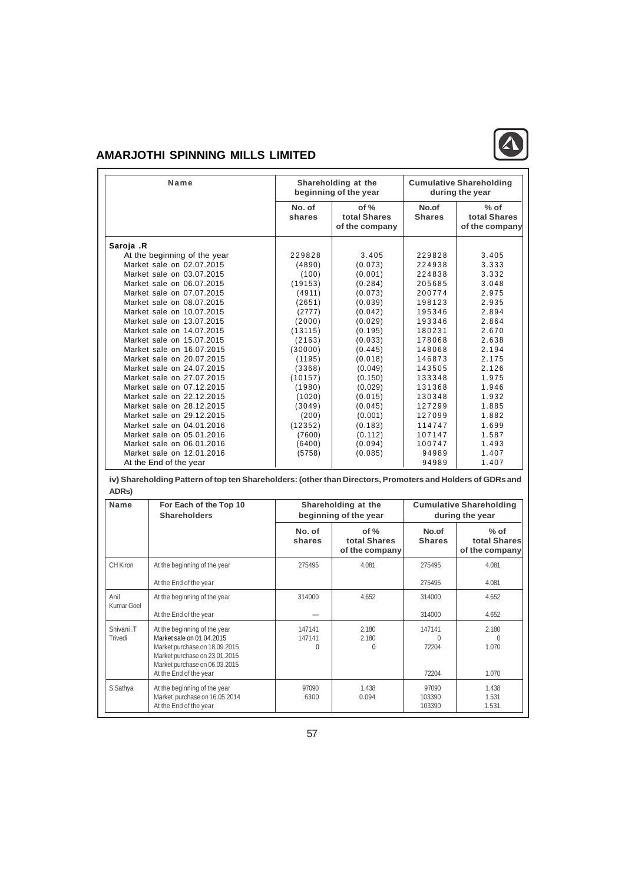

| Name                         |                  | Shareholding at the<br>beginning of the year | <b>Cumulative Shareholding</b><br>during the year |                                          |
|------------------------------|------------------|----------------------------------------------|---------------------------------------------------|------------------------------------------|
|                              | No. of<br>shares | $of \%$<br>total Shares<br>of the company    | No.of<br><b>Shares</b>                            | $%$ of<br>total Shares<br>of the company |
| Saroja R                     |                  |                                              |                                                   |                                          |
| At the beginning of the year | 229828           | 3.405                                        | 229828                                            | 3.405                                    |
| Market sale on 02.07.2015    | (4890)           | (0.073)                                      | 224938                                            | 3.333                                    |
| Market sale on 03.07.2015    | (100)            | (0.001)                                      | 224838                                            | 3.332                                    |
| Market sale on 06.07.2015    | (19153)          | (0.284)                                      | 205685                                            | 3.048                                    |
| Market sale on 07.07.2015    | (4911)           | (0.073)                                      | 200774                                            | 2.975                                    |
| Market sale on 08.07.2015    | (2651)           | (0.039)                                      | 198123                                            | 2.935                                    |
| Market sale on 10.07.2015    | (2777)           | (0.042)                                      | 195346                                            | 2.894                                    |
| Market sale on 13.07.2015    | (2000)           | (0.029)                                      | 193346                                            | 2.864                                    |
| Market sale on 14.07.2015    | (13115)          | (0.195)                                      | 180231                                            | 2.670                                    |
| Market sale on 15.07.2015    | (2163)           | (0.033)                                      | 178068                                            | 2.638                                    |
| Market sale on 16.07.2015    | (30000)          | (0.445)                                      | 148068                                            | 2.194                                    |
| Market sale on 20.07.2015    | (1195)           | (0.018)                                      | 146873                                            | 2.175                                    |
| Market sale on 24.07.2015    | (3368)           | (0.049)                                      | 143505                                            | 2.126                                    |
| Market sale on 27.07.2015    | (10157)          | (0.150)                                      | 133348                                            | 1.975                                    |
| Market sale on 07.12.2015    | (1980)           | (0.029)                                      | 131368                                            | 1.946                                    |
| Market sale on 22.12.2015    | (1020)           | (0.015)                                      | 130348                                            | 1.932                                    |
| Market sale on 28.12.2015    | (3049)           | (0.045)                                      | 127299                                            | 1.885                                    |
| Market sale on 29.12.2015    | (200)            | (0.001)                                      | 127099                                            | 1.882                                    |
| Market sale on 04.01.2016    | (12352)          | (0.183)                                      | 114747                                            | 1.699                                    |
| Market sale on 05.01.2016    | (7600)           | (0.112)                                      | 107147                                            | 1.587                                    |
| Market sale on 06.01.2016    | (6400)           | (0.094)                                      | 100747                                            | 1.493                                    |
| Market sale on 12.01.2016    | (5758)           | (0.085)                                      | 94989                                             | 1.407                                    |
| At the End of the year       |                  |                                              | 94989                                             | 1.407                                    |

| <u>relationship and the children change of the change of the change of the children stand in the change of the ch</u><br>ADR <sub>s</sub> ) |                        |                     |                                |  |  |  |  |
|---------------------------------------------------------------------------------------------------------------------------------------------|------------------------|---------------------|--------------------------------|--|--|--|--|
| <b>Name</b>                                                                                                                                 | For Each of the Top 10 | Shareholding at the | <b>Cumulative Shareholding</b> |  |  |  |  |

| Name                 | For Each of the Top TU<br><b>Shareholders</b>                                                                               | Shareholding at the<br>beginning of the year |                                           | Cumulative Shareholding<br>during the year |                                          |
|----------------------|-----------------------------------------------------------------------------------------------------------------------------|----------------------------------------------|-------------------------------------------|--------------------------------------------|------------------------------------------|
|                      |                                                                                                                             | No. of<br>shares                             | $of \%$<br>total Shares<br>of the company | No.of<br><b>Shares</b>                     | $%$ of<br>total Shares<br>of the company |
| CH Kiron             | At the beginning of the year                                                                                                | 275495                                       | 4.081                                     | 275495                                     | 4.081                                    |
|                      | At the End of the year                                                                                                      |                                              |                                           | 275495                                     | 4.081                                    |
| Anil<br>Kumar Goel   | At the beginning of the year                                                                                                | 314000                                       | 4.652                                     | 314000                                     | 4.652                                    |
|                      | At the End of the year                                                                                                      |                                              |                                           | 314000                                     | 4.652                                    |
| Shivani T<br>Trivedi | At the beginning of the year<br>Market sale on 01.04.2015<br>Market purchase on 18.09.2015<br>Market purchase on 23.01.2015 | 147141<br>147141<br>$\Omega$                 | 2.180<br>2.180<br>0                       | 147141<br>72204                            | 2.180<br>0<br>1.070                      |
|                      | Market purchase on 06.03.2015<br>At the End of the year                                                                     |                                              |                                           | 72204                                      | 1.070                                    |
| S Sathya             | At the beginning of the year<br>Market purchase on 16.05.2014<br>At the End of the year                                     | 97090<br>6300                                | 1.438<br>0.094                            | 97090<br>103390<br>103390                  | 1.438<br>1.531<br>1.531                  |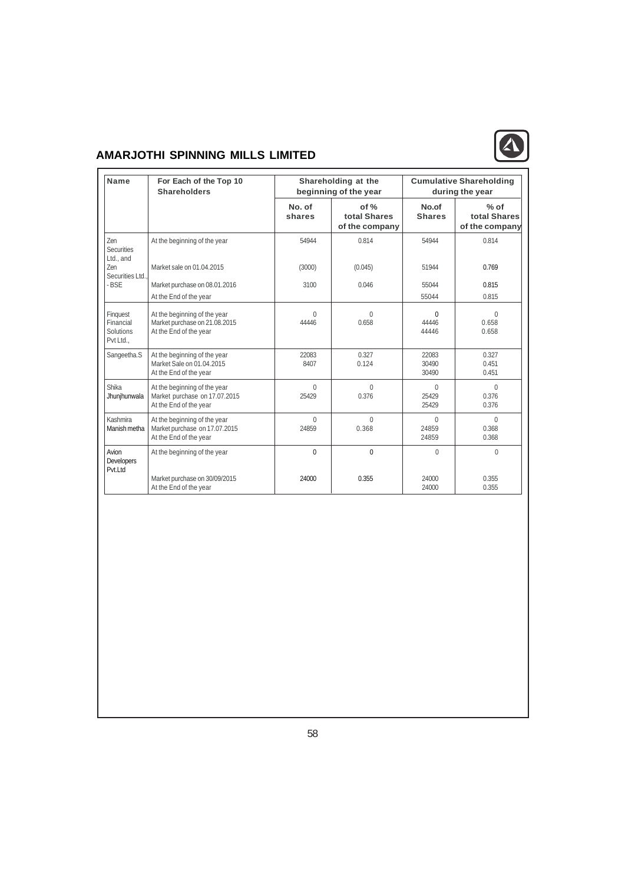

| Name                                            | For Each of the Top 10<br><b>Shareholders</b>                                           |                   | Shareholding at the<br>beginning of the year | <b>Cumulative Shareholding</b><br>during the year |                                          |  |
|-------------------------------------------------|-----------------------------------------------------------------------------------------|-------------------|----------------------------------------------|---------------------------------------------------|------------------------------------------|--|
|                                                 |                                                                                         | No. of<br>shares  | $of \%$<br>total Shares<br>of the company    | No.of<br><b>Shares</b>                            | $%$ of<br>total Shares<br>of the company |  |
| Zen<br><b>Securities</b><br>Ltd., and           | At the beginning of the year                                                            | 54944             | 0.814                                        | 54944                                             | 0.814                                    |  |
| Zen<br>Securities Ltd                           | Market sale on 01.04.2015                                                               | (3000)            | (0.045)                                      | 51944                                             | 0.769                                    |  |
| $-BSE$                                          | Market purchase on 08.01.2016                                                           | 3100              | 0.046                                        | 55044                                             | 0.815                                    |  |
|                                                 | At the End of the year                                                                  |                   |                                              | 55044                                             | 0.815                                    |  |
| Finguest<br>Financial<br>Solutions<br>Pvt Ltd., | At the beginning of the year<br>Market purchase on 21.08.2015<br>At the End of the year | $\Omega$<br>44446 | $\Omega$<br>0.658                            | 0<br>44446<br>44446                               | $\Omega$<br>0.658<br>0.658               |  |
| Sangeetha.S                                     | At the beginning of the year<br>Market Sale on 01.04.2015<br>At the End of the year     | 22083<br>8407     | 0.327<br>0.124                               | 22083<br>30490<br>30490                           | 0.327<br>0.451<br>0.451                  |  |
| Shika<br>Jhunjhunwala                           | At the beginning of the year<br>Market purchase on 17.07.2015<br>At the End of the year | $\Omega$<br>25429 | $\Omega$<br>0.376                            | $\Omega$<br>25429<br>25429                        | $\Omega$<br>0.376<br>0.376               |  |
| Kashmira<br>Manish metha                        | At the beginning of the year<br>Market purchase on 17.07.2015<br>At the End of the year | $\Omega$<br>24859 | $\Omega$<br>0.368                            | $\mathbf{0}$<br>24859<br>24859                    | $\Omega$<br>0.368<br>0.368               |  |
| Avion<br><b>Developers</b><br>Pvt.Ltd           | At the beginning of the year                                                            | $\Omega$          | $\Omega$                                     | $\Omega$                                          | $\Omega$                                 |  |
|                                                 | Market purchase on 30/09/2015<br>At the End of the year                                 | 24000             | 0.355                                        | 24000<br>24000                                    | 0.355<br>0.355                           |  |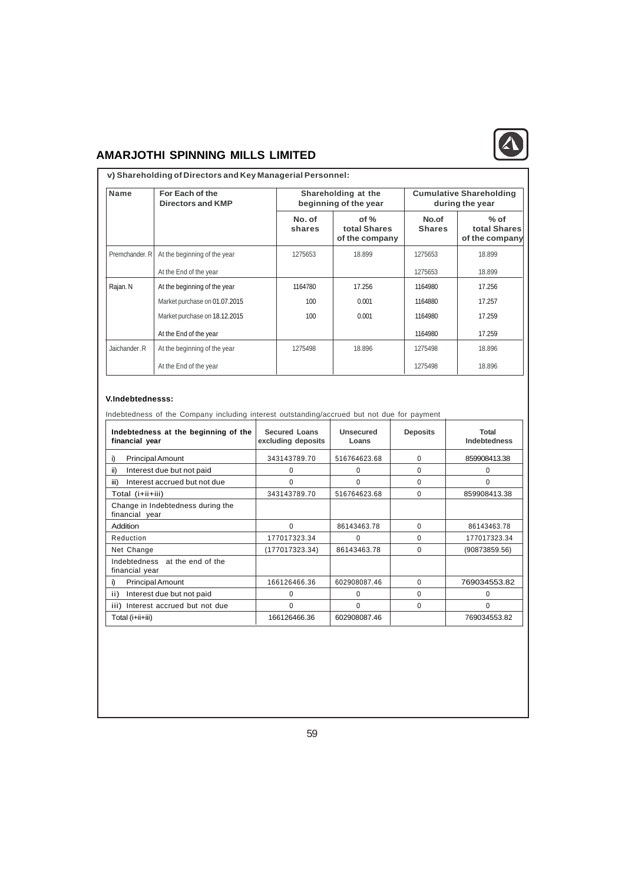

| <b>Name</b>    | For Each of the<br>Directors and KMP |                  | Shareholding at the<br>beginning of the year | <b>Cumulative Shareholding</b><br>during the year |                                          |  |
|----------------|--------------------------------------|------------------|----------------------------------------------|---------------------------------------------------|------------------------------------------|--|
|                |                                      | No. of<br>shares | of $%$<br>total Shares<br>of the company     | No.of<br><b>Shares</b>                            | $%$ of<br>total Shares<br>of the company |  |
| Premchander, R | At the beginning of the year         | 1275653          | 18.899                                       | 1275653                                           | 18.899                                   |  |
|                | At the End of the year               |                  |                                              | 1275653                                           | 18.899                                   |  |
| Rajan. N       | At the beginning of the year         | 1164780          | 17.256                                       | 1164980                                           | 17.256                                   |  |
|                | Market purchase on 01.07.2015        | 100              | 0.001                                        | 1164880                                           | 17.257                                   |  |
|                | Market purchase on 18.12.2015        | 100              | 0.001                                        | 1164980                                           | 17.259                                   |  |
|                | At the End of the year               |                  |                                              | 1164980                                           | 17.259                                   |  |
| Jaichander R   | At the beginning of the year         | 1275498          | 18.896                                       | 1275498                                           | 18.896                                   |  |
|                | At the End of the year               |                  |                                              | 1275498                                           | 18.896                                   |  |

#### **V.Indebtednesss:**

Indebtedness of the Company including interest outstanding/accrued but not due for payment

| Indebtedness at the beginning of the<br>financial year | Secured Loans<br>excluding deposits | Unsecured<br>Loans | <b>Deposits</b> | Total<br><b>Indebtedness</b> |
|--------------------------------------------------------|-------------------------------------|--------------------|-----------------|------------------------------|
| <b>Principal Amount</b>                                | 343143789.70                        | 516764623.68       | 0               | 859908413.38                 |
| ii)<br>Interest due but not paid                       | 0                                   | 0                  | 0               | 0                            |
| Interest accrued but not due<br>iii)                   | 0                                   | $\Omega$           | 0               | $\Omega$                     |
| Total (i+ii+iii)                                       | 343143789.70                        | 516764623.68       | 0               | 859908413.38                 |
| Change in Indebtedness during the<br>financial year    |                                     |                    |                 |                              |
| Addition                                               | $\Omega$                            | 86143463.78        | 0               | 86143463.78                  |
| Reduction                                              | 177017323.34                        | $\Omega$           | 0               | 177017323.34                 |
| Net Change                                             | (177017323.34)                      | 86143463.78        | 0               | (90873859.56)                |
| Indebtedness at the end of the<br>financial year       |                                     |                    |                 |                              |
| <b>Principal Amount</b><br>i)                          | 166126466.36                        | 602908087.46       | 0               | 769034553.82                 |
| ii)<br>Interest due but not paid                       | 0                                   | $\Omega$           | 0               | $\Omega$                     |
| iii) Interest accrued but not due                      | 0                                   | $\Omega$           | 0               | $\Omega$                     |
| Total (i+ii+iii)                                       | 166126466.36                        | 602908087.46       |                 | 769034553.82                 |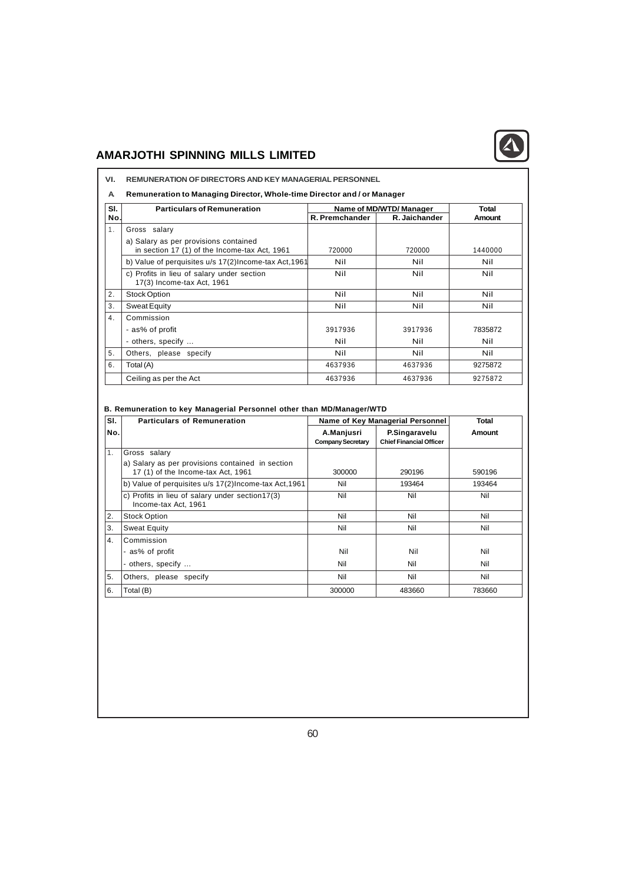

#### **VI. REMUNERATION OF DIRECTORS AND KEY MANAGERIAL PERSONNEL**

#### **A. Remuneration to Managing Director, Whole-time Director and / or Manager**

| SI.              | <b>Particulars of Remuneration</b>                                                     | Name of MD/WTD/ Manager | Total         |         |
|------------------|----------------------------------------------------------------------------------------|-------------------------|---------------|---------|
| No.              |                                                                                        | R. Premchander          | R. Jaichander | Amount  |
| 1.               | Gross salary                                                                           |                         |               |         |
|                  | a) Salary as per provisions contained<br>in section 17 (1) of the Income-tax Act, 1961 | 720000                  | 720000        | 1440000 |
|                  | b) Value of perquisites u/s 17(2) Income-tax Act, 1961                                 | Nil                     | Nil           | Nil     |
|                  | c) Profits in lieu of salary under section<br>17(3) Income-tax Act, 1961               | Nil                     | Nil           | Nil     |
| 2.               | Stock Option                                                                           | Nil                     | Nil           | Nil     |
| 3.               | Sweat Equity                                                                           | Nil                     | Nil           | Nil     |
| $\overline{4}$ . | Commission                                                                             |                         |               |         |
|                  | - as% of profit                                                                        | 3917936                 | 3917936       | 7835872 |
|                  | - others, specify                                                                      | Nil                     | Nil           | Nil     |
| 5.               | Others, please specify                                                                 | Nil                     | Nil           | Nil     |
| 6.               | Total (A)                                                                              | 4637936                 | 4637936       | 9275872 |
|                  | Ceiling as per the Act                                                                 | 4637936                 | 4637936       | 9275872 |

#### **B. Remuneration to key Managerial Personnel other than MD/Manager/WTD**

| SI.              | <b>Particulars of Remuneration</b>                                                     | Name of Key Managerial Personnel       | Total                                           |        |
|------------------|----------------------------------------------------------------------------------------|----------------------------------------|-------------------------------------------------|--------|
| No.              |                                                                                        | A.Manjusri<br><b>Company Secretary</b> | P.Singaravelu<br><b>Chief Financial Officer</b> | Amount |
| 1.               | Gross salary                                                                           |                                        |                                                 |        |
|                  | a) Salary as per provisions contained in section<br>17 (1) of the Income-tax Act, 1961 | 300000                                 | 290196                                          | 590196 |
|                  | b) Value of perquisites u/s 17(2)Income-tax Act, 1961                                  | Nil                                    | 193464                                          | 193464 |
|                  | c) Profits in lieu of salary under section17(3)<br>Income-tax Act, 1961                | Nil                                    | Nil                                             | Nil    |
| 2.               | <b>Stock Option</b>                                                                    | Nil                                    | Nil                                             | Nil    |
| 3.               | <b>Sweat Equity</b>                                                                    | Nil                                    | Nil                                             | Nil    |
| $\overline{4}$ . | Commission                                                                             |                                        |                                                 |        |
|                  | - as% of profit                                                                        | Nil                                    | Nil                                             | Nil    |
|                  | - others, specify                                                                      | Nil                                    | Nil                                             | Nil    |
| 5.               | Others, please specify                                                                 | Nil                                    | Nil                                             | Nil    |
| 6.               | Total (B)                                                                              | 300000                                 | 483660                                          | 783660 |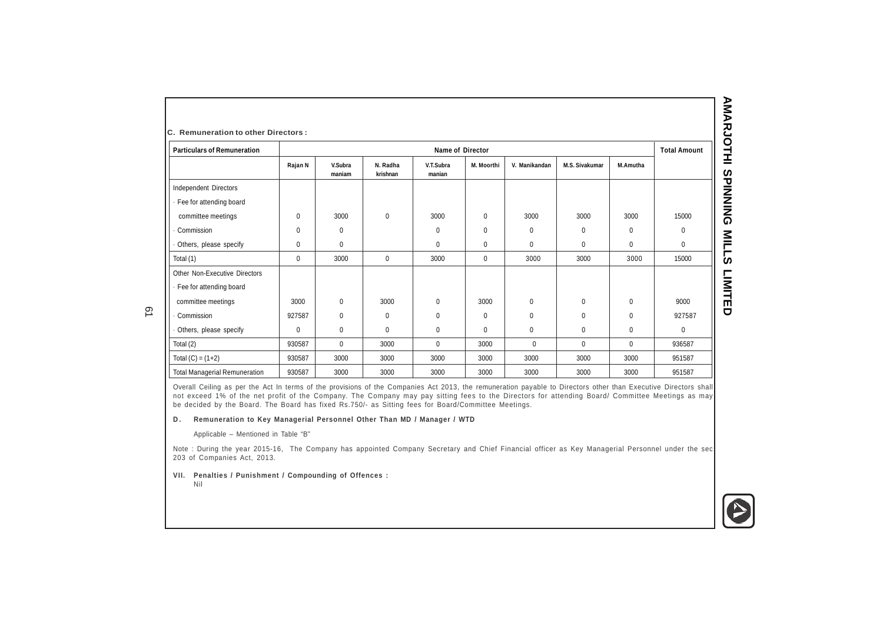| <b>Particulars of Remuneration</b>   |          | <b>Name of Director</b> |                      |                     |             |               |                |             |             |  |
|--------------------------------------|----------|-------------------------|----------------------|---------------------|-------------|---------------|----------------|-------------|-------------|--|
|                                      | Rajan N  | V.Subra<br>maniam       | N. Radha<br>krishnan | V.T.Subra<br>manian | M. Moorthi  | V. Manikandan | M.S. Sivakumar | M.Amutha    |             |  |
| Independent Directors                |          |                         |                      |                     |             |               |                |             |             |  |
| · Fee for attending board            |          |                         |                      |                     |             |               |                |             |             |  |
| committee meetings                   | $\Omega$ | 3000                    | $\mathbf 0$          | 3000                | $\mathbf 0$ | 3000          | 3000           | 3000        | 15000       |  |
| Commission                           | $\Omega$ | $\mathbf 0$             |                      | 0                   | $\mathbf 0$ | $\mathbf 0$   | $\mathbf 0$    | $\mathbf 0$ | 0           |  |
| Others, please specify               | $\Omega$ | $\mathbf 0$             |                      | 0                   | 0           | $\mathbf{0}$  | $\mathbf 0$    | $\mathbf 0$ | $\mathbf 0$ |  |
| Total (1)                            | $\Omega$ | 3000                    | $\mathbf{0}$         | 3000                | $\mathbf 0$ | 3000          | 3000           | 3000        | 15000       |  |
| Other Non-Executive Directors        |          |                         |                      |                     |             |               |                |             |             |  |
| - Fee for attending board            | 3000     | $\mathbf 0$             | 3000                 | $\Omega$            | 3000        | 0             | $\mathbf 0$    | $\mathbf 0$ | 9000        |  |
| committee meetings<br>Commission     | 927587   | $\mathbf 0$             | $\mathbf 0$          | 0                   | $\mathbf 0$ | $\mathbf 0$   | $\mathbf 0$    | $\mathbf 0$ | 927587      |  |
| Others, please specify               | 0        | 0                       | $\mathbf 0$          | 0                   | 0           | $\mathbf 0$   | $\mathbf 0$    | 0           | 0           |  |
| Total (2)                            | 930587   | $\mathbf 0$             | 3000                 | $\mathbf 0$         | 3000        | $\Omega$      | $\mathbf 0$    | $\mathbf 0$ | 936587      |  |
| Total $(C) = (1+2)$                  | 930587   | 3000                    | 3000                 | 3000                | 3000        | 3000          | 3000           | 3000        | 951587      |  |
| <b>Total Managerial Remuneration</b> | 930587   | 3000                    | 3000                 | 3000                | 3000        | 3000          | 3000           | 3000        | 951587      |  |

Overall Ceiling as per the Act In terms of the provisions of the Companies Act 2013, the remuneration payable to Directors other than Executive Directors shall not exceed 1% of the net profit of the Company. The Company may pay sitting fees to the Directors for attending Board/ Committee Meetings as may<br>he desided by the Board. The Board has fixed Bo 750/, as Sitting fees for Boa be decided by the Board. The Board has fixed Rs.750/- as Sitting fees for Board/Committee Meetings.

#### **D . Remuneration to Key Managerial Personnel Other Than MD / Manager / WTD**

Applicable – Mentioned in Table "B"

Note : During the year 2015-16, The Company has appointed Company Secretary and Chief Financial officer as Key Managerial Personnel under the sec 203 of Companies Act, 2013.

**VII. Penalties / Punishment / Compounding of Offences :**

Nil

61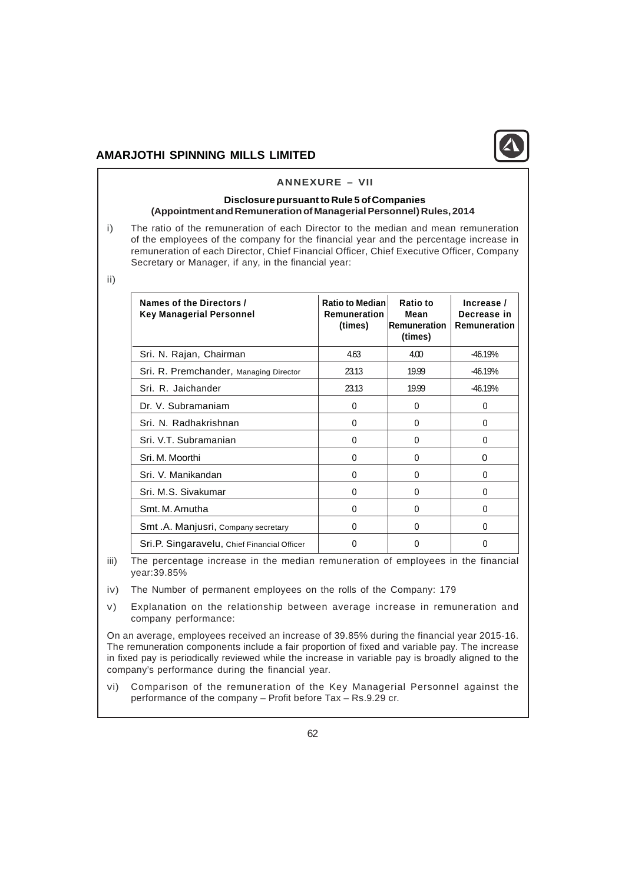

#### **ANNEXURE – VII**

#### **DisclosurepursuanttoRule 5 ofCompanies (Appointment andRemunerationof ManagerialPersonnel)Rules, 2014**

i) The ratio of the remuneration of each Director to the median and mean remuneration of the employees of the company for the financial year and the percentage increase in remuneration of each Director, Chief Financial Officer, Chief Executive Officer, Company Secretary or Manager, if any, in the financial year:

|  | I |
|--|---|
|  |   |

| Names of the Directors /<br><b>Key Managerial Personnel</b> | <b>Ratio to Median</b><br><b>Remuneration</b><br>(times) | Ratio to<br>Mean<br><b>Remuneration</b><br>(times) | Increase /<br>Decrease in<br>Remuneration |
|-------------------------------------------------------------|----------------------------------------------------------|----------------------------------------------------|-------------------------------------------|
| Sri. N. Rajan, Chairman                                     | 4.63                                                     | 4.00                                               | $-46.19%$                                 |
| Sri. R. Premchander, Managing Director                      | 23.13                                                    | 19.99                                              | $-46.19%$                                 |
| Sri. R. Jaichander                                          | 23.13                                                    | 19.99                                              | $-46.19%$                                 |
| Dr. V. Subramaniam                                          | 0                                                        | 0                                                  | 0                                         |
| Sri. N. Radhakrishnan                                       | 0                                                        | 0                                                  | $\Omega$                                  |
| Sri. V.T. Subramanian                                       | 0                                                        | 0                                                  | 0                                         |
| Sri. M. Moorthi                                             | 0                                                        | 0                                                  | 0                                         |
| Sri. V. Manikandan                                          | 0                                                        | 0                                                  | 0                                         |
| Sri. M.S. Sivakumar                                         | 0                                                        | 0                                                  | 0                                         |
| Smt. M. Amutha                                              | $\Omega$                                                 | 0                                                  | 0                                         |
| Smt.A. Manjusri, Company secretary                          | 0                                                        | 0                                                  | 0                                         |
| Sri.P. Singaravelu, Chief Financial Officer                 | O                                                        | ი                                                  | 0                                         |

iii) The percentage increase in the median remuneration of employees in the financial year:39.85%

- iv) The Number of permanent employees on the rolls of the Company: 179
- v) Explanation on the relationship between average increase in remuneration and company performance:

On an average, employees received an increase of 39.85% during the financial year 2015-16. The remuneration components include a fair proportion of fixed and variable pay. The increase in fixed pay is periodically reviewed while the increase in variable pay is broadly aligned to the company's performance during the financial year.

vi) Comparison of the remuneration of the Key Managerial Personnel against the performance of the company – Profit before Tax – Rs.9.29 cr.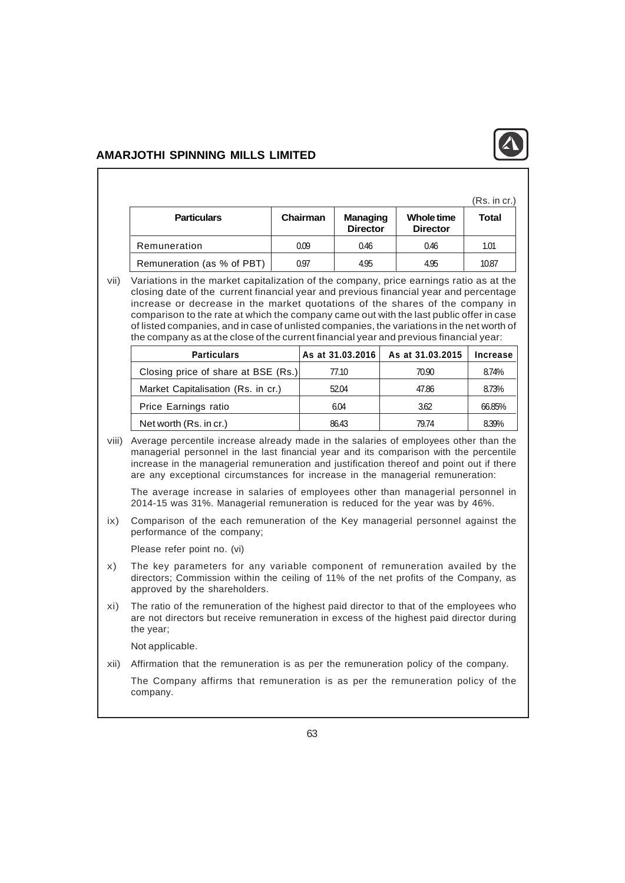

company.

|       |                                                                                                                                                                                                                                                                                                                                                              |                                                                                                                                                                                                                                                                                                                                                                                                                                                                                                                                                     |          |                                    |  |                               | (Rs. in cr.)    |
|-------|--------------------------------------------------------------------------------------------------------------------------------------------------------------------------------------------------------------------------------------------------------------------------------------------------------------------------------------------------------------|-----------------------------------------------------------------------------------------------------------------------------------------------------------------------------------------------------------------------------------------------------------------------------------------------------------------------------------------------------------------------------------------------------------------------------------------------------------------------------------------------------------------------------------------------------|----------|------------------------------------|--|-------------------------------|-----------------|
|       | <b>Particulars</b>                                                                                                                                                                                                                                                                                                                                           |                                                                                                                                                                                                                                                                                                                                                                                                                                                                                                                                                     | Chairman | <b>Managing</b><br><b>Director</b> |  | Whole time<br><b>Director</b> | <b>Total</b>    |
|       | Remuneration                                                                                                                                                                                                                                                                                                                                                 |                                                                                                                                                                                                                                                                                                                                                                                                                                                                                                                                                     | 0.09     | 0.46                               |  | 0.46                          | 1.01            |
|       | Remuneration (as % of PBT)                                                                                                                                                                                                                                                                                                                                   |                                                                                                                                                                                                                                                                                                                                                                                                                                                                                                                                                     | 0.97     | 4.95                               |  | 4.95                          | 10.87           |
| vii)  |                                                                                                                                                                                                                                                                                                                                                              | Variations in the market capitalization of the company, price earnings ratio as at the<br>closing date of the current financial year and previous financial year and percentage<br>increase or decrease in the market quotations of the shares of the company in<br>comparison to the rate at which the company came out with the last public offer in case<br>of listed companies, and in case of unlisted companies, the variations in the net worth of<br>the company as at the close of the current financial year and previous financial year: |          |                                    |  |                               |                 |
|       | <b>Particulars</b>                                                                                                                                                                                                                                                                                                                                           |                                                                                                                                                                                                                                                                                                                                                                                                                                                                                                                                                     |          | As at 31.03.2016                   |  | As at 31.03.2015              | <b>Increase</b> |
|       | Closing price of share at BSE (Rs.)                                                                                                                                                                                                                                                                                                                          |                                                                                                                                                                                                                                                                                                                                                                                                                                                                                                                                                     |          | 77.10                              |  | 70.90                         | 8.74%           |
|       | Market Capitalisation (Rs. in cr.)                                                                                                                                                                                                                                                                                                                           |                                                                                                                                                                                                                                                                                                                                                                                                                                                                                                                                                     |          | 52.04                              |  | 47.86                         | 8.73%           |
|       | Price Earnings ratio                                                                                                                                                                                                                                                                                                                                         |                                                                                                                                                                                                                                                                                                                                                                                                                                                                                                                                                     | 6.04     |                                    |  | 3.62                          | 66.85%          |
|       | Net worth (Rs. in cr.)                                                                                                                                                                                                                                                                                                                                       |                                                                                                                                                                                                                                                                                                                                                                                                                                                                                                                                                     | 86.43    |                                    |  | 79.74                         | 8.39%           |
| Viii) | Average percentile increase already made in the salaries of employees other than the<br>managerial personnel in the last financial year and its comparison with the percentile<br>increase in the managerial remuneration and justification thereof and point out if there<br>are any exceptional circumstances for increase in the managerial remuneration: |                                                                                                                                                                                                                                                                                                                                                                                                                                                                                                                                                     |          |                                    |  |                               |                 |
|       | The average increase in salaries of employees other than managerial personnel in<br>2014-15 was 31%. Managerial remuneration is reduced for the year was by 46%.                                                                                                                                                                                             |                                                                                                                                                                                                                                                                                                                                                                                                                                                                                                                                                     |          |                                    |  |                               |                 |
| ix)   | Comparison of the each remuneration of the Key managerial personnel against the<br>performance of the company;                                                                                                                                                                                                                                               |                                                                                                                                                                                                                                                                                                                                                                                                                                                                                                                                                     |          |                                    |  |                               |                 |
|       | Please refer point no. (vi)                                                                                                                                                                                                                                                                                                                                  |                                                                                                                                                                                                                                                                                                                                                                                                                                                                                                                                                     |          |                                    |  |                               |                 |
| x)    | The key parameters for any variable component of remuneration availed by the<br>directors; Commission within the ceiling of 11% of the net profits of the Company, as<br>approved by the shareholders.                                                                                                                                                       |                                                                                                                                                                                                                                                                                                                                                                                                                                                                                                                                                     |          |                                    |  |                               |                 |
| xi)   | The ratio of the remuneration of the highest paid director to that of the employees who<br>are not directors but receive remuneration in excess of the highest paid director during<br>the year;                                                                                                                                                             |                                                                                                                                                                                                                                                                                                                                                                                                                                                                                                                                                     |          |                                    |  |                               |                 |
|       | Not applicable.                                                                                                                                                                                                                                                                                                                                              |                                                                                                                                                                                                                                                                                                                                                                                                                                                                                                                                                     |          |                                    |  |                               |                 |
| xii)  | Affirmation that the remuneration is as per the remuneration policy of the company.                                                                                                                                                                                                                                                                          |                                                                                                                                                                                                                                                                                                                                                                                                                                                                                                                                                     |          |                                    |  |                               |                 |
|       | The Company affirms that remuneration is as per the remuneration policy of the                                                                                                                                                                                                                                                                               |                                                                                                                                                                                                                                                                                                                                                                                                                                                                                                                                                     |          |                                    |  |                               |                 |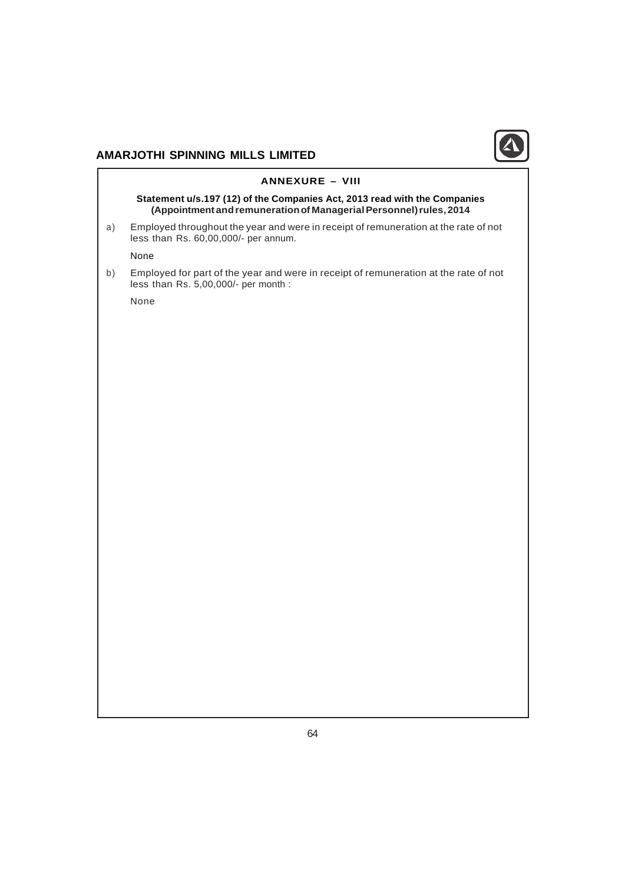

## **ANNEXURE – VIII**

**Statement u/s.197 (12) of the Companies Act, 2013 read with the Companies (Appointment andremunerationof ManagerialPersonnel)rules, 2014**

a) Employed throughout the year and were in receipt of remuneration at the rate of not less than Rs. 60,00,000/- per annum.

None

b) Employed for part of the year and were in receipt of remuneration at the rate of not less than Rs. 5,00,000/- per month :

None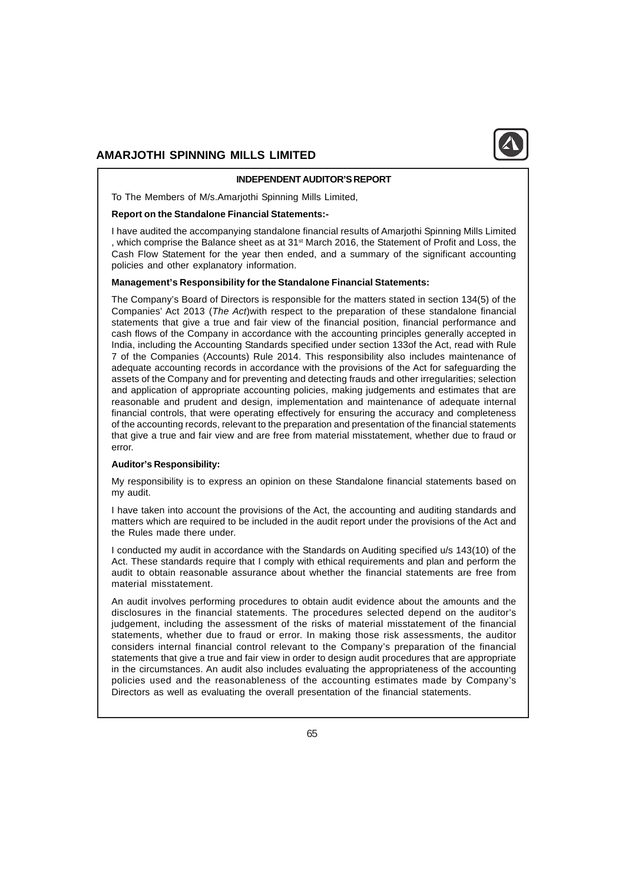

#### **INDEPENDENT AUDITOR'S REPORT**

To The Members of M/s.Amarjothi Spinning Mills Limited,

#### **Report on the Standalone Financial Statements:-**

I have audited the accompanying standalone financial results of Amarjothi Spinning Mills Limited , which comprise the Balance sheet as at 31<sup>st</sup> March 2016, the Statement of Profit and Loss, the Cash Flow Statement for the year then ended, and a summary of the significant accounting policies and other explanatory information.

#### **Management's Responsibility for the Standalone Financial Statements:**

The Company's Board of Directors is responsible for the matters stated in section 134(5) of the Companies' Act 2013 (The Act)with respect to the preparation of these standalone financial statements that give a true and fair view of the financial position, financial performance and cash flows of the Company in accordance with the accounting principles generally accepted in India, including the Accounting Standards specified under section 133of the Act, read with Rule 7 of the Companies (Accounts) Rule 2014. This responsibility also includes maintenance of adequate accounting records in accordance with the provisions of the Act for safeguarding the assets of the Company and for preventing and detecting frauds and other irregularities; selection and application of appropriate accounting policies, making judgements and estimates that are reasonable and prudent and design, implementation and maintenance of adequate internal financial controls, that were operating effectively for ensuring the accuracy and completeness of the accounting records, relevant to the preparation and presentation of the financial statements that give a true and fair view and are free from material misstatement, whether due to fraud or error.

#### **Auditor's Responsibility:**

My responsibility is to express an opinion on these Standalone financial statements based on my audit.

I have taken into account the provisions of the Act, the accounting and auditing standards and matters which are required to be included in the audit report under the provisions of the Act and the Rules made there under.

I conducted my audit in accordance with the Standards on Auditing specified u/s 143(10) of the Act. These standards require that I comply with ethical requirements and plan and perform the audit to obtain reasonable assurance about whether the financial statements are free from material misstatement.

An audit involves performing procedures to obtain audit evidence about the amounts and the disclosures in the financial statements. The procedures selected depend on the auditor's judgement, including the assessment of the risks of material misstatement of the financial statements, whether due to fraud or error. In making those risk assessments, the auditor considers internal financial control relevant to the Company's preparation of the financial statements that give a true and fair view in order to design audit procedures that are appropriate in the circumstances. An audit also includes evaluating the appropriateness of the accounting policies used and the reasonableness of the accounting estimates made by Company's Directors as well as evaluating the overall presentation of the financial statements.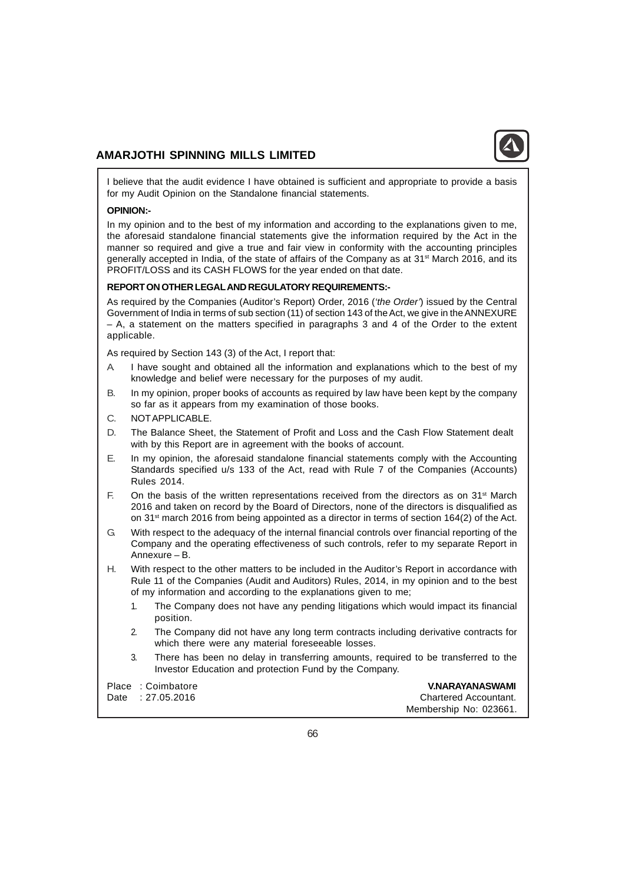

I believe that the audit evidence I have obtained is sufficient and appropriate to provide a basis for my Audit Opinion on the Standalone financial statements.

#### **OPINION:-**

In my opinion and to the best of my information and according to the explanations given to me, the aforesaid standalone financial statements give the information required by the Act in the manner so required and give a true and fair view in conformity with the accounting principles generally accepted in India, of the state of affairs of the Company as at 31<sup>st</sup> March 2016, and its PROFIT/LOSS and its CASH FLOWS for the year ended on that date.

#### **REPORT ON OTHER LEGALAND REGULATORY REQUIREMENTS:-**

As required by the Companies (Auditor's Report) Order, 2016 ('the Order') issued by the Central Government of India in terms of sub section (11) of section 143 of the Act, we give in the ANNEXURE – A, a statement on the matters specified in paragraphs 3 and 4 of the Order to the extent applicable.

As required by Section 143 (3) of the Act, I report that:

- A. I have sought and obtained all the information and explanations which to the best of my knowledge and belief were necessary for the purposes of my audit.
- B. In my opinion, proper books of accounts as required by law have been kept by the company so far as it appears from my examination of those books.
- C. NOTAPPLICABLE.
- D. The Balance Sheet, the Statement of Profit and Loss and the Cash Flow Statement dealt with by this Report are in agreement with the books of account.
- E. In my opinion, the aforesaid standalone financial statements comply with the Accounting Standards specified u/s 133 of the Act, read with Rule 7 of the Companies (Accounts) Rules 2014.
- $F.$  On the basis of the written representations received from the directors as on 31<sup>st</sup> March 2016 and taken on record by the Board of Directors, none of the directors is disqualified as on  $31<sup>st</sup>$  march 2016 from being appointed as a director in terms of section 164(2) of the Act.
- G. With respect to the adequacy of the internal financial controls over financial reporting of the Company and the operating effectiveness of such controls, refer to my separate Report in Annexure – B.
- H. With respect to the other matters to be included in the Auditor's Report in accordance with Rule 11 of the Companies (Audit and Auditors) Rules, 2014, in my opinion and to the best of my information and according to the explanations given to me;
	- 1. The Company does not have any pending litigations which would impact its financial position.
	- 2. The Company did not have any long term contracts including derivative contracts for which there were any material foreseeable losses.
	- 3. There has been no delay in transferring amounts, required to be transferred to the Investor Education and protection Fund by the Company.

| Place: Coimbatore | <b>V.NARAYANASWAMI</b> |
|-------------------|------------------------|
| Date: 27.05.2016  | Chartered Accountant.  |
|                   | Membership No: 023661. |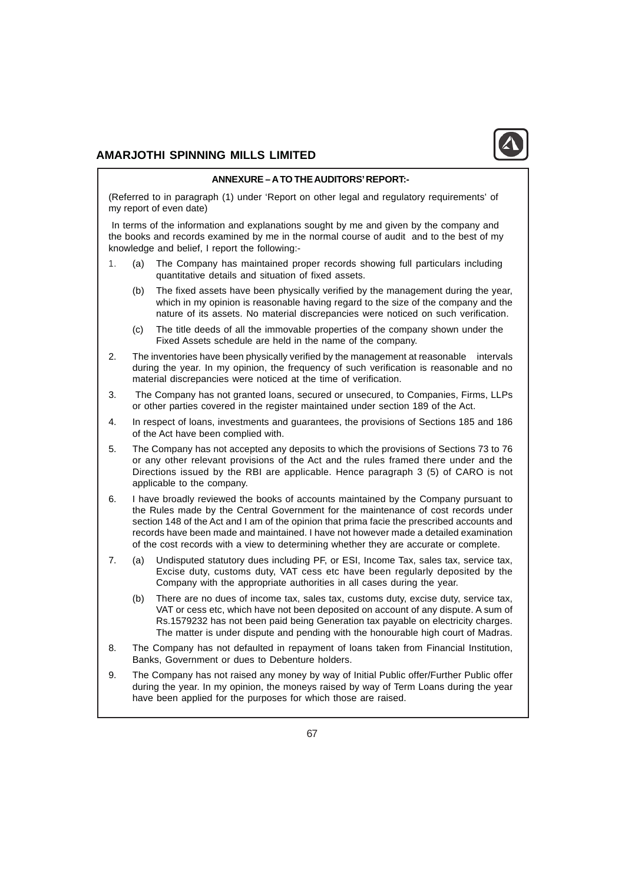

#### **ANNEXURE – A TO THE AUDITORS' REPORT:-**

(Referred to in paragraph (1) under 'Report on other legal and regulatory requirements' of my report of even date)

 In terms of the information and explanations sought by me and given by the company and the books and records examined by me in the normal course of audit and to the best of my knowledge and belief, I report the following:-

- 1. (a) The Company has maintained proper records showing full particulars including quantitative details and situation of fixed assets.
	- (b) The fixed assets have been physically verified by the management during the year, which in my opinion is reasonable having regard to the size of the company and the nature of its assets. No material discrepancies were noticed on such verification.
	- (c) The title deeds of all the immovable properties of the company shown under the Fixed Assets schedule are held in the name of the company.
- 2. The inventories have been physically verified by the management at reasonable intervals during the year. In my opinion, the frequency of such verification is reasonable and no material discrepancies were noticed at the time of verification.
- 3. The Company has not granted loans, secured or unsecured, to Companies, Firms, LLPs or other parties covered in the register maintained under section 189 of the Act.
- 4. In respect of loans, investments and guarantees, the provisions of Sections 185 and 186 of the Act have been complied with.
- 5. The Company has not accepted any deposits to which the provisions of Sections 73 to 76 or any other relevant provisions of the Act and the rules framed there under and the Directions issued by the RBI are applicable. Hence paragraph 3 (5) of CARO is not applicable to the company.
- 6. I have broadly reviewed the books of accounts maintained by the Company pursuant to the Rules made by the Central Government for the maintenance of cost records under section 148 of the Act and I am of the opinion that prima facie the prescribed accounts and records have been made and maintained. I have not however made a detailed examination of the cost records with a view to determining whether they are accurate or complete.
- 7. (a) Undisputed statutory dues including PF, or ESI, Income Tax, sales tax, service tax, Excise duty, customs duty, VAT cess etc have been regularly deposited by the Company with the appropriate authorities in all cases during the year.
	- (b) There are no dues of income tax, sales tax, customs duty, excise duty, service tax, VAT or cess etc, which have not been deposited on account of any dispute. A sum of Rs.1579232 has not been paid being Generation tax payable on electricity charges. The matter is under dispute and pending with the honourable high court of Madras.
- 8. The Company has not defaulted in repayment of loans taken from Financial Institution, Banks, Government or dues to Debenture holders.
- 9. The Company has not raised any money by way of Initial Public offer/Further Public offer during the year. In my opinion, the moneys raised by way of Term Loans during the year have been applied for the purposes for which those are raised.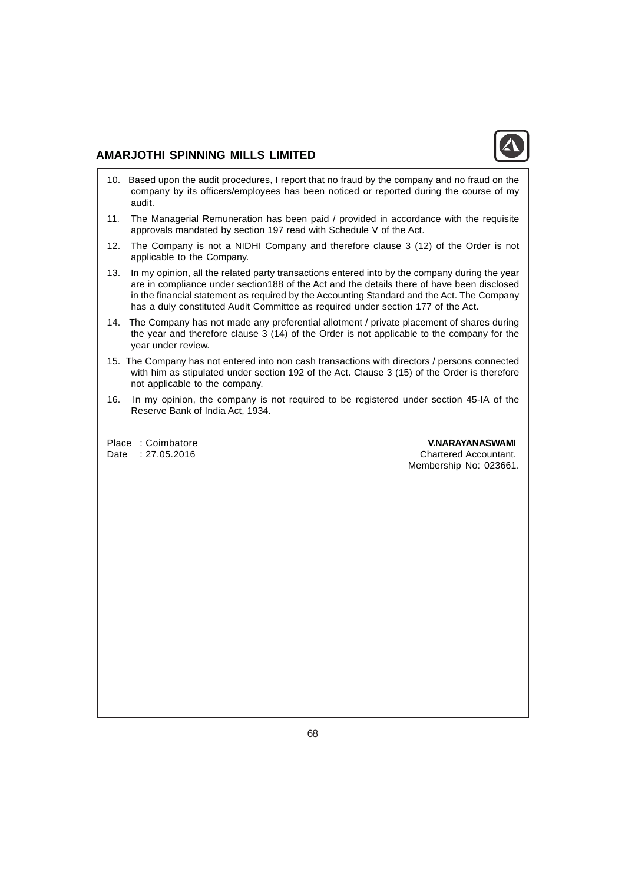

- 10. Based upon the audit procedures, I report that no fraud by the company and no fraud on the company by its officers/employees has been noticed or reported during the course of my audit.
- 11. The Managerial Remuneration has been paid / provided in accordance with the requisite approvals mandated by section 197 read with Schedule V of the Act.
- 12. The Company is not a NIDHI Company and therefore clause 3 (12) of the Order is not applicable to the Company.
- 13. In my opinion, all the related party transactions entered into by the company during the year are in compliance under section188 of the Act and the details there of have been disclosed in the financial statement as required by the Accounting Standard and the Act. The Company has a duly constituted Audit Committee as required under section 177 of the Act.
- 14. The Company has not made any preferential allotment / private placement of shares during the year and therefore clause 3 (14) of the Order is not applicable to the company for the year under review.
- 15. The Company has not entered into non cash transactions with directors / persons connected with him as stipulated under section 192 of the Act. Clause 3 (15) of the Order is therefore not applicable to the company.
- 16. In my opinion, the company is not required to be registered under section 45-IA of the Reserve Bank of India Act, 1934.

Place : Coimbatore **V.NARAYANASWAMI**<br>
Date : 27.05.2016 **Chartered Accountant.** Chartered Accountant. Membership No: 023661.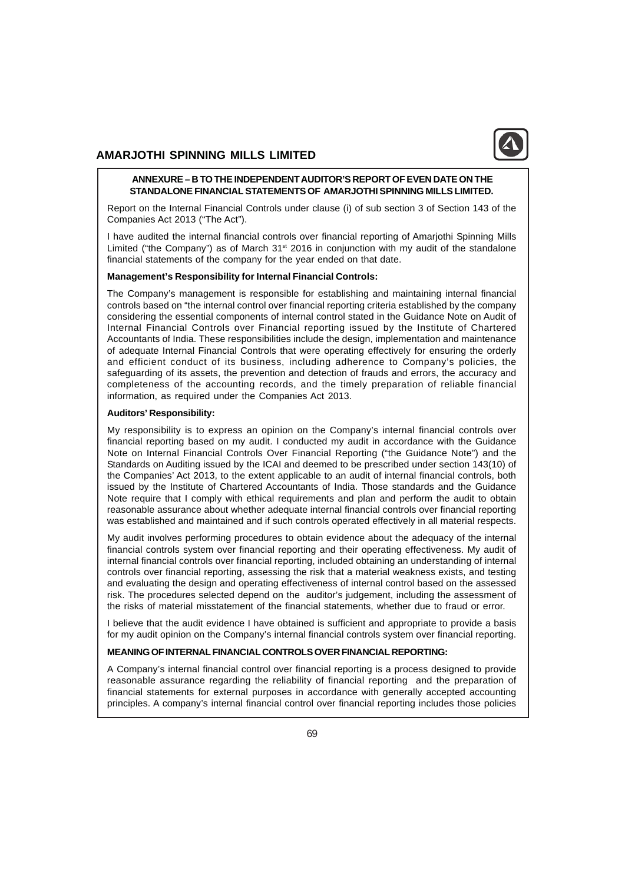

#### **ANNEXURE – B TO THE INDEPENDENT AUDITOR'S REPORT OF EVEN DATE ON THE STANDALONE FINANCIAL STATEMENTS OF AMARJOTHI SPINNING MILLS LIMITED.**

Report on the Internal Financial Controls under clause (i) of sub section 3 of Section 143 of the Companies Act 2013 ("The Act").

I have audited the internal financial controls over financial reporting of Amarjothi Spinning Mills Limited ("the Company") as of March  $31<sup>st</sup>$  2016 in conjunction with my audit of the standalone financial statements of the company for the year ended on that date.

#### **Management's Responsibility for Internal Financial Controls:**

The Company's management is responsible for establishing and maintaining internal financial controls based on "the internal control over financial reporting criteria established by the company considering the essential components of internal control stated in the Guidance Note on Audit of Internal Financial Controls over Financial reporting issued by the Institute of Chartered Accountants of India. These responsibilities include the design, implementation and maintenance of adequate Internal Financial Controls that were operating effectively for ensuring the orderly and efficient conduct of its business, including adherence to Company's policies, the safeguarding of its assets, the prevention and detection of frauds and errors, the accuracy and completeness of the accounting records, and the timely preparation of reliable financial information, as required under the Companies Act 2013.

#### **Auditors' Responsibility:**

My responsibility is to express an opinion on the Company's internal financial controls over financial reporting based on my audit. I conducted my audit in accordance with the Guidance Note on Internal Financial Controls Over Financial Reporting ("the Guidance Note") and the Standards on Auditing issued by the ICAI and deemed to be prescribed under section 143(10) of the Companies' Act 2013, to the extent applicable to an audit of internal financial controls, both issued by the Institute of Chartered Accountants of India. Those standards and the Guidance Note require that I comply with ethical requirements and plan and perform the audit to obtain reasonable assurance about whether adequate internal financial controls over financial reporting was established and maintained and if such controls operated effectively in all material respects.

My audit involves performing procedures to obtain evidence about the adequacy of the internal financial controls system over financial reporting and their operating effectiveness. My audit of internal financial controls over financial reporting, included obtaining an understanding of internal controls over financial reporting, assessing the risk that a material weakness exists, and testing and evaluating the design and operating effectiveness of internal control based on the assessed risk. The procedures selected depend on the auditor's judgement, including the assessment of the risks of material misstatement of the financial statements, whether due to fraud or error.

I believe that the audit evidence I have obtained is sufficient and appropriate to provide a basis for my audit opinion on the Company's internal financial controls system over financial reporting.

#### **MEANING OF INTERNAL FINANCIAL CONTROLS OVER FINANCIAL REPORTING:**

A Company's internal financial control over financial reporting is a process designed to provide reasonable assurance regarding the reliability of financial reporting and the preparation of financial statements for external purposes in accordance with generally accepted accounting principles. A company's internal financial control over financial reporting includes those policies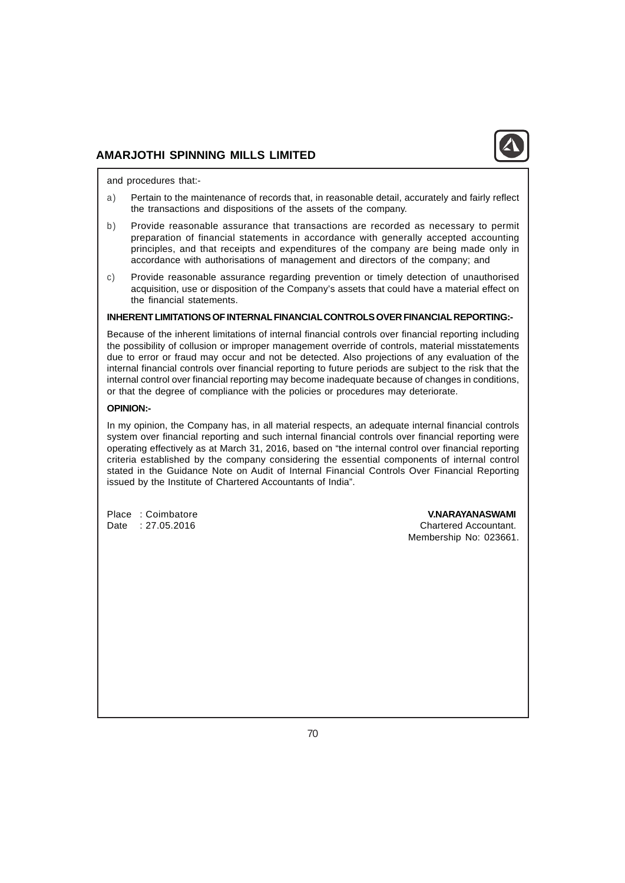

and procedures that:-

- a) Pertain to the maintenance of records that, in reasonable detail, accurately and fairly reflect the transactions and dispositions of the assets of the company.
- b) Provide reasonable assurance that transactions are recorded as necessary to permit preparation of financial statements in accordance with generally accepted accounting principles, and that receipts and expenditures of the company are being made only in accordance with authorisations of management and directors of the company; and
- c) Provide reasonable assurance regarding prevention or timely detection of unauthorised acquisition, use or disposition of the Company's assets that could have a material effect on the financial statements.

### **INHERENT LIMITATIONS OF INTERNAL FINANCIAL CONTROLS OVER FINANCIAL REPORTING:-**

Because of the inherent limitations of internal financial controls over financial reporting including the possibility of collusion or improper management override of controls, material misstatements due to error or fraud may occur and not be detected. Also projections of any evaluation of the internal financial controls over financial reporting to future periods are subject to the risk that the internal control over financial reporting may become inadequate because of changes in conditions, or that the degree of compliance with the policies or procedures may deteriorate.

### **OPINION:-**

In my opinion, the Company has, in all material respects, an adequate internal financial controls system over financial reporting and such internal financial controls over financial reporting were operating effectively as at March 31, 2016, based on "the internal control over financial reporting criteria established by the company considering the essential components of internal control stated in the Guidance Note on Audit of Internal Financial Controls Over Financial Reporting issued by the Institute of Chartered Accountants of India".

Place : Coimbatore **V.NARAYANASWAMI** Date : 27.05.2016 Chartered Accountant. Membership No: 023661.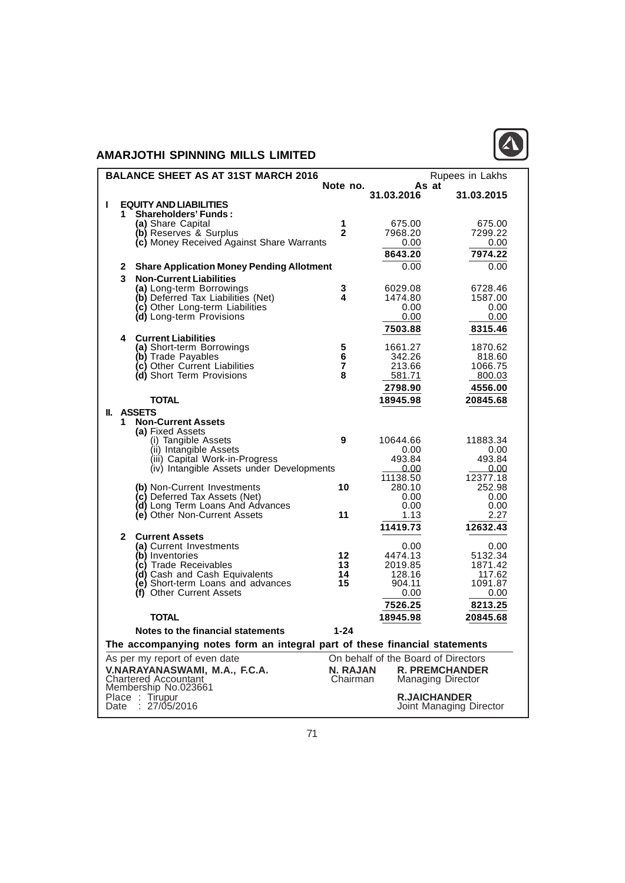

|   |              | <b>BALANCE SHEET AS AT 31ST MARCH 2016</b>                                 |                |                                     | Rupees in Lakhs         |
|---|--------------|----------------------------------------------------------------------------|----------------|-------------------------------------|-------------------------|
|   |              |                                                                            | Note no.       | As at<br>31.03.2016                 | 31.03.2015              |
| п |              | <b>EQUITY AND LIABILITIES</b>                                              |                |                                     |                         |
|   | 1            | <b>Shareholders' Funds:</b>                                                |                |                                     |                         |
|   |              | (a) Share Capital<br>(b) Reserves & Surplus                                | 1<br>2         | 675.00<br>7968.20                   | 675.00<br>7299.22       |
|   |              | (c) Money Received Against Share Warrants                                  |                | 0.00                                | 0.00                    |
|   |              |                                                                            |                | 8643.20                             | 7974.22                 |
|   | $\mathbf{2}$ | <b>Share Application Money Pending Allotment</b>                           |                | 0.00                                | 0.00                    |
|   | 3            | <b>Non-Current Liabilities</b>                                             |                |                                     |                         |
|   |              | (a) Long-term Borrowings                                                   | 3<br>4         | 6029.08                             | 6728.46                 |
|   |              | (b) Deferred Tax Liabilities (Net)<br>(c) Other Long-term Liabilities      |                | 1474.80<br>0.00                     | 1587.00<br>0.00         |
|   |              | (d) Long-term Provisions                                                   |                | 0.00                                | 0.00                    |
|   |              |                                                                            |                | 7503.88                             | 8315.46                 |
|   | 4            | <b>Current Liabilities</b>                                                 | 5              | 1661.27                             | 1870.62                 |
|   |              | (a) Short-term Borrowings<br>(b) Trade Payables                            | 6              | 342.26                              | 818.60                  |
|   |              | (c) Other Current Liabilities                                              | $\overline{7}$ | 213.66                              | 1066.75                 |
|   |              | (d) Short Term Provisions                                                  | 8              | 581.71                              | 800.03                  |
|   |              |                                                                            |                | 2798.90                             | 4556.00                 |
|   |              | <b>TOTAL</b>                                                               |                | 18945.98                            | 20845.68                |
|   | 1.           | II. ASSETS<br><b>Non-Current Assets</b>                                    |                |                                     |                         |
|   |              | (a) Fixed Assets                                                           |                |                                     |                         |
|   |              | (i) Tangible Assets                                                        | 9              | 10644.66                            | 11883.34                |
|   |              | (ii) Intangible Assets<br>(iii) Capital Work-in-Progress                   |                | 0.00<br>493.84                      | 0.00<br>493.84          |
|   |              | (iv) Intangible Assets under Developments                                  |                | 0.00                                | 0.00                    |
|   |              |                                                                            |                | 11138.50                            | 12377.18                |
|   |              | (b) Non-Current Investments<br>(c) Deferred Tax Assets (Net)               | 10             | 280.10<br>0.00                      | 252.98<br>0.00          |
|   |              | (d) Long Term Loans And Advances                                           |                | 0.00                                | 0.00                    |
|   |              | (e) Other Non-Current Assets                                               | 11             | 1.13                                | 2.27                    |
|   |              |                                                                            |                | 11419.73                            | 12632.43                |
|   | $\mathbf{2}$ | <b>Current Assets</b><br>(a) Current Investments                           |                | 0.00                                | 0.00                    |
|   |              | (b) Inventories                                                            | 12             | 4474.13                             | 5132.34                 |
|   |              | (c) Trade Receivables                                                      | 13             | 2019.85                             | 1871.42                 |
|   |              | (d) Cash and Cash Equivalents<br>(e) Short-term Loans and advances         | 14<br>15       | 128.16<br>904.11                    | 117.62<br>1091.87       |
|   |              | (f) Other Current Assets                                                   |                | 0.00                                | 0.00                    |
|   |              |                                                                            |                | 7526.25                             | 8213.25                 |
|   |              | <b>TOTAL</b>                                                               |                | 18945.98                            | 20845.68                |
|   |              | Notes to the financial statements                                          | $1 - 24$       |                                     |                         |
|   |              | The accompanying notes form an integral part of these financial statements |                |                                     |                         |
|   |              | As per my report of even date                                              |                | On behalf of the Board of Directors |                         |
|   |              | V.NARAYANASWAMI, M.A., F.C.A.                                              | N. RAJAN       |                                     | <b>R. PREMCHANDER</b>   |
|   |              | Chartered Accountant<br>Membership No.023661                               | Chairman       | <b>Managing Director</b>            |                         |
|   |              | Place: Tirupur                                                             |                | <b>R.JAICHANDER</b>                 |                         |
|   | Date         | : 27/05/2016                                                               |                |                                     | Joint Managing Director |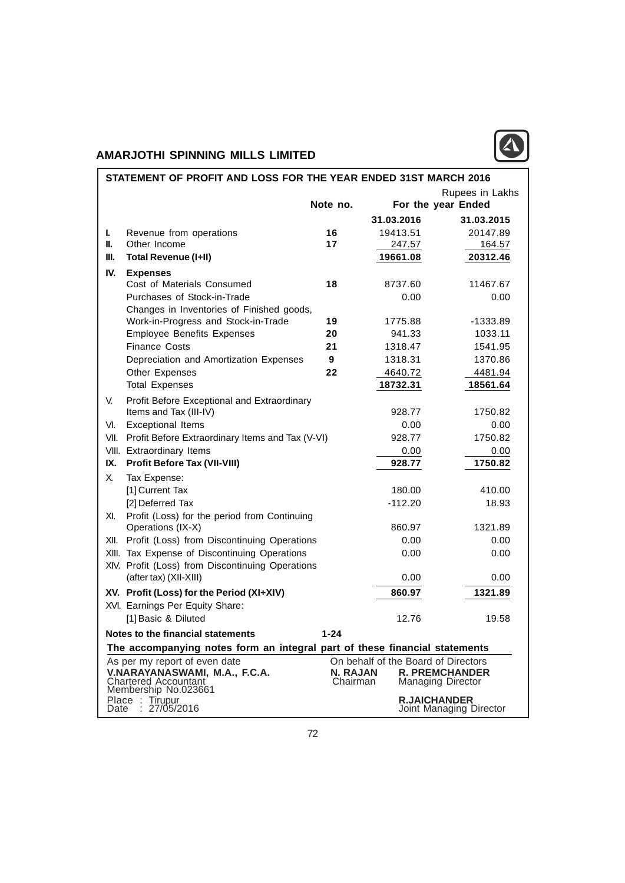

|      | STATEMENT OF PROFIT AND LOSS FOR THE YEAR ENDED 31ST MARCH 2016                                                |                      |                                                                 |                         |  |
|------|----------------------------------------------------------------------------------------------------------------|----------------------|-----------------------------------------------------------------|-------------------------|--|
|      |                                                                                                                | Note no.             | For the year Ended                                              | Rupees in Lakhs         |  |
|      |                                                                                                                |                      | 31.03.2016                                                      | 31.03.2015              |  |
| I.   | Revenue from operations                                                                                        | 16                   | 19413.51                                                        | 20147.89                |  |
| II.  | Other Income                                                                                                   | 17                   | 247.57                                                          | 164.57                  |  |
| Ш.   | Total Revenue (I+II)                                                                                           |                      | 19661.08                                                        | 20312.46                |  |
| IV.  | <b>Expenses</b>                                                                                                |                      |                                                                 |                         |  |
|      | Cost of Materials Consumed                                                                                     | 18                   | 8737.60                                                         | 11467.67                |  |
|      | Purchases of Stock-in-Trade                                                                                    |                      | 0.00                                                            | 0.00                    |  |
|      | Changes in Inventories of Finished goods,                                                                      |                      |                                                                 |                         |  |
|      | Work-in-Progress and Stock-in-Trade                                                                            | 19                   | 1775.88                                                         | -1333.89                |  |
|      | <b>Employee Benefits Expenses</b>                                                                              | 20                   | 941.33                                                          | 1033.11                 |  |
|      | <b>Finance Costs</b>                                                                                           | 21                   | 1318.47                                                         | 1541.95                 |  |
|      | Depreciation and Amortization Expenses                                                                         | 9                    | 1318.31                                                         | 1370.86                 |  |
|      | Other Expenses                                                                                                 | 22                   | 4640.72                                                         | 4481.94                 |  |
|      | <b>Total Expenses</b>                                                                                          |                      | 18732.31                                                        | 18561.64                |  |
| V.   | Profit Before Exceptional and Extraordinary                                                                    |                      |                                                                 |                         |  |
|      | Items and Tax (III-IV)                                                                                         |                      | 928.77                                                          | 1750.82                 |  |
| VI.  | <b>Exceptional Items</b>                                                                                       |                      | 0.00                                                            | 0.00                    |  |
|      | VII. Profit Before Extraordinary Items and Tax (V-VI)                                                          |                      | 928.77                                                          | 1750.82                 |  |
|      | VIII. Extraordinary Items                                                                                      |                      | 0.00                                                            | 0.00                    |  |
| IX.  | <b>Profit Before Tax (VII-VIII)</b>                                                                            |                      | 928.77                                                          | 1750.82                 |  |
| Χ.   | Tax Expense:                                                                                                   |                      |                                                                 |                         |  |
|      | [1] Current Tax                                                                                                |                      | 180.00                                                          | 410.00                  |  |
|      | [2] Deferred Tax                                                                                               |                      | $-112.20$                                                       | 18.93                   |  |
| XI.  | Profit (Loss) for the period from Continuing                                                                   |                      |                                                                 |                         |  |
|      | Operations (IX-X)                                                                                              |                      | 860.97                                                          | 1321.89                 |  |
|      | XII. Profit (Loss) from Discontinuing Operations                                                               |                      | 0.00                                                            | 0.00                    |  |
|      | XIII. Tax Expense of Discontinuing Operations                                                                  |                      | 0.00                                                            | 0.00                    |  |
|      | XIV. Profit (Loss) from Discontinuing Operations                                                               |                      |                                                                 |                         |  |
|      | (after tax) (XII-XIII)                                                                                         |                      | 0.00                                                            | 0.00                    |  |
|      | XV. Profit (Loss) for the Period (XI+XIV)                                                                      |                      | 860.97                                                          | 1321.89                 |  |
|      | XVI. Earnings Per Equity Share:                                                                                |                      |                                                                 |                         |  |
|      | [1] Basic & Diluted                                                                                            |                      | 12.76                                                           | 19.58                   |  |
|      | Notes to the financial statements                                                                              | $1 - 24$             |                                                                 |                         |  |
|      |                                                                                                                |                      |                                                                 |                         |  |
|      | The accompanying notes form an integral part of these financial statements                                     |                      |                                                                 |                         |  |
|      | As per my report of even date<br>V.NARAYANASWAMI, M.A., F.C.A.<br>Chartered Accountant<br>Membership No.023661 | N. RAJAN<br>Chairman | On behalf of the Board of Directors<br><b>Managing Director</b> | <b>R. PREMCHANDER</b>   |  |
| Date | Place :<br>Tirupur<br>27/05/2016                                                                               |                      | <b>R.JAICHANDER</b>                                             | Joint Managing Director |  |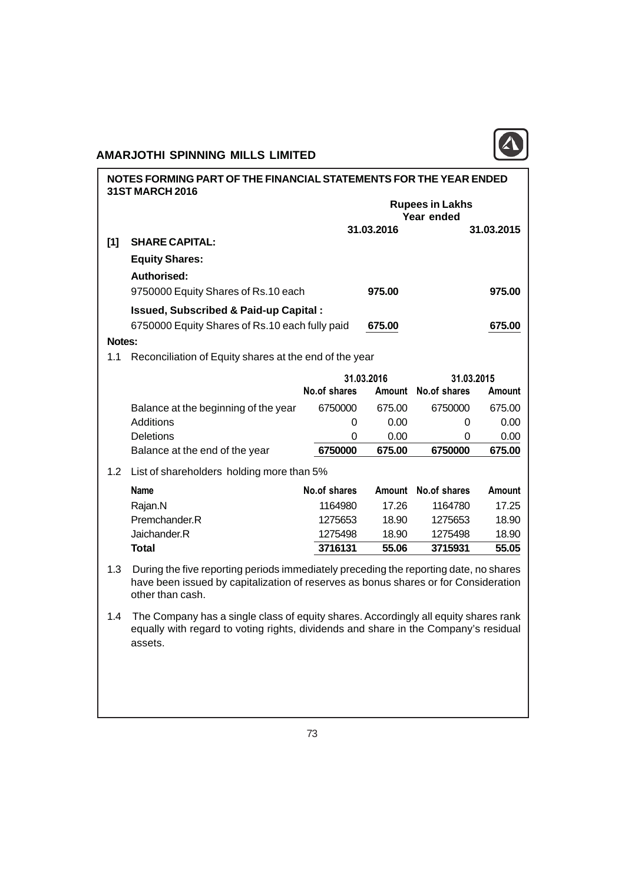

| NOTES FORMING PART OF THE FINANCIAL STATEMENTS FOR THE YEAR ENDED<br><b>31ST MARCH 2016</b> |                                                |                    |                |                                      |                |  |  |
|---------------------------------------------------------------------------------------------|------------------------------------------------|--------------------|----------------|--------------------------------------|----------------|--|--|
|                                                                                             |                                                |                    |                | <b>Rupees in Lakhs</b><br>Year ended |                |  |  |
| $[1]$                                                                                       | <b>SHARE CAPITAL:</b>                          |                    | 31.03.2016     |                                      | 31.03.2015     |  |  |
|                                                                                             | <b>Equity Shares:</b>                          |                    |                |                                      |                |  |  |
|                                                                                             | Authorised:                                    |                    |                |                                      |                |  |  |
|                                                                                             | 9750000 Equity Shares of Rs.10 each            |                    | 975.00         |                                      | 975.00         |  |  |
|                                                                                             | Issued, Subscribed & Paid-up Capital:          |                    |                |                                      |                |  |  |
|                                                                                             | 6750000 Equity Shares of Rs.10 each fully paid |                    | 675.00         |                                      | 675.00         |  |  |
| Notes:                                                                                      |                                                |                    |                |                                      |                |  |  |
| 1.1<br>Reconciliation of Equity shares at the end of the year                               |                                                |                    |                |                                      |                |  |  |
|                                                                                             |                                                |                    |                |                                      |                |  |  |
|                                                                                             |                                                |                    | 31.03.2016     | 31.03.2015                           |                |  |  |
|                                                                                             |                                                | No.of shares       | Amount         | No.of shares                         | Amount         |  |  |
|                                                                                             | Balance at the beginning of the year           | 6750000            | 675.00         | 6750000                              | 675.00         |  |  |
|                                                                                             | Additions                                      | $\Omega$           | 0.00           | 0                                    | 0.00           |  |  |
|                                                                                             | <b>Deletions</b>                               | $\Omega$           | 0.00           | 0                                    | 0.00           |  |  |
|                                                                                             | Balance at the end of the year                 | 6750000            | 675.00         | 6750000                              | 675.00         |  |  |
| 1.2 <sub>2</sub>                                                                            | List of shareholders holding more than 5%      |                    |                |                                      |                |  |  |
|                                                                                             | <b>Name</b>                                    | No.of shares       | Amount         | No.of shares                         | Amount         |  |  |
|                                                                                             | Rajan.N                                        | 1164980            | 17.26          | 1164780                              | 17.25          |  |  |
|                                                                                             | Premchander.R                                  | 1275653            | 18.90          | 1275653                              | 18.90          |  |  |
|                                                                                             | Jaichander.R<br>Total                          | 1275498<br>3716131 | 18.90<br>55.06 | 1275498<br>3715931                   | 18.90<br>55.05 |  |  |

1.3 During the five reporting periods immediately preceding the reporting date, no shares have been issued by capitalization of reserves as bonus shares or for Consideration other than cash.

1.4 The Company has a single class of equity shares. Accordingly all equity shares rank equally with regard to voting rights, dividends and share in the Company's residual assets.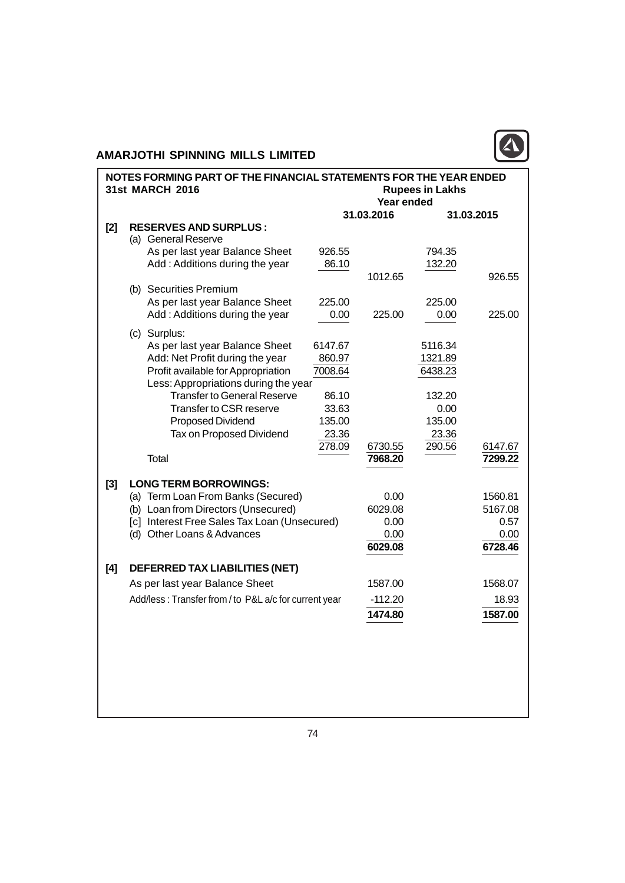

|       | NOTES FORMING PART OF THE FINANCIAL STATEMENTS FOR THE YEAR ENDED<br><b>31st MARCH 2016</b><br><b>Rupees in Lakhs</b><br><b>Year ended</b> |         |            |         |            |  |
|-------|--------------------------------------------------------------------------------------------------------------------------------------------|---------|------------|---------|------------|--|
|       |                                                                                                                                            |         | 31.03.2016 |         | 31.03.2015 |  |
| $[2]$ | <b>RESERVES AND SURPLUS:</b>                                                                                                               |         |            |         |            |  |
|       | (a) General Reserve                                                                                                                        |         |            |         |            |  |
|       | As per last year Balance Sheet                                                                                                             | 926.55  |            | 794.35  |            |  |
|       | Add: Additions during the year                                                                                                             | 86.10   |            | 132.20  |            |  |
|       |                                                                                                                                            |         | 1012.65    |         | 926.55     |  |
|       | (b) Securities Premium                                                                                                                     |         |            |         |            |  |
|       | As per last year Balance Sheet                                                                                                             | 225.00  |            | 225.00  |            |  |
|       | Add: Additions during the year                                                                                                             | 0.00    | 225.00     | 0.00    | 225.00     |  |
|       | (c) Surplus:                                                                                                                               |         |            |         |            |  |
|       | As per last year Balance Sheet                                                                                                             | 6147.67 |            | 5116.34 |            |  |
|       | Add: Net Profit during the year                                                                                                            | 860.97  |            | 1321.89 |            |  |
|       | Profit available for Appropriation                                                                                                         | 7008.64 |            | 6438.23 |            |  |
|       | Less: Appropriations during the year                                                                                                       |         |            |         |            |  |
|       | <b>Transfer to General Reserve</b>                                                                                                         | 86.10   |            | 132.20  |            |  |
|       | Transfer to CSR reserve                                                                                                                    | 33.63   |            | 0.00    |            |  |
|       | Proposed Dividend                                                                                                                          | 135.00  |            | 135.00  |            |  |
|       | Tax on Proposed Dividend                                                                                                                   | 23.36   |            | 23.36   |            |  |
|       |                                                                                                                                            | 278.09  | 6730.55    | 290.56  | 6147.67    |  |
|       | <b>Total</b>                                                                                                                               |         | 7968.20    |         | 7299.22    |  |
| $[3]$ | <b>LONG TERM BORROWINGS:</b>                                                                                                               |         |            |         |            |  |
|       | (a) Term Loan From Banks (Secured)                                                                                                         |         | 0.00       |         | 1560.81    |  |
|       | (b) Loan from Directors (Unsecured)                                                                                                        |         | 6029.08    |         | 5167.08    |  |
|       | [c] Interest Free Sales Tax Loan (Unsecured)                                                                                               |         | 0.00       |         | 0.57       |  |
|       | (d) Other Loans & Advances                                                                                                                 |         | 0.00       |         | 0.00       |  |
|       |                                                                                                                                            |         | 6029.08    |         | 6728.46    |  |
| $[4]$ | DEFERRED TAX LIABILITIES (NET)                                                                                                             |         |            |         |            |  |
|       | As per last year Balance Sheet                                                                                                             |         | 1587.00    |         | 1568.07    |  |
|       | Add/less: Transfer from / to P&L a/c for current year                                                                                      |         | $-112.20$  |         | 18.93      |  |
|       |                                                                                                                                            |         | 1474.80    |         | 1587.00    |  |
|       |                                                                                                                                            |         |            |         |            |  |
|       |                                                                                                                                            |         |            |         |            |  |
|       |                                                                                                                                            |         |            |         |            |  |
|       |                                                                                                                                            |         |            |         |            |  |
|       |                                                                                                                                            |         |            |         |            |  |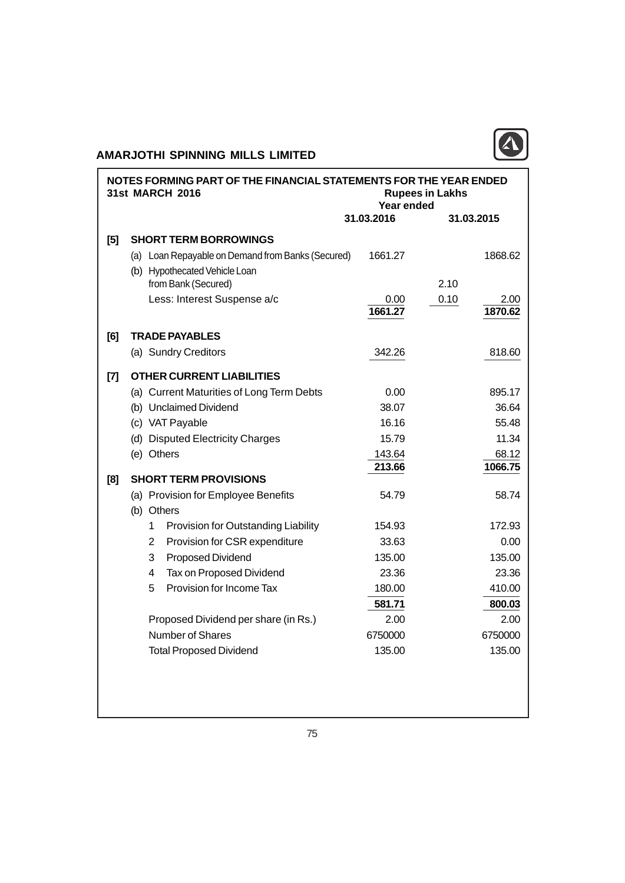

|       | NOTES FORMING PART OF THE FINANCIAL STATEMENTS FOR THE YEAR ENDED<br>31st MARCH 2016<br><b>Rupees in Lakhs</b><br>Year ended |                 |                         |  |
|-------|------------------------------------------------------------------------------------------------------------------------------|-----------------|-------------------------|--|
|       |                                                                                                                              | 31.03.2016      | 31.03.2015              |  |
| [5]   | <b>SHORT TERM BORROWINGS</b>                                                                                                 |                 |                         |  |
|       | (a) Loan Repayable on Demand from Banks (Secured)                                                                            | 1661.27         | 1868.62                 |  |
|       | (b) Hypothecated Vehicle Loan                                                                                                |                 |                         |  |
|       | from Bank (Secured)                                                                                                          |                 | 2.10                    |  |
|       | Less: Interest Suspense a/c                                                                                                  | 0.00<br>1661.27 | 0.10<br>2.00<br>1870.62 |  |
|       |                                                                                                                              |                 |                         |  |
| [6]   | <b>TRADE PAYABLES</b>                                                                                                        |                 |                         |  |
|       | (a) Sundry Creditors                                                                                                         | 342.26          | 818.60                  |  |
| $[7]$ | <b>OTHER CURRENT LIABILITIES</b>                                                                                             |                 |                         |  |
|       | (a) Current Maturities of Long Term Debts                                                                                    | 0.00            | 895.17                  |  |
|       | (b) Unclaimed Dividend                                                                                                       | 38.07           | 36.64                   |  |
|       | (c) VAT Payable                                                                                                              | 16.16           | 55.48                   |  |
|       | (d) Disputed Electricity Charges                                                                                             | 15.79           | 11.34                   |  |
|       | (e) Others                                                                                                                   | 143.64          | 68.12                   |  |
| [8]   | <b>SHORT TERM PROVISIONS</b>                                                                                                 | 213.66          | 1066.75                 |  |
|       | (a) Provision for Employee Benefits                                                                                          | 54.79           | 58.74                   |  |
|       | (b) Others                                                                                                                   |                 |                         |  |
|       | Provision for Outstanding Liability<br>1                                                                                     | 154.93          | 172.93                  |  |
|       | Provision for CSR expenditure<br>2                                                                                           | 33.63           | 0.00                    |  |
|       | 3<br>Proposed Dividend                                                                                                       | 135.00          | 135.00                  |  |
|       | Tax on Proposed Dividend<br>4                                                                                                | 23.36           | 23.36                   |  |
|       | Provision for Income Tax<br>5                                                                                                | 180.00          | 410.00                  |  |
|       |                                                                                                                              | 581.71          | 800.03                  |  |
|       | Proposed Dividend per share (in Rs.)                                                                                         | 2.00            | 2.00                    |  |
|       | Number of Shares                                                                                                             | 6750000         | 6750000                 |  |
|       | <b>Total Proposed Dividend</b>                                                                                               | 135.00          | 135.00                  |  |
|       |                                                                                                                              |                 |                         |  |
|       |                                                                                                                              |                 |                         |  |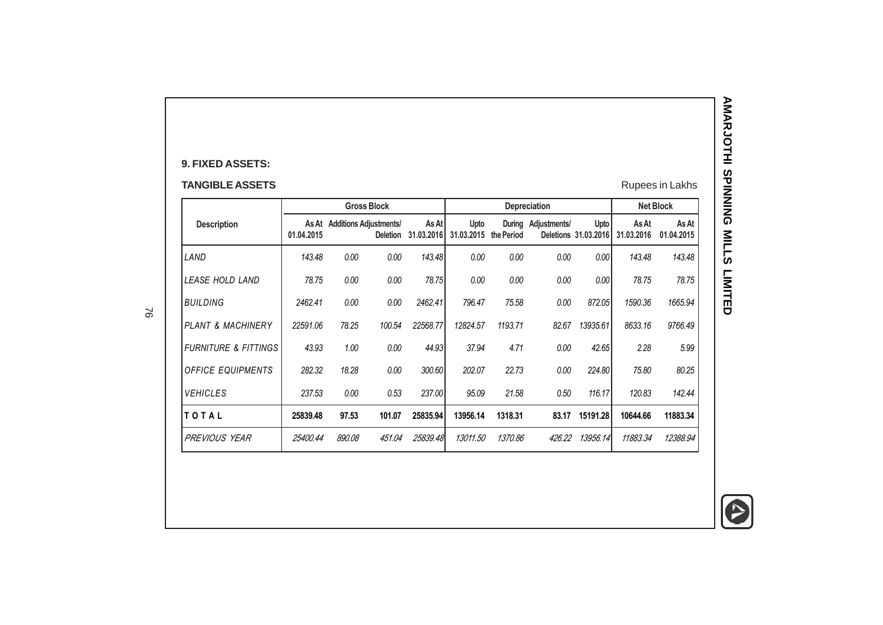| <b>9. FIXED ASSETS:</b> |
|-------------------------|
|-------------------------|

| 9. FIXED ASSETS:                |            |                              |                                |                     |                               |          |                                     |                              |                     |                                         |
|---------------------------------|------------|------------------------------|--------------------------------|---------------------|-------------------------------|----------|-------------------------------------|------------------------------|---------------------|-----------------------------------------|
| <b>TANGIBLE ASSETS</b>          |            |                              |                                |                     |                               |          |                                     |                              |                     | Rupees in Lakhs                         |
| <b>Description</b>              | 01.04.2015 | As At Additions Adjustments/ | <b>Gross Block</b><br>Deletion | As At<br>31.03.2016 | Upto<br>31.03.2015 the Period |          | Depreciation<br>During Adjustments/ | Upto<br>Deletions 31.03.2016 | As At<br>31.03.2016 | <b>Net Block</b><br>As At<br>01.04.2015 |
| LAND                            | 143.48     | $0.00\,$                     | 0.00                           | 143.48              | $0.00\,$                      | $0.00\,$ | 0.00                                | 0.00                         | 143.48              | 143.48                                  |
| LEASE HOLD LAND                 | 78.75      | 0.00                         | 0.00                           | 78.75               | 0.00                          | 0.00     | 0.00                                | 0.00                         | 78.75               | 78.75                                   |
| I BUILDING                      | 2462.41    | 0.00                         | 0.00                           | 2462.41             | 796.47                        | 75.58    | 0.00                                | 872.05                       | 1590.36             | 1665.94                                 |
| IPLANT & MACHINERY              | 22591.06   | 78.25                        | 100.54                         | 22568.77            | 12824.57                      | 1193.71  | 82.67                               | 13935.61                     | 8633.16             | 9766.49                                 |
| <b>FURNITURE &amp; FITTINGS</b> | 43.93      | 1.00                         | 0.00                           | 44.93               | 37.94                         | 4.71     | 0.00                                | 42.65                        | 2.28                | 5.99                                    |
| <b>OFFICE EQUIPMENTS</b>        | 282.32     | 18.28                        | 0.00                           | 300.60              | 202.07                        | 22.73    | 0.00                                | 224.80                       | 75.80               | 80.25                                   |
| <b>VEHICLES</b>                 | 237.53     | 0.00                         | 0.53                           | 237.00              | 95.09                         | 21.58    | 0.50                                | 116.17                       | 120.83              | 142.44                                  |
| TOTAL                           | 25839.48   | 97.53                        | 101.07                         | 25835.94            | 13956.14                      | 1318.31  | 83.17                               | 15191.28                     | 10644.66            | 11883.34                                |
| PREVIOUS YEAR                   | 25400.44   | 890.08                       | 451.04                         | 25839.48            | 13011.50                      | 1370.86  | 426.22                              | 13956.14                     | 11883.34            | 12388.94                                |

76

 $\bullet$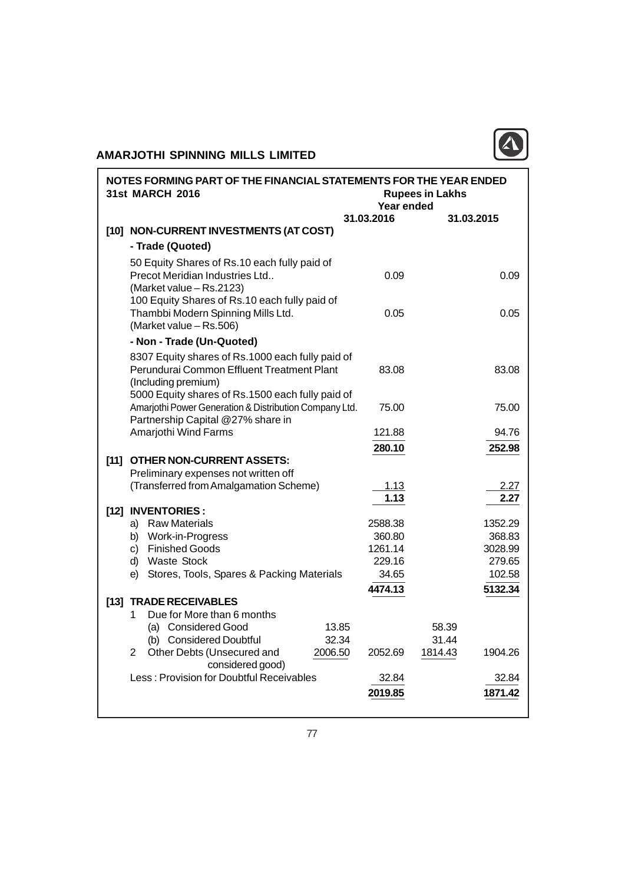

| NOTES FORMING PART OF THE FINANCIAL STATEMENTS FOR THE YEAR ENDED<br><b>31st MARCH 2016</b><br><b>Rupees in Lakhs</b><br>Year ended                                                                                          |                               |  |  |  |
|------------------------------------------------------------------------------------------------------------------------------------------------------------------------------------------------------------------------------|-------------------------------|--|--|--|
|                                                                                                                                                                                                                              | 31.03.2016<br>31.03.2015      |  |  |  |
| [10] NON-CURRENT INVESTMENTS (AT COST)                                                                                                                                                                                       |                               |  |  |  |
| - Trade (Quoted)                                                                                                                                                                                                             |                               |  |  |  |
| 50 Equity Shares of Rs.10 each fully paid of<br>Precot Meridian Industries Ltd<br>(Market value - Rs.2123)<br>100 Equity Shares of Rs.10 each fully paid of<br>Thambbi Modern Spinning Mills Ltd.<br>(Market value - Rs.506) | 0.09<br>0.09<br>0.05<br>0.05  |  |  |  |
| - Non - Trade (Un-Quoted)                                                                                                                                                                                                    |                               |  |  |  |
| 8307 Equity shares of Rs.1000 each fully paid of<br>Perundurai Common Effluent Treatment Plant<br>(Including premium)<br>5000 Equity shares of Rs.1500 each fully paid of                                                    | 83.08<br>83.08                |  |  |  |
| Amarjothi Power Generation & Distribution Company Ltd.<br>Partnership Capital @27% share in                                                                                                                                  | 75.00<br>75.00                |  |  |  |
| Amarjothi Wind Farms                                                                                                                                                                                                         | 121.88<br>94.76               |  |  |  |
|                                                                                                                                                                                                                              | 280.10<br>252.98              |  |  |  |
| [11] OTHER NON-CURRENT ASSETS:                                                                                                                                                                                               |                               |  |  |  |
| Preliminary expenses not written off                                                                                                                                                                                         |                               |  |  |  |
| (Transferred from Amalgamation Scheme)                                                                                                                                                                                       | 1.13<br>2.27                  |  |  |  |
|                                                                                                                                                                                                                              | 1.13<br>2.27                  |  |  |  |
| [12] INVENTORIES:                                                                                                                                                                                                            |                               |  |  |  |
| <b>Raw Materials</b><br>a)                                                                                                                                                                                                   | 2588.38<br>1352.29            |  |  |  |
| Work-in-Progress<br>b)                                                                                                                                                                                                       | 360.80<br>368.83              |  |  |  |
| <b>Finished Goods</b><br>$\mathsf{c}$                                                                                                                                                                                        | 1261.14<br>3028.99            |  |  |  |
| <b>Waste Stock</b><br>d)                                                                                                                                                                                                     | 229.16<br>279.65              |  |  |  |
| Stores, Tools, Spares & Packing Materials<br>e)                                                                                                                                                                              | 34.65<br>102.58               |  |  |  |
|                                                                                                                                                                                                                              | 4474.13<br>5132.34            |  |  |  |
| [13] TRADE RECEIVABLES                                                                                                                                                                                                       |                               |  |  |  |
| Due for More than 6 months<br>1<br>(a) Considered Good                                                                                                                                                                       |                               |  |  |  |
| (b) Considered Doubtful<br>32.34                                                                                                                                                                                             | 13.85<br>58.39<br>31.44       |  |  |  |
| Other Debts (Unsecured and<br>2006.50<br>2                                                                                                                                                                                   | 1814.43<br>2052.69<br>1904.26 |  |  |  |
| considered good)                                                                                                                                                                                                             |                               |  |  |  |
| Less: Provision for Doubtful Receivables                                                                                                                                                                                     | 32.84<br>32.84                |  |  |  |
|                                                                                                                                                                                                                              | 2019.85<br>1871.42            |  |  |  |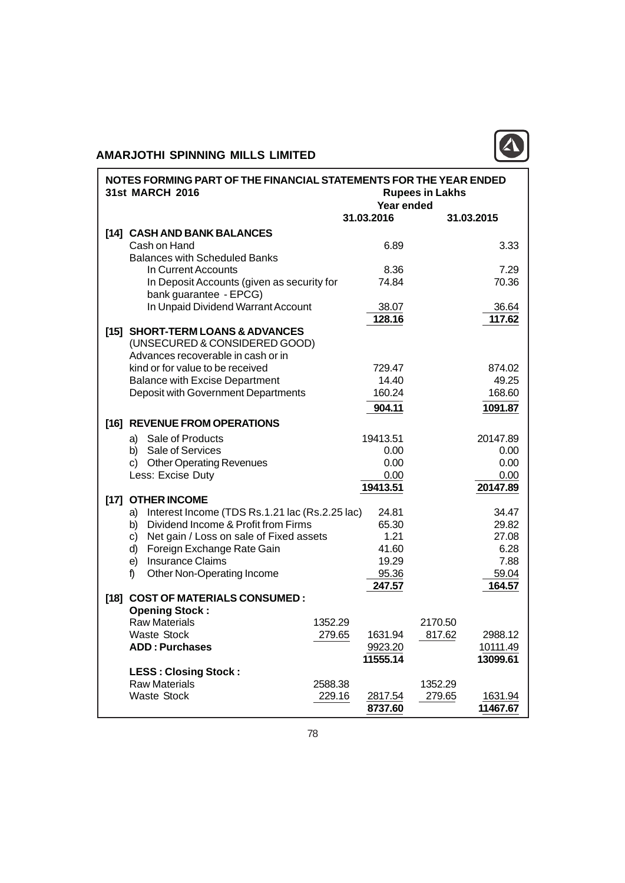

| NOTES FORMING PART OF THE FINANCIAL STATEMENTS FOR THE YEAR ENDED<br><b>31st MARCH 2016</b> | Year ended        | <b>Rupees in Lakhs</b> |
|---------------------------------------------------------------------------------------------|-------------------|------------------------|
|                                                                                             | 31.03.2016        | 31.03.2015             |
| [14] CASH AND BANK BALANCES                                                                 |                   |                        |
| Cash on Hand                                                                                | 6.89              | 3.33                   |
| <b>Balances with Scheduled Banks</b>                                                        |                   |                        |
| In Current Accounts                                                                         | 8.36              | 7.29                   |
| In Deposit Accounts (given as security for                                                  | 74.84             | 70.36                  |
| bank guarantee - EPCG)                                                                      |                   |                        |
| In Unpaid Dividend Warrant Account                                                          | 38.07             | 36.64                  |
|                                                                                             | 128.16            | 117.62                 |
| [15] SHORT-TERM LOANS & ADVANCES                                                            |                   |                        |
| (UNSECURED & CONSIDERED GOOD)                                                               |                   |                        |
| Advances recoverable in cash or in                                                          |                   |                        |
| kind or for value to be received                                                            | 729.47            | 874.02                 |
| <b>Balance with Excise Department</b>                                                       | 14.40             | 49.25                  |
| Deposit with Government Departments                                                         | 160.24            | 168.60                 |
|                                                                                             | 904.11            | 1091.87                |
| [16] REVENUE FROM OPERATIONS                                                                |                   |                        |
|                                                                                             |                   |                        |
| a) Sale of Products                                                                         | 19413.51          | 20147.89               |
| b) Sale of Services                                                                         | 0.00              | 0.00                   |
| c) Other Operating Revenues                                                                 | 0.00              | 0.00                   |
| Less: Excise Duty                                                                           | 0.00              | 0.00                   |
|                                                                                             | 19413.51          | 20147.89               |
| <b>OTHER INCOME</b><br>$[17]$                                                               |                   |                        |
| Interest Income (TDS Rs.1.21 lac (Rs.2.25 lac)<br>a)<br>Dividend Income & Profit from Firms | 24.81             | 34.47                  |
| b)                                                                                          | 65.30<br>1.21     | 29.82<br>27.08         |
| Net gain / Loss on sale of Fixed assets<br>c)<br>Foreign Exchange Rate Gain                 | 41.60             | 6.28                   |
| d)<br><b>Insurance Claims</b><br>e)                                                         | 19.29             | 7.88                   |
| f)<br>Other Non-Operating Income                                                            | 95.36             | 59.04                  |
|                                                                                             | 247.57            | 164.57                 |
| [18] COST OF MATERIALS CONSUMED :                                                           |                   |                        |
| <b>Opening Stock:</b>                                                                       |                   |                        |
| <b>Raw Materials</b>                                                                        | 1352.29           | 2170.50                |
| Waste Stock                                                                                 | 279.65<br>1631.94 | 2988.12<br>817.62      |
| <b>ADD: Purchases</b>                                                                       | 9923.20           | 10111.49               |
|                                                                                             | 11555.14          | 13099.61               |
| <b>LESS: Closing Stock:</b>                                                                 |                   |                        |
| <b>Raw Materials</b>                                                                        | 2588.38           | 1352.29                |
| <b>Waste Stock</b>                                                                          | 229.16<br>2817.54 | 279.65<br>1631.94      |
|                                                                                             | 8737.60           | 11467.67               |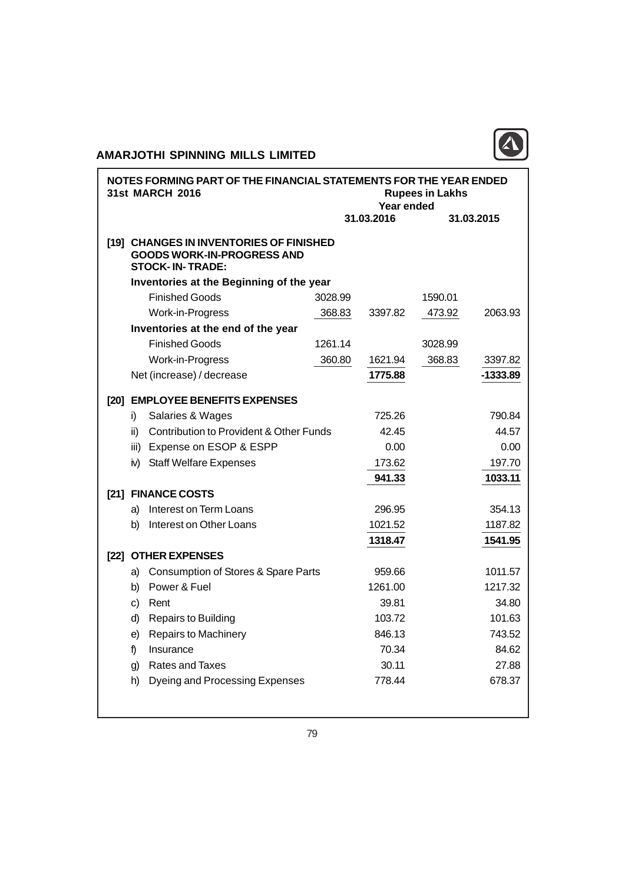

|      | NOTES FORMING PART OF THE FINANCIAL STATEMENTS FOR THE YEAR ENDED<br><b>31st MARCH 2016</b><br><b>Rupees in Lakhs</b><br><b>Year ended</b> |                                                                                                        |         |            |         |            |
|------|--------------------------------------------------------------------------------------------------------------------------------------------|--------------------------------------------------------------------------------------------------------|---------|------------|---------|------------|
|      |                                                                                                                                            |                                                                                                        |         | 31.03.2016 |         | 31.03.2015 |
|      |                                                                                                                                            | [19] CHANGES IN INVENTORIES OF FINISHED<br><b>GOODS WORK-IN-PROGRESS AND</b><br><b>STOCK-IN-TRADE:</b> |         |            |         |            |
|      |                                                                                                                                            | Inventories at the Beginning of the year                                                               |         |            |         |            |
|      |                                                                                                                                            | <b>Finished Goods</b>                                                                                  | 3028.99 |            | 1590.01 |            |
|      |                                                                                                                                            | Work-in-Progress                                                                                       | 368.83  | 3397.82    | 473.92  | 2063.93    |
|      |                                                                                                                                            | Inventories at the end of the year                                                                     |         |            |         |            |
|      |                                                                                                                                            | <b>Finished Goods</b>                                                                                  | 1261.14 |            | 3028.99 |            |
|      |                                                                                                                                            | Work-in-Progress                                                                                       | 360.80  | 1621.94    | 368.83  | 3397.82    |
|      |                                                                                                                                            | Net (increase) / decrease                                                                              |         | 1775.88    |         | $-1333.89$ |
|      |                                                                                                                                            | [20] EMPLOYEE BENEFITS EXPENSES                                                                        |         |            |         |            |
|      | i)                                                                                                                                         | Salaries & Wages                                                                                       |         | 725.26     |         | 790.84     |
|      | ii)                                                                                                                                        | Contribution to Provident & Other Funds                                                                |         | 42.45      |         | 44.57      |
|      |                                                                                                                                            | iii) Expense on ESOP & ESPP                                                                            |         | 0.00       |         | 0.00       |
|      |                                                                                                                                            | iv) Staff Welfare Expenses                                                                             |         | 173.62     |         | 197.70     |
|      |                                                                                                                                            |                                                                                                        |         | 941.33     |         | 1033.11    |
|      |                                                                                                                                            | [21] FINANCE COSTS                                                                                     |         |            |         |            |
|      | a)                                                                                                                                         | <b>Interest on Term Loans</b>                                                                          |         | 296.95     |         | 354.13     |
|      | b)                                                                                                                                         | Interest on Other Loans                                                                                |         | 1021.52    |         | 1187.82    |
|      |                                                                                                                                            |                                                                                                        |         | 1318.47    |         | 1541.95    |
| [22] |                                                                                                                                            | <b>OTHER EXPENSES</b>                                                                                  |         |            |         |            |
|      | a)                                                                                                                                         | Consumption of Stores & Spare Parts                                                                    |         | 959.66     |         | 1011.57    |
|      | b)                                                                                                                                         | Power & Fuel                                                                                           |         | 1261.00    |         | 1217.32    |
|      | $\mathbf{C}$                                                                                                                               | Rent                                                                                                   |         | 39.81      |         | 34.80      |
|      | d)                                                                                                                                         | <b>Repairs to Building</b>                                                                             |         | 103.72     |         | 101.63     |
|      | e)                                                                                                                                         | Repairs to Machinery                                                                                   |         | 846.13     |         | 743.52     |
|      | f)                                                                                                                                         | Insurance                                                                                              |         | 70.34      |         | 84.62      |
|      | g)                                                                                                                                         | Rates and Taxes                                                                                        |         | 30.11      |         | 27.88      |
|      | h)                                                                                                                                         | <b>Dyeing and Processing Expenses</b>                                                                  |         | 778.44     |         | 678.37     |
|      |                                                                                                                                            |                                                                                                        |         |            |         |            |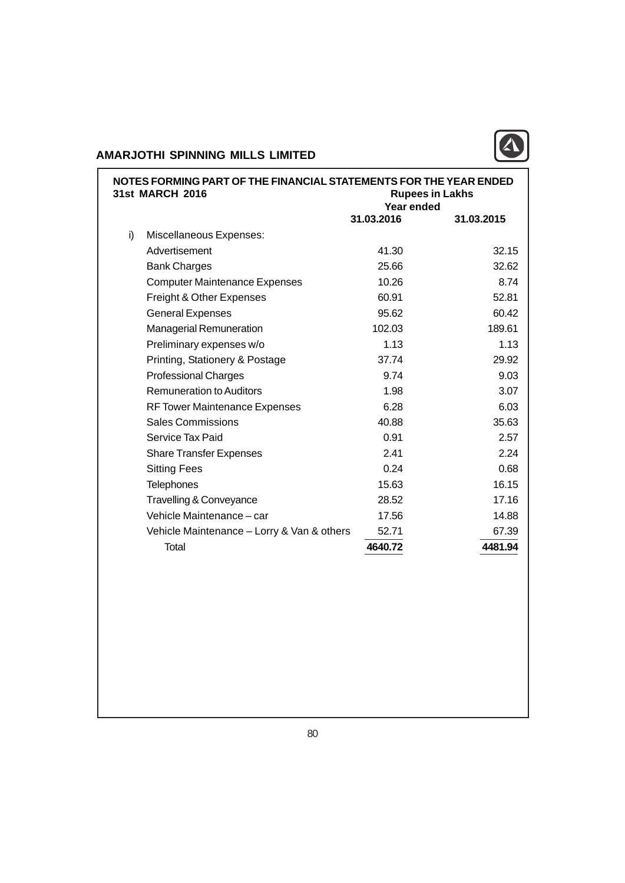

|    | NOTES FORMING PART OF THE FINANCIAL STATEMENTS FOR THE YEAR ENDED<br><b>31st MARCH 2016</b><br><b>Rupees in Lakhs</b><br><b>Year ended</b> |            |            |  |  |
|----|--------------------------------------------------------------------------------------------------------------------------------------------|------------|------------|--|--|
|    |                                                                                                                                            | 31.03.2016 | 31.03.2015 |  |  |
| i) | Miscellaneous Expenses:                                                                                                                    |            |            |  |  |
|    | Advertisement                                                                                                                              | 41.30      | 32.15      |  |  |
|    | <b>Bank Charges</b>                                                                                                                        | 25.66      | 32.62      |  |  |
|    | <b>Computer Maintenance Expenses</b>                                                                                                       | 10.26      | 8.74       |  |  |
|    | Freight & Other Expenses                                                                                                                   | 60.91      | 52.81      |  |  |
|    | <b>General Expenses</b>                                                                                                                    | 95.62      | 60.42      |  |  |
|    | <b>Managerial Remuneration</b>                                                                                                             | 102.03     | 189.61     |  |  |
|    | Preliminary expenses w/o                                                                                                                   | 1.13       | 1.13       |  |  |
|    | Printing, Stationery & Postage                                                                                                             | 37.74      | 29.92      |  |  |
|    | <b>Professional Charges</b>                                                                                                                | 9.74       | 9.03       |  |  |
|    | <b>Remuneration to Auditors</b>                                                                                                            | 1.98       | 3.07       |  |  |
|    | RF Tower Maintenance Expenses                                                                                                              | 6.28       | 6.03       |  |  |
|    | <b>Sales Commissions</b>                                                                                                                   | 40.88      | 35.63      |  |  |
|    | Service Tax Paid                                                                                                                           | 0.91       | 2.57       |  |  |
|    | <b>Share Transfer Expenses</b>                                                                                                             | 2.41       | 2.24       |  |  |
|    | <b>Sitting Fees</b>                                                                                                                        | 0.24       | 0.68       |  |  |
|    | <b>Telephones</b>                                                                                                                          | 15.63      | 16.15      |  |  |
|    | Travelling & Conveyance                                                                                                                    | 28.52      | 17.16      |  |  |
|    | Vehicle Maintenance - car                                                                                                                  | 17.56      | 14.88      |  |  |
|    | Vehicle Maintenance - Lorry & Van & others                                                                                                 | 52.71      | 67.39      |  |  |
|    | Total                                                                                                                                      | 4640.72    | 4481.94    |  |  |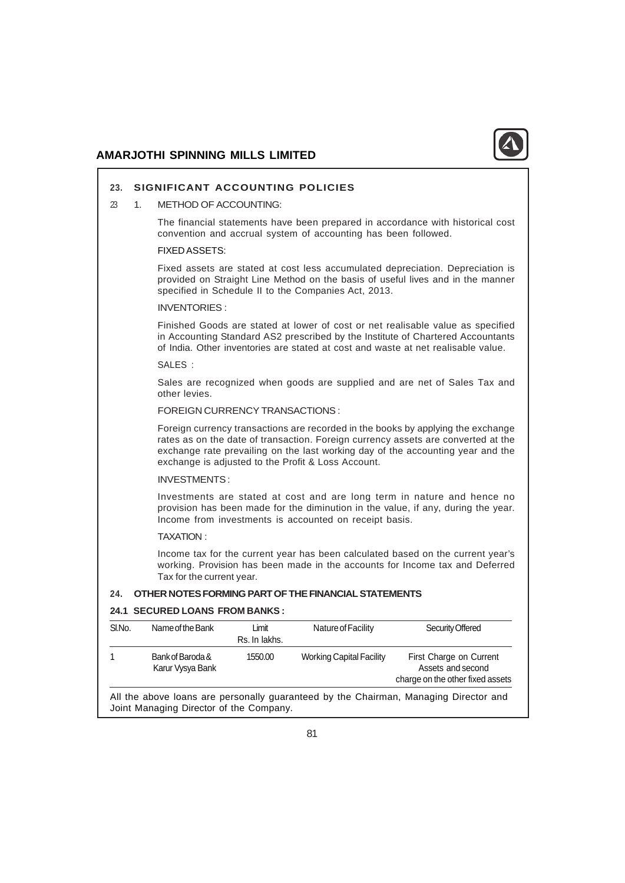

#### **23. SIGNIFICANT ACCOUNTING POLICIES**

#### 23 1. METHOD OF ACCOUNTING:

The financial statements have been prepared in accordance with historical cost convention and accrual system of accounting has been followed.

#### FIXED ASSETS:

Fixed assets are stated at cost less accumulated depreciation. Depreciation is provided on Straight Line Method on the basis of useful lives and in the manner specified in Schedule II to the Companies Act, 2013.

#### INVENTORIES :

Finished Goods are stated at lower of cost or net realisable value as specified in Accounting Standard AS2 prescribed by the Institute of Chartered Accountants of India. Other inventories are stated at cost and waste at net realisable value.

#### SALES :

Sales are recognized when goods are supplied and are net of Sales Tax and other levies.

## FOREIGN CURRENCY TRANSACTIONS :

Foreign currency transactions are recorded in the books by applying the exchange rates as on the date of transaction. Foreign currency assets are converted at the exchange rate prevailing on the last working day of the accounting year and the exchange is adjusted to the Profit & Loss Account.

#### INVESTMENTS:

Investments are stated at cost and are long term in nature and hence no provision has been made for the diminution in the value, if any, during the year. Income from investments is accounted on receipt basis.

#### TAXATION :

Income tax for the current year has been calculated based on the current year's working. Provision has been made in the accounts for Income tax and Deferred Tax for the current year.

### 24. **OTHER NOTES FORMING PART OF THE FINANCIAL STATEMENTS**

#### **24.1 SECURED LOANS FROM BANKS :**

| SI.No.                                                                                                                          | Name of the Bank                     | Limit<br>Rs. In lakhs. | Nature of Facility              | Security Offered                                                                 |  |  |  |
|---------------------------------------------------------------------------------------------------------------------------------|--------------------------------------|------------------------|---------------------------------|----------------------------------------------------------------------------------|--|--|--|
|                                                                                                                                 | Bank of Baroda &<br>Karur Vysya Bank | 1550.00                | <b>Working Capital Facility</b> | First Charge on Current<br>Assets and second<br>charge on the other fixed assets |  |  |  |
| All the above loans are personally guaranteed by the Chairman, Managing Director and<br>Joint Managing Director of the Company. |                                      |                        |                                 |                                                                                  |  |  |  |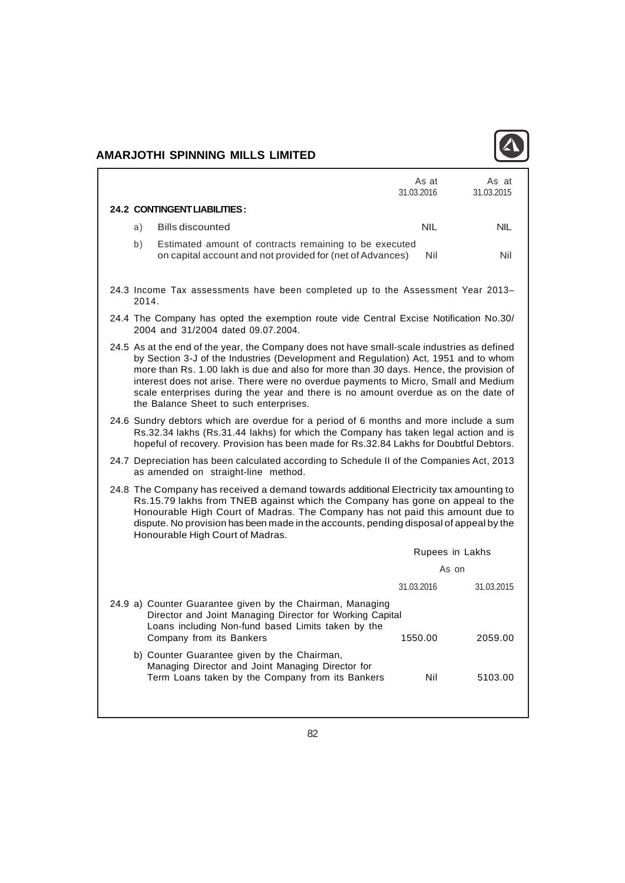

|       |                                                                                                                                                                                                                                                                                                                                                                                                                                                                                                    | As at<br>31.03.2016 | As at<br>31.03.2015 |
|-------|----------------------------------------------------------------------------------------------------------------------------------------------------------------------------------------------------------------------------------------------------------------------------------------------------------------------------------------------------------------------------------------------------------------------------------------------------------------------------------------------------|---------------------|---------------------|
|       | <b>24.2 CONTINGENT LIABILITIES:</b>                                                                                                                                                                                                                                                                                                                                                                                                                                                                |                     |                     |
| a)    | <b>Bills discounted</b>                                                                                                                                                                                                                                                                                                                                                                                                                                                                            | <b>NIL</b>          | <b>NIL</b>          |
| b)    | Estimated amount of contracts remaining to be executed<br>on capital account and not provided for (net of Advances)                                                                                                                                                                                                                                                                                                                                                                                | Nil                 | Nil                 |
| 2014. | 24.3 Income Tax assessments have been completed up to the Assessment Year 2013-                                                                                                                                                                                                                                                                                                                                                                                                                    |                     |                     |
|       | 24.4 The Company has opted the exemption route vide Central Excise Notification No.30/<br>2004 and 31/2004 dated 09.07.2004.                                                                                                                                                                                                                                                                                                                                                                       |                     |                     |
|       | 24.5 As at the end of the year, the Company does not have small-scale industries as defined<br>by Section 3-J of the Industries (Development and Regulation) Act, 1951 and to whom<br>more than Rs. 1.00 lakh is due and also for more than 30 days. Hence, the provision of<br>interest does not arise. There were no overdue payments to Micro, Small and Medium<br>scale enterprises during the year and there is no amount overdue as on the date of<br>the Balance Sheet to such enterprises. |                     |                     |
|       | 24.6 Sundry debtors which are overdue for a period of 6 months and more include a sum<br>Rs.32.34 lakhs (Rs.31.44 lakhs) for which the Company has taken legal action and is<br>hopeful of recovery. Provision has been made for Rs.32.84 Lakhs for Doubtful Debtors.                                                                                                                                                                                                                              |                     |                     |
|       | 24.7 Depreciation has been calculated according to Schedule II of the Companies Act, 2013<br>as amended on straight-line method.                                                                                                                                                                                                                                                                                                                                                                   |                     |                     |
|       | 24.8 The Company has received a demand towards additional Electricity tax amounting to<br>Rs.15.79 lakhs from TNEB against which the Company has gone on appeal to the<br>Honourable High Court of Madras. The Company has not paid this amount due to<br>dispute. No provision has been made in the accounts, pending disposal of appeal by the<br>Honourable High Court of Madras.                                                                                                               |                     |                     |
|       |                                                                                                                                                                                                                                                                                                                                                                                                                                                                                                    | Rupees in Lakhs     |                     |
|       |                                                                                                                                                                                                                                                                                                                                                                                                                                                                                                    | As on               |                     |
|       |                                                                                                                                                                                                                                                                                                                                                                                                                                                                                                    | 31.03.2016          | 31.03.2015          |
|       | 24.9 a) Counter Guarantee given by the Chairman, Managing<br>Director and Joint Managing Director for Working Capital<br>Loans including Non-fund based Limits taken by the<br>Company from its Bankers                                                                                                                                                                                                                                                                                            | 1550.00             | 2059.00             |
|       | b) Counter Guarantee given by the Chairman,<br>Managing Director and Joint Managing Director for<br>Term Loans taken by the Company from its Bankers                                                                                                                                                                                                                                                                                                                                               | Nil                 | 5103.00             |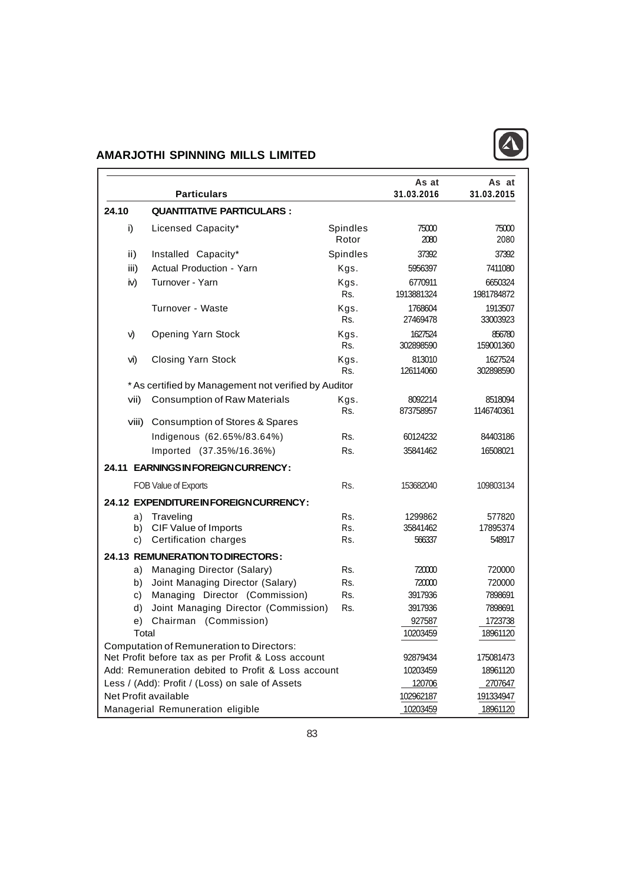

|          | <b>Particulars</b>                                                     |                   | As at<br>31.03.2016   | As at<br>31.03.2015   |
|----------|------------------------------------------------------------------------|-------------------|-----------------------|-----------------------|
| 24.10    | <b>QUANTITATIVE PARTICULARS:</b>                                       |                   |                       |                       |
| i)       | Licensed Capacity*                                                     | Spindles<br>Rotor | 75000<br>2080         | 75000<br>2080         |
| ii)      | Installed Capacity*                                                    | <b>Spindles</b>   | 37392                 | 37392                 |
| iii)     | <b>Actual Production - Yarn</b>                                        | Kgs.              | 5956397               | 7411080               |
| iv)      | Turnover - Yarn                                                        | Kgs.<br>Rs.       | 6770911<br>1913881324 | 6650324<br>1981784872 |
|          | Turnover - Waste                                                       | Kgs.<br>Rs.       | 1768604<br>27469478   | 1913507<br>33003923   |
| V)       | <b>Opening Yarn Stock</b>                                              | Kgs.<br>Rs.       | 1627524<br>302898590  | 856780<br>159001360   |
| vi)      | <b>Closing Yarn Stock</b>                                              | Kgs.<br>Rs.       | 813010<br>126114060   | 1627524<br>302898590  |
|          | * As certified by Management not verified by Auditor                   |                   |                       |                       |
| vii)     | <b>Consumption of Raw Materials</b>                                    | Kgs.<br>Rs.       | 8092214<br>873758957  | 8518094<br>1146740361 |
| viii)    | <b>Consumption of Stores &amp; Spares</b>                              |                   |                       |                       |
|          | Indigenous (62.65%/83.64%)                                             | Rs.               | 60124232              | 84403186              |
|          | Imported (37.35%/16.36%)                                               | Rs.               | 35841462              | 16508021              |
|          | 24.11 EARNINGSIN FOREIGN CURRENCY:                                     |                   |                       |                       |
|          | FOB Value of Exports                                                   | Rs.               | 153682040             | 109803134             |
|          | 24.12 EXPENDITURE IN FOREIGN CURRENCY:                                 |                   |                       |                       |
| a)       | Traveling                                                              | Rs.               | 1299862               | 577820                |
| b)       | CIF Value of Imports                                                   | Rs.               | 35841462              | 17895374              |
| C)       | Certification charges                                                  | Rs.               | 566337                | 548917                |
|          | 24.13 REMUNERATION TO DIRECTORS:                                       |                   |                       |                       |
| a)       | Managing Director (Salary)                                             | Rs.               | 720000                | 720000                |
| b)       | Joint Managing Director (Salary)                                       | Rs.               | 720000                | 720000                |
| C)       | Managing Director (Commission)<br>Joint Managing Director (Commission) | Rs.<br>Rs.        | 3917936<br>3917936    | 7898691<br>7898691    |
| d)<br>e) | Chairman (Commission)                                                  |                   | 927587                | 1723738               |
|          | Total                                                                  |                   | 10203459              | 18961120              |
|          | Computation of Remuneration to Directors:                              |                   |                       |                       |
|          | Net Profit before tax as per Profit & Loss account                     |                   | 92879434              | 175081473             |
|          | Add: Remuneration debited to Profit & Loss account                     |                   | 10203459              | 18961120              |
|          | Less / (Add): Profit / (Loss) on sale of Assets                        |                   | 120706                | 2707647               |
|          | Net Profit available                                                   |                   | 102962187             | 191334947             |
|          | Managerial Remuneration eligible                                       |                   | 10203459              | 18961120              |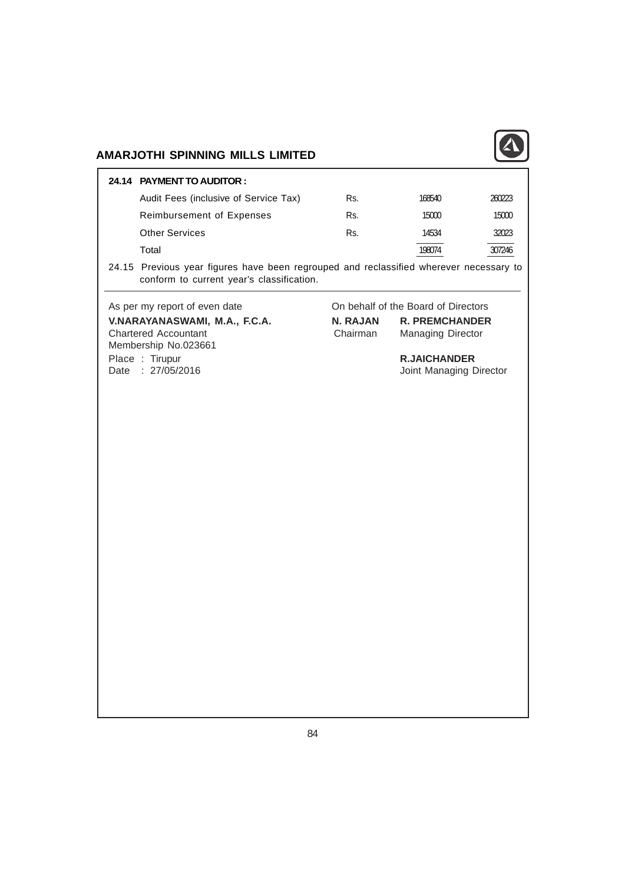

**24.14 PAYMENTTOAUDITOR :**

|      | Audit Fees (inclusive of Service Tax)                                                                                               | Rs.                         | 168540                                            | 260223 |
|------|-------------------------------------------------------------------------------------------------------------------------------------|-----------------------------|---------------------------------------------------|--------|
|      | Reimbursement of Expenses                                                                                                           | Rs.                         | 15000                                             | 15000  |
|      | <b>Other Services</b>                                                                                                               | Rs.                         | 14534                                             | 32023  |
|      | Total                                                                                                                               |                             | 198074                                            | 307246 |
|      | 24.15 Previous year figures have been regrouped and reclassified wherever necessary to<br>conform to current year's classification. |                             |                                                   |        |
|      | As per my report of even date                                                                                                       |                             | On behalf of the Board of Directors               |        |
|      | V.NARAYANASWAMI, M.A., F.C.A.<br><b>Chartered Accountant</b>                                                                        | <b>N. RAJAN</b><br>Chairman | <b>R. PREMCHANDER</b><br><b>Managing Director</b> |        |
| Date | Membership No.023661<br>Place : Tirupur<br>: 27/05/2016                                                                             |                             | <b>R.JAICHANDER</b><br>Joint Managing Director    |        |
|      |                                                                                                                                     |                             |                                                   |        |
|      |                                                                                                                                     |                             |                                                   |        |
|      |                                                                                                                                     |                             |                                                   |        |
|      |                                                                                                                                     |                             |                                                   |        |
|      |                                                                                                                                     |                             |                                                   |        |
|      |                                                                                                                                     |                             |                                                   |        |
|      |                                                                                                                                     |                             |                                                   |        |
|      |                                                                                                                                     |                             |                                                   |        |
|      |                                                                                                                                     |                             |                                                   |        |
|      |                                                                                                                                     |                             |                                                   |        |
|      |                                                                                                                                     |                             |                                                   |        |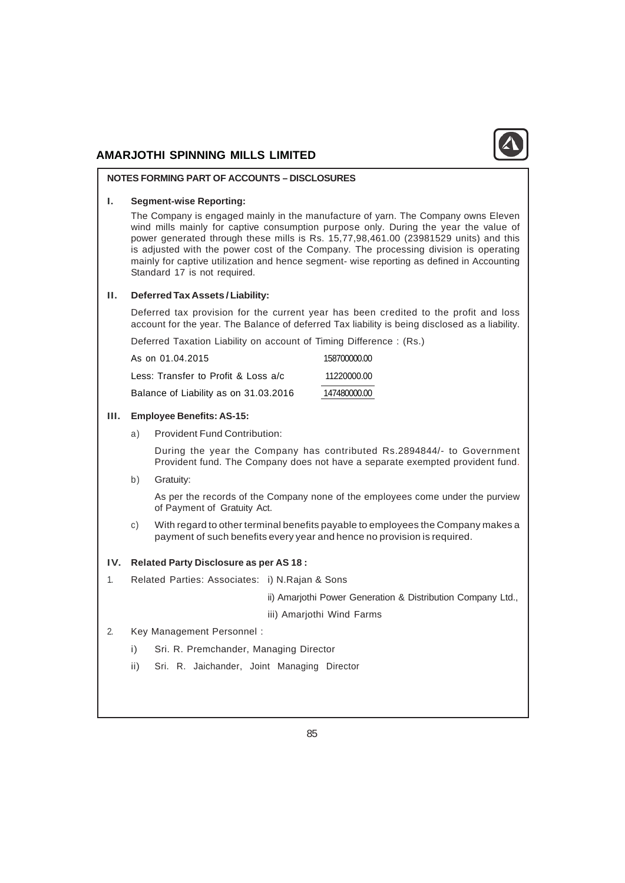

#### **NOTES FORMING PART OF ACCOUNTS – DISCLOSURES**

#### **I. Segment-wise Reporting:**

The Company is engaged mainly in the manufacture of yarn. The Company owns Eleven wind mills mainly for captive consumption purpose only. During the year the value of power generated through these mills is Rs. 15,77,98,461.00 (23981529 units) and this is adjusted with the power cost of the Company. The processing division is operating mainly for captive utilization and hence segment- wise reporting as defined in Accounting Standard 17 is not required.

### **II. Deferred TaxAssets / Liability:**

Deferred tax provision for the current year has been credited to the profit and loss account for the year. The Balance of deferred Tax liability is being disclosed as a liability.

Deferred Taxation Liability on account of Timing Difference : (Rs.)

| As on 01.04.2015                      | 158700000.00 |
|---------------------------------------|--------------|
| Less: Transfer to Profit & Loss a/c   | 11220000.00  |
| Balance of Liability as on 31.03.2016 | 147480000.00 |

#### **III. Employee Benefits: AS-15:**

a) Provident Fund Contribution:

During the year the Company has contributed Rs.2894844/- to Government Provident fund. The Company does not have a separate exempted provident fund.

b) Gratuity:

As per the records of the Company none of the employees come under the purview of Payment of Gratuity Act.

c) With regard to other terminal benefits payable to employees the Company makes a payment of such benefits every year and hence no provision is required.

### **IV. Related Party Disclosure as per AS 18 :**

1. Related Parties: Associates: i) N.Rajan & Sons

ii) Amarjothi Power Generation & Distribution Company Ltd.,

iii) Amarjothi Wind Farms

- 2. Key Management Personnel :
	- i) Sri. R. Premchander, Managing Director
	- ii) Sri. R. Jaichander, Joint Managing Director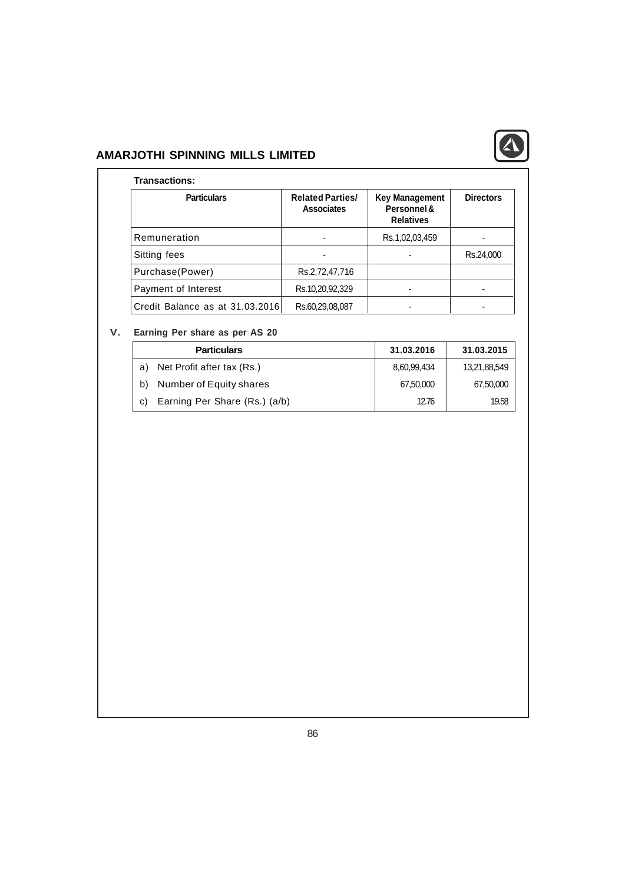

## **Transactions:**

| <b>Particulars</b>              | <b>Related Parties/</b><br><b>Associates</b> | <b>Key Management</b><br>Personnel &<br><b>Relatives</b> | <b>Directors</b> |
|---------------------------------|----------------------------------------------|----------------------------------------------------------|------------------|
| Remuneration                    |                                              | Rs.1,02,03,459                                           |                  |
| Sitting fees                    |                                              |                                                          | Rs.24,000        |
| Purchase(Power)                 | Rs.2,72,47,716                               |                                                          |                  |
| Payment of Interest             | Rs.10,20,92,329                              |                                                          |                  |
| Credit Balance as at 31.03.2016 | Rs.60,29,08,087                              |                                                          |                  |

## **V. Earning Per share as per AS 20**

|    | <b>Particulars</b>            | 31.03.2016  | 31.03.2015   |
|----|-------------------------------|-------------|--------------|
| a) | Net Profit after tax (Rs.)    | 8,60,99,434 | 13,21,88,549 |
|    | Number of Equity shares       | 67,50,000   | 67,50,000    |
| C) | Earning Per Share (Rs.) (a/b) | 12.76       | 19.58        |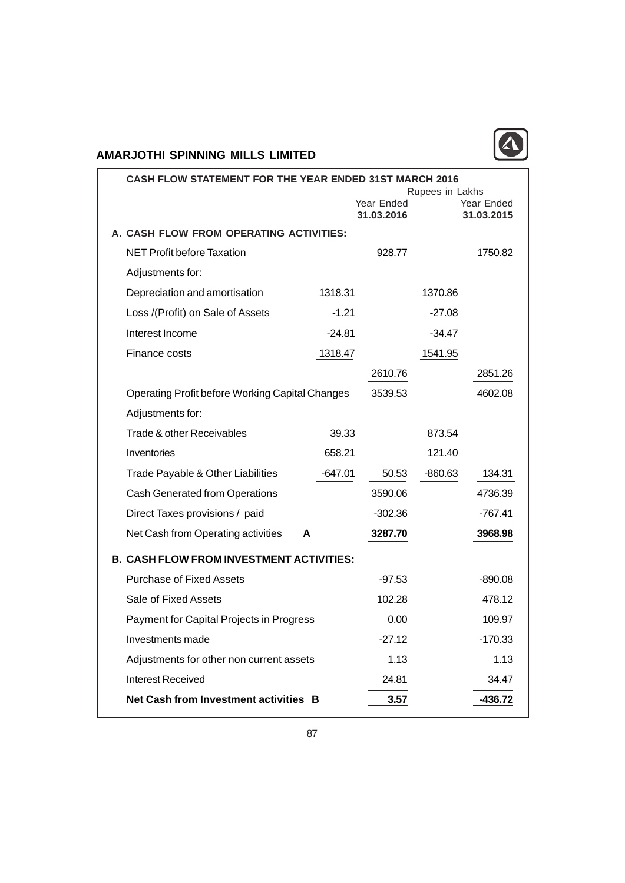

| <b>CASH FLOW STATEMENT FOR THE YEAR ENDED 31ST MARCH 2016</b><br>Rupees in Lakhs |           |           |           |           |  |
|----------------------------------------------------------------------------------|-----------|-----------|-----------|-----------|--|
| Year Ended<br>Year Ended<br>31.03.2016<br>31.03.2015                             |           |           |           |           |  |
| A. CASH FLOW FROM OPERATING ACTIVITIES:                                          |           |           |           |           |  |
| <b>NET Profit before Taxation</b>                                                |           | 928.77    |           | 1750.82   |  |
| Adjustments for:                                                                 |           |           |           |           |  |
| Depreciation and amortisation                                                    | 1318.31   |           | 1370.86   |           |  |
| Loss /(Profit) on Sale of Assets                                                 | $-1.21$   |           | -27.08    |           |  |
| Interest Income                                                                  | $-24.81$  |           | $-34.47$  |           |  |
| Finance costs                                                                    | 1318.47   |           | 1541.95   |           |  |
|                                                                                  |           | 2610.76   |           | 2851.26   |  |
| <b>Operating Profit before Working Capital Changes</b>                           |           | 3539.53   |           | 4602.08   |  |
| Adjustments for:                                                                 |           |           |           |           |  |
| Trade & other Receivables                                                        | 39.33     |           | 873.54    |           |  |
| Inventories                                                                      | 658.21    |           | 121.40    |           |  |
| Trade Payable & Other Liabilities                                                | $-647.01$ | 50.53     | $-860.63$ | 134.31    |  |
| <b>Cash Generated from Operations</b>                                            |           | 3590.06   |           | 4736.39   |  |
| Direct Taxes provisions / paid                                                   |           | $-302.36$ |           | -767.41   |  |
| Net Cash from Operating activities<br>A                                          |           | 3287.70   |           | 3968.98   |  |
| <b>B. CASH FLOW FROM INVESTMENT ACTIVITIES:</b>                                  |           |           |           |           |  |
| <b>Purchase of Fixed Assets</b>                                                  |           | -97.53    |           | -890.08   |  |
| Sale of Fixed Assets                                                             |           | 102.28    |           | 478.12    |  |
| Payment for Capital Projects in Progress                                         |           | 0.00      |           | 109.97    |  |
| Investments made                                                                 |           | $-27.12$  |           | $-170.33$ |  |
| Adjustments for other non current assets                                         |           | 1.13      |           | 1.13      |  |
| <b>Interest Received</b>                                                         |           | 24.81     |           | 34.47     |  |
| Net Cash from Investment activities B                                            |           | 3.57      |           | $-436.72$ |  |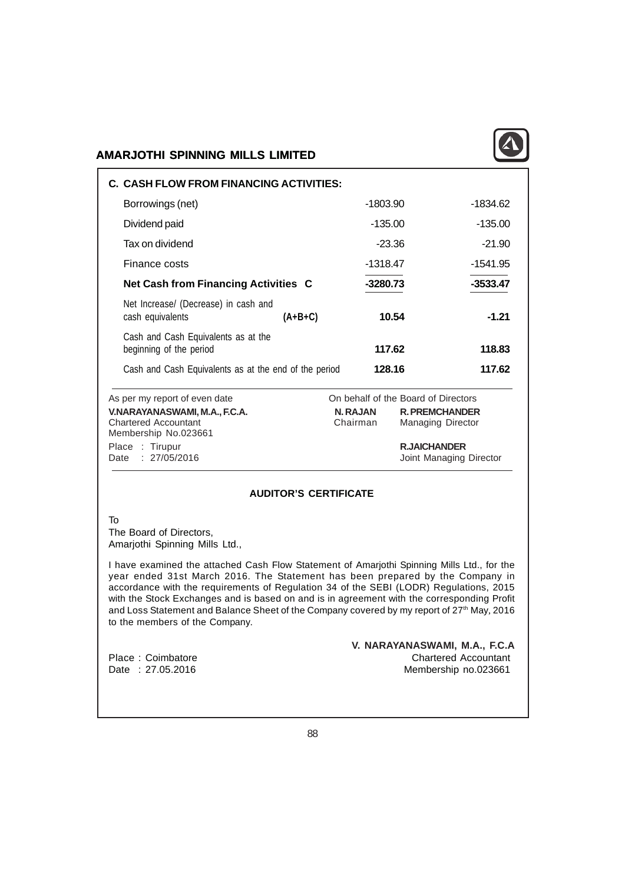

| C. CASH FLOW FROM FINANCING ACTIVITIES:                               |                                     |           |
|-----------------------------------------------------------------------|-------------------------------------|-----------|
| Borrowings (net)                                                      | $-1803.90$                          | -1834.62  |
| Dividend paid                                                         | $-135.00$                           | $-135.00$ |
| Tax on dividend                                                       | -23.36                              | $-21.90$  |
| Finance costs                                                         | -1318.47                            | -1541.95  |
| Net Cash from Financing Activities C                                  | -3280.73                            | -3533.47  |
| Net Increase/ (Decrease) in cash and<br>cash equivalents<br>$(A+B+C)$ | 10.54                               | $-1.21$   |
| Cash and Cash Equivalents as at the<br>beginning of the period        | 117.62                              | 118.83    |
| Cash and Cash Equivalents as at the end of the period                 | 128.16                              | 117.62    |
| As per my report of even date                                         | On behalf of the Board of Directors |           |

**V.NARAYANASWAMI, M.A., F.C.A. N. RAJAN R. PREMCHANDER** Chartered Accountant Chairman Managing Director Membership No.023661 Place : Tirupur<br>
Date : 27/05/2016 **Property Control Control Control Control Control Control Control Control Control Control Control Control Control Control Control Control Control Control Control Control Control Control C** 

Joint Managing Director

### **AUDITOR'S CERTIFICATE**

To The Board of Directors, Amarjothi Spinning Mills Ltd.,

I have examined the attached Cash Flow Statement of Amarjothi Spinning Mills Ltd., for the year ended 31st March 2016. The Statement has been prepared by the Company in accordance with the requirements of Regulation 34 of the SEBI (LODR) Regulations, 2015 with the Stock Exchanges and is based on and is in agreement with the corresponding Profit and Loss Statement and Balance Sheet of the Company covered by my report of 27<sup>th</sup> May, 2016 to the members of the Company.

**V. NARAYANASWAMI, M.A., F.C.A** Place : Coimbatore **Chartered Accountant**<br>
Date : 27.05.2016 **Chartered Accountant**<br>
Membership no.023661 Membership no.023661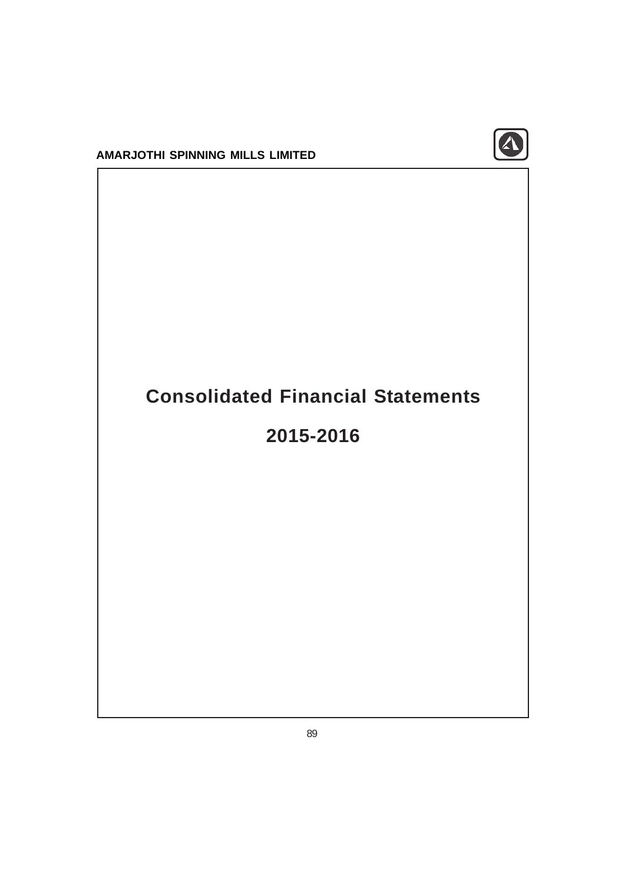A

**AMARJOTHI SPINNING MILLS LIMITED**

# **Consolidated Financial Statements**

## **2015-2016**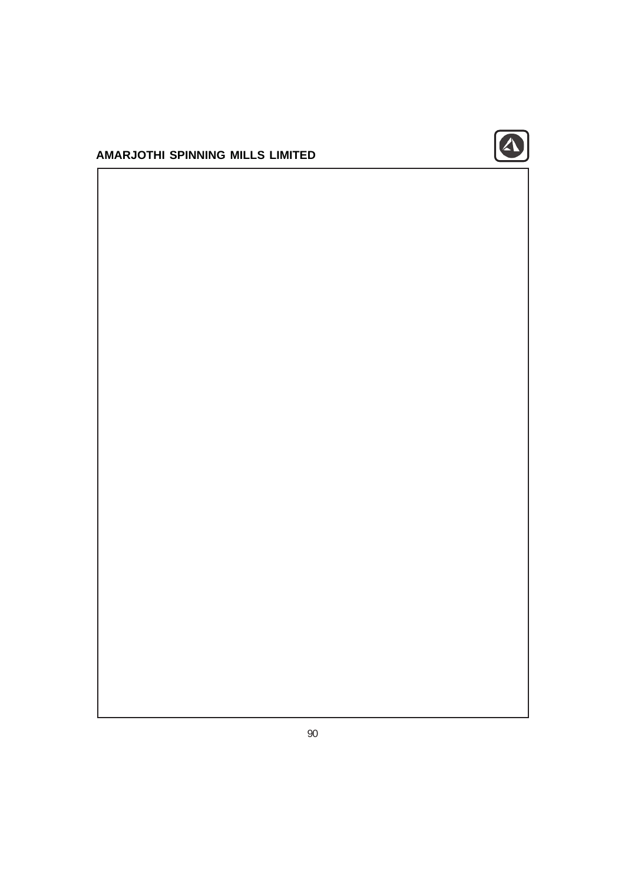# A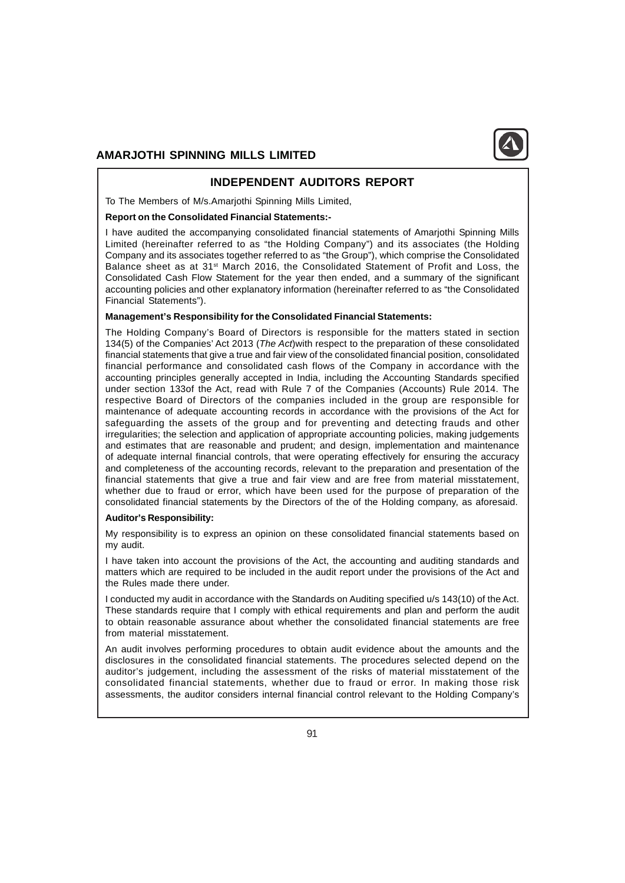

## **INDEPENDENT AUDITORS REPORT**

To The Members of M/s.Amarjothi Spinning Mills Limited,

#### **Report on the Consolidated Financial Statements:-**

I have audited the accompanying consolidated financial statements of Amarjothi Spinning Mills Limited (hereinafter referred to as "the Holding Company") and its associates (the Holding Company and its associates together referred to as "the Group"), which comprise the Consolidated Balance sheet as at 31st March 2016, the Consolidated Statement of Profit and Loss, the Consolidated Cash Flow Statement for the year then ended, and a summary of the significant accounting policies and other explanatory information (hereinafter referred to as "the Consolidated Financial Statements").

#### **Management's Responsibility for the Consolidated Financial Statements:**

The Holding Company's Board of Directors is responsible for the matters stated in section 134(5) of the Companies' Act 2013 (The Act) with respect to the preparation of these consolidated financial statements that give a true and fair view of the consolidated financial position, consolidated financial performance and consolidated cash flows of the Company in accordance with the accounting principles generally accepted in India, including the Accounting Standards specified under section 133of the Act, read with Rule 7 of the Companies (Accounts) Rule 2014. The respective Board of Directors of the companies included in the group are responsible for maintenance of adequate accounting records in accordance with the provisions of the Act for safeguarding the assets of the group and for preventing and detecting frauds and other irregularities; the selection and application of appropriate accounting policies, making judgements and estimates that are reasonable and prudent; and design, implementation and maintenance of adequate internal financial controls, that were operating effectively for ensuring the accuracy and completeness of the accounting records, relevant to the preparation and presentation of the financial statements that give a true and fair view and are free from material misstatement, whether due to fraud or error, which have been used for the purpose of preparation of the consolidated financial statements by the Directors of the of the Holding company, as aforesaid.

#### **Auditor's Responsibility:**

My responsibility is to express an opinion on these consolidated financial statements based on my audit.

I have taken into account the provisions of the Act, the accounting and auditing standards and matters which are required to be included in the audit report under the provisions of the Act and the Rules made there under.

I conducted my audit in accordance with the Standards on Auditing specified u/s 143(10) of the Act. These standards require that I comply with ethical requirements and plan and perform the audit to obtain reasonable assurance about whether the consolidated financial statements are free from material misstatement.

An audit involves performing procedures to obtain audit evidence about the amounts and the disclosures in the consolidated financial statements. The procedures selected depend on the auditor's judgement, including the assessment of the risks of material misstatement of the consolidated financial statements, whether due to fraud or error. In making those risk assessments, the auditor considers internal financial control relevant to the Holding Company's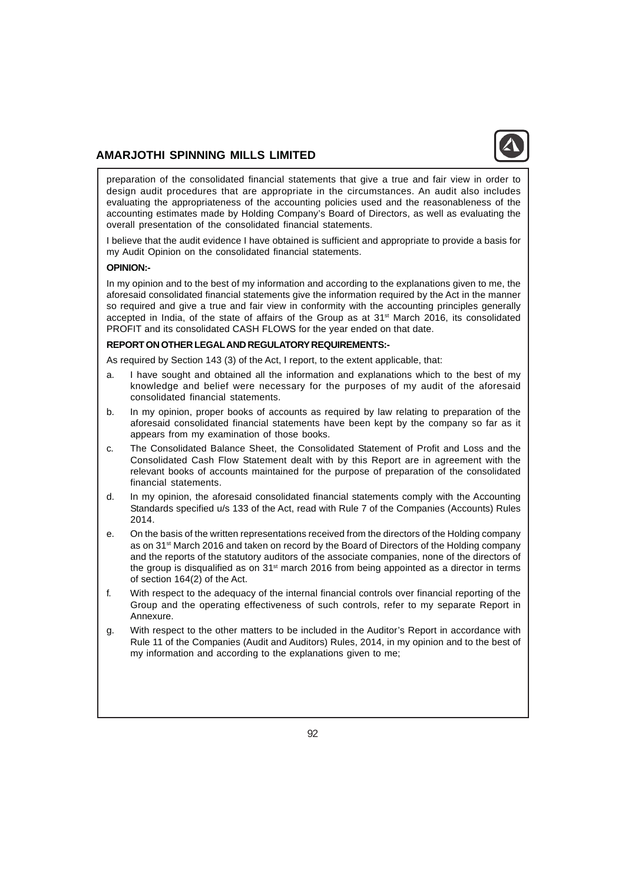

preparation of the consolidated financial statements that give a true and fair view in order to design audit procedures that are appropriate in the circumstances. An audit also includes evaluating the appropriateness of the accounting policies used and the reasonableness of the accounting estimates made by Holding Company's Board of Directors, as well as evaluating the overall presentation of the consolidated financial statements.

I believe that the audit evidence I have obtained is sufficient and appropriate to provide a basis for my Audit Opinion on the consolidated financial statements.

#### **OPINION:-**

In my opinion and to the best of my information and according to the explanations given to me, the aforesaid consolidated financial statements give the information required by the Act in the manner so required and give a true and fair view in conformity with the accounting principles generally accepted in India, of the state of affairs of the Group as at  $31<sup>st</sup>$  March 2016, its consolidated PROFIT and its consolidated CASH FLOWS for the year ended on that date.

#### **REPORT ON OTHER LEGALAND REGULATORY REQUIREMENTS:-**

As required by Section 143 (3) of the Act, I report, to the extent applicable, that:

- a. I have sought and obtained all the information and explanations which to the best of my knowledge and belief were necessary for the purposes of my audit of the aforesaid consolidated financial statements.
- b. In my opinion, proper books of accounts as required by law relating to preparation of the aforesaid consolidated financial statements have been kept by the company so far as it appears from my examination of those books.
- c. The Consolidated Balance Sheet, the Consolidated Statement of Profit and Loss and the Consolidated Cash Flow Statement dealt with by this Report are in agreement with the relevant books of accounts maintained for the purpose of preparation of the consolidated financial statements.
- d. In my opinion, the aforesaid consolidated financial statements comply with the Accounting Standards specified u/s 133 of the Act, read with Rule 7 of the Companies (Accounts) Rules 2014.
- e. On the basis of the written representations received from the directors of the Holding company as on 31<sup>st</sup> March 2016 and taken on record by the Board of Directors of the Holding company and the reports of the statutory auditors of the associate companies, none of the directors of the group is disqualified as on  $31<sup>st</sup>$  march 2016 from being appointed as a director in terms of section 164(2) of the Act.
- f. With respect to the adequacy of the internal financial controls over financial reporting of the Group and the operating effectiveness of such controls, refer to my separate Report in Annexure.
- g. With respect to the other matters to be included in the Auditor's Report in accordance with Rule 11 of the Companies (Audit and Auditors) Rules, 2014, in my opinion and to the best of my information and according to the explanations given to me;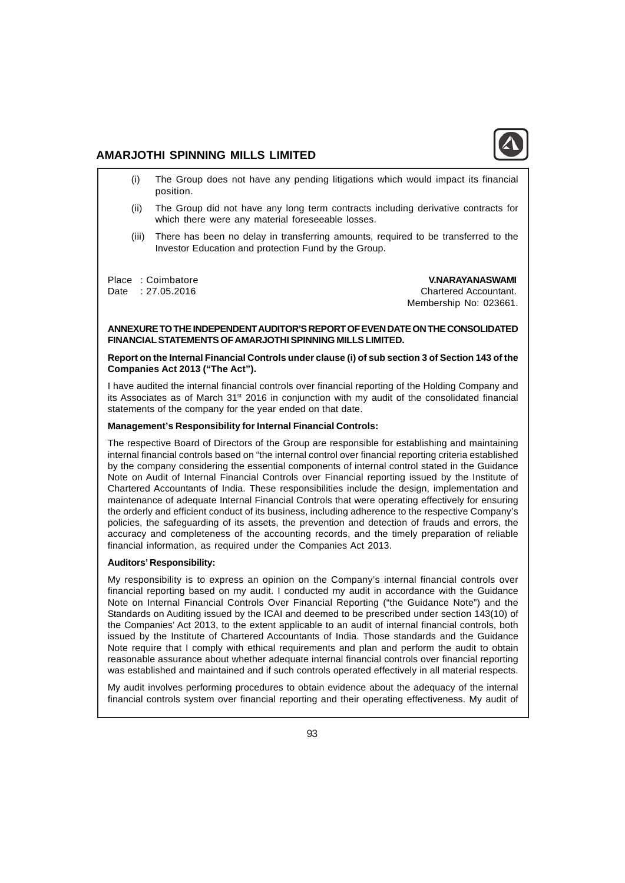

- (i) The Group does not have any pending litigations which would impact its financial position.
- (ii) The Group did not have any long term contracts including derivative contracts for which there were any material foreseeable losses.
- (iii) There has been no delay in transferring amounts, required to be transferred to the Investor Education and protection Fund by the Group.

Place : Coimbatore **V.NARAYANASWAMI** Date : 27.05.2016 Chartered Accountant. Membership No: 023661.

#### **ANNEXURE TO THE INDEPENDENT AUDITOR'S REPORT OF EVEN DATE ON THE CONSOLIDATED FINANCIAL STATEMENTS OF AMARJOTHI SPINNING MILLS LIMITED.**

#### **Report on the Internal Financial Controls under clause (i) of sub section 3 of Section 143 of the Companies Act 2013 ("The Act").**

I have audited the internal financial controls over financial reporting of the Holding Company and its Associates as of March  $31<sup>st</sup>$  2016 in conjunction with my audit of the consolidated financial statements of the company for the year ended on that date.

#### **Management's Responsibility for Internal Financial Controls:**

The respective Board of Directors of the Group are responsible for establishing and maintaining internal financial controls based on "the internal control over financial reporting criteria established by the company considering the essential components of internal control stated in the Guidance Note on Audit of Internal Financial Controls over Financial reporting issued by the Institute of Chartered Accountants of India. These responsibilities include the design, implementation and maintenance of adequate Internal Financial Controls that were operating effectively for ensuring the orderly and efficient conduct of its business, including adherence to the respective Company's policies, the safeguarding of its assets, the prevention and detection of frauds and errors, the accuracy and completeness of the accounting records, and the timely preparation of reliable financial information, as required under the Companies Act 2013.

#### **Auditors' Responsibility:**

My responsibility is to express an opinion on the Company's internal financial controls over financial reporting based on my audit. I conducted my audit in accordance with the Guidance Note on Internal Financial Controls Over Financial Reporting ("the Guidance Note") and the Standards on Auditing issued by the ICAI and deemed to be prescribed under section 143(10) of the Companies' Act 2013, to the extent applicable to an audit of internal financial controls, both issued by the Institute of Chartered Accountants of India. Those standards and the Guidance Note require that I comply with ethical requirements and plan and perform the audit to obtain reasonable assurance about whether adequate internal financial controls over financial reporting was established and maintained and if such controls operated effectively in all material respects.

My audit involves performing procedures to obtain evidence about the adequacy of the internal financial controls system over financial reporting and their operating effectiveness. My audit of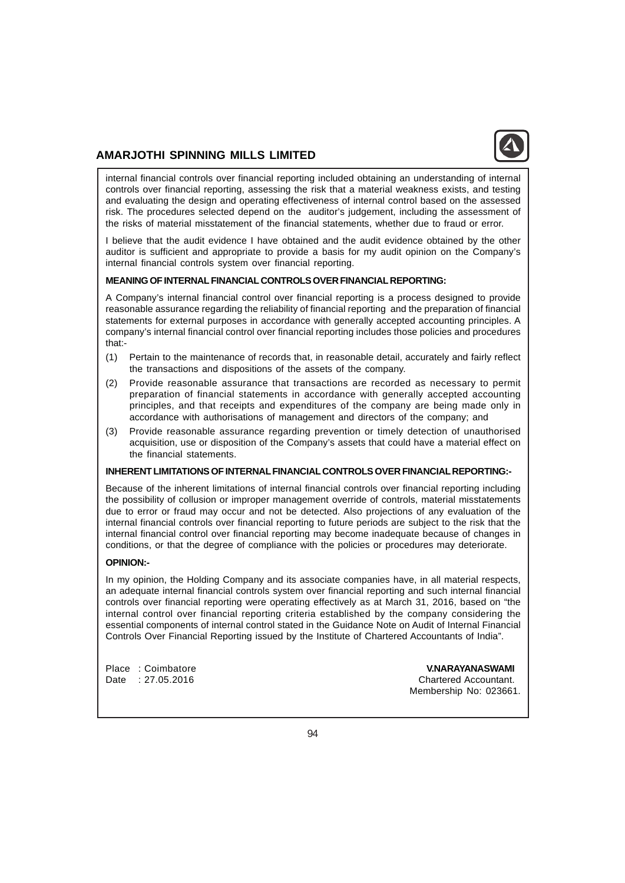

internal financial controls over financial reporting included obtaining an understanding of internal controls over financial reporting, assessing the risk that a material weakness exists, and testing and evaluating the design and operating effectiveness of internal control based on the assessed risk. The procedures selected depend on the auditor's judgement, including the assessment of the risks of material misstatement of the financial statements, whether due to fraud or error.

I believe that the audit evidence I have obtained and the audit evidence obtained by the other auditor is sufficient and appropriate to provide a basis for my audit opinion on the Company's internal financial controls system over financial reporting.

#### **MEANING OF INTERNAL FINANCIAL CONTROLS OVER FINANCIAL REPORTING:**

A Company's internal financial control over financial reporting is a process designed to provide reasonable assurance regarding the reliability of financial reporting and the preparation of financial statements for external purposes in accordance with generally accepted accounting principles. A company's internal financial control over financial reporting includes those policies and procedures that:-

- (1) Pertain to the maintenance of records that, in reasonable detail, accurately and fairly reflect the transactions and dispositions of the assets of the company.
- (2) Provide reasonable assurance that transactions are recorded as necessary to permit preparation of financial statements in accordance with generally accepted accounting principles, and that receipts and expenditures of the company are being made only in accordance with authorisations of management and directors of the company; and
- (3) Provide reasonable assurance regarding prevention or timely detection of unauthorised acquisition, use or disposition of the Company's assets that could have a material effect on the financial statements.

#### **INHERENT LIMITATIONS OF INTERNAL FINANCIAL CONTROLS OVER FINANCIAL REPORTING:-**

Because of the inherent limitations of internal financial controls over financial reporting including the possibility of collusion or improper management override of controls, material misstatements due to error or fraud may occur and not be detected. Also projections of any evaluation of the internal financial controls over financial reporting to future periods are subject to the risk that the internal financial control over financial reporting may become inadequate because of changes in conditions, or that the degree of compliance with the policies or procedures may deteriorate.

### **OPINION:-**

In my opinion, the Holding Company and its associate companies have, in all material respects, an adequate internal financial controls system over financial reporting and such internal financial controls over financial reporting were operating effectively as at March 31, 2016, based on "the internal control over financial reporting criteria established by the company considering the essential components of internal control stated in the Guidance Note on Audit of Internal Financial Controls Over Financial Reporting issued by the Institute of Chartered Accountants of India".

Place : Coimbatore **V.NARAYANASWAMI** Date : 27.05.2016 Chartered Accountant. Membership No: 023661.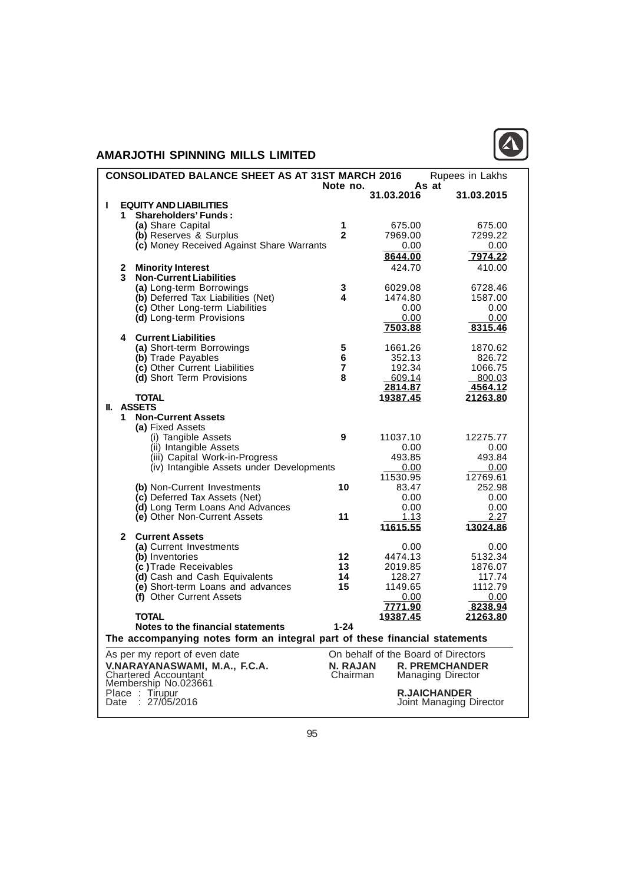

|   | <b>CONSOLIDATED BALANCE SHEET AS AT 31ST MARCH 2016</b><br>Rupees in Lakhs |                                                                            |                |                                     |                         |
|---|----------------------------------------------------------------------------|----------------------------------------------------------------------------|----------------|-------------------------------------|-------------------------|
|   |                                                                            |                                                                            | Note no.       | As at<br>31.03.2016                 | 31.03.2015              |
| п |                                                                            | <b>EQUITY AND LIABILITIES</b>                                              |                |                                     |                         |
|   | 1                                                                          | <b>Shareholders' Funds:</b>                                                |                |                                     |                         |
|   |                                                                            | (a) Share Capital                                                          | 1              | 675.00                              | 675.00                  |
|   |                                                                            | (b) Reserves & Surplus                                                     | $\overline{2}$ | 7969.00                             | 7299.22                 |
|   |                                                                            | (c) Money Received Against Share Warrants                                  |                | 0.00                                | 0.00                    |
|   |                                                                            |                                                                            |                | 8644.00                             | 7974.22                 |
|   | $\mathbf{2}$<br>3                                                          | <b>Minority Interest</b><br><b>Non-Current Liabilities</b>                 |                | 424.70                              | 410.00                  |
|   |                                                                            | (a) Long-term Borrowings                                                   | 3              | 6029.08                             | 6728.46                 |
|   |                                                                            | (b) Deferred Tax Liabilities (Net)                                         | 4              | 1474.80                             | 1587.00                 |
|   |                                                                            | (c) Other Long-term Liabilities                                            |                | 0.00                                | 0.00                    |
|   |                                                                            | (d) Long-term Provisions                                                   |                | 0.00                                | 0.00                    |
|   |                                                                            |                                                                            |                | 7503.88                             | 8315.46                 |
|   | 4                                                                          | <b>Current Liabilities</b>                                                 |                |                                     |                         |
|   |                                                                            | (a) Short-term Borrowings                                                  | 5              | 1661.26                             | 1870.62                 |
|   |                                                                            | (b) Trade Payables<br>(c) Other Current Liabilities                        | 6<br>7         | 352.13<br>192.34                    | 826.72<br>1066.75       |
|   |                                                                            | (d) Short Term Provisions                                                  | 8              | 609.14                              | 800.03                  |
|   |                                                                            |                                                                            |                | 2814.87                             | 4564.12                 |
|   |                                                                            | <b>TOTAL</b>                                                               |                | 19387.45                            | 21263.80                |
|   |                                                                            | <b>II. ASSETS</b>                                                          |                |                                     |                         |
|   | 1                                                                          | <b>Non-Current Assets</b>                                                  |                |                                     |                         |
|   |                                                                            | (a) Fixed Assets                                                           |                |                                     |                         |
|   |                                                                            | (i) Tangible Assets<br>(ii) Intangible Assets                              | 9              | 11037.10<br>0.00                    | 12275.77<br>0.00        |
|   |                                                                            | (iii) Capital Work-in-Progress                                             |                | 493.85                              | 493.84                  |
|   |                                                                            | (iv) Intangible Assets under Developments                                  |                | 0.00                                | 0.00                    |
|   |                                                                            |                                                                            |                | 11530.95                            | 12769.61                |
|   |                                                                            | (b) Non-Current Investments                                                | 10             | 83.47                               | 252.98                  |
|   |                                                                            | (c) Deferred Tax Assets (Net)                                              |                | 0.00                                | 0.00                    |
|   |                                                                            | (d) Long Term Loans And Advances                                           |                | 0.00                                | 0.00                    |
|   |                                                                            | (e) Other Non-Current Assets                                               | 11             | 1.13<br>11615.55                    | 2.27<br>13024.86        |
|   |                                                                            | 2 Current Assets                                                           |                |                                     |                         |
|   |                                                                            | (a) Current Investments                                                    |                | 0.00                                | 0.00                    |
|   |                                                                            | (b) Inventories                                                            | $12 \,$        | 4474.13                             | 5132.34                 |
|   |                                                                            | (c) Trade Receivables                                                      | 13             | 2019.85                             | 1876.07                 |
|   |                                                                            | (d) Cash and Cash Equivalents                                              | 14             | 128.27                              | 117.74                  |
|   |                                                                            | (e) Short-term Loans and advances                                          | 15             | 1149.65                             | 1112.79                 |
|   |                                                                            | (f) Other Current Assets                                                   |                | 0.00<br>7771.90                     | 0.00<br>8238.94         |
|   |                                                                            | <b>TOTAL</b>                                                               |                | 19387.45                            | 21263.80                |
|   |                                                                            | Notes to the financial statements                                          | $1 - 24$       |                                     |                         |
|   |                                                                            | The accompanying notes form an integral part of these financial statements |                |                                     |                         |
|   |                                                                            | As per my report of even date                                              |                | On behalf of the Board of Directors |                         |
|   |                                                                            | V.NARAYANASWAMI, M.A., F.C.A.                                              | N. RAJAN       |                                     | <b>R. PREMCHANDER</b>   |
|   |                                                                            | <b>Chartered Accountant</b>                                                | Chairman       | <b>Managing Director</b>            |                         |
|   |                                                                            | Membership No.023661                                                       |                |                                     |                         |
|   | Date                                                                       | Place: Tirupur<br>27/05/2016                                               |                | <b>R.JAICHANDER</b>                 | Joint Managing Director |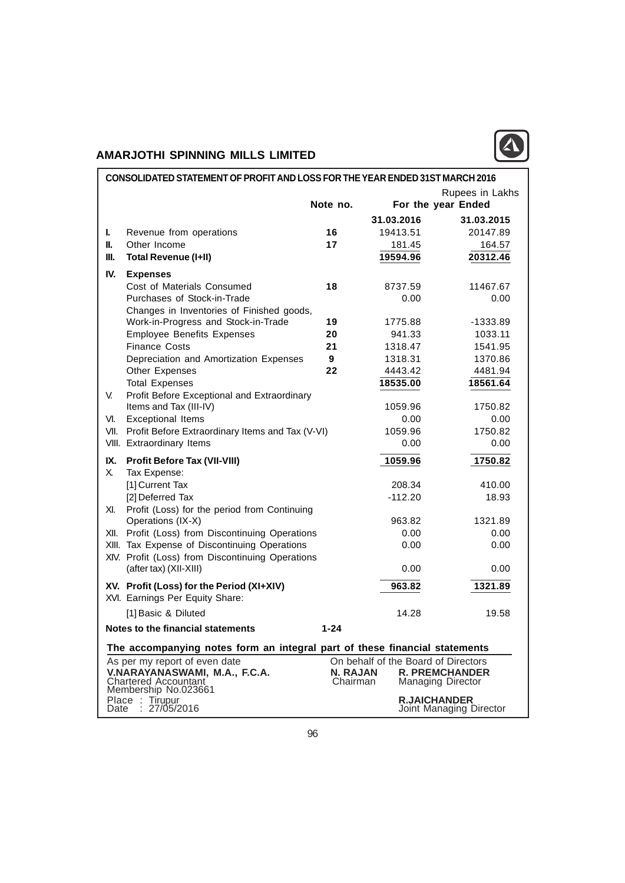

|      | CONSOLIDATED STATEMENT OF PROFIT AND LOSS FOR THE YEAR ENDED 31ST MARCH 2016 |                      |                                                   |                         |  |  |
|------|------------------------------------------------------------------------------|----------------------|---------------------------------------------------|-------------------------|--|--|
|      |                                                                              | Note no.             | For the year Ended                                | Rupees in Lakhs         |  |  |
|      |                                                                              |                      | 31.03.2016                                        | 31.03.2015              |  |  |
| L    | Revenue from operations                                                      | 16                   | 19413.51                                          | 20147.89                |  |  |
| II.  | Other Income                                                                 | 17                   | 181.45                                            | 164.57                  |  |  |
| Ш.   | Total Revenue (I+II)                                                         |                      | 19594.96                                          | 20312.46                |  |  |
| IV.  |                                                                              |                      |                                                   |                         |  |  |
|      | <b>Expenses</b><br>Cost of Materials Consumed                                | 18                   | 8737.59                                           | 11467.67                |  |  |
|      | Purchases of Stock-in-Trade                                                  |                      | 0.00                                              | 0.00                    |  |  |
|      | Changes in Inventories of Finished goods,                                    |                      |                                                   |                         |  |  |
|      | Work-in-Progress and Stock-in-Trade                                          | 19                   | 1775.88                                           | $-1333.89$              |  |  |
|      | <b>Employee Benefits Expenses</b>                                            | 20                   | 941.33                                            | 1033.11                 |  |  |
|      | <b>Finance Costs</b>                                                         | 21                   | 1318.47                                           | 1541.95                 |  |  |
|      | Depreciation and Amortization Expenses                                       | 9                    | 1318.31                                           | 1370.86                 |  |  |
|      | Other Expenses                                                               | 22                   | 4443.42                                           | 4481.94                 |  |  |
|      | <b>Total Expenses</b>                                                        |                      | 18535.00                                          | 18561.64                |  |  |
| V.   | Profit Before Exceptional and Extraordinary                                  |                      |                                                   |                         |  |  |
|      | Items and Tax (III-IV)                                                       |                      | 1059.96                                           | 1750.82                 |  |  |
| VI.  | <b>Exceptional Items</b>                                                     |                      | 0.00                                              | 0.00                    |  |  |
| VII. | Profit Before Extraordinary Items and Tax (V-VI)                             |                      | 1059.96                                           | 1750.82                 |  |  |
|      | VIII. Extraordinary Items                                                    |                      | 0.00                                              | 0.00                    |  |  |
| IX.  | <b>Profit Before Tax (VII-VIII)</b>                                          |                      | 1059.96                                           | 1750.82                 |  |  |
| Χ.   | Tax Expense:                                                                 |                      |                                                   |                         |  |  |
|      | [1] Current Tax                                                              |                      | 208.34                                            | 410.00                  |  |  |
|      | [2] Deferred Tax                                                             |                      | $-112.20$                                         | 18.93                   |  |  |
| XI.  | Profit (Loss) for the period from Continuing                                 |                      |                                                   |                         |  |  |
|      | Operations (IX-X)                                                            |                      | 963.82                                            | 1321.89                 |  |  |
|      | XII. Profit (Loss) from Discontinuing Operations                             |                      | 0.00                                              | 0.00                    |  |  |
|      | XIII. Tax Expense of Discontinuing Operations                                |                      | 0.00                                              | 0.00                    |  |  |
|      | XIV. Profit (Loss) from Discontinuing Operations                             |                      |                                                   |                         |  |  |
|      | (after tax) (XII-XIII)                                                       |                      | 0.00                                              | 0.00                    |  |  |
|      | XV. Profit (Loss) for the Period (XI+XIV)                                    |                      | 963.82                                            | 1321.89                 |  |  |
|      | XVI. Earnings Per Equity Share:                                              |                      |                                                   |                         |  |  |
|      | [1] Basic & Diluted                                                          |                      | 14.28                                             | 19.58                   |  |  |
|      | <b>Notes to the financial statements</b>                                     | $1 - 24$             |                                                   |                         |  |  |
|      |                                                                              |                      |                                                   |                         |  |  |
|      | The accompanying notes form an integral part of these financial statements   |                      |                                                   |                         |  |  |
|      | As per my report of even date                                                |                      | On behalf of the Board of Directors               |                         |  |  |
|      | V.NARAYANASWAMI, M.A., F.C.A.<br>Chartered Accountant                        | N. RAJAN<br>Chairman | <b>R. PREMCHANDER</b><br><b>Managing Director</b> |                         |  |  |
|      | Membership No.023661                                                         |                      |                                                   |                         |  |  |
| Date | Place :<br>Tirupur<br>27/05/2016                                             |                      | <b>R.JAICHANDER</b>                               | Joint Managing Director |  |  |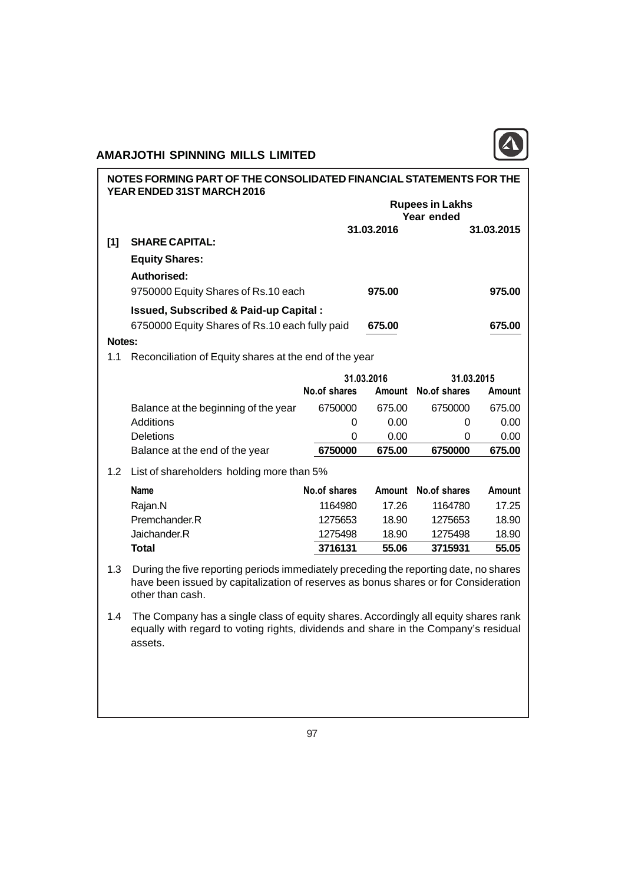

| NOTES FORMING PART OF THE CONSOLIDATED FINANCIAL STATEMENTS FOR THE<br>YEAR ENDED 31ST MARCH 2016 |                                                        |                     |                      |                                      |               |
|---------------------------------------------------------------------------------------------------|--------------------------------------------------------|---------------------|----------------------|--------------------------------------|---------------|
|                                                                                                   |                                                        |                     |                      | <b>Rupees in Lakhs</b><br>Year ended |               |
|                                                                                                   |                                                        |                     | 31.03.2016           |                                      | 31.03.2015    |
| $[1]$                                                                                             | <b>SHARE CAPITAL:</b>                                  |                     |                      |                                      |               |
|                                                                                                   | <b>Equity Shares:</b>                                  |                     |                      |                                      |               |
|                                                                                                   | <b>Authorised:</b>                                     |                     |                      |                                      |               |
|                                                                                                   | 9750000 Equity Shares of Rs.10 each                    |                     | 975.00               |                                      | 975.00        |
|                                                                                                   | Issued, Subscribed & Paid-up Capital:                  |                     |                      |                                      |               |
|                                                                                                   | 6750000 Equity Shares of Rs.10 each fully paid         |                     | 675.00               |                                      | 675.00        |
| Notes:                                                                                            |                                                        |                     |                      |                                      |               |
| 1.1                                                                                               | Reconciliation of Equity shares at the end of the year |                     |                      |                                      |               |
|                                                                                                   |                                                        |                     |                      |                                      |               |
|                                                                                                   |                                                        |                     |                      |                                      |               |
|                                                                                                   |                                                        | <b>No.of shares</b> | 31.03.2016<br>Amount | 31.03.2015<br>No.of shares           | <b>Amount</b> |
|                                                                                                   | Balance at the beginning of the year                   | 6750000             | 675.00               | 6750000                              | 675.00        |
|                                                                                                   | <b>Additions</b>                                       | 0                   | 0.00                 | 0                                    | 0.00          |
|                                                                                                   | Deletions                                              | 0                   | 0.00                 | 0                                    | 0.00          |
|                                                                                                   | Balance at the end of the year                         | 6750000             | 675.00               | 6750000                              | 675.00        |
| 1.2                                                                                               | List of shareholders holding more than 5%              |                     |                      |                                      |               |
|                                                                                                   | <b>Name</b>                                            | No.of shares        |                      | Amount No.of shares                  | <b>Amount</b> |
|                                                                                                   | Rajan.N                                                | 1164980             | 17.26                | 1164780                              | 17.25         |
|                                                                                                   | Premchander.R                                          | 1275653             | 18.90                | 1275653                              | 18.90         |
|                                                                                                   | Jaichander.R                                           | 1275498             | 18.90                | 1275498                              | 18.90         |
|                                                                                                   | Total                                                  | 3716131             | 55.06                | 3715931                              | 55.05         |

1.3 During the five reporting periods immediately preceding the reporting date, no shares have been issued by capitalization of reserves as bonus shares or for Consideration other than cash.

1.4 The Company has a single class of equity shares. Accordingly all equity shares rank equally with regard to voting rights, dividends and share in the Company's residual assets.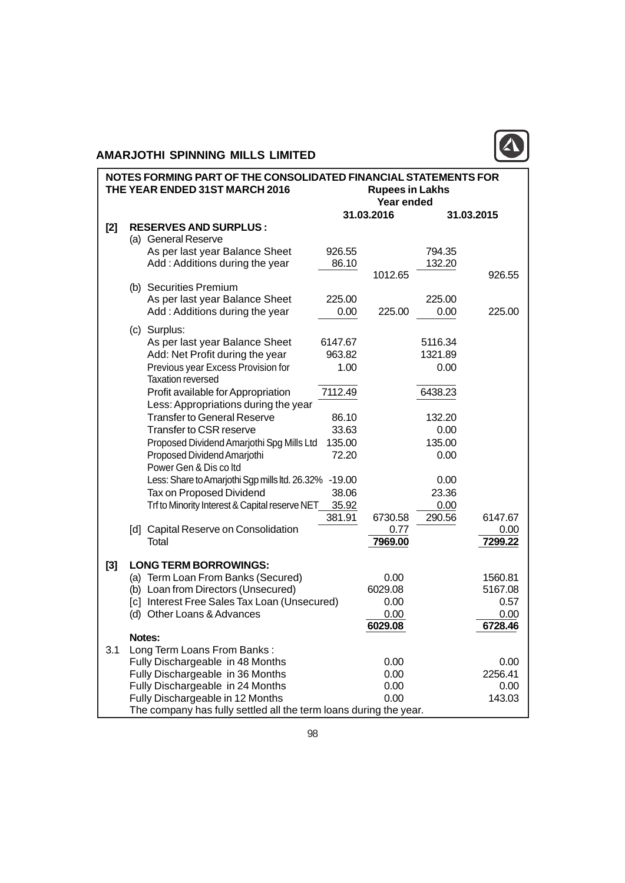

|       | NOTES FORMING PART OF THE CONSOLIDATED FINANCIAL STATEMENTS FOR<br>THE YEAR ENDED 31ST MARCH 2016<br><b>Rupees in Lakhs</b><br>Year ended |          |            |         |            |
|-------|-------------------------------------------------------------------------------------------------------------------------------------------|----------|------------|---------|------------|
|       |                                                                                                                                           |          |            |         |            |
|       | <b>RESERVES AND SURPLUS:</b>                                                                                                              |          | 31.03.2016 |         | 31.03.2015 |
| $[2]$ | (a) General Reserve                                                                                                                       |          |            |         |            |
|       | As per last year Balance Sheet                                                                                                            | 926.55   |            | 794.35  |            |
|       | Add: Additions during the year                                                                                                            | 86.10    |            | 132.20  |            |
|       |                                                                                                                                           |          | 1012.65    |         | 926.55     |
|       | (b) Securities Premium                                                                                                                    |          |            |         |            |
|       | As per last year Balance Sheet                                                                                                            | 225.00   |            | 225.00  |            |
|       | Add: Additions during the year                                                                                                            | 0.00     | 225.00     | 0.00    | 225.00     |
|       |                                                                                                                                           |          |            |         |            |
|       | (c) Surplus:                                                                                                                              |          |            |         |            |
|       | As per last year Balance Sheet                                                                                                            | 6147.67  |            | 5116.34 |            |
|       | Add: Net Profit during the year                                                                                                           | 963.82   |            | 1321.89 |            |
|       | Previous year Excess Provision for<br><b>Taxation reversed</b>                                                                            | 1.00     |            | 0.00    |            |
|       | Profit available for Appropriation                                                                                                        | 7112.49  |            | 6438.23 |            |
|       | Less: Appropriations during the year                                                                                                      |          |            |         |            |
|       | <b>Transfer to General Reserve</b>                                                                                                        | 86.10    |            | 132.20  |            |
|       | Transfer to CSR reserve                                                                                                                   | 33.63    |            | 0.00    |            |
|       | Proposed Dividend Amarjothi Spg Mills Ltd                                                                                                 | 135.00   |            | 135.00  |            |
|       | Proposed Dividend Amarjothi                                                                                                               | 72.20    |            | 0.00    |            |
|       | Power Gen & Dis co Itd                                                                                                                    |          |            |         |            |
|       | Less: Share to Amarjothi Sgp mills ltd. 26.32%                                                                                            | $-19.00$ |            | 0.00    |            |
|       | Tax on Proposed Dividend                                                                                                                  | 38.06    |            | 23.36   |            |
|       | Trf to Minority Interest & Capital reserve NET                                                                                            | 35.92    |            | 0.00    |            |
|       |                                                                                                                                           | 381.91   | 6730.58    | 290.56  | 6147.67    |
|       | [d] Capital Reserve on Consolidation                                                                                                      |          | 0.77       |         | 0.00       |
|       | Total                                                                                                                                     |          | 7969.00    |         | 7299.22    |
|       |                                                                                                                                           |          |            |         |            |
| $[3]$ | <b>LONG TERM BORROWINGS:</b>                                                                                                              |          |            |         |            |
|       | (a) Term Loan From Banks (Secured)                                                                                                        |          | 0.00       |         | 1560.81    |
|       | (b) Loan from Directors (Unsecured)                                                                                                       |          | 6029.08    |         | 5167.08    |
|       | [c] Interest Free Sales Tax Loan (Unsecured)                                                                                              |          | 0.00       |         | 0.57       |
|       | (d) Other Loans & Advances                                                                                                                |          | 0.00       |         | 0.00       |
|       |                                                                                                                                           |          | 6029.08    |         | 6728.46    |
|       | <b>Notes:</b>                                                                                                                             |          |            |         |            |
| 3.1   | Long Term Loans From Banks:                                                                                                               |          |            |         |            |
|       | Fully Dischargeable in 48 Months                                                                                                          |          | 0.00       |         | 0.00       |
|       | Fully Dischargeable in 36 Months                                                                                                          |          | 0.00       |         | 2256.41    |
|       | Fully Dischargeable in 24 Months                                                                                                          |          | 0.00       |         | 0.00       |
|       | Fully Dischargeable in 12 Months                                                                                                          |          | 0.00       |         | 143.03     |
|       | The company has fully settled all the term loans during the year.                                                                         |          |            |         |            |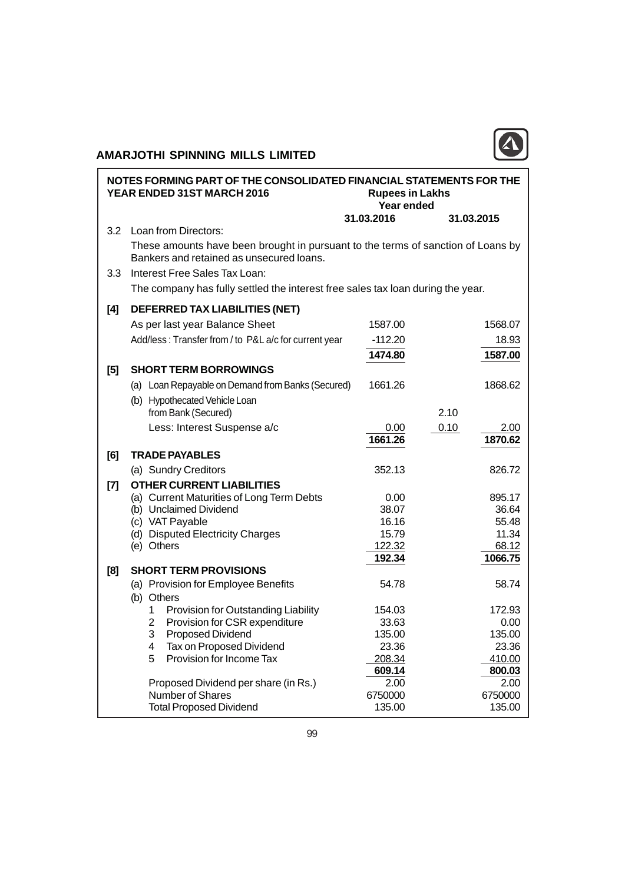

| NOTES FORMING PART OF THE CONSOLIDATED FINANCIAL STATEMENTS FOR THE<br>YEAR ENDED 31ST MARCH 2016<br><b>Rupees in Lakhs</b><br>Year ended |                                                                                  |                |      |                |  |
|-------------------------------------------------------------------------------------------------------------------------------------------|----------------------------------------------------------------------------------|----------------|------|----------------|--|
|                                                                                                                                           |                                                                                  | 31.03.2016     |      | 31.03.2015     |  |
|                                                                                                                                           | 3.2 Loan from Directors:                                                         |                |      |                |  |
|                                                                                                                                           | These amounts have been brought in pursuant to the terms of sanction of Loans by |                |      |                |  |
|                                                                                                                                           | Bankers and retained as unsecured loans.                                         |                |      |                |  |
| 3.3                                                                                                                                       | Interest Free Sales Tax Loan:                                                    |                |      |                |  |
|                                                                                                                                           |                                                                                  |                |      |                |  |
|                                                                                                                                           | The company has fully settled the interest free sales tax loan during the year.  |                |      |                |  |
| [4]                                                                                                                                       | DEFERRED TAX LIABILITIES (NET)                                                   |                |      |                |  |
|                                                                                                                                           | As per last year Balance Sheet                                                   | 1587.00        |      | 1568.07        |  |
|                                                                                                                                           | Add/less: Transfer from / to P&L a/c for current year                            | $-112.20$      |      | 18.93          |  |
|                                                                                                                                           |                                                                                  | 1474.80        |      | 1587.00        |  |
| [5]                                                                                                                                       | <b>SHORT TERM BORROWINGS</b>                                                     |                |      |                |  |
|                                                                                                                                           | (a) Loan Repayable on Demand from Banks (Secured)                                | 1661.26        |      | 1868.62        |  |
|                                                                                                                                           |                                                                                  |                |      |                |  |
|                                                                                                                                           | (b) Hypothecated Vehicle Loan<br>from Bank (Secured)                             |                | 2.10 |                |  |
|                                                                                                                                           | Less: Interest Suspense a/c                                                      | 0.00           | 0.10 | 2.00           |  |
|                                                                                                                                           |                                                                                  | 1661.26        |      | 1870.62        |  |
| [6]                                                                                                                                       | <b>TRADE PAYABLES</b>                                                            |                |      |                |  |
|                                                                                                                                           |                                                                                  | 352.13         |      |                |  |
|                                                                                                                                           | (a) Sundry Creditors                                                             |                |      | 826.72         |  |
| $[7]$                                                                                                                                     | <b>OTHER CURRENT LIABILITIES</b>                                                 |                |      |                |  |
|                                                                                                                                           | (a) Current Maturities of Long Term Debts                                        | 0.00           |      | 895.17         |  |
|                                                                                                                                           | (b) Unclaimed Dividend                                                           | 38.07          |      | 36.64          |  |
|                                                                                                                                           | (c) VAT Payable                                                                  | 16.16<br>15.79 |      | 55.48<br>11.34 |  |
|                                                                                                                                           | (d) Disputed Electricity Charges<br>(e) Others                                   | 122.32         |      | 68.12          |  |
|                                                                                                                                           |                                                                                  | 192.34         |      | 1066.75        |  |
| [8]                                                                                                                                       | <b>SHORT TERM PROVISIONS</b>                                                     |                |      |                |  |
|                                                                                                                                           | (a) Provision for Employee Benefits                                              | 54.78          |      | 58.74          |  |
|                                                                                                                                           | (b) Others                                                                       |                |      |                |  |
|                                                                                                                                           | Provision for Outstanding Liability<br>1                                         | 154.03         |      | 172.93         |  |
|                                                                                                                                           | Provision for CSR expenditure<br>2                                               | 33.63          |      | 0.00           |  |
|                                                                                                                                           | 3<br>Proposed Dividend                                                           | 135.00         |      | 135.00         |  |
|                                                                                                                                           | Tax on Proposed Dividend<br>4                                                    | 23.36          |      | 23.36          |  |
|                                                                                                                                           | Provision for Income Tax<br>5                                                    | 208.34         |      | 410.00         |  |
|                                                                                                                                           |                                                                                  | 609.14         |      | 800.03         |  |
|                                                                                                                                           | Proposed Dividend per share (in Rs.)                                             | 2.00           |      | 2.00           |  |
|                                                                                                                                           | Number of Shares                                                                 | 6750000        |      | 6750000        |  |
|                                                                                                                                           | <b>Total Proposed Dividend</b>                                                   | 135.00         |      | 135.00         |  |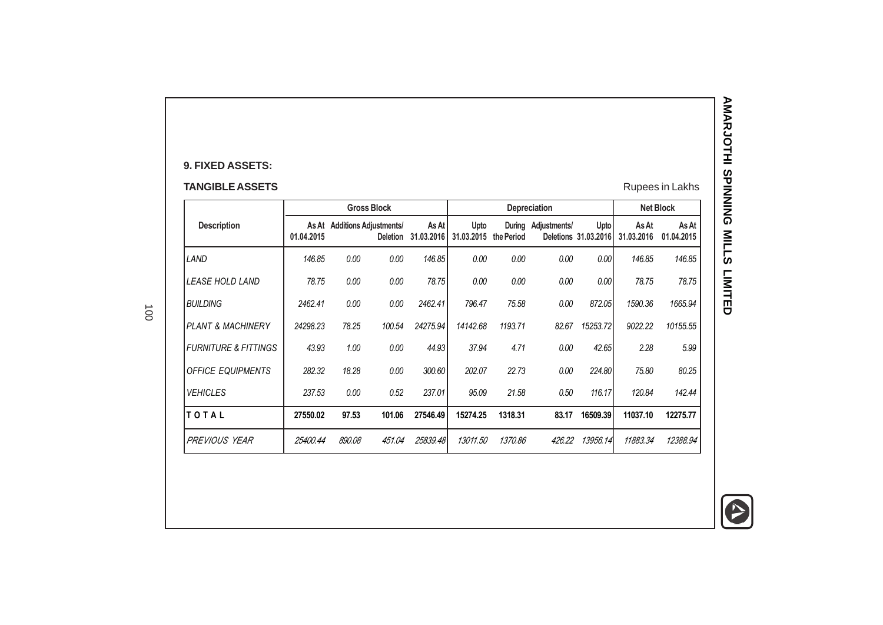| Ï<br>ļ<br>Ï |  |
|-------------|--|
| I           |  |
| I<br>Ï<br>ī |  |
| Ï           |  |

| Rupees in Lakhs |  |  |
|-----------------|--|--|

| <b>9. FIXED ASSETS:</b>         |            |                              |                    |                     |                               |              |                     |                              |                     |                     |
|---------------------------------|------------|------------------------------|--------------------|---------------------|-------------------------------|--------------|---------------------|------------------------------|---------------------|---------------------|
| <b>TANGIBLE ASSETS</b>          |            |                              |                    |                     |                               |              |                     |                              |                     | Rupees in Lakhs     |
|                                 |            |                              | <b>Gross Block</b> |                     |                               | Depreciation |                     |                              | <b>Net Block</b>    |                     |
| <b>Description</b>              | 01.04.2015 | As At Additions Adjustments/ | <b>Deletion</b>    | As At<br>31.03.2016 | Upto<br>31.03.2015 the Period |              | During Adjustments/ | Upto<br>Deletions 31.03.2016 | As At<br>31.03.2016 | As At<br>01.04.2015 |
| LAND                            | 146.85     | 0.00                         | 0.00               | 146.85              | 0.00                          | 0.00         | 0.00                | 0.00                         | 146.85              | 146.85              |
| <b>LEASE HOLD LAND</b>          | 78.75      | 0.00                         | 0.00               | 78.75               | 0.00                          | 0.00         | 0.00                | 0.00                         | 78.75               | 78.75               |
| <b>BUILDING</b>                 | 2462.41    | 0.00                         | 0.00               | 2462.41             | 796.47                        | 75.58        | 0.00                | 872.05                       | 1590.36             | 1665.94             |
| PLANT & MACHINERY               | 24298.23   | 78.25                        | 100.54             | 24275.94            | 14142.68                      | 1193.71      | 82.67               | 15253.72                     | 9022.22             | 10155.55            |
| <b>FURNITURE &amp; FITTINGS</b> | 43.93      | 1.00                         | 0.00               | 44.93               | 37.94                         | 4.71         | 0.00                | 42.65                        | 2.28                | 5.99                |
| <b>OFFICE EQUIPMENTS</b>        | 282.32     | 18.28                        | 0.00               | 300.60              | 202.07                        | 22.73        | 0.00                | 224.80                       | 75.80               | 80.25               |
| <b>VEHICLES</b>                 | 237.53     | 0.00                         | 0.52               | 237.01              | 95.09                         | 21.58        | 0.50                | 116.17                       | 120.84              | 142.44              |
| TOTAL                           | 27550.02   | 97.53                        | 101.06             | 27546.49            | 15274.25                      | 1318.31      | 83.17               | 16509.39                     | 11037.10            | 12275.77            |
| PREVIOUS YEAR                   | 25400.44   | 890.08                       | 451.04             | 25839.48            | 13011.50                      | 1370.86      | 426.22              | 13956.14                     | 11883.34            | 12388.94            |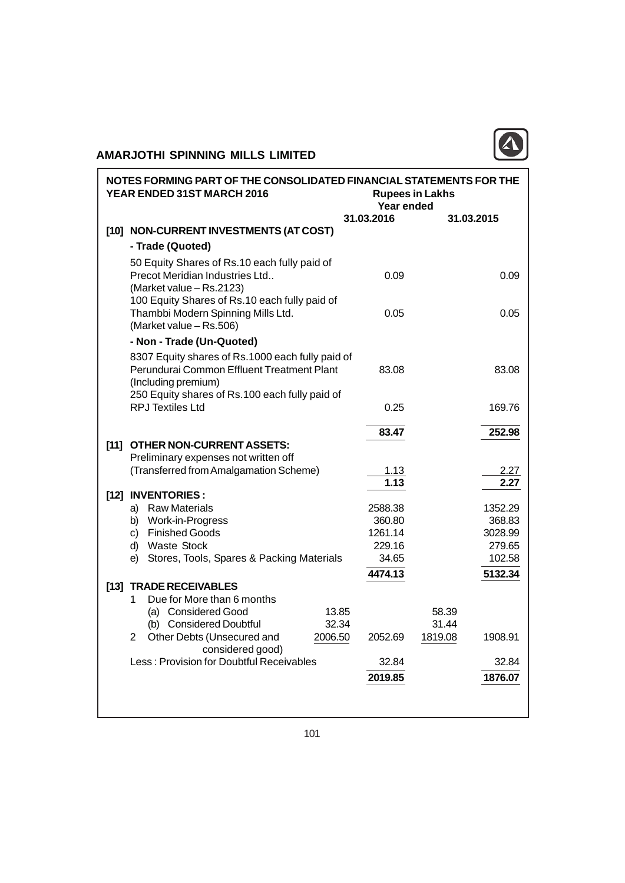

| NOTES FORMING PART OF THE CONSOLIDATED FINANCIAL STATEMENTS FOR THE<br>YEAR ENDED 31ST MARCH 2016                                                                                                 | Year ended        | <b>Rupees in Lakhs</b> |
|---------------------------------------------------------------------------------------------------------------------------------------------------------------------------------------------------|-------------------|------------------------|
|                                                                                                                                                                                                   | 31.03.2016        | 31.03.2015             |
| [10] NON-CURRENT INVESTMENTS (AT COST)                                                                                                                                                            |                   |                        |
| - Trade (Quoted)                                                                                                                                                                                  |                   |                        |
| 50 Equity Shares of Rs.10 each fully paid of<br>Precot Meridian Industries Ltd<br>(Market value - Rs.2123)<br>100 Equity Shares of Rs.10 each fully paid of<br>Thambbi Modern Spinning Mills Ltd. | 0.09<br>0.05      | 0.09<br>0.05           |
| (Market value - Rs.506)                                                                                                                                                                           |                   |                        |
| - Non - Trade (Un-Quoted)                                                                                                                                                                         |                   |                        |
| 8307 Equity shares of Rs.1000 each fully paid of<br>Perundurai Common Effluent Treatment Plant<br>(Including premium)                                                                             | 83.08             | 83.08                  |
| 250 Equity shares of Rs.100 each fully paid of<br><b>RPJ Textiles Ltd</b>                                                                                                                         | 0.25              | 169.76                 |
|                                                                                                                                                                                                   | 83.47             | 252.98                 |
| [11] OTHER NON-CURRENT ASSETS:                                                                                                                                                                    |                   |                        |
| Preliminary expenses not written off                                                                                                                                                              |                   |                        |
| (Transferred from Amalgamation Scheme)                                                                                                                                                            | 1.13              | 2.27                   |
|                                                                                                                                                                                                   | 1.13              | 2.27                   |
| [12] INVENTORIES :                                                                                                                                                                                |                   |                        |
| <b>Raw Materials</b><br>a)                                                                                                                                                                        | 2588.38           | 1352.29                |
| Work-in-Progress<br>b)<br><b>Finished Goods</b>                                                                                                                                                   | 360.80<br>1261.14 | 368.83                 |
| C)<br><b>Waste Stock</b><br>d)                                                                                                                                                                    | 229.16            | 3028.99<br>279.65      |
| Stores, Tools, Spares & Packing Materials<br>e)                                                                                                                                                   | 34.65             | 102.58                 |
|                                                                                                                                                                                                   | 4474.13           | 5132.34                |
| [13] TRADE RECEIVABLES                                                                                                                                                                            |                   |                        |
| Due for More than 6 months<br>1<br>(a) Considered Good<br>13.85<br>(b) Considered Doubtful<br>32.34                                                                                               |                   | 58.39<br>31.44         |
| $\overline{2}$<br>Other Debts (Unsecured and<br>2006.50<br>considered good)                                                                                                                       | 2052.69           | 1819.08<br>1908.91     |
| Less: Provision for Doubtful Receivables                                                                                                                                                          | 32.84             | 32.84                  |
|                                                                                                                                                                                                   | 2019.85           | 1876.07                |
|                                                                                                                                                                                                   |                   |                        |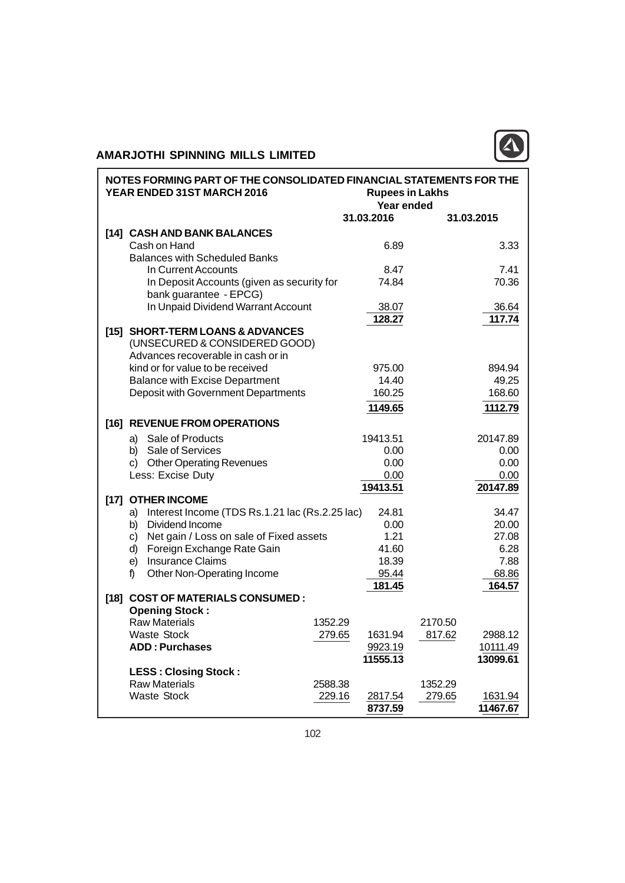

| NOTES FORMING PART OF THE CONSOLIDATED FINANCIAL STATEMENTS FOR THE<br>YEAR ENDED 31ST MARCH 2016<br><b>Rupees in Lakhs</b><br>Year ended |                                                                      |                   |         |            |  |
|-------------------------------------------------------------------------------------------------------------------------------------------|----------------------------------------------------------------------|-------------------|---------|------------|--|
|                                                                                                                                           |                                                                      | 31.03.2016        |         | 31.03.2015 |  |
|                                                                                                                                           | [14] CASH AND BANK BALANCES                                          |                   |         |            |  |
|                                                                                                                                           | Cash on Hand                                                         | 6.89              |         | 3.33       |  |
|                                                                                                                                           | <b>Balances with Scheduled Banks</b>                                 |                   |         |            |  |
|                                                                                                                                           | In Current Accounts                                                  | 8.47              |         | 7.41       |  |
|                                                                                                                                           | In Deposit Accounts (given as security for<br>bank guarantee - EPCG) | 74.84             |         | 70.36      |  |
|                                                                                                                                           | In Unpaid Dividend Warrant Account                                   | 38.07             |         | 36.64      |  |
|                                                                                                                                           |                                                                      | 128.27            |         | 117.74     |  |
|                                                                                                                                           | [15] SHORT-TERM LOANS & ADVANCES                                     |                   |         |            |  |
|                                                                                                                                           | (UNSECURED & CONSIDERED GOOD)                                        |                   |         |            |  |
|                                                                                                                                           | Advances recoverable in cash or in                                   |                   |         |            |  |
|                                                                                                                                           | kind or for value to be received                                     | 975.00            |         | 894.94     |  |
|                                                                                                                                           | <b>Balance with Excise Department</b>                                | 14.40             |         | 49.25      |  |
|                                                                                                                                           | Deposit with Government Departments                                  | 160.25            |         | 168.60     |  |
|                                                                                                                                           |                                                                      |                   |         |            |  |
|                                                                                                                                           |                                                                      | 1149.65           |         | 1112.79    |  |
|                                                                                                                                           | [16] REVENUE FROM OPERATIONS                                         |                   |         |            |  |
|                                                                                                                                           | Sale of Products<br>a)                                               | 19413.51          |         | 20147.89   |  |
|                                                                                                                                           | b) Sale of Services                                                  | 0.00              |         | 0.00       |  |
|                                                                                                                                           | c) Other Operating Revenues                                          | 0.00              |         | 0.00       |  |
|                                                                                                                                           | Less: Excise Duty                                                    | 0.00              |         | 0.00       |  |
|                                                                                                                                           |                                                                      | 19413.51          |         | 20147.89   |  |
|                                                                                                                                           | [17] OTHER INCOME                                                    |                   |         |            |  |
|                                                                                                                                           | Interest Income (TDS Rs.1.21 lac (Rs.2.25 lac)<br>a)                 | 24.81             |         | 34.47      |  |
|                                                                                                                                           | Dividend Income<br>b)                                                | 0.00              |         | 20.00      |  |
|                                                                                                                                           | Net gain / Loss on sale of Fixed assets<br>C)                        | 1.21              |         | 27.08      |  |
|                                                                                                                                           | Foreign Exchange Rate Gain<br>d)                                     | 41.60             |         | 6.28       |  |
|                                                                                                                                           | <b>Insurance Claims</b><br>e)                                        | 18.39             |         | 7.88       |  |
|                                                                                                                                           | Other Non-Operating Income<br>f)                                     | 95.44             |         | 68.86      |  |
|                                                                                                                                           |                                                                      | 181.45            |         | 164.57     |  |
|                                                                                                                                           | [18] COST OF MATERIALS CONSUMED :                                    |                   |         |            |  |
|                                                                                                                                           | <b>Opening Stock:</b>                                                |                   |         |            |  |
|                                                                                                                                           | <b>Raw Materials</b>                                                 | 1352.29           | 2170.50 |            |  |
|                                                                                                                                           | <b>Waste Stock</b>                                                   | 279.65<br>1631.94 | 817.62  | 2988.12    |  |
|                                                                                                                                           | <b>ADD: Purchases</b>                                                | 9923.19           |         | 10111.49   |  |
|                                                                                                                                           |                                                                      | 11555.13          |         | 13099.61   |  |
|                                                                                                                                           | <b>LESS: Closing Stock:</b>                                          |                   |         |            |  |
|                                                                                                                                           | <b>Raw Materials</b>                                                 | 2588.38           | 1352.29 |            |  |
|                                                                                                                                           | <b>Waste Stock</b>                                                   | 229.16<br>2817.54 | 279.65  | 1631.94    |  |
|                                                                                                                                           |                                                                      | 8737.59           |         | 11467.67   |  |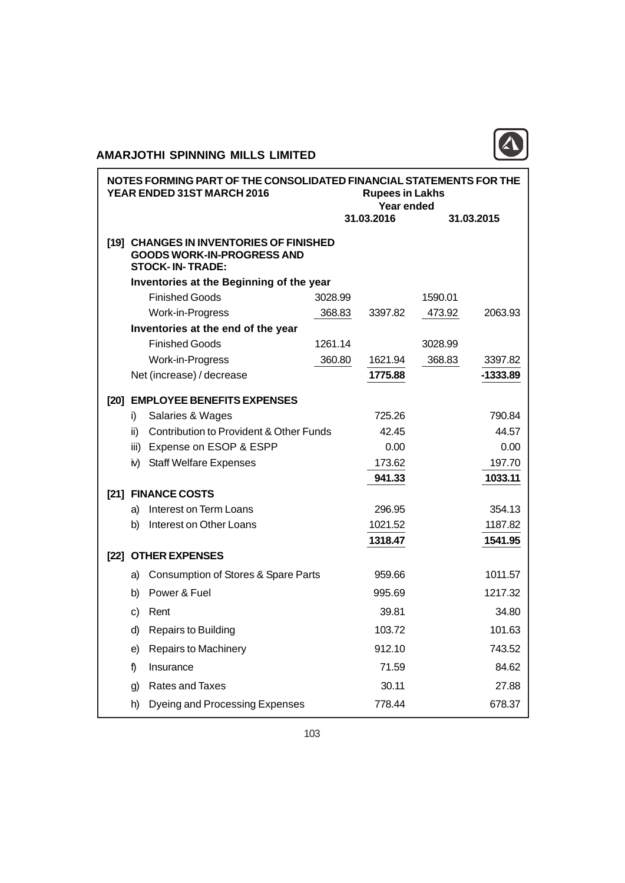

| NOTES FORMING PART OF THE CONSOLIDATED FINANCIAL STATEMENTS FOR THE<br>YEAR ENDED 31ST MARCH 2016<br><b>Rupees in Lakhs</b><br>Year ended |      |                                                                                                        |         |            |         |            |
|-------------------------------------------------------------------------------------------------------------------------------------------|------|--------------------------------------------------------------------------------------------------------|---------|------------|---------|------------|
|                                                                                                                                           |      |                                                                                                        |         | 31.03.2016 |         | 31.03.2015 |
|                                                                                                                                           |      | [19] CHANGES IN INVENTORIES OF FINISHED<br><b>GOODS WORK-IN-PROGRESS AND</b><br><b>STOCK-IN-TRADE:</b> |         |            |         |            |
|                                                                                                                                           |      | Inventories at the Beginning of the year                                                               |         |            |         |            |
|                                                                                                                                           |      | <b>Finished Goods</b>                                                                                  | 3028.99 |            | 1590.01 |            |
|                                                                                                                                           |      | Work-in-Progress                                                                                       | 368.83  | 3397.82    | 473.92  | 2063.93    |
|                                                                                                                                           |      | Inventories at the end of the year                                                                     |         |            |         |            |
|                                                                                                                                           |      | <b>Finished Goods</b>                                                                                  | 1261.14 |            | 3028.99 |            |
|                                                                                                                                           |      | Work-in-Progress                                                                                       | 360.80  | 1621.94    | 368.83  | 3397.82    |
|                                                                                                                                           |      | Net (increase) / decrease                                                                              |         | 1775.88    |         | $-1333.89$ |
| <b>[20]</b>                                                                                                                               |      | <b>EMPLOYEE BENEFITS EXPENSES</b>                                                                      |         |            |         |            |
|                                                                                                                                           | i)   | Salaries & Wages                                                                                       |         | 725.26     |         | 790.84     |
|                                                                                                                                           | ii)  | Contribution to Provident & Other Funds                                                                |         | 42.45      |         | 44.57      |
|                                                                                                                                           | iii) | Expense on ESOP & ESPP                                                                                 |         | 0.00       |         | 0.00       |
|                                                                                                                                           | iv)  | <b>Staff Welfare Expenses</b>                                                                          |         | 173.62     |         | 197.70     |
|                                                                                                                                           |      |                                                                                                        |         | 941.33     |         | 1033.11    |
|                                                                                                                                           |      | [21] FINANCE COSTS                                                                                     |         |            |         |            |
|                                                                                                                                           | a)   | <b>Interest on Term Loans</b>                                                                          |         | 296.95     |         | 354.13     |
|                                                                                                                                           | b)   | Interest on Other Loans                                                                                |         | 1021.52    |         | 1187.82    |
|                                                                                                                                           |      | <b>OTHER EXPENSES</b>                                                                                  |         | 1318.47    |         | 1541.95    |
| $[22]$                                                                                                                                    |      |                                                                                                        |         |            |         |            |
|                                                                                                                                           | a)   | Consumption of Stores & Spare Parts                                                                    |         | 959.66     |         | 1011.57    |
|                                                                                                                                           | b)   | Power & Fuel                                                                                           |         | 995.69     |         | 1217.32    |
|                                                                                                                                           | C)   | Rent                                                                                                   |         | 39.81      |         | 34.80      |
|                                                                                                                                           | d)   | Repairs to Building                                                                                    |         | 103.72     |         | 101.63     |
|                                                                                                                                           | e)   | Repairs to Machinery                                                                                   |         | 912.10     |         | 743.52     |
|                                                                                                                                           | f)   | Insurance                                                                                              |         | 71.59      |         | 84.62      |
|                                                                                                                                           | g)   | <b>Rates and Taxes</b>                                                                                 |         | 30.11      |         | 27.88      |
|                                                                                                                                           | h)   | <b>Dyeing and Processing Expenses</b>                                                                  |         | 778.44     |         | 678.37     |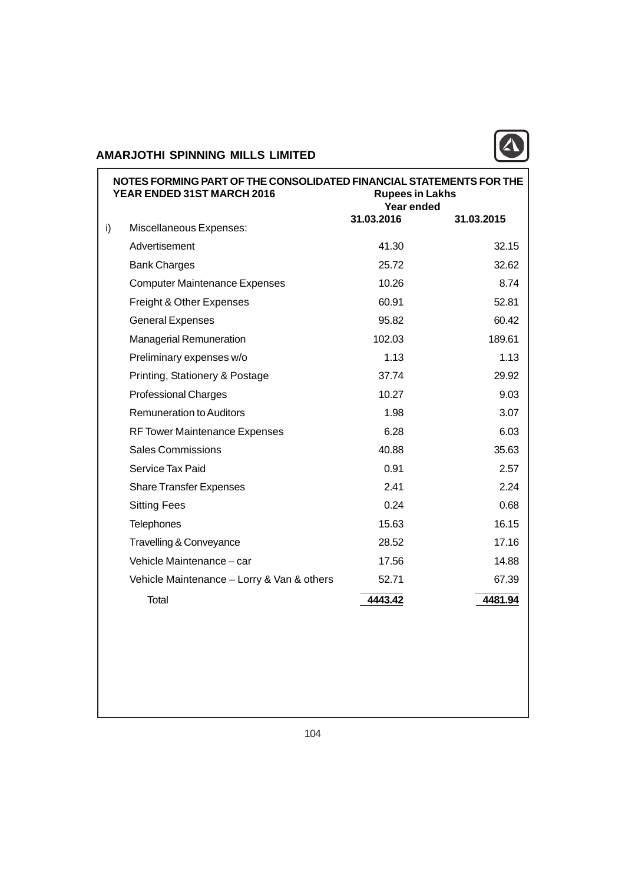

|    | NOTES FORMING PART OF THE CONSOLIDATED FINANCIAL STATEMENTS FOR THE<br>YEAR ENDED 31ST MARCH 2016 | <b>Rupees in Lakhs</b><br>Year ended |            |
|----|---------------------------------------------------------------------------------------------------|--------------------------------------|------------|
| i) | Miscellaneous Expenses:                                                                           | 31.03.2016                           | 31.03.2015 |
|    | Advertisement                                                                                     | 41.30                                | 32.15      |
|    | <b>Bank Charges</b>                                                                               | 25.72                                | 32.62      |
|    | <b>Computer Maintenance Expenses</b>                                                              | 10.26                                | 8.74       |
|    | Freight & Other Expenses                                                                          | 60.91                                | 52.81      |
|    | <b>General Expenses</b>                                                                           | 95.82                                | 60.42      |
|    | <b>Managerial Remuneration</b>                                                                    | 102.03                               | 189.61     |
|    | Preliminary expenses w/o                                                                          | 1.13                                 | 1.13       |
|    | Printing, Stationery & Postage                                                                    | 37.74                                | 29.92      |
|    | <b>Professional Charges</b>                                                                       | 10.27                                | 9.03       |
|    | <b>Remuneration to Auditors</b>                                                                   | 1.98                                 | 3.07       |
|    | <b>RF Tower Maintenance Expenses</b>                                                              | 6.28                                 | 6.03       |
|    | <b>Sales Commissions</b>                                                                          | 40.88                                | 35.63      |
|    | Service Tax Paid                                                                                  | 0.91                                 | 2.57       |
|    | <b>Share Transfer Expenses</b>                                                                    | 2.41                                 | 2.24       |
|    | <b>Sitting Fees</b>                                                                               | 0.24                                 | 0.68       |
|    | <b>Telephones</b>                                                                                 | 15.63                                | 16.15      |
|    | Travelling & Conveyance                                                                           | 28.52                                | 17.16      |
|    | Vehicle Maintenance - car                                                                         | 17.56                                | 14.88      |
|    | Vehicle Maintenance - Lorry & Van & others                                                        | 52.71                                | 67.39      |
|    | Total                                                                                             | 4443.42                              | 4481.94    |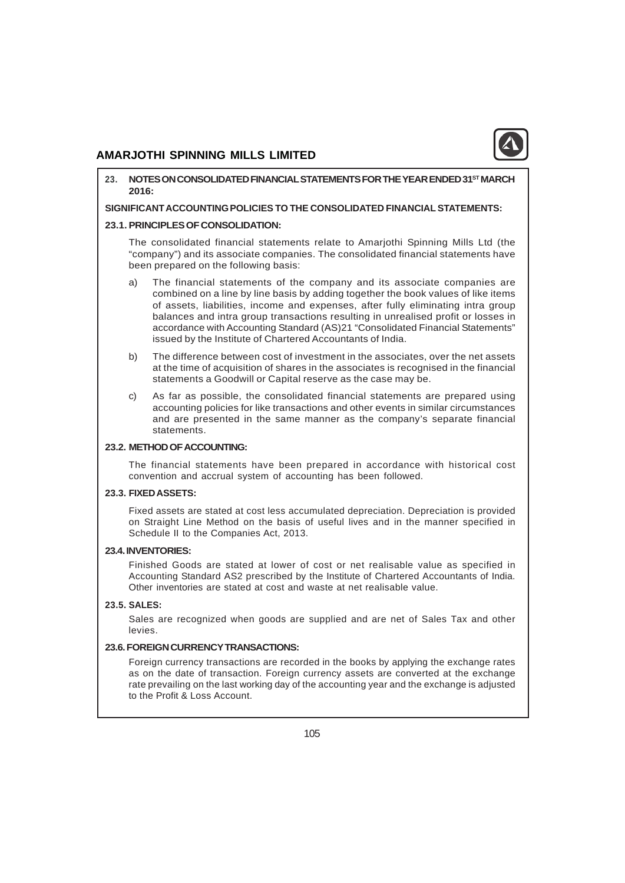

#### **23. NOTES ON CONSOLIDATED FINANCIAL STATEMENTS FOR THE YEAR ENDED 31ST MARCH 2016:**

#### **SIGNIFICANTACCOUNTINGPOLICIES TO THE CONSOLIDATED FINANCIAL STATEMENTS:**

## **23.1. PRINCIPLES OF CONSOLIDATION:**

The consolidated financial statements relate to Amarjothi Spinning Mills Ltd (the "company") and its associate companies. The consolidated financial statements have been prepared on the following basis:

- a) The financial statements of the company and its associate companies are combined on a line by line basis by adding together the book values of like items of assets, liabilities, income and expenses, after fully eliminating intra group balances and intra group transactions resulting in unrealised profit or losses in accordance with Accounting Standard (AS)21 "Consolidated Financial Statements" issued by the Institute of Chartered Accountants of India.
- b) The difference between cost of investment in the associates, over the net assets at the time of acquisition of shares in the associates is recognised in the financial statements a Goodwill or Capital reserve as the case may be.
- c) As far as possible, the consolidated financial statements are prepared using accounting policies for like transactions and other events in similar circumstances and are presented in the same manner as the company's separate financial statements.

#### **23.2. METHODOFACCOUNTING:**

The financial statements have been prepared in accordance with historical cost convention and accrual system of accounting has been followed.

### **23.3. FIXEDASSETS:**

Fixed assets are stated at cost less accumulated depreciation. Depreciation is provided on Straight Line Method on the basis of useful lives and in the manner specified in Schedule II to the Companies Act, 2013.

### **23.4. INVENTORIES:**

Finished Goods are stated at lower of cost or net realisable value as specified in Accounting Standard AS2 prescribed by the Institute of Chartered Accountants of India. Other inventories are stated at cost and waste at net realisable value.

### **23.5. SALES:**

Sales are recognized when goods are supplied and are net of Sales Tax and other levies.

## **23.6. FOREIGN CURRENCYTRANSACTIONS:**

Foreign currency transactions are recorded in the books by applying the exchange rates as on the date of transaction. Foreign currency assets are converted at the exchange rate prevailing on the last working day of the accounting year and the exchange is adjusted to the Profit & Loss Account.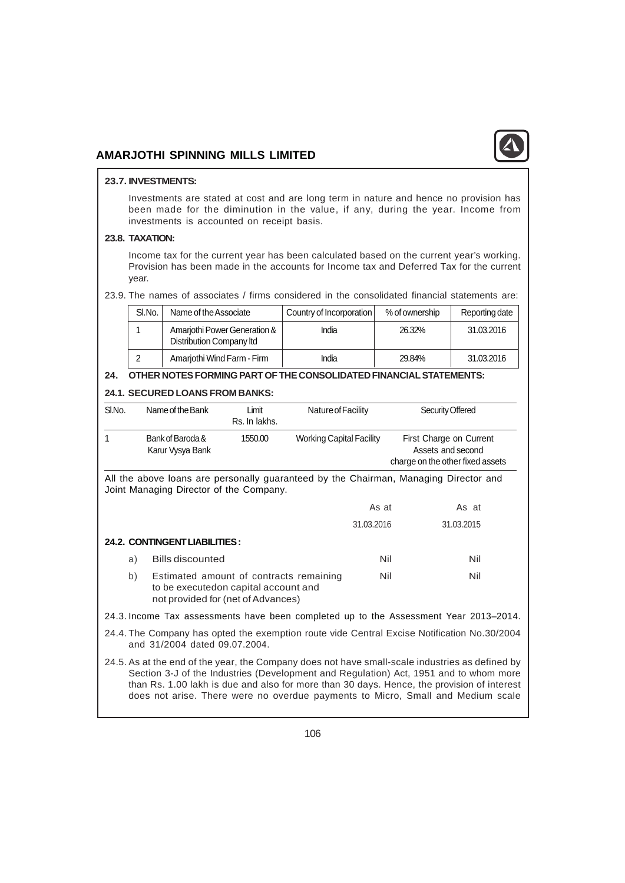

### **23.7. INVESTMENTS:**

Investments are stated at cost and are long term in nature and hence no provision has been made for the diminution in the value, if any, during the year. Income from investments is accounted on receipt basis.

#### **23.8. TAXATION:**

Income tax for the current year has been calculated based on the current year's working. Provision has been made in the accounts for Income tax and Deferred Tax for the current year.

23.9. The names of associates / firms considered in the consolidated financial statements are:

| SI.No. | Name of the Associate                                    | Country of Incorporation | % of ownership | Reporting date |
|--------|----------------------------------------------------------|--------------------------|----------------|----------------|
|        | Amarjothi Power Generation &<br>Distribution Company Itd | India                    | 26.32%         | 31.03.2016     |
| ∩      | Amarjothi Wind Farm - Firm                               | India                    | 29.84%         | 31.03.2016     |

## **24. OTHER NOTES FORMING PART OF THE CONSOLIDATED FINANCIAL STATEMENTS:**

### **24.1. SECURED LOANS FROM BANKS:**

| SI.No. | Name of the Bank                        | Limit<br>Rs. In lakhs.                                                                                                | Nature of Facility                                                                                                  | Security Offered                                                                     |
|--------|-----------------------------------------|-----------------------------------------------------------------------------------------------------------------------|---------------------------------------------------------------------------------------------------------------------|--------------------------------------------------------------------------------------|
|        | Bank of Baroda &<br>Karur Vysya Bank    | 1550.00                                                                                                               | <b>Working Capital Facility</b><br>First Charge on Current<br>Assets and second<br>charge on the other fixed assets |                                                                                      |
|        | Joint Managing Director of the Company. |                                                                                                                       |                                                                                                                     | All the above loans are personally guaranteed by the Chairman, Managing Director and |
|        |                                         |                                                                                                                       | As at                                                                                                               | As at                                                                                |
|        |                                         |                                                                                                                       | 31.03.2016                                                                                                          | 31.03.2015                                                                           |
|        | 24.2. CONTINGENT LIABILITIES:           |                                                                                                                       |                                                                                                                     |                                                                                      |
|        | <b>Bills discounted</b><br>a)           |                                                                                                                       | Nil                                                                                                                 | Nil                                                                                  |
|        | b)                                      | Estimated amount of contracts remaining<br>to be executedon capital account and<br>not provided for (net of Advances) | Nil                                                                                                                 | Nil                                                                                  |

24.3. Income Tax assessments have been completed up to the Assessment Year 2013–2014.

24.4. The Company has opted the exemption route vide Central Excise Notification No.30/2004 and 31/2004 dated 09.07.2004.

24.5. As at the end of the year, the Company does not have small-scale industries as defined by Section 3-J of the Industries (Development and Regulation) Act, 1951 and to whom more than Rs. 1.00 lakh is due and also for more than 30 days. Hence, the provision of interest does not arise. There were no overdue payments to Micro, Small and Medium scale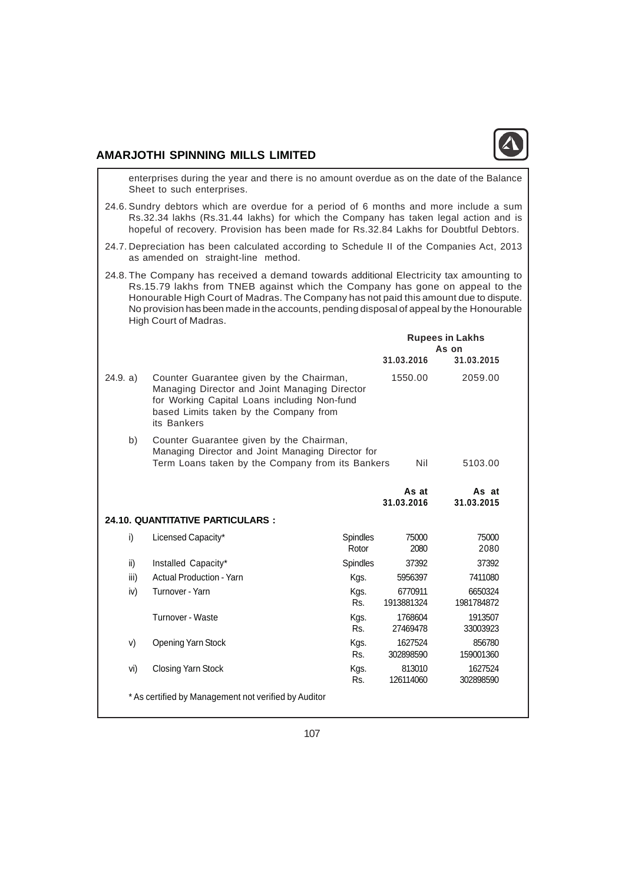

enterprises during the year and there is no amount overdue as on the date of the Balance Sheet to such enterprises.

- 24.6. Sundry debtors which are overdue for a period of 6 months and more include a sum Rs.32.34 lakhs (Rs.31.44 lakhs) for which the Company has taken legal action and is hopeful of recovery. Provision has been made for Rs.32.84 Lakhs for Doubtful Debtors.
- 24.7. Depreciation has been calculated according to Schedule II of the Companies Act, 2013 as amended on straight-line method.
- 24.8. The Company has received a demand towards additional Electricity tax amounting to Rs.15.79 lakhs from TNEB against which the Company has gone on appeal to the Honourable High Court of Madras. The Company has not paid this amount due to dispute. No provision has been made in the accounts, pending disposal of appeal by the Honourable High Court of Madras.

|          |                                                                                                                                                                                                    |                          |                       | <b>Rupees in Lakhs</b><br>As on |
|----------|----------------------------------------------------------------------------------------------------------------------------------------------------------------------------------------------------|--------------------------|-----------------------|---------------------------------|
|          |                                                                                                                                                                                                    |                          | 31.03.2016            | 31.03.2015                      |
| 24.9. a) | Counter Guarantee given by the Chairman,<br>Managing Director and Joint Managing Director<br>for Working Capital Loans including Non-fund<br>based Limits taken by the Company from<br>its Bankers |                          | 1550.00               | 2059.00                         |
| b)       | Counter Guarantee given by the Chairman,<br>Managing Director and Joint Managing Director for<br>Term Loans taken by the Company from its Bankers                                                  |                          | Nil                   | 5103.00                         |
|          |                                                                                                                                                                                                    |                          | As at<br>31.03.2016   | As at<br>31.03.2015             |
|          | <b>24.10. QUANTITATIVE PARTICULARS:</b>                                                                                                                                                            |                          |                       |                                 |
| i)       | Licensed Capacity*                                                                                                                                                                                 | <b>Spindles</b><br>Rotor | 75000<br>2080         | 75000<br>2080                   |
| ii)      | Installed Capacity*                                                                                                                                                                                | <b>Spindles</b>          | 37392                 | 37392                           |
| iii)     | <b>Actual Production - Yarn</b>                                                                                                                                                                    | Kgs.                     | 5956397               | 7411080                         |
| iv)      | Turnover - Yarn                                                                                                                                                                                    | Kgs.<br>Rs.              | 6770911<br>1913881324 | 6650324<br>1981784872           |
|          | Turnover - Waste                                                                                                                                                                                   | Kgs.<br>Rs.              | 1768604<br>27469478   | 1913507<br>33003923             |
| V)       | <b>Opening Yarn Stock</b>                                                                                                                                                                          | Kgs.<br>Rs.              | 1627524<br>302898590  | 856780<br>159001360             |
| vi)      | <b>Closing Yarn Stock</b>                                                                                                                                                                          | Kgs.<br>Rs.              | 813010<br>126114060   | 1627524<br>302898590            |
|          | * As certified by Management not verified by Auditor                                                                                                                                               |                          |                       |                                 |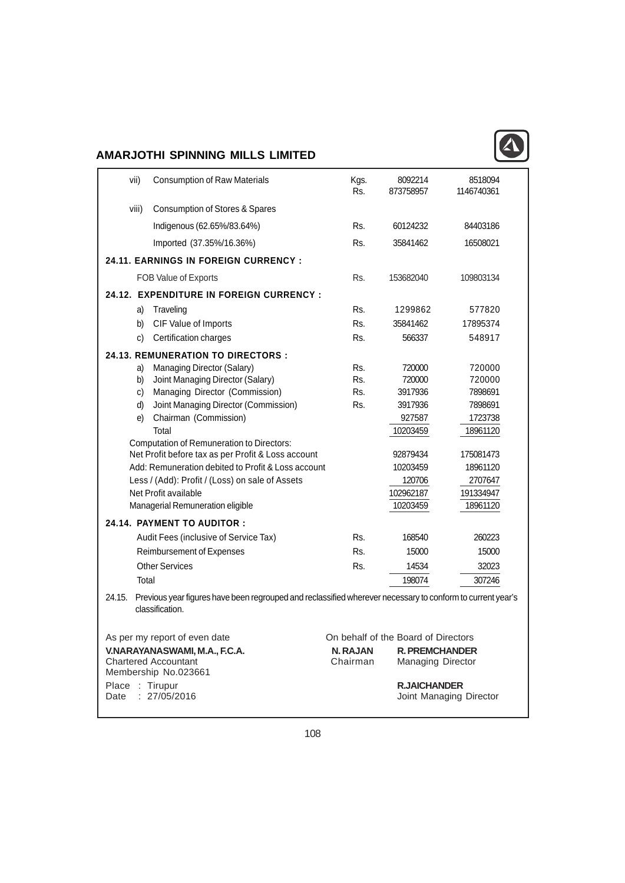

| vii)   | <b>Consumption of Raw Materials</b>                                                                                           | Kgs.<br>Rs.     | 8092214<br>873758957                | 8518094<br>1146740361   |
|--------|-------------------------------------------------------------------------------------------------------------------------------|-----------------|-------------------------------------|-------------------------|
| viii)  | Consumption of Stores & Spares                                                                                                |                 |                                     |                         |
|        | Indigenous (62.65%/83.64%)                                                                                                    | Rs.             | 60124232                            | 84403186                |
|        | Imported (37.35%/16.36%)                                                                                                      | Rs.             | 35841462                            | 16508021                |
|        | <b>24.11. EARNINGS IN FOREIGN CURRENCY:</b>                                                                                   |                 |                                     |                         |
|        | FOB Value of Exports                                                                                                          | Rs.             | 153682040                           | 109803134               |
|        | 24.12. EXPENDITURE IN FOREIGN CURRENCY:                                                                                       |                 |                                     |                         |
| a)     | Traveling                                                                                                                     | Rs.             | 1299862                             | 577820                  |
| b)     | CIF Value of Imports                                                                                                          | Rs.             | 35841462                            | 17895374                |
| C)     | Certification charges                                                                                                         | Rs.             | 566337                              | 548917                  |
|        | <b>24.13. REMUNERATION TO DIRECTORS:</b>                                                                                      |                 |                                     |                         |
| a)     | Managing Director (Salary)                                                                                                    | Rs.             | 720000                              | 720000                  |
| b)     | Joint Managing Director (Salary)                                                                                              | Rs.             | 720000                              | 720000                  |
| C)     | Managing Director (Commission)                                                                                                | Rs.             | 3917936                             | 7898691                 |
| d)     | Joint Managing Director (Commission)                                                                                          | Rs.             | 3917936                             | 7898691                 |
| e)     | Chairman (Commission)                                                                                                         |                 | 927587                              | 1723738                 |
|        | Total                                                                                                                         |                 | 10203459                            | 18961120                |
|        | Computation of Remuneration to Directors:<br>Net Profit before tax as per Profit & Loss account                               |                 | 92879434                            | 175081473               |
|        | Add: Remuneration debited to Profit & Loss account                                                                            |                 | 10203459                            | 18961120                |
|        | Less / (Add): Profit / (Loss) on sale of Assets                                                                               |                 | 120706                              | 2707647                 |
|        | Net Profit available                                                                                                          |                 | 102962187                           | 191334947               |
|        | Managerial Remuneration eligible                                                                                              |                 | 10203459                            | 18961120                |
|        | 24.14. PAYMENT TO AUDITOR:                                                                                                    |                 |                                     |                         |
|        | Audit Fees (inclusive of Service Tax)                                                                                         | Rs.             | 168540                              | 260223                  |
|        | Reimbursement of Expenses                                                                                                     | Rs.             | 15000                               | 15000                   |
|        | <b>Other Services</b>                                                                                                         | Rs.             | 14534                               | 32023                   |
| Total  |                                                                                                                               |                 | 198074                              | 307246                  |
| 24.15. | Previous year figures have been regrouped and reclassified wherever necessary to conform to current year's<br>classification. |                 |                                     |                         |
|        | As per my report of even date                                                                                                 |                 | On behalf of the Board of Directors |                         |
|        | V.NARAYANASWAMI, M.A., F.C.A.                                                                                                 | <b>N. RAJAN</b> | <b>R. PREMCHANDER</b>               |                         |
|        | <b>Chartered Accountant</b><br>Membership No.023661                                                                           | Chairman        | <b>Managing Director</b>            |                         |
| Place  | : Tirupur                                                                                                                     |                 | <b>R.JAICHANDER</b>                 |                         |
| Date   | : 27/05/2016                                                                                                                  |                 |                                     | Joint Managing Director |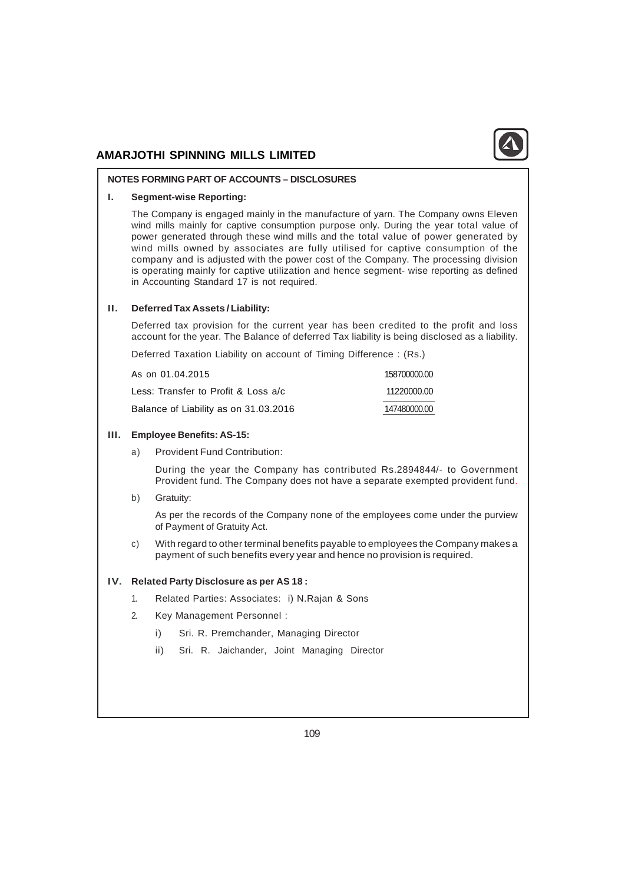

#### **NOTES FORMING PART OF ACCOUNTS – DISCLOSURES**

#### **I. Segment-wise Reporting:**

The Company is engaged mainly in the manufacture of yarn. The Company owns Eleven wind mills mainly for captive consumption purpose only. During the year total value of power generated through these wind mills and the total value of power generated by wind mills owned by associates are fully utilised for captive consumption of the company and is adjusted with the power cost of the Company. The processing division is operating mainly for captive utilization and hence segment- wise reporting as defined in Accounting Standard 17 is not required.

### **II. Deferred Tax Assets / Liability:**

Deferred tax provision for the current year has been credited to the profit and loss account for the year. The Balance of deferred Tax liability is being disclosed as a liability.

Deferred Taxation Liability on account of Timing Difference : (Rs.)

| As on 01.04.2015                      | 158700000.00 |
|---------------------------------------|--------------|
| Less: Transfer to Profit & Loss a/c   | 11220000.00  |
| Balance of Liability as on 31.03.2016 | 147480000.00 |

#### **III. Employee Benefits: AS-15:**

a) Provident Fund Contribution:

During the year the Company has contributed Rs.2894844/- to Government Provident fund. The Company does not have a separate exempted provident fund.

b) Gratuity:

As per the records of the Company none of the employees come under the purview of Payment of Gratuity Act.

c) With regard to other terminal benefits payable to employees the Company makes a payment of such benefits every year and hence no provision is required.

#### **IV. Related Party Disclosure as per AS 18 :**

- 1. Related Parties: Associates: i) N.Rajan & Sons
- 2. Key Management Personnel :
	- i) Sri. R. Premchander, Managing Director
	- ii) Sri. R. Jaichander, Joint Managing Director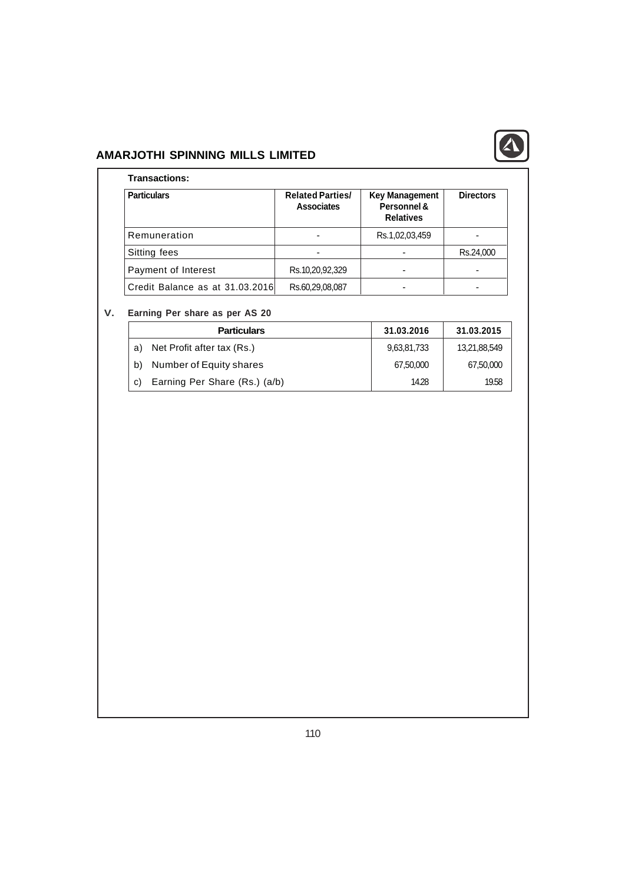

## **Transactions:**

| <b>Particulars</b>              | <b>Related Parties/</b><br><b>Associates</b> | <b>Key Management</b><br>Personnel &<br><b>Relatives</b> | <b>Directors</b> |
|---------------------------------|----------------------------------------------|----------------------------------------------------------|------------------|
| Remuneration                    |                                              | Rs.1,02,03,459                                           |                  |
| Sitting fees                    | -                                            |                                                          | Rs.24,000        |
| Payment of Interest             | Rs.10,20,92,329                              |                                                          |                  |
| Credit Balance as at 31.03.2016 | Rs.60,29,08,087                              | ۰                                                        |                  |

## **V. Earning Per share as per AS 20**

|    | <b>Particulars</b>            | 31.03.2016  | 31.03.2015   |
|----|-------------------------------|-------------|--------------|
| a) | Net Profit after tax (Rs.)    | 9,63,81,733 | 13,21,88,549 |
| b) | Number of Equity shares       | 67,50,000   | 67,50,000    |
| C) | Earning Per Share (Rs.) (a/b) | 14.28       | 19.58        |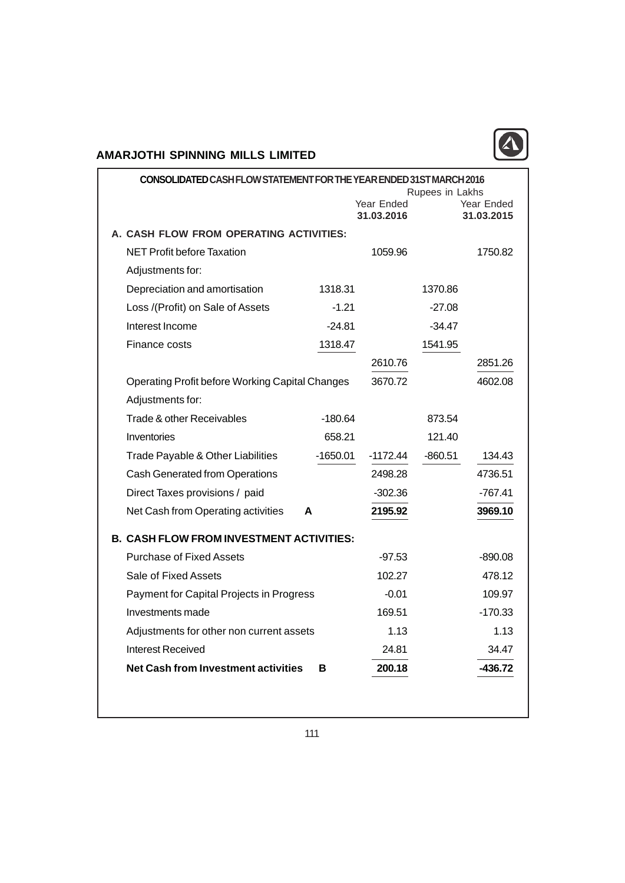

| CONSOLIDATED CASH FLOW STATEMENT FOR THE YEAR ENDED 31ST MARCH 2016<br>Rupees in Lakhs |            |            |           |           |  |
|----------------------------------------------------------------------------------------|------------|------------|-----------|-----------|--|
| Year Ended<br>Year Ended<br>31.03.2016<br>31.03.2015                                   |            |            |           |           |  |
| A. CASH FLOW FROM OPERATING ACTIVITIES:                                                |            |            |           |           |  |
| <b>NET Profit before Taxation</b>                                                      |            | 1059.96    |           | 1750.82   |  |
| Adjustments for:                                                                       |            |            |           |           |  |
| Depreciation and amortisation                                                          | 1318.31    |            | 1370.86   |           |  |
| Loss /(Profit) on Sale of Assets                                                       | $-1.21$    |            | -27.08    |           |  |
| Interest Income                                                                        | $-24.81$   |            | $-34.47$  |           |  |
| Finance costs                                                                          | 1318.47    |            | 1541.95   |           |  |
|                                                                                        |            | 2610.76    |           | 2851.26   |  |
| <b>Operating Profit before Working Capital Changes</b>                                 |            | 3670.72    |           | 4602.08   |  |
| Adjustments for:                                                                       |            |            |           |           |  |
| Trade & other Receivables                                                              | $-180.64$  |            | 873.54    |           |  |
| Inventories                                                                            | 658.21     |            | 121.40    |           |  |
| Trade Payable & Other Liabilities                                                      | $-1650.01$ | $-1172.44$ | $-860.51$ | 134.43    |  |
| <b>Cash Generated from Operations</b>                                                  |            | 2498.28    |           | 4736.51   |  |
| Direct Taxes provisions / paid                                                         |            | $-302.36$  |           | -767.41   |  |
| Net Cash from Operating activities                                                     | A          | 2195.92    |           | 3969.10   |  |
| <b>B. CASH FLOW FROM INVESTMENT ACTIVITIES:</b>                                        |            |            |           |           |  |
| <b>Purchase of Fixed Assets</b>                                                        |            | $-97.53$   |           | $-890.08$ |  |
| Sale of Fixed Assets                                                                   |            | 102.27     |           | 478.12    |  |
| Payment for Capital Projects in Progress                                               |            | $-0.01$    |           | 109.97    |  |
| Investments made                                                                       |            | 169.51     |           | $-170.33$ |  |
| Adjustments for other non current assets                                               |            | 1.13       |           | 1.13      |  |
| <b>Interest Received</b>                                                               |            | 24.81      |           | 34.47     |  |
| <b>Net Cash from Investment activities</b>                                             | В          | 200.18     |           | $-436.72$ |  |
|                                                                                        |            |            |           |           |  |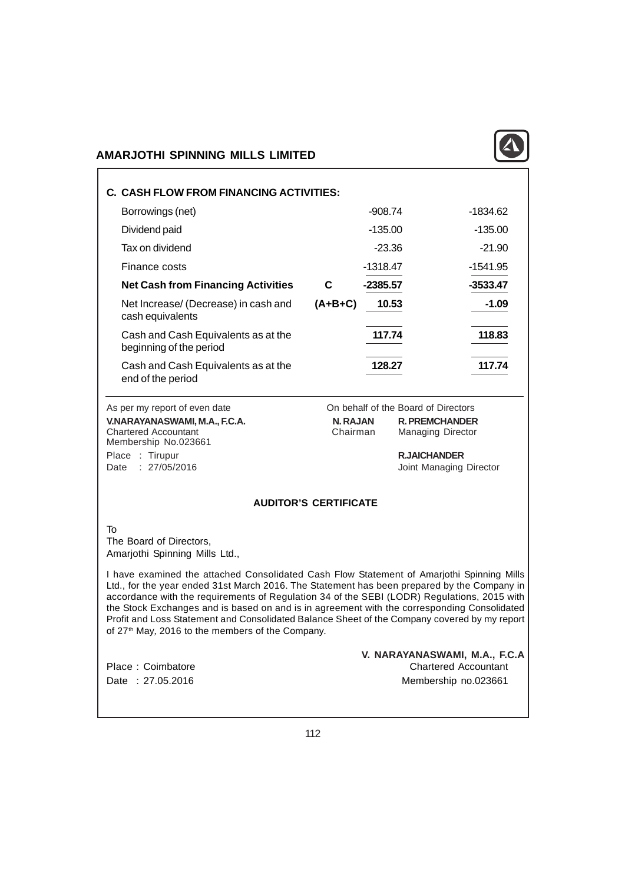

 $\Gamma$ 

| <b>C. CASH FLOW FROM FINANCING ACTIVITIES:</b>                                                                                                                                                                                                                                                                                                                                                                                                                                                                                                         |                              |                                                            |                                                                                      |
|--------------------------------------------------------------------------------------------------------------------------------------------------------------------------------------------------------------------------------------------------------------------------------------------------------------------------------------------------------------------------------------------------------------------------------------------------------------------------------------------------------------------------------------------------------|------------------------------|------------------------------------------------------------|--------------------------------------------------------------------------------------|
| Borrowings (net)                                                                                                                                                                                                                                                                                                                                                                                                                                                                                                                                       |                              | $-908.74$                                                  | -1834.62                                                                             |
| Dividend paid                                                                                                                                                                                                                                                                                                                                                                                                                                                                                                                                          |                              | -135.00                                                    | -135.00                                                                              |
| Tax on dividend                                                                                                                                                                                                                                                                                                                                                                                                                                                                                                                                        |                              | $-23.36$                                                   | $-21.90$                                                                             |
| Finance costs                                                                                                                                                                                                                                                                                                                                                                                                                                                                                                                                          |                              | $-1318.47$                                                 | $-1541.95$                                                                           |
| <b>Net Cash from Financing Activities</b>                                                                                                                                                                                                                                                                                                                                                                                                                                                                                                              | C                            | $-2385.57$                                                 | $-3533.47$                                                                           |
| Net Increase/ (Decrease) in cash and<br>cash equivalents                                                                                                                                                                                                                                                                                                                                                                                                                                                                                               | $(A+B+C)$                    | 10.53                                                      | $-1.09$                                                                              |
| Cash and Cash Equivalents as at the<br>beginning of the period                                                                                                                                                                                                                                                                                                                                                                                                                                                                                         |                              | 117.74                                                     | 118.83                                                                               |
| Cash and Cash Equivalents as at the<br>end of the period                                                                                                                                                                                                                                                                                                                                                                                                                                                                                               |                              | 128.27                                                     | 117.74                                                                               |
| As per my report of even date<br>V.NARAYANASWAMI, M.A., F.C.A.<br><b>Chartered Accountant</b><br>Membership No.023661<br>Place : Tirupur<br>Date: 27/05/2016                                                                                                                                                                                                                                                                                                                                                                                           | <b>N. RAJAN</b><br>Chairman  | On behalf of the Board of Directors<br><b>R.JAICHANDER</b> | <b>R. PREMCHANDER</b><br><b>Managing Director</b><br>Joint Managing Director         |
|                                                                                                                                                                                                                                                                                                                                                                                                                                                                                                                                                        | <b>AUDITOR'S CERTIFICATE</b> |                                                            |                                                                                      |
| To<br>The Board of Directors,<br>Amarjothi Spinning Mills Ltd.,                                                                                                                                                                                                                                                                                                                                                                                                                                                                                        |                              |                                                            |                                                                                      |
| I have examined the attached Consolidated Cash Flow Statement of Amarjothi Spinning Mills<br>Ltd., for the year ended 31st March 2016. The Statement has been prepared by the Company in<br>accordance with the requirements of Regulation 34 of the SEBI (LODR) Regulations, 2015 with<br>the Stock Exchanges and is based on and is in agreement with the corresponding Consolidated<br>Profit and Loss Statement and Consolidated Balance Sheet of the Company covered by my report<br>of 27 <sup>th</sup> May, 2016 to the members of the Company. |                              |                                                            |                                                                                      |
| Place: Coimbatore<br>Date: 27.05.2016                                                                                                                                                                                                                                                                                                                                                                                                                                                                                                                  |                              |                                                            | V. NARAYANASWAMI, M.A., F.C.A<br><b>Chartered Accountant</b><br>Membership no.023661 |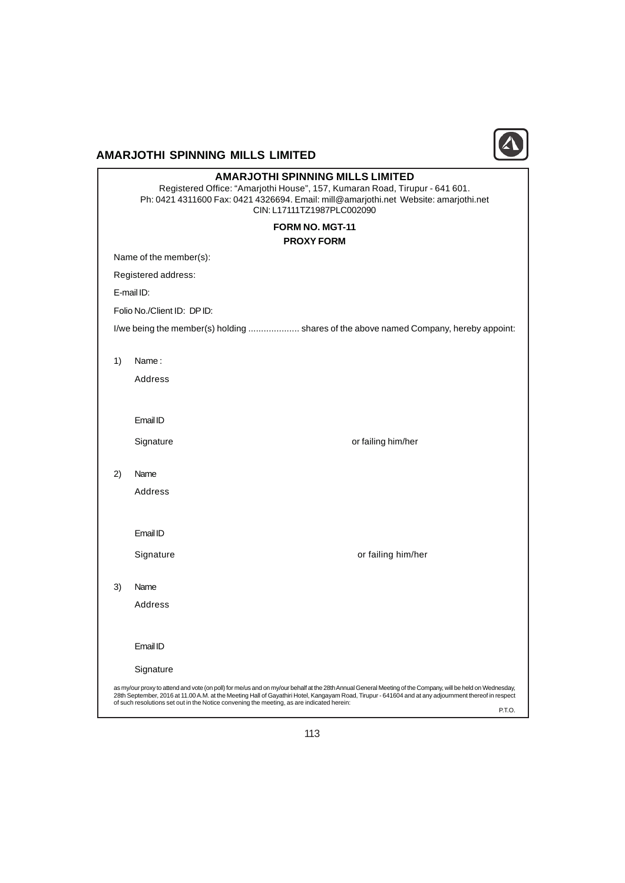

|                                                                                                                                                                                                   |                                                                                           | <b>AMARJOTHI SPINNING MILLS LIMITED</b>                                                                                                                                                                                                                                                                           |  |  |  |
|---------------------------------------------------------------------------------------------------------------------------------------------------------------------------------------------------|-------------------------------------------------------------------------------------------|-------------------------------------------------------------------------------------------------------------------------------------------------------------------------------------------------------------------------------------------------------------------------------------------------------------------|--|--|--|
| Registered Office: "Amarjothi House", 157, Kumaran Road, Tirupur - 641 601.<br>Ph: 0421 4311600 Fax: 0421 4326694. Email: mill@amarjothi.net Website: amarjothi.net<br>CIN: L17111TZ1987PLC002090 |                                                                                           |                                                                                                                                                                                                                                                                                                                   |  |  |  |
|                                                                                                                                                                                                   |                                                                                           | FORM NO. MGT-11                                                                                                                                                                                                                                                                                                   |  |  |  |
|                                                                                                                                                                                                   |                                                                                           | <b>PROXY FORM</b>                                                                                                                                                                                                                                                                                                 |  |  |  |
|                                                                                                                                                                                                   | Name of the member(s):                                                                    |                                                                                                                                                                                                                                                                                                                   |  |  |  |
|                                                                                                                                                                                                   | Registered address:                                                                       |                                                                                                                                                                                                                                                                                                                   |  |  |  |
|                                                                                                                                                                                                   | E-mail ID:                                                                                |                                                                                                                                                                                                                                                                                                                   |  |  |  |
|                                                                                                                                                                                                   | Folio No./Client ID: DP ID:                                                               |                                                                                                                                                                                                                                                                                                                   |  |  |  |
|                                                                                                                                                                                                   |                                                                                           | I/we being the member(s) holding  shares of the above named Company, hereby appoint:                                                                                                                                                                                                                              |  |  |  |
| 1)                                                                                                                                                                                                | Name:                                                                                     |                                                                                                                                                                                                                                                                                                                   |  |  |  |
|                                                                                                                                                                                                   | Address                                                                                   |                                                                                                                                                                                                                                                                                                                   |  |  |  |
|                                                                                                                                                                                                   |                                                                                           |                                                                                                                                                                                                                                                                                                                   |  |  |  |
|                                                                                                                                                                                                   | Email ID                                                                                  |                                                                                                                                                                                                                                                                                                                   |  |  |  |
|                                                                                                                                                                                                   | Signature                                                                                 | or failing him/her                                                                                                                                                                                                                                                                                                |  |  |  |
|                                                                                                                                                                                                   |                                                                                           |                                                                                                                                                                                                                                                                                                                   |  |  |  |
| 2)                                                                                                                                                                                                | Name                                                                                      |                                                                                                                                                                                                                                                                                                                   |  |  |  |
|                                                                                                                                                                                                   | Address                                                                                   |                                                                                                                                                                                                                                                                                                                   |  |  |  |
|                                                                                                                                                                                                   |                                                                                           |                                                                                                                                                                                                                                                                                                                   |  |  |  |
|                                                                                                                                                                                                   | Email ID                                                                                  |                                                                                                                                                                                                                                                                                                                   |  |  |  |
|                                                                                                                                                                                                   | Signature                                                                                 | or failing him/her                                                                                                                                                                                                                                                                                                |  |  |  |
|                                                                                                                                                                                                   |                                                                                           |                                                                                                                                                                                                                                                                                                                   |  |  |  |
| 3)                                                                                                                                                                                                | Name                                                                                      |                                                                                                                                                                                                                                                                                                                   |  |  |  |
|                                                                                                                                                                                                   | Address                                                                                   |                                                                                                                                                                                                                                                                                                                   |  |  |  |
|                                                                                                                                                                                                   |                                                                                           |                                                                                                                                                                                                                                                                                                                   |  |  |  |
|                                                                                                                                                                                                   | Email ID                                                                                  |                                                                                                                                                                                                                                                                                                                   |  |  |  |
|                                                                                                                                                                                                   |                                                                                           |                                                                                                                                                                                                                                                                                                                   |  |  |  |
|                                                                                                                                                                                                   | Signature                                                                                 |                                                                                                                                                                                                                                                                                                                   |  |  |  |
|                                                                                                                                                                                                   | of such resolutions set out in the Notice convening the meeting, as are indicated herein: | as my/our proxy to attend and vote (on poll) for me/us and on my/our behalf at the 28th Annual General Meeting of the Company, will be held on Wednesday,<br>28th September, 2016 at 11.00 A.M. at the Meeting Hall of Gayathiri Hotel, Kangayam Road, Tirupur - 641604 and at any adjournment thereof in respect |  |  |  |
|                                                                                                                                                                                                   |                                                                                           | P.T.O.                                                                                                                                                                                                                                                                                                            |  |  |  |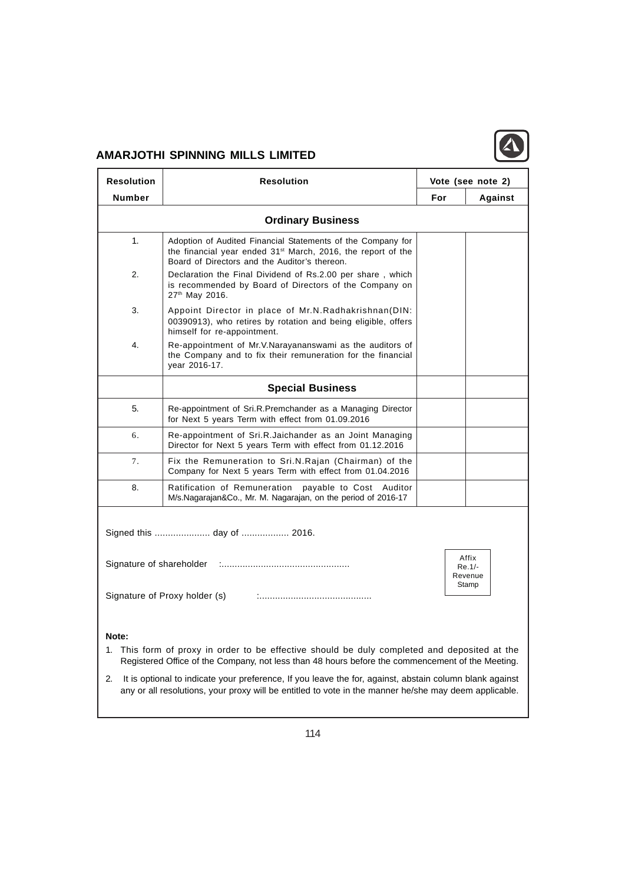

| <b>Resolution</b>          | <b>Resolution</b>                                                                                                                                                                        | Vote (see note 2)<br>For<br>Against |       |  |  |  |
|----------------------------|------------------------------------------------------------------------------------------------------------------------------------------------------------------------------------------|-------------------------------------|-------|--|--|--|
| Number                     |                                                                                                                                                                                          |                                     |       |  |  |  |
| <b>Ordinary Business</b>   |                                                                                                                                                                                          |                                     |       |  |  |  |
| 1 <sub>1</sub>             | Adoption of Audited Financial Statements of the Company for<br>the financial year ended 31 <sup>st</sup> March, 2016, the report of the<br>Board of Directors and the Auditor's thereon. |                                     |       |  |  |  |
| $\overline{2}$ .           | Declaration the Final Dividend of Rs.2.00 per share, which<br>is recommended by Board of Directors of the Company on<br>27th May 2016.                                                   |                                     |       |  |  |  |
| 3.                         | Appoint Director in place of Mr.N.Radhakrishnan(DIN:<br>00390913), who retires by rotation and being eligible, offers<br>himself for re-appointment.                                     |                                     |       |  |  |  |
| 4.                         | Re-appointment of Mr.V.Narayananswami as the auditors of<br>the Company and to fix their remuneration for the financial<br>year 2016-17.                                                 |                                     |       |  |  |  |
|                            | <b>Special Business</b>                                                                                                                                                                  |                                     |       |  |  |  |
| 5.                         | Re-appointment of Sri.R.Premchander as a Managing Director<br>for Next 5 years Term with effect from 01.09.2016                                                                          |                                     |       |  |  |  |
| 6.                         | Re-appointment of Sri.R.Jaichander as an Joint Managing<br>Director for Next 5 years Term with effect from 01.12.2016                                                                    |                                     |       |  |  |  |
| 7.                         | Fix the Remuneration to Sri.N.Rajan (Chairman) of the<br>Company for Next 5 years Term with effect from 01.04.2016                                                                       |                                     |       |  |  |  |
| 8.                         | Ratification of Remuneration payable to Cost Auditor<br>M/s.Nagarajan&Co., Mr. M. Nagarajan, on the period of 2016-17                                                                    |                                     |       |  |  |  |
| Signed this  day of  2016. |                                                                                                                                                                                          |                                     |       |  |  |  |
| Affix<br>Re.1/-<br>Revenue |                                                                                                                                                                                          |                                     |       |  |  |  |
|                            | Signature of Proxy holder (s)                                                                                                                                                            |                                     | Stamp |  |  |  |
|                            |                                                                                                                                                                                          |                                     |       |  |  |  |

### **Note:**

- 1. This form of proxy in order to be effective should be duly completed and deposited at the Registered Office of the Company, not less than 48 hours before the commencement of the Meeting.
- 2. It is optional to indicate your preference, If you leave the for, against, abstain column blank against any or all resolutions, your proxy will be entitled to vote in the manner he/she may deem applicable.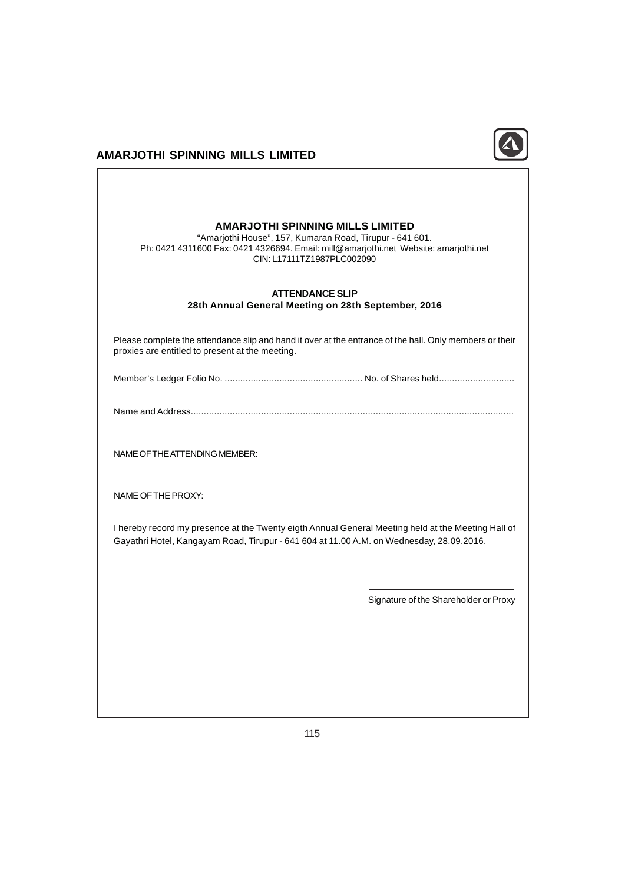

| <b>AMARJOTHI SPINNING MILLS LIMITED</b><br>"Amarjothi House", 157, Kumaran Road, Tirupur - 641 601.<br>Ph: 0421 4311600 Fax: 0421 4326694. Email: mill@amarjothi.net Website: amarjothi.net<br>CIN: L17111TZ1987PLC002090 |
|---------------------------------------------------------------------------------------------------------------------------------------------------------------------------------------------------------------------------|
| <b>ATTENDANCE SLIP</b><br>28th Annual General Meeting on 28th September, 2016                                                                                                                                             |
| Please complete the attendance slip and hand it over at the entrance of the hall. Only members or their<br>proxies are entitled to present at the meeting.                                                                |
|                                                                                                                                                                                                                           |
|                                                                                                                                                                                                                           |
| NAME OF THE ATTENDING MEMBER:                                                                                                                                                                                             |
| NAME OF THE PROXY:                                                                                                                                                                                                        |
| I hereby record my presence at the Twenty eigth Annual General Meeting held at the Meeting Hall of<br>Gayathri Hotel, Kangayam Road, Tirupur - 641 604 at 11.00 A.M. on Wednesday, 28.09.2016.                            |
| Signature of the Shareholder or Proxy                                                                                                                                                                                     |
|                                                                                                                                                                                                                           |